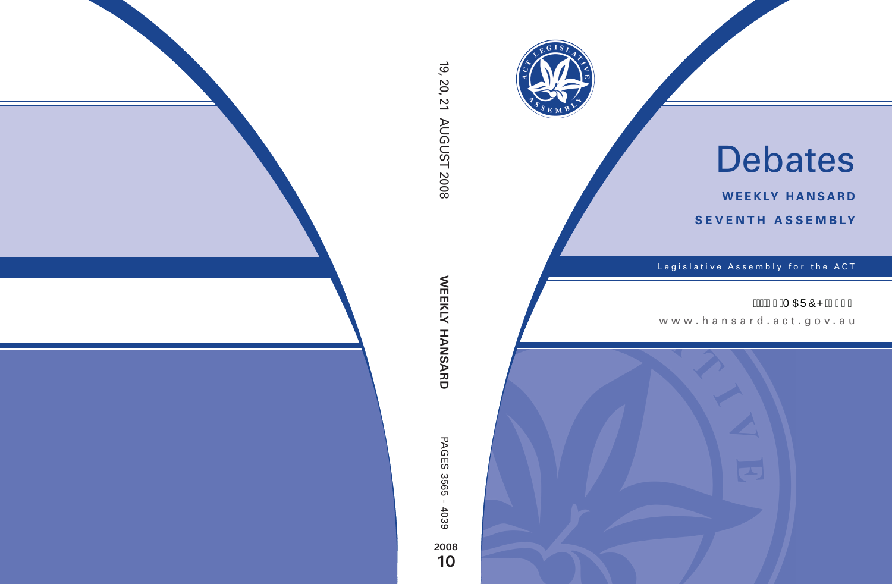

# Debates

**weekly hansard seventh asseMBly**

Legislative Assembly for the ACT

## Á SÁ GEÜÔPÁG€F€

www .hansard.act.gov.au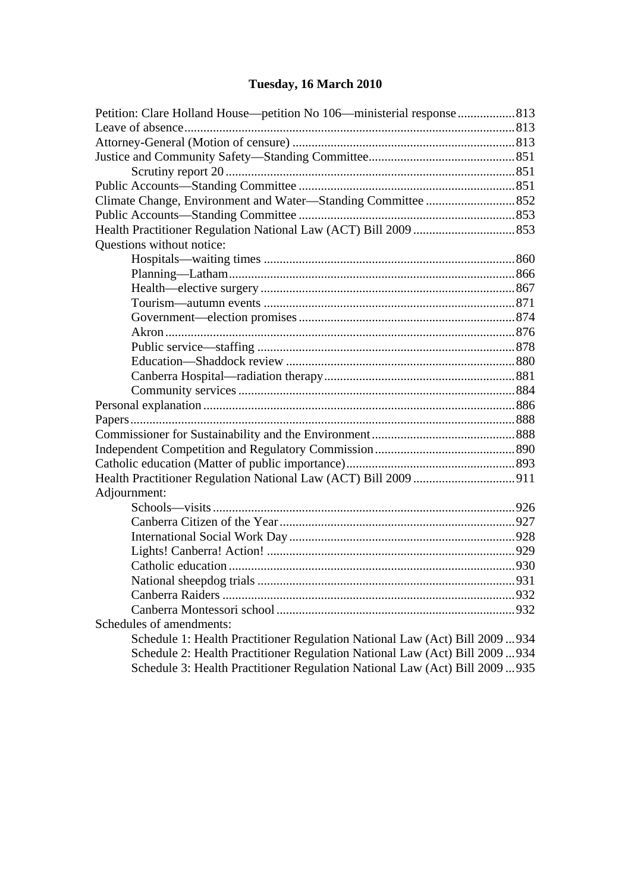## **[Tuesday, 16 March 2010](#page-2-0)**

| Petition: Clare Holland House—petition No 106—ministerial response  813      |  |
|------------------------------------------------------------------------------|--|
|                                                                              |  |
|                                                                              |  |
|                                                                              |  |
|                                                                              |  |
|                                                                              |  |
|                                                                              |  |
|                                                                              |  |
|                                                                              |  |
| Questions without notice:                                                    |  |
|                                                                              |  |
|                                                                              |  |
|                                                                              |  |
|                                                                              |  |
|                                                                              |  |
|                                                                              |  |
|                                                                              |  |
|                                                                              |  |
|                                                                              |  |
|                                                                              |  |
|                                                                              |  |
|                                                                              |  |
|                                                                              |  |
|                                                                              |  |
|                                                                              |  |
|                                                                              |  |
| Adjournment:                                                                 |  |
|                                                                              |  |
|                                                                              |  |
|                                                                              |  |
|                                                                              |  |
|                                                                              |  |
|                                                                              |  |
|                                                                              |  |
|                                                                              |  |
| Schedules of amendments:                                                     |  |
| Schedule 1: Health Practitioner Regulation National Law (Act) Bill 2009  934 |  |
| Schedule 2: Health Practitioner Regulation National Law (Act) Bill 2009  934 |  |
| Schedule 3: Health Practitioner Regulation National Law (Act) Bill 2009  935 |  |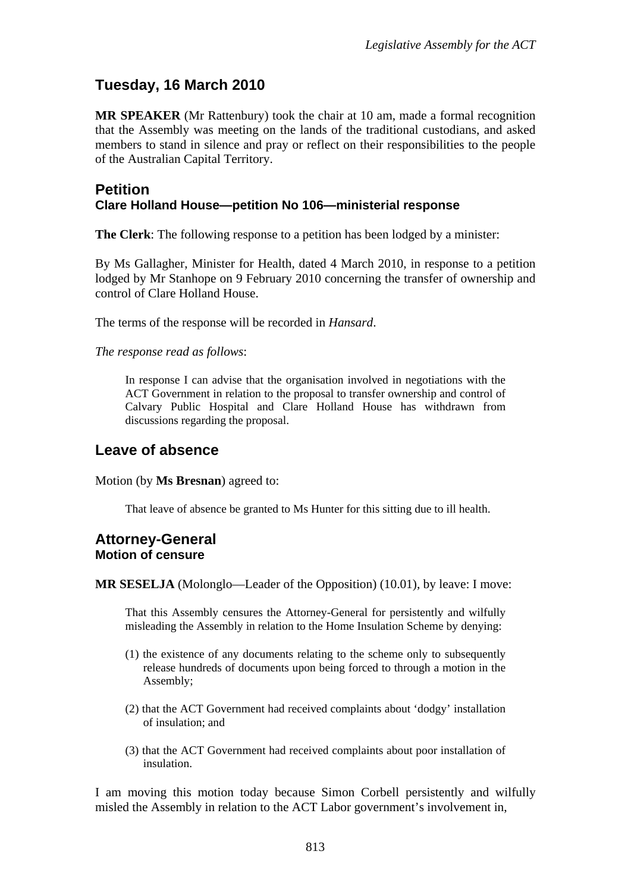### <span id="page-2-0"></span>**Tuesday, 16 March 2010**

**MR SPEAKER** (Mr Rattenbury) took the chair at 10 am, made a formal recognition that the Assembly was meeting on the lands of the traditional custodians, and asked members to stand in silence and pray or reflect on their responsibilities to the people of the Australian Capital Territory.

#### <span id="page-2-1"></span>**Petition Clare Holland House—petition No 106—ministerial response**

**The Clerk**: The following response to a petition has been lodged by a minister:

By Ms Gallagher, Minister for Health, dated 4 March 2010, in response to a petition lodged by Mr Stanhope on 9 February 2010 concerning the transfer of ownership and control of Clare Holland House.

The terms of the response will be recorded in *Hansard*.

*The response read as follows*:

In response I can advise that the organisation involved in negotiations with the ACT Government in relation to the proposal to transfer ownership and control of Calvary Public Hospital and Clare Holland House has withdrawn from discussions regarding the proposal.

#### <span id="page-2-2"></span>**Leave of absence**

Motion (by **Ms Bresnan**) agreed to:

That leave of absence be granted to Ms Hunter for this sitting due to ill health.

#### <span id="page-2-3"></span>**Attorney-General Motion of censure**

**MR SESELJA** (Molonglo—Leader of the Opposition) (10.01), by leave: I move:

That this Assembly censures the Attorney-General for persistently and wilfully misleading the Assembly in relation to the Home Insulation Scheme by denying:

- (1) the existence of any documents relating to the scheme only to subsequently release hundreds of documents upon being forced to through a motion in the Assembly;
- (2) that the ACT Government had received complaints about 'dodgy' installation of insulation; and
- (3) that the ACT Government had received complaints about poor installation of insulation.

I am moving this motion today because Simon Corbell persistently and wilfully misled the Assembly in relation to the ACT Labor government's involvement in,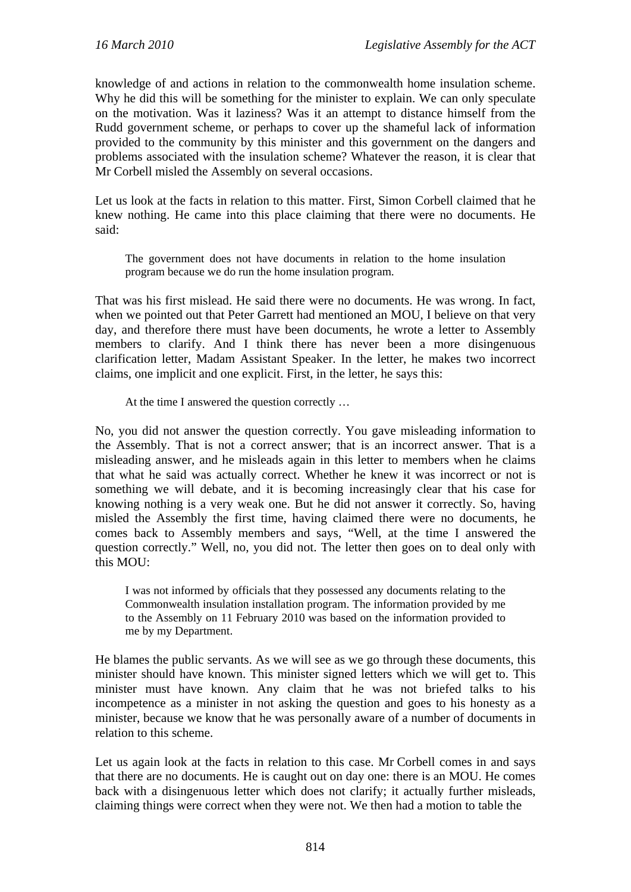knowledge of and actions in relation to the commonwealth home insulation scheme. Why he did this will be something for the minister to explain. We can only speculate on the motivation. Was it laziness? Was it an attempt to distance himself from the Rudd government scheme, or perhaps to cover up the shameful lack of information provided to the community by this minister and this government on the dangers and problems associated with the insulation scheme? Whatever the reason, it is clear that Mr Corbell misled the Assembly on several occasions.

Let us look at the facts in relation to this matter. First, Simon Corbell claimed that he knew nothing. He came into this place claiming that there were no documents. He said:

The government does not have documents in relation to the home insulation program because we do run the home insulation program.

That was his first mislead. He said there were no documents. He was wrong. In fact, when we pointed out that Peter Garrett had mentioned an MOU, I believe on that very day, and therefore there must have been documents, he wrote a letter to Assembly members to clarify. And I think there has never been a more disingenuous clarification letter, Madam Assistant Speaker. In the letter, he makes two incorrect claims, one implicit and one explicit. First, in the letter, he says this:

At the time I answered the question correctly …

No, you did not answer the question correctly. You gave misleading information to the Assembly. That is not a correct answer; that is an incorrect answer. That is a misleading answer, and he misleads again in this letter to members when he claims that what he said was actually correct. Whether he knew it was incorrect or not is something we will debate, and it is becoming increasingly clear that his case for knowing nothing is a very weak one. But he did not answer it correctly. So, having misled the Assembly the first time, having claimed there were no documents, he comes back to Assembly members and says, "Well, at the time I answered the question correctly." Well, no, you did not. The letter then goes on to deal only with this MOU:

I was not informed by officials that they possessed any documents relating to the Commonwealth insulation installation program. The information provided by me to the Assembly on 11 February 2010 was based on the information provided to me by my Department.

He blames the public servants. As we will see as we go through these documents, this minister should have known. This minister signed letters which we will get to. This minister must have known. Any claim that he was not briefed talks to his incompetence as a minister in not asking the question and goes to his honesty as a minister, because we know that he was personally aware of a number of documents in relation to this scheme.

Let us again look at the facts in relation to this case. Mr Corbell comes in and says that there are no documents. He is caught out on day one: there is an MOU. He comes back with a disingenuous letter which does not clarify; it actually further misleads, claiming things were correct when they were not. We then had a motion to table the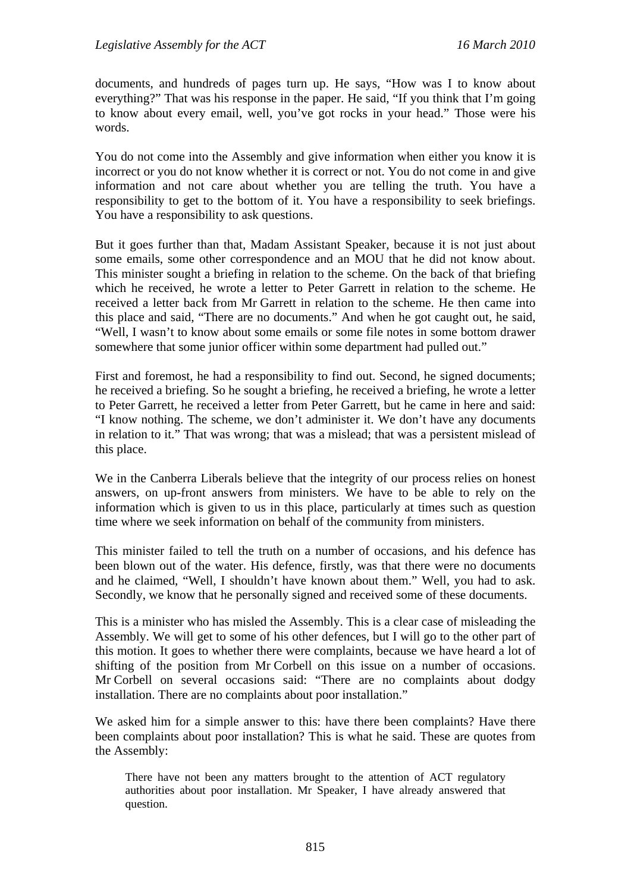documents, and hundreds of pages turn up. He says, "How was I to know about everything?" That was his response in the paper. He said, "If you think that I'm going to know about every email, well, you've got rocks in your head." Those were his words.

You do not come into the Assembly and give information when either you know it is incorrect or you do not know whether it is correct or not. You do not come in and give information and not care about whether you are telling the truth. You have a responsibility to get to the bottom of it. You have a responsibility to seek briefings. You have a responsibility to ask questions.

But it goes further than that, Madam Assistant Speaker, because it is not just about some emails, some other correspondence and an MOU that he did not know about. This minister sought a briefing in relation to the scheme. On the back of that briefing which he received, he wrote a letter to Peter Garrett in relation to the scheme. He received a letter back from Mr Garrett in relation to the scheme. He then came into this place and said, "There are no documents." And when he got caught out, he said, "Well, I wasn't to know about some emails or some file notes in some bottom drawer somewhere that some junior officer within some department had pulled out."

First and foremost, he had a responsibility to find out. Second, he signed documents; he received a briefing. So he sought a briefing, he received a briefing, he wrote a letter to Peter Garrett, he received a letter from Peter Garrett, but he came in here and said: "I know nothing. The scheme, we don't administer it. We don't have any documents in relation to it." That was wrong; that was a mislead; that was a persistent mislead of this place.

We in the Canberra Liberals believe that the integrity of our process relies on honest answers, on up-front answers from ministers. We have to be able to rely on the information which is given to us in this place, particularly at times such as question time where we seek information on behalf of the community from ministers.

This minister failed to tell the truth on a number of occasions, and his defence has been blown out of the water. His defence, firstly, was that there were no documents and he claimed, "Well, I shouldn't have known about them." Well, you had to ask. Secondly, we know that he personally signed and received some of these documents.

This is a minister who has misled the Assembly. This is a clear case of misleading the Assembly. We will get to some of his other defences, but I will go to the other part of this motion. It goes to whether there were complaints, because we have heard a lot of shifting of the position from Mr Corbell on this issue on a number of occasions. Mr Corbell on several occasions said: "There are no complaints about dodgy installation. There are no complaints about poor installation."

We asked him for a simple answer to this: have there been complaints? Have there been complaints about poor installation? This is what he said. These are quotes from the Assembly:

There have not been any matters brought to the attention of ACT regulatory authorities about poor installation. Mr Speaker, I have already answered that question.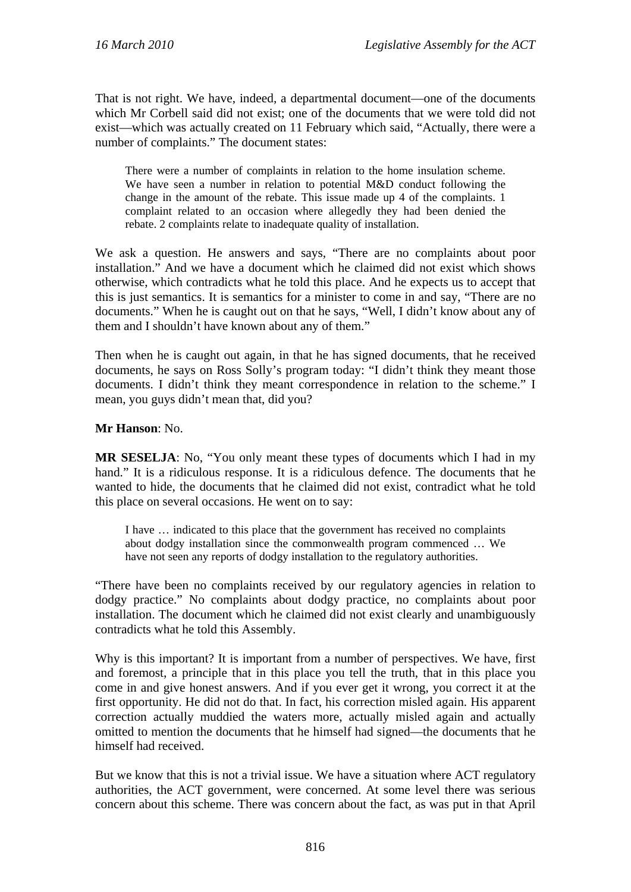That is not right. We have, indeed, a departmental document—one of the documents which Mr Corbell said did not exist; one of the documents that we were told did not exist—which was actually created on 11 February which said, "Actually, there were a number of complaints." The document states:

There were a number of complaints in relation to the home insulation scheme. We have seen a number in relation to potential M&D conduct following the change in the amount of the rebate. This issue made up 4 of the complaints. 1 complaint related to an occasion where allegedly they had been denied the rebate. 2 complaints relate to inadequate quality of installation.

We ask a question. He answers and says, "There are no complaints about poor installation." And we have a document which he claimed did not exist which shows otherwise, which contradicts what he told this place. And he expects us to accept that this is just semantics. It is semantics for a minister to come in and say, "There are no documents." When he is caught out on that he says, "Well, I didn't know about any of them and I shouldn't have known about any of them."

Then when he is caught out again, in that he has signed documents, that he received documents, he says on Ross Solly's program today: "I didn't think they meant those documents. I didn't think they meant correspondence in relation to the scheme." I mean, you guys didn't mean that, did you?

#### **Mr Hanson**: No.

**MR SESELJA**: No, "You only meant these types of documents which I had in my hand." It is a ridiculous response. It is a ridiculous defence. The documents that he wanted to hide, the documents that he claimed did not exist, contradict what he told this place on several occasions. He went on to say:

I have … indicated to this place that the government has received no complaints about dodgy installation since the commonwealth program commenced … We have not seen any reports of dodgy installation to the regulatory authorities.

"There have been no complaints received by our regulatory agencies in relation to dodgy practice." No complaints about dodgy practice, no complaints about poor installation. The document which he claimed did not exist clearly and unambiguously contradicts what he told this Assembly.

Why is this important? It is important from a number of perspectives. We have, first and foremost, a principle that in this place you tell the truth, that in this place you come in and give honest answers. And if you ever get it wrong, you correct it at the first opportunity. He did not do that. In fact, his correction misled again. His apparent correction actually muddied the waters more, actually misled again and actually omitted to mention the documents that he himself had signed—the documents that he himself had received.

But we know that this is not a trivial issue. We have a situation where ACT regulatory authorities, the ACT government, were concerned. At some level there was serious concern about this scheme. There was concern about the fact, as was put in that April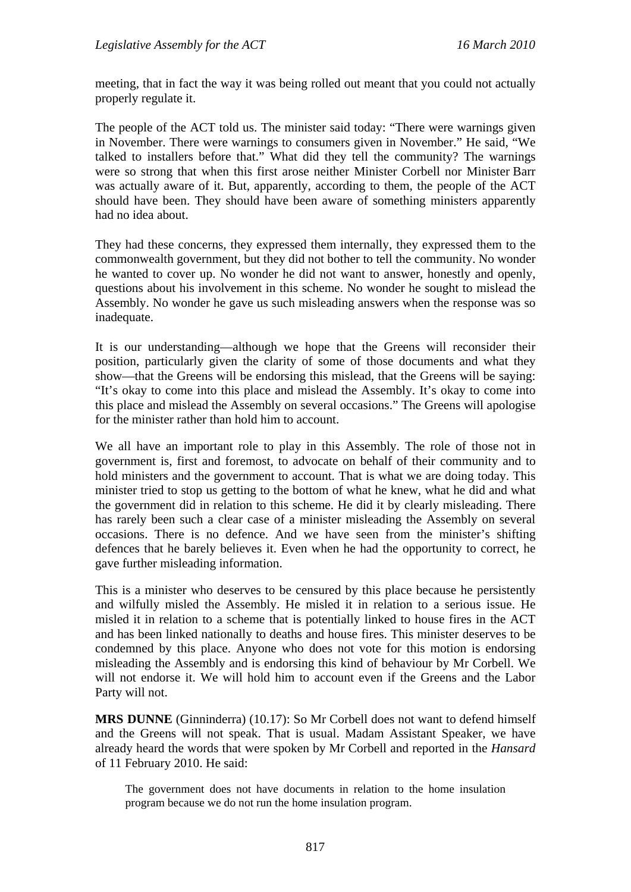meeting, that in fact the way it was being rolled out meant that you could not actually properly regulate it.

The people of the ACT told us. The minister said today: "There were warnings given in November. There were warnings to consumers given in November." He said, "We talked to installers before that." What did they tell the community? The warnings were so strong that when this first arose neither Minister Corbell nor Minister Barr was actually aware of it. But, apparently, according to them, the people of the ACT should have been. They should have been aware of something ministers apparently had no idea about.

They had these concerns, they expressed them internally, they expressed them to the commonwealth government, but they did not bother to tell the community. No wonder he wanted to cover up. No wonder he did not want to answer, honestly and openly, questions about his involvement in this scheme. No wonder he sought to mislead the Assembly. No wonder he gave us such misleading answers when the response was so inadequate.

It is our understanding—although we hope that the Greens will reconsider their position, particularly given the clarity of some of those documents and what they show—that the Greens will be endorsing this mislead, that the Greens will be saying: "It's okay to come into this place and mislead the Assembly. It's okay to come into this place and mislead the Assembly on several occasions." The Greens will apologise for the minister rather than hold him to account.

We all have an important role to play in this Assembly. The role of those not in government is, first and foremost, to advocate on behalf of their community and to hold ministers and the government to account. That is what we are doing today. This minister tried to stop us getting to the bottom of what he knew, what he did and what the government did in relation to this scheme. He did it by clearly misleading. There has rarely been such a clear case of a minister misleading the Assembly on several occasions. There is no defence. And we have seen from the minister's shifting defences that he barely believes it. Even when he had the opportunity to correct, he gave further misleading information.

This is a minister who deserves to be censured by this place because he persistently and wilfully misled the Assembly. He misled it in relation to a serious issue. He misled it in relation to a scheme that is potentially linked to house fires in the ACT and has been linked nationally to deaths and house fires. This minister deserves to be condemned by this place. Anyone who does not vote for this motion is endorsing misleading the Assembly and is endorsing this kind of behaviour by Mr Corbell. We will not endorse it. We will hold him to account even if the Greens and the Labor Party will not.

**MRS DUNNE** (Ginninderra) (10.17): So Mr Corbell does not want to defend himself and the Greens will not speak. That is usual. Madam Assistant Speaker, we have already heard the words that were spoken by Mr Corbell and reported in the *Hansard* of 11 February 2010. He said:

The government does not have documents in relation to the home insulation program because we do not run the home insulation program.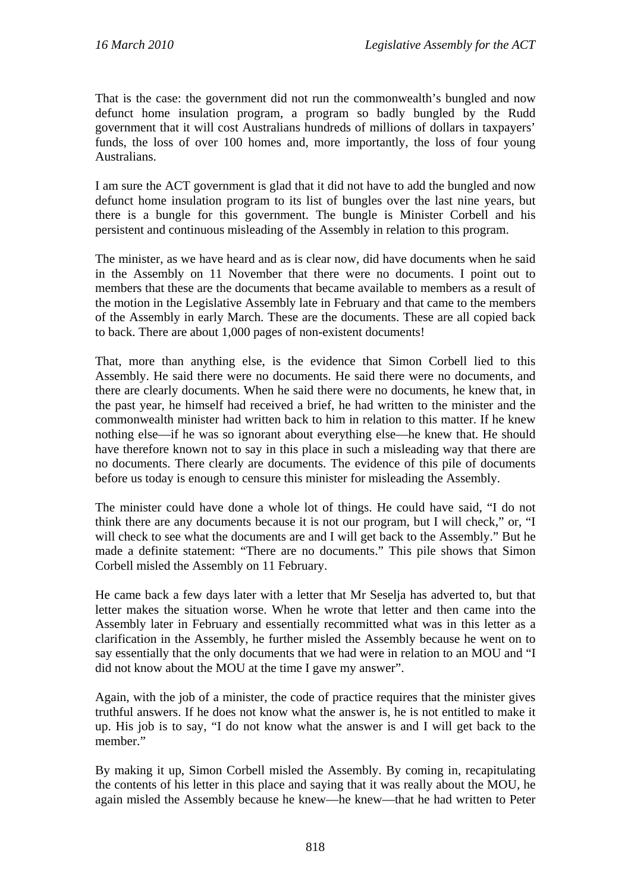That is the case: the government did not run the commonwealth's bungled and now defunct home insulation program, a program so badly bungled by the Rudd government that it will cost Australians hundreds of millions of dollars in taxpayers' funds, the loss of over 100 homes and, more importantly, the loss of four young Australians.

I am sure the ACT government is glad that it did not have to add the bungled and now defunct home insulation program to its list of bungles over the last nine years, but there is a bungle for this government. The bungle is Minister Corbell and his persistent and continuous misleading of the Assembly in relation to this program.

The minister, as we have heard and as is clear now, did have documents when he said in the Assembly on 11 November that there were no documents. I point out to members that these are the documents that became available to members as a result of the motion in the Legislative Assembly late in February and that came to the members of the Assembly in early March. These are the documents. These are all copied back to back. There are about 1,000 pages of non-existent documents!

That, more than anything else, is the evidence that Simon Corbell lied to this Assembly. He said there were no documents. He said there were no documents, and there are clearly documents. When he said there were no documents, he knew that, in the past year, he himself had received a brief, he had written to the minister and the commonwealth minister had written back to him in relation to this matter. If he knew nothing else—if he was so ignorant about everything else—he knew that. He should have therefore known not to say in this place in such a misleading way that there are no documents. There clearly are documents. The evidence of this pile of documents before us today is enough to censure this minister for misleading the Assembly.

The minister could have done a whole lot of things. He could have said, "I do not think there are any documents because it is not our program, but I will check," or, "I will check to see what the documents are and I will get back to the Assembly." But he made a definite statement: "There are no documents." This pile shows that Simon Corbell misled the Assembly on 11 February.

He came back a few days later with a letter that Mr Seselja has adverted to, but that letter makes the situation worse. When he wrote that letter and then came into the Assembly later in February and essentially recommitted what was in this letter as a clarification in the Assembly, he further misled the Assembly because he went on to say essentially that the only documents that we had were in relation to an MOU and "I did not know about the MOU at the time I gave my answer".

Again, with the job of a minister, the code of practice requires that the minister gives truthful answers. If he does not know what the answer is, he is not entitled to make it up. His job is to say, "I do not know what the answer is and I will get back to the member."

By making it up, Simon Corbell misled the Assembly. By coming in, recapitulating the contents of his letter in this place and saying that it was really about the MOU, he again misled the Assembly because he knew—he knew—that he had written to Peter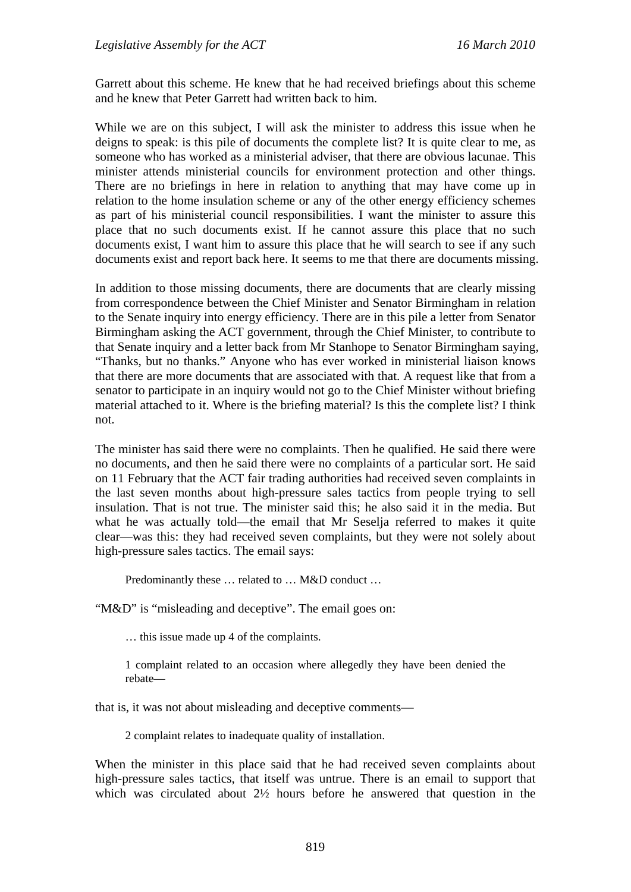Garrett about this scheme. He knew that he had received briefings about this scheme and he knew that Peter Garrett had written back to him.

While we are on this subject, I will ask the minister to address this issue when he deigns to speak: is this pile of documents the complete list? It is quite clear to me, as someone who has worked as a ministerial adviser, that there are obvious lacunae. This minister attends ministerial councils for environment protection and other things. There are no briefings in here in relation to anything that may have come up in relation to the home insulation scheme or any of the other energy efficiency schemes as part of his ministerial council responsibilities. I want the minister to assure this place that no such documents exist. If he cannot assure this place that no such documents exist, I want him to assure this place that he will search to see if any such documents exist and report back here. It seems to me that there are documents missing.

In addition to those missing documents, there are documents that are clearly missing from correspondence between the Chief Minister and Senator Birmingham in relation to the Senate inquiry into energy efficiency. There are in this pile a letter from Senator Birmingham asking the ACT government, through the Chief Minister, to contribute to that Senate inquiry and a letter back from Mr Stanhope to Senator Birmingham saying, "Thanks, but no thanks." Anyone who has ever worked in ministerial liaison knows that there are more documents that are associated with that. A request like that from a senator to participate in an inquiry would not go to the Chief Minister without briefing material attached to it. Where is the briefing material? Is this the complete list? I think not.

The minister has said there were no complaints. Then he qualified. He said there were no documents, and then he said there were no complaints of a particular sort. He said on 11 February that the ACT fair trading authorities had received seven complaints in the last seven months about high-pressure sales tactics from people trying to sell insulation. That is not true. The minister said this; he also said it in the media. But what he was actually told—the email that Mr Seselja referred to makes it quite clear—was this: they had received seven complaints, but they were not solely about high-pressure sales tactics. The email says:

Predominantly these … related to … M&D conduct …

"M&D" is "misleading and deceptive". The email goes on:

… this issue made up 4 of the complaints.

1 complaint related to an occasion where allegedly they have been denied the rebate—

that is, it was not about misleading and deceptive comments—

2 complaint relates to inadequate quality of installation.

When the minister in this place said that he had received seven complaints about high-pressure sales tactics, that itself was untrue. There is an email to support that which was circulated about 2½ hours before he answered that question in the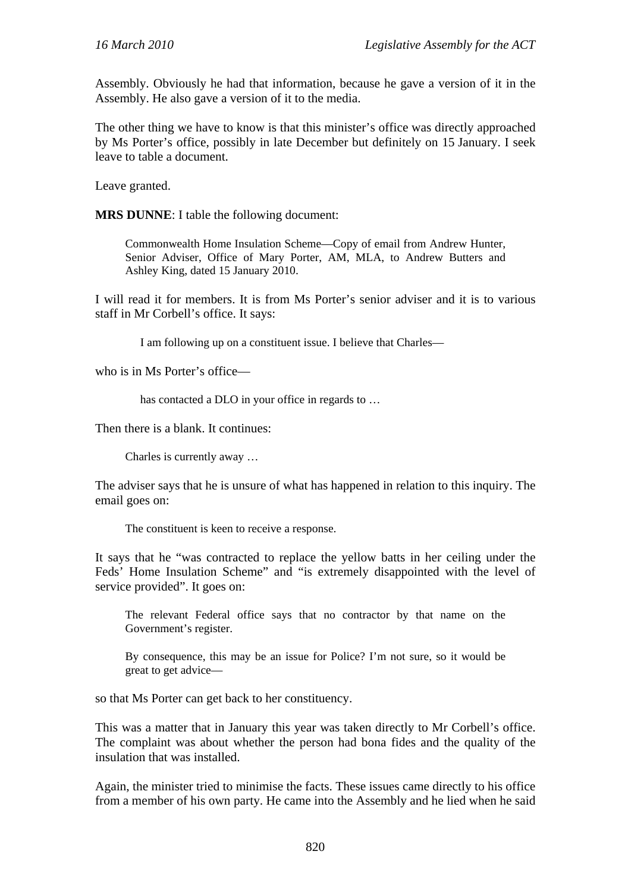Assembly. Obviously he had that information, because he gave a version of it in the Assembly. He also gave a version of it to the media.

The other thing we have to know is that this minister's office was directly approached by Ms Porter's office, possibly in late December but definitely on 15 January. I seek leave to table a document.

Leave granted.

**MRS DUNNE**: I table the following document:

Commonwealth Home Insulation Scheme—Copy of email from Andrew Hunter, Senior Adviser, Office of Mary Porter, AM, MLA, to Andrew Butters and Ashley King, dated 15 January 2010.

I will read it for members. It is from Ms Porter's senior adviser and it is to various staff in Mr Corbell's office. It says:

I am following up on a constituent issue. I believe that Charles—

who is in Ms Porter's office—

has contacted a DLO in your office in regards to …

Then there is a blank. It continues:

Charles is currently away …

The adviser says that he is unsure of what has happened in relation to this inquiry. The email goes on:

The constituent is keen to receive a response.

It says that he "was contracted to replace the yellow batts in her ceiling under the Feds' Home Insulation Scheme" and "is extremely disappointed with the level of service provided". It goes on:

The relevant Federal office says that no contractor by that name on the Government's register.

By consequence, this may be an issue for Police? I'm not sure, so it would be great to get advice—

so that Ms Porter can get back to her constituency.

This was a matter that in January this year was taken directly to Mr Corbell's office. The complaint was about whether the person had bona fides and the quality of the insulation that was installed.

Again, the minister tried to minimise the facts. These issues came directly to his office from a member of his own party. He came into the Assembly and he lied when he said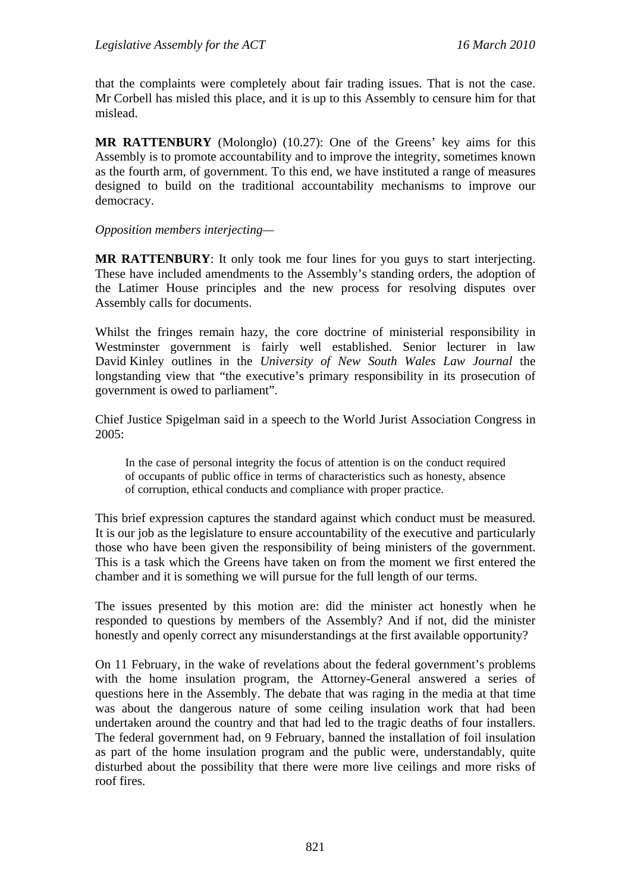that the complaints were completely about fair trading issues. That is not the case. Mr Corbell has misled this place, and it is up to this Assembly to censure him for that mislead.

**MR RATTENBURY** (Molonglo) (10.27): One of the Greens' key aims for this Assembly is to promote accountability and to improve the integrity, sometimes known as the fourth arm, of government. To this end, we have instituted a range of measures designed to build on the traditional accountability mechanisms to improve our democracy.

#### *Opposition members interjecting—*

**MR RATTENBURY**: It only took me four lines for you guys to start interjecting. These have included amendments to the Assembly's standing orders, the adoption of the Latimer House principles and the new process for resolving disputes over Assembly calls for documents.

Whilst the fringes remain hazy, the core doctrine of ministerial responsibility in Westminster government is fairly well established. Senior lecturer in law David Kinley outlines in the *University of New South Wales Law Journal* the longstanding view that "the executive's primary responsibility in its prosecution of government is owed to parliament".

Chief Justice Spigelman said in a speech to the World Jurist Association Congress in 2005:

In the case of personal integrity the focus of attention is on the conduct required of occupants of public office in terms of characteristics such as honesty, absence of corruption, ethical conducts and compliance with proper practice.

This brief expression captures the standard against which conduct must be measured. It is our job as the legislature to ensure accountability of the executive and particularly those who have been given the responsibility of being ministers of the government. This is a task which the Greens have taken on from the moment we first entered the chamber and it is something we will pursue for the full length of our terms.

The issues presented by this motion are: did the minister act honestly when he responded to questions by members of the Assembly? And if not, did the minister honestly and openly correct any misunderstandings at the first available opportunity?

On 11 February, in the wake of revelations about the federal government's problems with the home insulation program, the Attorney-General answered a series of questions here in the Assembly. The debate that was raging in the media at that time was about the dangerous nature of some ceiling insulation work that had been undertaken around the country and that had led to the tragic deaths of four installers. The federal government had, on 9 February, banned the installation of foil insulation as part of the home insulation program and the public were, understandably, quite disturbed about the possibility that there were more live ceilings and more risks of roof fires.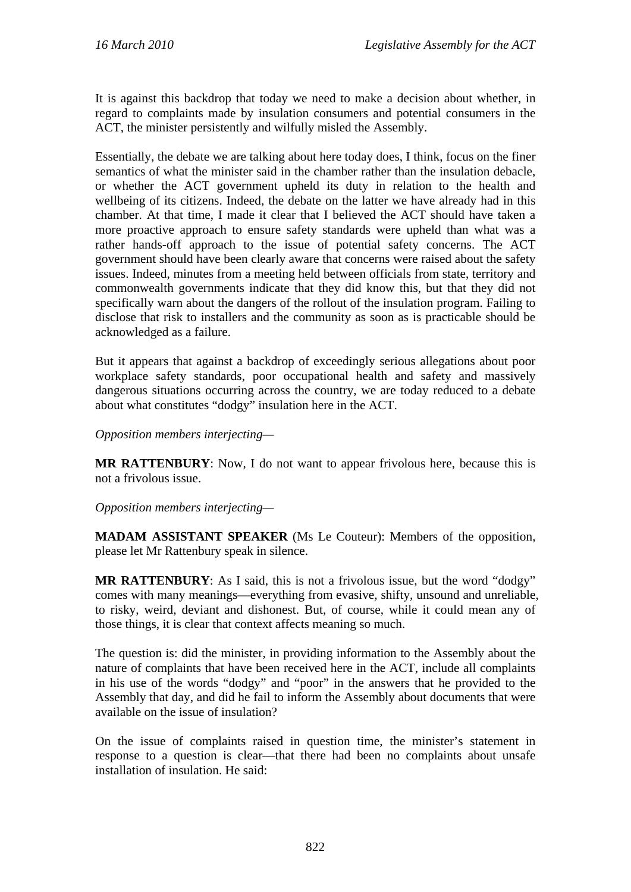It is against this backdrop that today we need to make a decision about whether, in regard to complaints made by insulation consumers and potential consumers in the ACT, the minister persistently and wilfully misled the Assembly.

Essentially, the debate we are talking about here today does, I think, focus on the finer semantics of what the minister said in the chamber rather than the insulation debacle, or whether the ACT government upheld its duty in relation to the health and wellbeing of its citizens. Indeed, the debate on the latter we have already had in this chamber. At that time, I made it clear that I believed the ACT should have taken a more proactive approach to ensure safety standards were upheld than what was a rather hands-off approach to the issue of potential safety concerns. The ACT government should have been clearly aware that concerns were raised about the safety issues. Indeed, minutes from a meeting held between officials from state, territory and commonwealth governments indicate that they did know this, but that they did not specifically warn about the dangers of the rollout of the insulation program. Failing to disclose that risk to installers and the community as soon as is practicable should be acknowledged as a failure.

But it appears that against a backdrop of exceedingly serious allegations about poor workplace safety standards, poor occupational health and safety and massively dangerous situations occurring across the country, we are today reduced to a debate about what constitutes "dodgy" insulation here in the ACT.

*Opposition members interjecting—* 

**MR RATTENBURY**: Now, I do not want to appear frivolous here, because this is not a frivolous issue.

#### *Opposition members interjecting—*

**MADAM ASSISTANT SPEAKER** (Ms Le Couteur): Members of the opposition, please let Mr Rattenbury speak in silence.

**MR RATTENBURY**: As I said, this is not a frivolous issue, but the word "dodgy" comes with many meanings—everything from evasive, shifty, unsound and unreliable, to risky, weird, deviant and dishonest. But, of course, while it could mean any of those things, it is clear that context affects meaning so much.

The question is: did the minister, in providing information to the Assembly about the nature of complaints that have been received here in the ACT, include all complaints in his use of the words "dodgy" and "poor" in the answers that he provided to the Assembly that day, and did he fail to inform the Assembly about documents that were available on the issue of insulation?

On the issue of complaints raised in question time, the minister's statement in response to a question is clear—that there had been no complaints about unsafe installation of insulation. He said: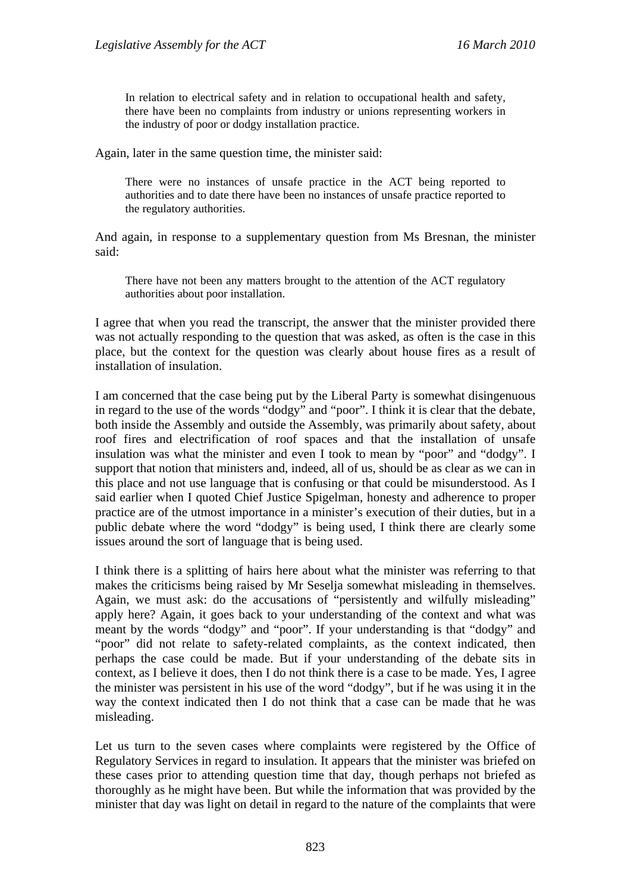In relation to electrical safety and in relation to occupational health and safety, there have been no complaints from industry or unions representing workers in the industry of poor or dodgy installation practice.

Again, later in the same question time, the minister said:

There were no instances of unsafe practice in the ACT being reported to authorities and to date there have been no instances of unsafe practice reported to the regulatory authorities.

And again, in response to a supplementary question from Ms Bresnan, the minister said:

There have not been any matters brought to the attention of the ACT regulatory authorities about poor installation.

I agree that when you read the transcript, the answer that the minister provided there was not actually responding to the question that was asked, as often is the case in this place, but the context for the question was clearly about house fires as a result of installation of insulation.

I am concerned that the case being put by the Liberal Party is somewhat disingenuous in regard to the use of the words "dodgy" and "poor". I think it is clear that the debate, both inside the Assembly and outside the Assembly, was primarily about safety, about roof fires and electrification of roof spaces and that the installation of unsafe insulation was what the minister and even I took to mean by "poor" and "dodgy". I support that notion that ministers and, indeed, all of us, should be as clear as we can in this place and not use language that is confusing or that could be misunderstood. As I said earlier when I quoted Chief Justice Spigelman, honesty and adherence to proper practice are of the utmost importance in a minister's execution of their duties, but in a public debate where the word "dodgy" is being used, I think there are clearly some issues around the sort of language that is being used.

I think there is a splitting of hairs here about what the minister was referring to that makes the criticisms being raised by Mr Seselja somewhat misleading in themselves. Again, we must ask: do the accusations of "persistently and wilfully misleading" apply here? Again, it goes back to your understanding of the context and what was meant by the words "dodgy" and "poor". If your understanding is that "dodgy" and "poor" did not relate to safety-related complaints, as the context indicated, then perhaps the case could be made. But if your understanding of the debate sits in context, as I believe it does, then I do not think there is a case to be made. Yes, I agree the minister was persistent in his use of the word "dodgy", but if he was using it in the way the context indicated then I do not think that a case can be made that he was misleading.

Let us turn to the seven cases where complaints were registered by the Office of Regulatory Services in regard to insulation. It appears that the minister was briefed on these cases prior to attending question time that day, though perhaps not briefed as thoroughly as he might have been. But while the information that was provided by the minister that day was light on detail in regard to the nature of the complaints that were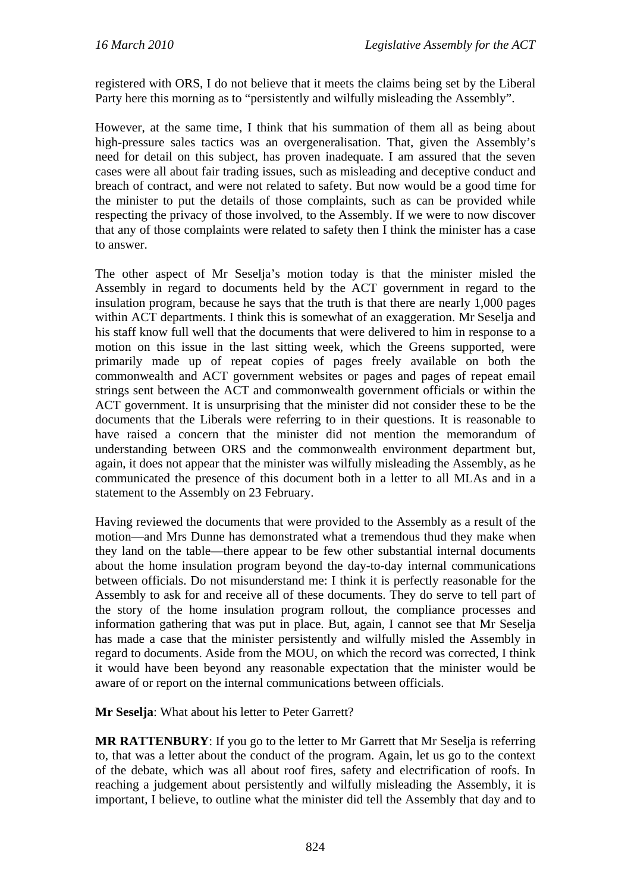registered with ORS, I do not believe that it meets the claims being set by the Liberal Party here this morning as to "persistently and wilfully misleading the Assembly".

However, at the same time, I think that his summation of them all as being about high-pressure sales tactics was an overgeneralisation. That, given the Assembly's need for detail on this subject, has proven inadequate. I am assured that the seven cases were all about fair trading issues, such as misleading and deceptive conduct and breach of contract, and were not related to safety. But now would be a good time for the minister to put the details of those complaints, such as can be provided while respecting the privacy of those involved, to the Assembly. If we were to now discover that any of those complaints were related to safety then I think the minister has a case to answer.

The other aspect of Mr Seselja's motion today is that the minister misled the Assembly in regard to documents held by the ACT government in regard to the insulation program, because he says that the truth is that there are nearly 1,000 pages within ACT departments. I think this is somewhat of an exaggeration. Mr Seselja and his staff know full well that the documents that were delivered to him in response to a motion on this issue in the last sitting week, which the Greens supported, were primarily made up of repeat copies of pages freely available on both the commonwealth and ACT government websites or pages and pages of repeat email strings sent between the ACT and commonwealth government officials or within the ACT government. It is unsurprising that the minister did not consider these to be the documents that the Liberals were referring to in their questions. It is reasonable to have raised a concern that the minister did not mention the memorandum of understanding between ORS and the commonwealth environment department but, again, it does not appear that the minister was wilfully misleading the Assembly, as he communicated the presence of this document both in a letter to all MLAs and in a statement to the Assembly on 23 February.

Having reviewed the documents that were provided to the Assembly as a result of the motion—and Mrs Dunne has demonstrated what a tremendous thud they make when they land on the table—there appear to be few other substantial internal documents about the home insulation program beyond the day-to-day internal communications between officials. Do not misunderstand me: I think it is perfectly reasonable for the Assembly to ask for and receive all of these documents. They do serve to tell part of the story of the home insulation program rollout, the compliance processes and information gathering that was put in place. But, again, I cannot see that Mr Seselja has made a case that the minister persistently and wilfully misled the Assembly in regard to documents. Aside from the MOU, on which the record was corrected, I think it would have been beyond any reasonable expectation that the minister would be aware of or report on the internal communications between officials.

**Mr Seselja**: What about his letter to Peter Garrett?

**MR RATTENBURY**: If you go to the letter to Mr Garrett that Mr Seselja is referring to, that was a letter about the conduct of the program. Again, let us go to the context of the debate, which was all about roof fires, safety and electrification of roofs. In reaching a judgement about persistently and wilfully misleading the Assembly, it is important, I believe, to outline what the minister did tell the Assembly that day and to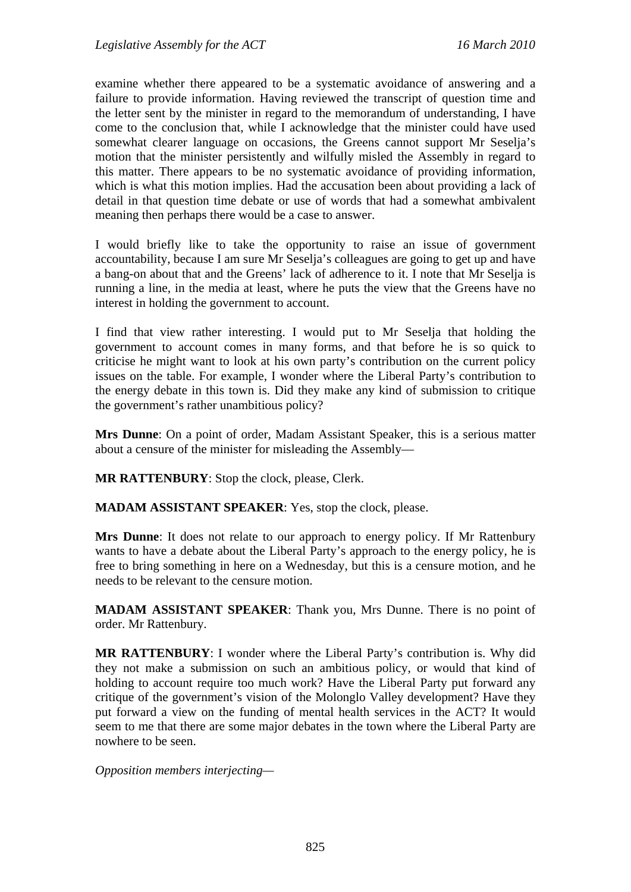examine whether there appeared to be a systematic avoidance of answering and a failure to provide information. Having reviewed the transcript of question time and the letter sent by the minister in regard to the memorandum of understanding, I have come to the conclusion that, while I acknowledge that the minister could have used somewhat clearer language on occasions, the Greens cannot support Mr Seselja's motion that the minister persistently and wilfully misled the Assembly in regard to this matter. There appears to be no systematic avoidance of providing information, which is what this motion implies. Had the accusation been about providing a lack of detail in that question time debate or use of words that had a somewhat ambivalent meaning then perhaps there would be a case to answer.

I would briefly like to take the opportunity to raise an issue of government accountability, because I am sure Mr Seselja's colleagues are going to get up and have a bang-on about that and the Greens' lack of adherence to it. I note that Mr Seselja is running a line, in the media at least, where he puts the view that the Greens have no interest in holding the government to account.

I find that view rather interesting. I would put to Mr Seselja that holding the government to account comes in many forms, and that before he is so quick to criticise he might want to look at his own party's contribution on the current policy issues on the table. For example, I wonder where the Liberal Party's contribution to the energy debate in this town is. Did they make any kind of submission to critique the government's rather unambitious policy?

**Mrs Dunne**: On a point of order, Madam Assistant Speaker, this is a serious matter about a censure of the minister for misleading the Assembly—

**MR RATTENBURY**: Stop the clock, please, Clerk.

**MADAM ASSISTANT SPEAKER**: Yes, stop the clock, please.

**Mrs Dunne**: It does not relate to our approach to energy policy. If Mr Rattenbury wants to have a debate about the Liberal Party's approach to the energy policy, he is free to bring something in here on a Wednesday, but this is a censure motion, and he needs to be relevant to the censure motion.

**MADAM ASSISTANT SPEAKER**: Thank you, Mrs Dunne. There is no point of order. Mr Rattenbury.

**MR RATTENBURY**: I wonder where the Liberal Party's contribution is. Why did they not make a submission on such an ambitious policy, or would that kind of holding to account require too much work? Have the Liberal Party put forward any critique of the government's vision of the Molonglo Valley development? Have they put forward a view on the funding of mental health services in the ACT? It would seem to me that there are some major debates in the town where the Liberal Party are nowhere to be seen.

*Opposition members interjecting—*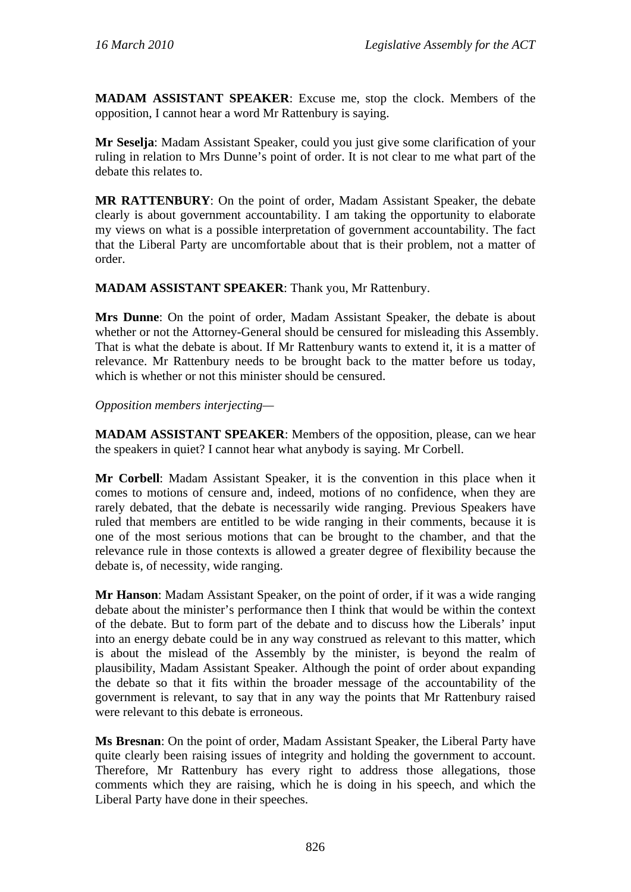**MADAM ASSISTANT SPEAKER**: Excuse me, stop the clock. Members of the opposition, I cannot hear a word Mr Rattenbury is saying.

**Mr Seselja**: Madam Assistant Speaker, could you just give some clarification of your ruling in relation to Mrs Dunne's point of order. It is not clear to me what part of the debate this relates to.

**MR RATTENBURY**: On the point of order, Madam Assistant Speaker, the debate clearly is about government accountability. I am taking the opportunity to elaborate my views on what is a possible interpretation of government accountability. The fact that the Liberal Party are uncomfortable about that is their problem, not a matter of order.

**MADAM ASSISTANT SPEAKER**: Thank you, Mr Rattenbury.

**Mrs Dunne**: On the point of order, Madam Assistant Speaker, the debate is about whether or not the Attorney-General should be censured for misleading this Assembly. That is what the debate is about. If Mr Rattenbury wants to extend it, it is a matter of relevance. Mr Rattenbury needs to be brought back to the matter before us today, which is whether or not this minister should be censured.

*Opposition members interjecting—*

**MADAM ASSISTANT SPEAKER**: Members of the opposition, please, can we hear the speakers in quiet? I cannot hear what anybody is saying. Mr Corbell.

**Mr Corbell**: Madam Assistant Speaker, it is the convention in this place when it comes to motions of censure and, indeed, motions of no confidence, when they are rarely debated, that the debate is necessarily wide ranging. Previous Speakers have ruled that members are entitled to be wide ranging in their comments, because it is one of the most serious motions that can be brought to the chamber, and that the relevance rule in those contexts is allowed a greater degree of flexibility because the debate is, of necessity, wide ranging.

**Mr Hanson**: Madam Assistant Speaker, on the point of order, if it was a wide ranging debate about the minister's performance then I think that would be within the context of the debate. But to form part of the debate and to discuss how the Liberals' input into an energy debate could be in any way construed as relevant to this matter, which is about the mislead of the Assembly by the minister, is beyond the realm of plausibility, Madam Assistant Speaker. Although the point of order about expanding the debate so that it fits within the broader message of the accountability of the government is relevant, to say that in any way the points that Mr Rattenbury raised were relevant to this debate is erroneous.

**Ms Bresnan**: On the point of order, Madam Assistant Speaker, the Liberal Party have quite clearly been raising issues of integrity and holding the government to account. Therefore, Mr Rattenbury has every right to address those allegations, those comments which they are raising, which he is doing in his speech, and which the Liberal Party have done in their speeches.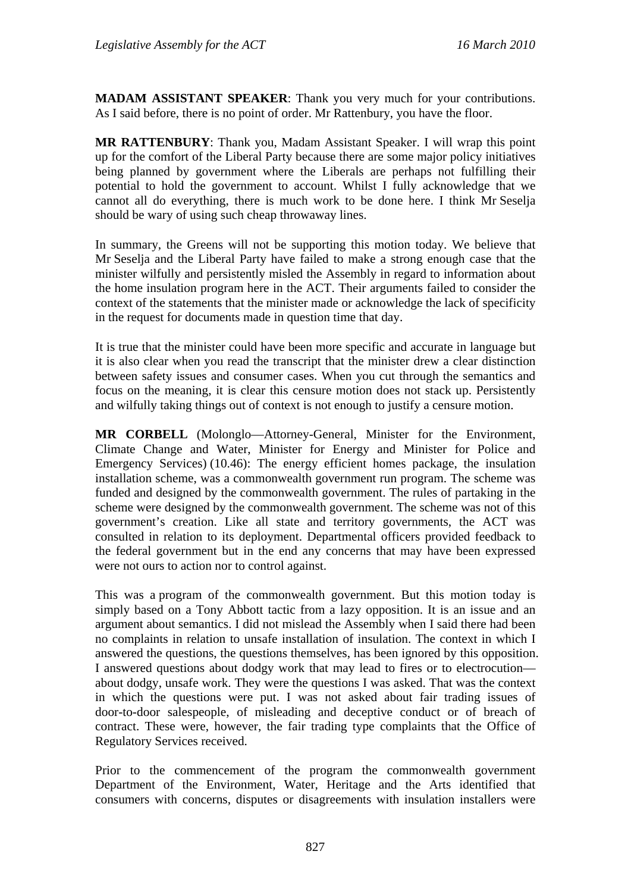**MADAM ASSISTANT SPEAKER**: Thank you very much for your contributions. As I said before, there is no point of order. Mr Rattenbury, you have the floor.

**MR RATTENBURY**: Thank you, Madam Assistant Speaker. I will wrap this point up for the comfort of the Liberal Party because there are some major policy initiatives being planned by government where the Liberals are perhaps not fulfilling their potential to hold the government to account. Whilst I fully acknowledge that we cannot all do everything, there is much work to be done here. I think Mr Seselja should be wary of using such cheap throwaway lines.

In summary, the Greens will not be supporting this motion today. We believe that Mr Seselja and the Liberal Party have failed to make a strong enough case that the minister wilfully and persistently misled the Assembly in regard to information about the home insulation program here in the ACT. Their arguments failed to consider the context of the statements that the minister made or acknowledge the lack of specificity in the request for documents made in question time that day.

It is true that the minister could have been more specific and accurate in language but it is also clear when you read the transcript that the minister drew a clear distinction between safety issues and consumer cases. When you cut through the semantics and focus on the meaning, it is clear this censure motion does not stack up. Persistently and wilfully taking things out of context is not enough to justify a censure motion.

**MR CORBELL** (Molonglo—Attorney-General, Minister for the Environment, Climate Change and Water, Minister for Energy and Minister for Police and Emergency Services) (10.46): The energy efficient homes package, the insulation installation scheme, was a commonwealth government run program. The scheme was funded and designed by the commonwealth government. The rules of partaking in the scheme were designed by the commonwealth government. The scheme was not of this government's creation. Like all state and territory governments, the ACT was consulted in relation to its deployment. Departmental officers provided feedback to the federal government but in the end any concerns that may have been expressed were not ours to action nor to control against.

This was a program of the commonwealth government. But this motion today is simply based on a Tony Abbott tactic from a lazy opposition. It is an issue and an argument about semantics. I did not mislead the Assembly when I said there had been no complaints in relation to unsafe installation of insulation. The context in which I answered the questions, the questions themselves, has been ignored by this opposition. I answered questions about dodgy work that may lead to fires or to electrocution about dodgy, unsafe work. They were the questions I was asked. That was the context in which the questions were put. I was not asked about fair trading issues of door-to-door salespeople, of misleading and deceptive conduct or of breach of contract. These were, however, the fair trading type complaints that the Office of Regulatory Services received.

Prior to the commencement of the program the commonwealth government Department of the Environment, Water, Heritage and the Arts identified that consumers with concerns, disputes or disagreements with insulation installers were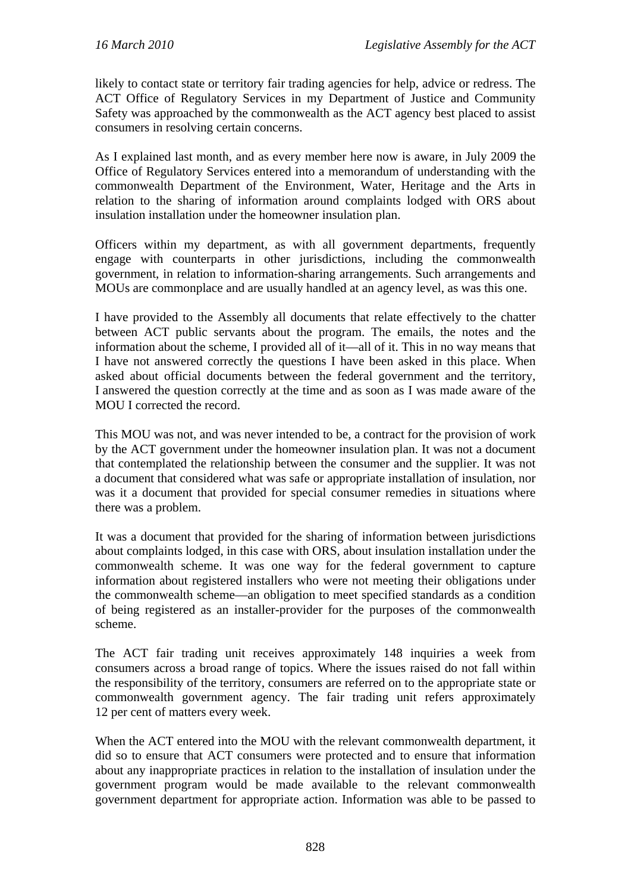likely to contact state or territory fair trading agencies for help, advice or redress. The ACT Office of Regulatory Services in my Department of Justice and Community Safety was approached by the commonwealth as the ACT agency best placed to assist consumers in resolving certain concerns.

As I explained last month, and as every member here now is aware, in July 2009 the Office of Regulatory Services entered into a memorandum of understanding with the commonwealth Department of the Environment, Water, Heritage and the Arts in relation to the sharing of information around complaints lodged with ORS about insulation installation under the homeowner insulation plan.

Officers within my department, as with all government departments, frequently engage with counterparts in other jurisdictions, including the commonwealth government, in relation to information-sharing arrangements. Such arrangements and MOUs are commonplace and are usually handled at an agency level, as was this one.

I have provided to the Assembly all documents that relate effectively to the chatter between ACT public servants about the program. The emails, the notes and the information about the scheme, I provided all of it—all of it. This in no way means that I have not answered correctly the questions I have been asked in this place. When asked about official documents between the federal government and the territory, I answered the question correctly at the time and as soon as I was made aware of the MOU I corrected the record.

This MOU was not, and was never intended to be, a contract for the provision of work by the ACT government under the homeowner insulation plan. It was not a document that contemplated the relationship between the consumer and the supplier. It was not a document that considered what was safe or appropriate installation of insulation, nor was it a document that provided for special consumer remedies in situations where there was a problem.

It was a document that provided for the sharing of information between jurisdictions about complaints lodged, in this case with ORS, about insulation installation under the commonwealth scheme. It was one way for the federal government to capture information about registered installers who were not meeting their obligations under the commonwealth scheme—an obligation to meet specified standards as a condition of being registered as an installer-provider for the purposes of the commonwealth scheme.

The ACT fair trading unit receives approximately 148 inquiries a week from consumers across a broad range of topics. Where the issues raised do not fall within the responsibility of the territory, consumers are referred on to the appropriate state or commonwealth government agency. The fair trading unit refers approximately 12 per cent of matters every week.

When the ACT entered into the MOU with the relevant commonwealth department, it did so to ensure that ACT consumers were protected and to ensure that information about any inappropriate practices in relation to the installation of insulation under the government program would be made available to the relevant commonwealth government department for appropriate action. Information was able to be passed to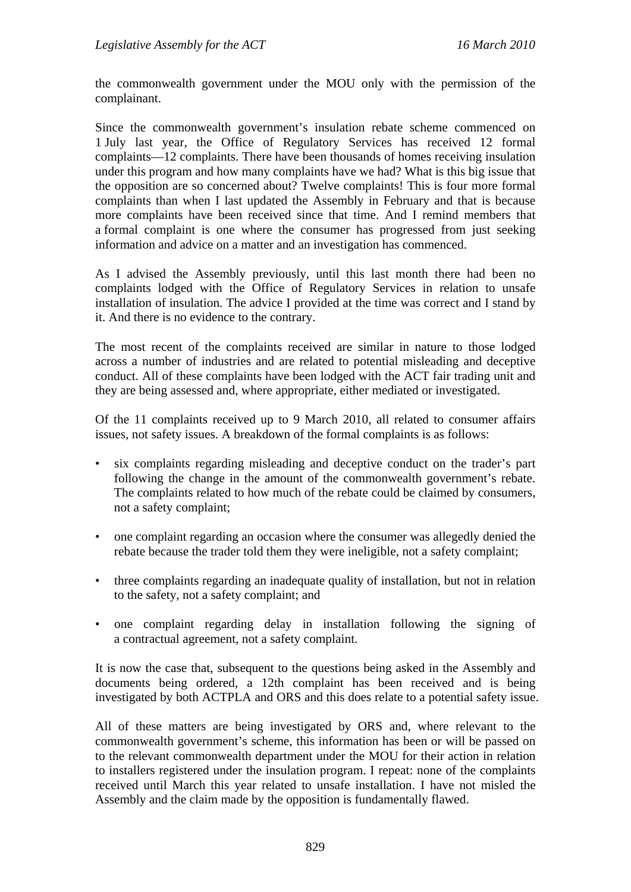the commonwealth government under the MOU only with the permission of the complainant.

Since the commonwealth government's insulation rebate scheme commenced on 1 July last year, the Office of Regulatory Services has received 12 formal complaints—12 complaints. There have been thousands of homes receiving insulation under this program and how many complaints have we had? What is this big issue that the opposition are so concerned about? Twelve complaints! This is four more formal complaints than when I last updated the Assembly in February and that is because more complaints have been received since that time. And I remind members that a formal complaint is one where the consumer has progressed from just seeking information and advice on a matter and an investigation has commenced.

As I advised the Assembly previously, until this last month there had been no complaints lodged with the Office of Regulatory Services in relation to unsafe installation of insulation. The advice I provided at the time was correct and I stand by it. And there is no evidence to the contrary.

The most recent of the complaints received are similar in nature to those lodged across a number of industries and are related to potential misleading and deceptive conduct. All of these complaints have been lodged with the ACT fair trading unit and they are being assessed and, where appropriate, either mediated or investigated.

Of the 11 complaints received up to 9 March 2010, all related to consumer affairs issues, not safety issues. A breakdown of the formal complaints is as follows:

- six complaints regarding misleading and deceptive conduct on the trader's part following the change in the amount of the commonwealth government's rebate. The complaints related to how much of the rebate could be claimed by consumers, not a safety complaint;
- one complaint regarding an occasion where the consumer was allegedly denied the rebate because the trader told them they were ineligible, not a safety complaint;
- three complaints regarding an inadequate quality of installation, but not in relation to the safety, not a safety complaint; and
- one complaint regarding delay in installation following the signing of a contractual agreement, not a safety complaint.

It is now the case that, subsequent to the questions being asked in the Assembly and documents being ordered, a 12th complaint has been received and is being investigated by both ACTPLA and ORS and this does relate to a potential safety issue.

All of these matters are being investigated by ORS and, where relevant to the commonwealth government's scheme, this information has been or will be passed on to the relevant commonwealth department under the MOU for their action in relation to installers registered under the insulation program. I repeat: none of the complaints received until March this year related to unsafe installation. I have not misled the Assembly and the claim made by the opposition is fundamentally flawed.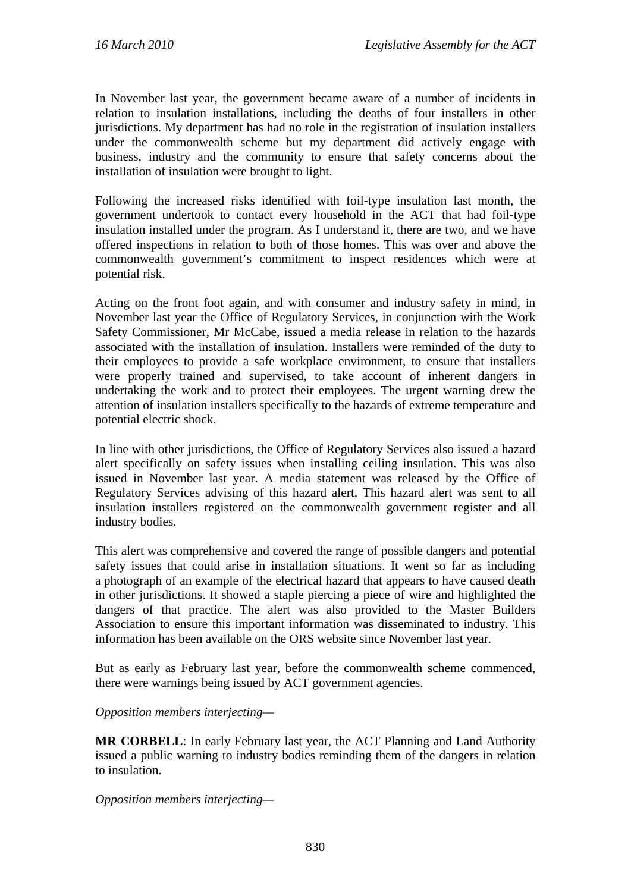In November last year, the government became aware of a number of incidents in relation to insulation installations, including the deaths of four installers in other jurisdictions. My department has had no role in the registration of insulation installers under the commonwealth scheme but my department did actively engage with business, industry and the community to ensure that safety concerns about the installation of insulation were brought to light.

Following the increased risks identified with foil-type insulation last month, the government undertook to contact every household in the ACT that had foil-type insulation installed under the program. As I understand it, there are two, and we have offered inspections in relation to both of those homes. This was over and above the commonwealth government's commitment to inspect residences which were at potential risk.

Acting on the front foot again, and with consumer and industry safety in mind, in November last year the Office of Regulatory Services, in conjunction with the Work Safety Commissioner, Mr McCabe, issued a media release in relation to the hazards associated with the installation of insulation. Installers were reminded of the duty to their employees to provide a safe workplace environment, to ensure that installers were properly trained and supervised, to take account of inherent dangers in undertaking the work and to protect their employees. The urgent warning drew the attention of insulation installers specifically to the hazards of extreme temperature and potential electric shock.

In line with other jurisdictions, the Office of Regulatory Services also issued a hazard alert specifically on safety issues when installing ceiling insulation. This was also issued in November last year. A media statement was released by the Office of Regulatory Services advising of this hazard alert. This hazard alert was sent to all insulation installers registered on the commonwealth government register and all industry bodies.

This alert was comprehensive and covered the range of possible dangers and potential safety issues that could arise in installation situations. It went so far as including a photograph of an example of the electrical hazard that appears to have caused death in other jurisdictions. It showed a staple piercing a piece of wire and highlighted the dangers of that practice. The alert was also provided to the Master Builders Association to ensure this important information was disseminated to industry. This information has been available on the ORS website since November last year.

But as early as February last year, before the commonwealth scheme commenced, there were warnings being issued by ACT government agencies.

*Opposition members interjecting—* 

**MR CORBELL**: In early February last year, the ACT Planning and Land Authority issued a public warning to industry bodies reminding them of the dangers in relation to insulation.

*Opposition members interjecting—*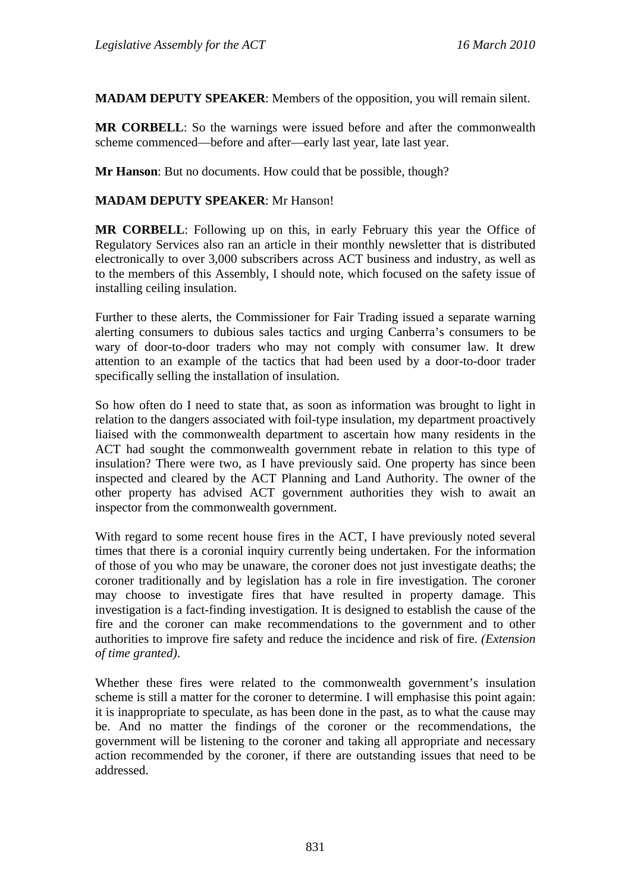**MADAM DEPUTY SPEAKER**: Members of the opposition, you will remain silent.

**MR CORBELL**: So the warnings were issued before and after the commonwealth scheme commenced—before and after—early last year, late last year.

**Mr Hanson**: But no documents. How could that be possible, though?

#### **MADAM DEPUTY SPEAKER**: Mr Hanson!

**MR CORBELL**: Following up on this, in early February this year the Office of Regulatory Services also ran an article in their monthly newsletter that is distributed electronically to over 3,000 subscribers across ACT business and industry, as well as to the members of this Assembly, I should note, which focused on the safety issue of installing ceiling insulation.

Further to these alerts, the Commissioner for Fair Trading issued a separate warning alerting consumers to dubious sales tactics and urging Canberra's consumers to be wary of door-to-door traders who may not comply with consumer law. It drew attention to an example of the tactics that had been used by a door-to-door trader specifically selling the installation of insulation.

So how often do I need to state that, as soon as information was brought to light in relation to the dangers associated with foil-type insulation, my department proactively liaised with the commonwealth department to ascertain how many residents in the ACT had sought the commonwealth government rebate in relation to this type of insulation? There were two, as I have previously said. One property has since been inspected and cleared by the ACT Planning and Land Authority. The owner of the other property has advised ACT government authorities they wish to await an inspector from the commonwealth government.

With regard to some recent house fires in the ACT, I have previously noted several times that there is a coronial inquiry currently being undertaken. For the information of those of you who may be unaware, the coroner does not just investigate deaths; the coroner traditionally and by legislation has a role in fire investigation. The coroner may choose to investigate fires that have resulted in property damage. This investigation is a fact-finding investigation. It is designed to establish the cause of the fire and the coroner can make recommendations to the government and to other authorities to improve fire safety and reduce the incidence and risk of fire. *(Extension of time granted)*.

Whether these fires were related to the commonwealth government's insulation scheme is still a matter for the coroner to determine. I will emphasise this point again: it is inappropriate to speculate, as has been done in the past, as to what the cause may be. And no matter the findings of the coroner or the recommendations, the government will be listening to the coroner and taking all appropriate and necessary action recommended by the coroner, if there are outstanding issues that need to be addressed.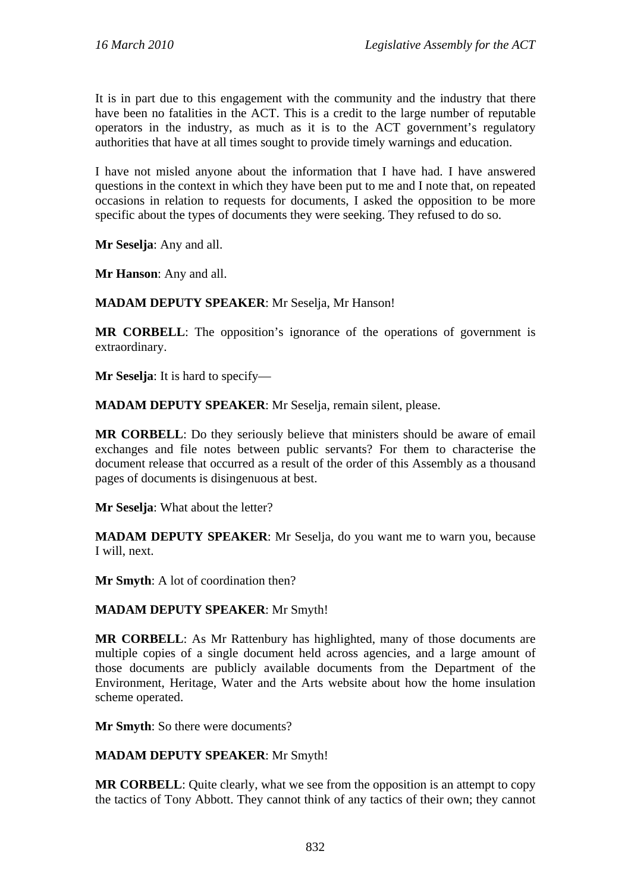It is in part due to this engagement with the community and the industry that there have been no fatalities in the ACT. This is a credit to the large number of reputable operators in the industry, as much as it is to the ACT government's regulatory authorities that have at all times sought to provide timely warnings and education.

I have not misled anyone about the information that I have had. I have answered questions in the context in which they have been put to me and I note that, on repeated occasions in relation to requests for documents, I asked the opposition to be more specific about the types of documents they were seeking. They refused to do so.

**Mr Seselja**: Any and all.

**Mr Hanson**: Any and all.

#### **MADAM DEPUTY SPEAKER**: Mr Seselja, Mr Hanson!

**MR CORBELL:** The opposition's ignorance of the operations of government is extraordinary.

**Mr Seselja**: It is hard to specify—

**MADAM DEPUTY SPEAKER**: Mr Seselja, remain silent, please.

**MR CORBELL**: Do they seriously believe that ministers should be aware of email exchanges and file notes between public servants? For them to characterise the document release that occurred as a result of the order of this Assembly as a thousand pages of documents is disingenuous at best.

**Mr Seselja**: What about the letter?

**MADAM DEPUTY SPEAKER**: Mr Seselja, do you want me to warn you, because I will, next.

**Mr Smyth**: A lot of coordination then?

#### **MADAM DEPUTY SPEAKER**: Mr Smyth!

**MR CORBELL**: As Mr Rattenbury has highlighted, many of those documents are multiple copies of a single document held across agencies, and a large amount of those documents are publicly available documents from the Department of the Environment, Heritage, Water and the Arts website about how the home insulation scheme operated.

**Mr Smyth**: So there were documents?

#### **MADAM DEPUTY SPEAKER**: Mr Smyth!

**MR CORBELL:** Quite clearly, what we see from the opposition is an attempt to copy the tactics of Tony Abbott. They cannot think of any tactics of their own; they cannot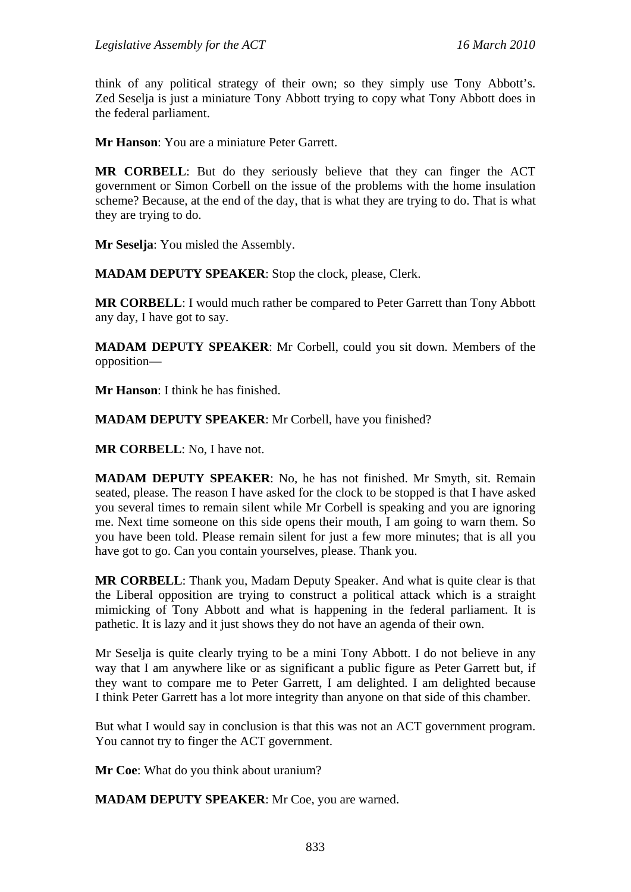think of any political strategy of their own; so they simply use Tony Abbott's. Zed Seselja is just a miniature Tony Abbott trying to copy what Tony Abbott does in the federal parliament.

**Mr Hanson**: You are a miniature Peter Garrett.

**MR CORBELL**: But do they seriously believe that they can finger the ACT government or Simon Corbell on the issue of the problems with the home insulation scheme? Because, at the end of the day, that is what they are trying to do. That is what they are trying to do.

**Mr Seselja**: You misled the Assembly.

**MADAM DEPUTY SPEAKER**: Stop the clock, please, Clerk.

**MR CORBELL**: I would much rather be compared to Peter Garrett than Tony Abbott any day, I have got to say.

**MADAM DEPUTY SPEAKER**: Mr Corbell, could you sit down. Members of the opposition—

**Mr Hanson**: I think he has finished.

**MADAM DEPUTY SPEAKER**: Mr Corbell, have you finished?

**MR CORBELL**: No, I have not.

**MADAM DEPUTY SPEAKER**: No, he has not finished. Mr Smyth, sit. Remain seated, please. The reason I have asked for the clock to be stopped is that I have asked you several times to remain silent while Mr Corbell is speaking and you are ignoring me. Next time someone on this side opens their mouth, I am going to warn them. So you have been told. Please remain silent for just a few more minutes; that is all you have got to go. Can you contain yourselves, please. Thank you.

**MR CORBELL**: Thank you, Madam Deputy Speaker. And what is quite clear is that the Liberal opposition are trying to construct a political attack which is a straight mimicking of Tony Abbott and what is happening in the federal parliament. It is pathetic. It is lazy and it just shows they do not have an agenda of their own.

Mr Seselja is quite clearly trying to be a mini Tony Abbott. I do not believe in any way that I am anywhere like or as significant a public figure as Peter Garrett but, if they want to compare me to Peter Garrett, I am delighted. I am delighted because I think Peter Garrett has a lot more integrity than anyone on that side of this chamber.

But what I would say in conclusion is that this was not an ACT government program. You cannot try to finger the ACT government.

**Mr Coe**: What do you think about uranium?

**MADAM DEPUTY SPEAKER**: Mr Coe, you are warned.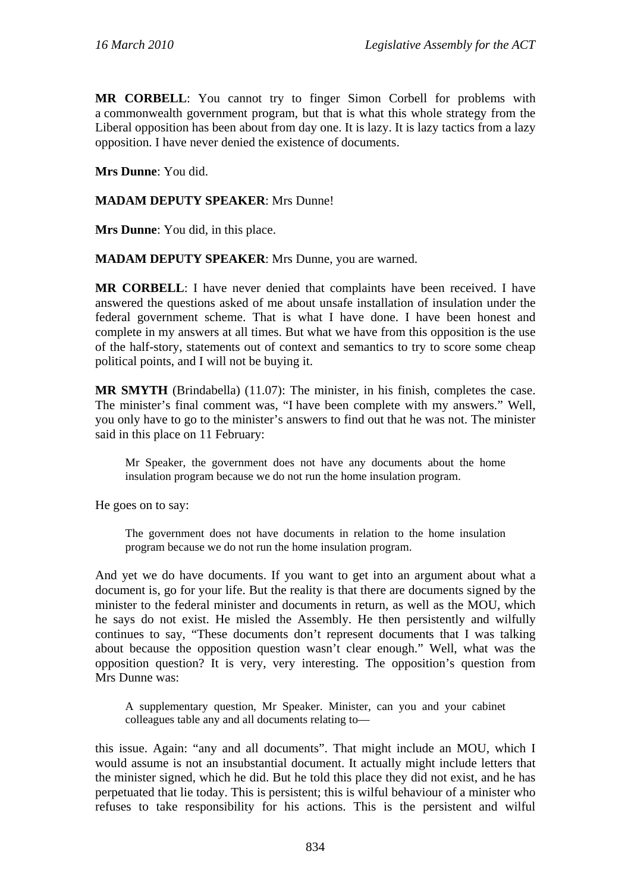**MR CORBELL**: You cannot try to finger Simon Corbell for problems with a commonwealth government program, but that is what this whole strategy from the Liberal opposition has been about from day one. It is lazy. It is lazy tactics from a lazy opposition. I have never denied the existence of documents.

**Mrs Dunne**: You did.

#### **MADAM DEPUTY SPEAKER**: Mrs Dunne!

**Mrs Dunne**: You did, in this place.

**MADAM DEPUTY SPEAKER:** Mrs Dunne, you are warned.

**MR CORBELL**: I have never denied that complaints have been received. I have answered the questions asked of me about unsafe installation of insulation under the federal government scheme. That is what I have done. I have been honest and complete in my answers at all times. But what we have from this opposition is the use of the half-story, statements out of context and semantics to try to score some cheap political points, and I will not be buying it.

**MR SMYTH** (Brindabella) (11.07): The minister, in his finish, completes the case. The minister's final comment was, "I have been complete with my answers." Well, you only have to go to the minister's answers to find out that he was not. The minister said in this place on 11 February:

Mr Speaker, the government does not have any documents about the home insulation program because we do not run the home insulation program.

He goes on to say:

The government does not have documents in relation to the home insulation program because we do not run the home insulation program.

And yet we do have documents. If you want to get into an argument about what a document is, go for your life. But the reality is that there are documents signed by the minister to the federal minister and documents in return, as well as the MOU, which he says do not exist. He misled the Assembly. He then persistently and wilfully continues to say, "These documents don't represent documents that I was talking about because the opposition question wasn't clear enough." Well, what was the opposition question? It is very, very interesting. The opposition's question from Mrs Dunne was:

A supplementary question, Mr Speaker. Minister, can you and your cabinet colleagues table any and all documents relating to—

this issue. Again: "any and all documents". That might include an MOU, which I would assume is not an insubstantial document. It actually might include letters that the minister signed, which he did. But he told this place they did not exist, and he has perpetuated that lie today. This is persistent; this is wilful behaviour of a minister who refuses to take responsibility for his actions. This is the persistent and wilful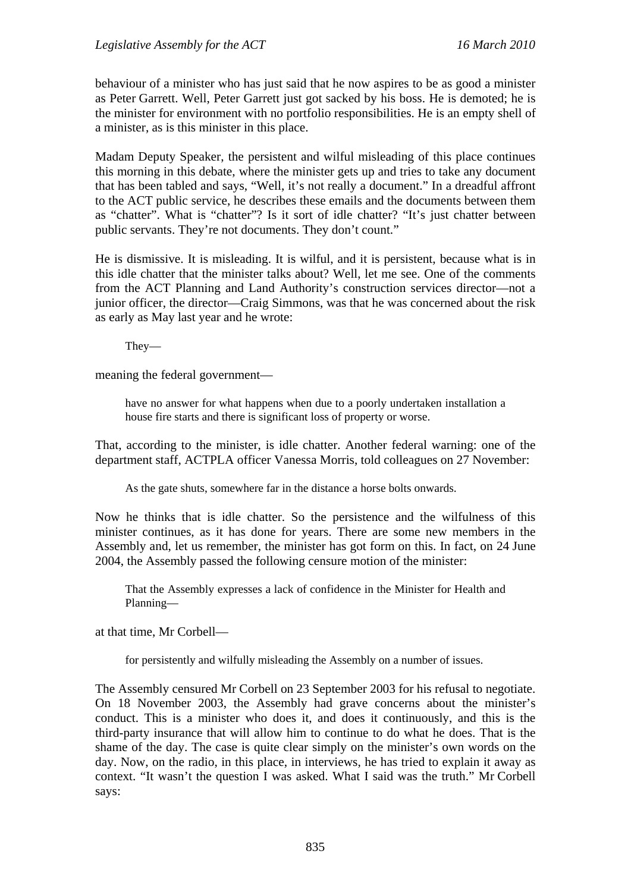behaviour of a minister who has just said that he now aspires to be as good a minister as Peter Garrett. Well, Peter Garrett just got sacked by his boss. He is demoted; he is the minister for environment with no portfolio responsibilities. He is an empty shell of a minister, as is this minister in this place.

Madam Deputy Speaker, the persistent and wilful misleading of this place continues this morning in this debate, where the minister gets up and tries to take any document that has been tabled and says, "Well, it's not really a document." In a dreadful affront to the ACT public service, he describes these emails and the documents between them as "chatter". What is "chatter"? Is it sort of idle chatter? "It's just chatter between public servants. They're not documents. They don't count."

He is dismissive. It is misleading. It is wilful, and it is persistent, because what is in this idle chatter that the minister talks about? Well, let me see. One of the comments from the ACT Planning and Land Authority's construction services director—not a junior officer, the director—Craig Simmons, was that he was concerned about the risk as early as May last year and he wrote:

They—

meaning the federal government—

have no answer for what happens when due to a poorly undertaken installation a house fire starts and there is significant loss of property or worse.

That, according to the minister, is idle chatter. Another federal warning: one of the department staff, ACTPLA officer Vanessa Morris, told colleagues on 27 November:

As the gate shuts, somewhere far in the distance a horse bolts onwards.

Now he thinks that is idle chatter. So the persistence and the wilfulness of this minister continues, as it has done for years. There are some new members in the Assembly and, let us remember, the minister has got form on this. In fact, on 24 June 2004, the Assembly passed the following censure motion of the minister:

That the Assembly expresses a lack of confidence in the Minister for Health and Planning—

at that time, Mr Corbell—

for persistently and wilfully misleading the Assembly on a number of issues.

The Assembly censured Mr Corbell on 23 September 2003 for his refusal to negotiate. On 18 November 2003, the Assembly had grave concerns about the minister's conduct. This is a minister who does it, and does it continuously, and this is the third-party insurance that will allow him to continue to do what he does. That is the shame of the day. The case is quite clear simply on the minister's own words on the day. Now, on the radio, in this place, in interviews, he has tried to explain it away as context. "It wasn't the question I was asked. What I said was the truth." Mr Corbell says: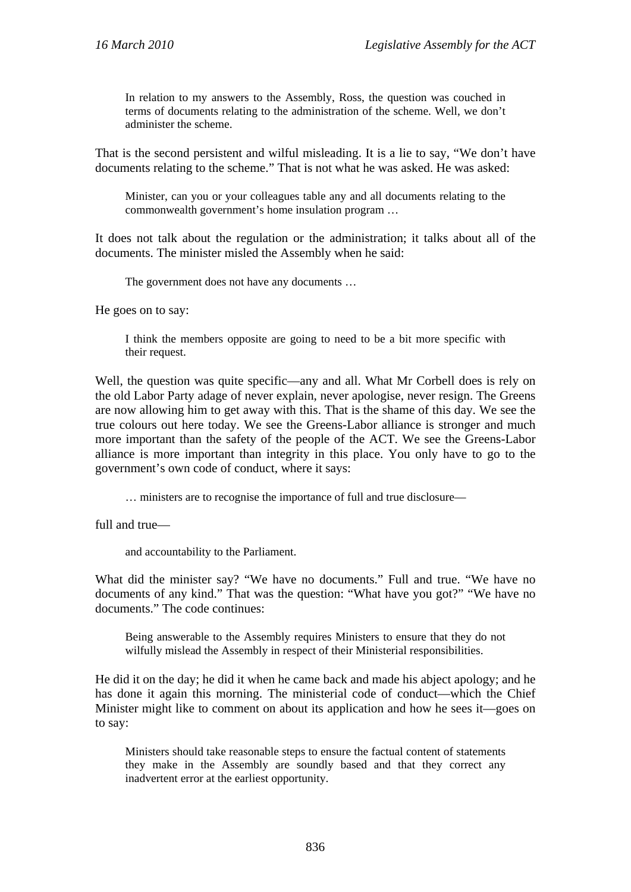In relation to my answers to the Assembly, Ross, the question was couched in terms of documents relating to the administration of the scheme. Well, we don't administer the scheme.

That is the second persistent and wilful misleading. It is a lie to say, "We don't have documents relating to the scheme." That is not what he was asked. He was asked:

Minister, can you or your colleagues table any and all documents relating to the commonwealth government's home insulation program …

It does not talk about the regulation or the administration; it talks about all of the documents. The minister misled the Assembly when he said:

The government does not have any documents …

He goes on to say:

I think the members opposite are going to need to be a bit more specific with their request.

Well, the question was quite specific—any and all. What Mr Corbell does is rely on the old Labor Party adage of never explain, never apologise, never resign. The Greens are now allowing him to get away with this. That is the shame of this day. We see the true colours out here today. We see the Greens-Labor alliance is stronger and much more important than the safety of the people of the ACT. We see the Greens-Labor alliance is more important than integrity in this place. You only have to go to the government's own code of conduct, where it says:

… ministers are to recognise the importance of full and true disclosure—

full and true—

and accountability to the Parliament.

What did the minister say? "We have no documents." Full and true. "We have no documents of any kind." That was the question: "What have you got?" "We have no documents." The code continues:

Being answerable to the Assembly requires Ministers to ensure that they do not wilfully mislead the Assembly in respect of their Ministerial responsibilities.

He did it on the day; he did it when he came back and made his abject apology; and he has done it again this morning. The ministerial code of conduct—which the Chief Minister might like to comment on about its application and how he sees it—goes on to say:

Ministers should take reasonable steps to ensure the factual content of statements they make in the Assembly are soundly based and that they correct any inadvertent error at the earliest opportunity.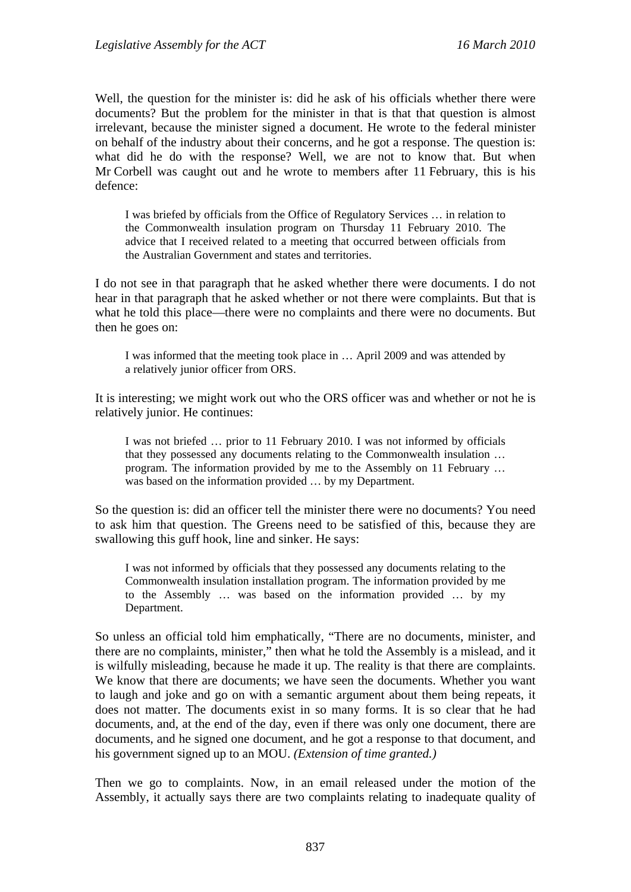Well, the question for the minister is: did he ask of his officials whether there were documents? But the problem for the minister in that is that that question is almost irrelevant, because the minister signed a document. He wrote to the federal minister on behalf of the industry about their concerns, and he got a response. The question is: what did he do with the response? Well, we are not to know that. But when Mr Corbell was caught out and he wrote to members after 11 February, this is his defence:

I was briefed by officials from the Office of Regulatory Services … in relation to the Commonwealth insulation program on Thursday 11 February 2010. The advice that I received related to a meeting that occurred between officials from the Australian Government and states and territories.

I do not see in that paragraph that he asked whether there were documents. I do not hear in that paragraph that he asked whether or not there were complaints. But that is what he told this place—there were no complaints and there were no documents. But then he goes on:

I was informed that the meeting took place in … April 2009 and was attended by a relatively junior officer from ORS.

It is interesting; we might work out who the ORS officer was and whether or not he is relatively junior. He continues:

I was not briefed … prior to 11 February 2010. I was not informed by officials that they possessed any documents relating to the Commonwealth insulation … program. The information provided by me to the Assembly on 11 February … was based on the information provided … by my Department.

So the question is: did an officer tell the minister there were no documents? You need to ask him that question. The Greens need to be satisfied of this, because they are swallowing this guff hook, line and sinker. He says:

I was not informed by officials that they possessed any documents relating to the Commonwealth insulation installation program. The information provided by me to the Assembly … was based on the information provided … by my Department.

So unless an official told him emphatically, "There are no documents, minister, and there are no complaints, minister," then what he told the Assembly is a mislead, and it is wilfully misleading, because he made it up. The reality is that there are complaints. We know that there are documents; we have seen the documents. Whether you want to laugh and joke and go on with a semantic argument about them being repeats, it does not matter. The documents exist in so many forms. It is so clear that he had documents, and, at the end of the day, even if there was only one document, there are documents, and he signed one document, and he got a response to that document, and his government signed up to an MOU. *(Extension of time granted.)*

Then we go to complaints. Now, in an email released under the motion of the Assembly, it actually says there are two complaints relating to inadequate quality of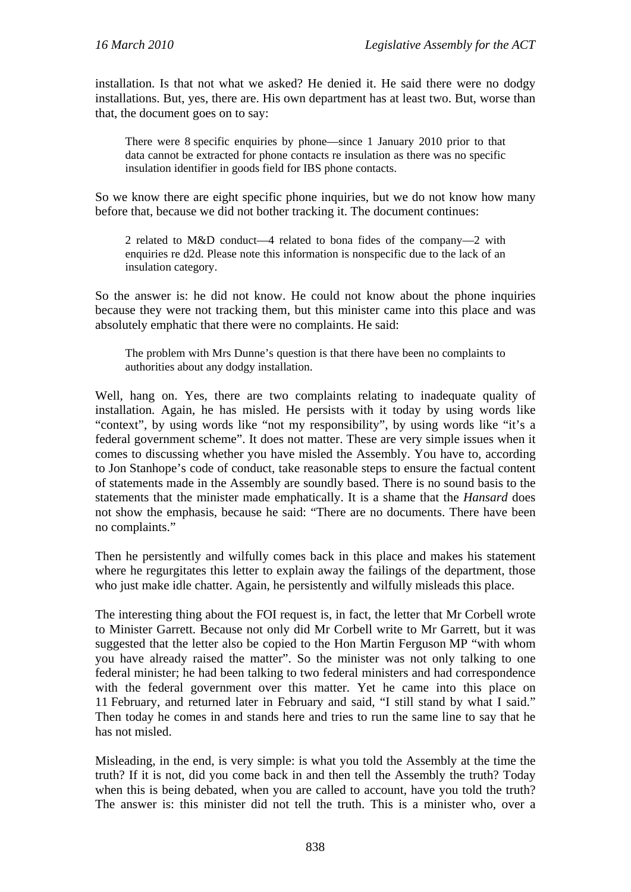installation. Is that not what we asked? He denied it. He said there were no dodgy installations. But, yes, there are. His own department has at least two. But, worse than that, the document goes on to say:

There were 8 specific enquiries by phone—since 1 January 2010 prior to that data cannot be extracted for phone contacts re insulation as there was no specific insulation identifier in goods field for IBS phone contacts.

So we know there are eight specific phone inquiries, but we do not know how many before that, because we did not bother tracking it. The document continues:

2 related to M&D conduct—4 related to bona fides of the company—2 with enquiries re d2d. Please note this information is nonspecific due to the lack of an insulation category.

So the answer is: he did not know. He could not know about the phone inquiries because they were not tracking them, but this minister came into this place and was absolutely emphatic that there were no complaints. He said:

The problem with Mrs Dunne's question is that there have been no complaints to authorities about any dodgy installation.

Well, hang on. Yes, there are two complaints relating to inadequate quality of installation. Again, he has misled. He persists with it today by using words like "context", by using words like "not my responsibility", by using words like "it's a federal government scheme". It does not matter. These are very simple issues when it comes to discussing whether you have misled the Assembly. You have to, according to Jon Stanhope's code of conduct, take reasonable steps to ensure the factual content of statements made in the Assembly are soundly based. There is no sound basis to the statements that the minister made emphatically. It is a shame that the *Hansard* does not show the emphasis, because he said: "There are no documents. There have been no complaints."

Then he persistently and wilfully comes back in this place and makes his statement where he regurgitates this letter to explain away the failings of the department, those who just make idle chatter. Again, he persistently and wilfully misleads this place.

The interesting thing about the FOI request is, in fact, the letter that Mr Corbell wrote to Minister Garrett. Because not only did Mr Corbell write to Mr Garrett, but it was suggested that the letter also be copied to the Hon Martin Ferguson MP "with whom you have already raised the matter". So the minister was not only talking to one federal minister; he had been talking to two federal ministers and had correspondence with the federal government over this matter. Yet he came into this place on 11 February, and returned later in February and said, "I still stand by what I said." Then today he comes in and stands here and tries to run the same line to say that he has not misled.

Misleading, in the end, is very simple: is what you told the Assembly at the time the truth? If it is not, did you come back in and then tell the Assembly the truth? Today when this is being debated, when you are called to account, have you told the truth? The answer is: this minister did not tell the truth. This is a minister who, over a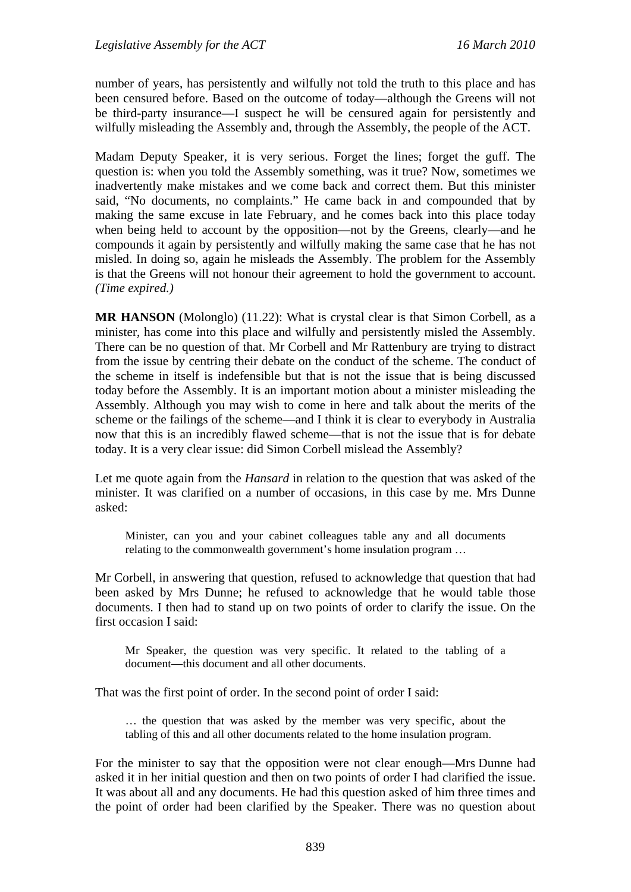number of years, has persistently and wilfully not told the truth to this place and has been censured before. Based on the outcome of today—although the Greens will not be third-party insurance—I suspect he will be censured again for persistently and wilfully misleading the Assembly and, through the Assembly, the people of the ACT.

Madam Deputy Speaker, it is very serious. Forget the lines; forget the guff. The question is: when you told the Assembly something, was it true? Now, sometimes we inadvertently make mistakes and we come back and correct them. But this minister said, "No documents, no complaints." He came back in and compounded that by making the same excuse in late February, and he comes back into this place today when being held to account by the opposition—not by the Greens, clearly—and he compounds it again by persistently and wilfully making the same case that he has not misled. In doing so, again he misleads the Assembly. The problem for the Assembly is that the Greens will not honour their agreement to hold the government to account. *(Time expired.)*

**MR HANSON** (Molonglo) (11.22): What is crystal clear is that Simon Corbell, as a minister, has come into this place and wilfully and persistently misled the Assembly. There can be no question of that. Mr Corbell and Mr Rattenbury are trying to distract from the issue by centring their debate on the conduct of the scheme. The conduct of the scheme in itself is indefensible but that is not the issue that is being discussed today before the Assembly. It is an important motion about a minister misleading the Assembly. Although you may wish to come in here and talk about the merits of the scheme or the failings of the scheme—and I think it is clear to everybody in Australia now that this is an incredibly flawed scheme—that is not the issue that is for debate today. It is a very clear issue: did Simon Corbell mislead the Assembly?

Let me quote again from the *Hansard* in relation to the question that was asked of the minister. It was clarified on a number of occasions, in this case by me. Mrs Dunne asked:

Minister, can you and your cabinet colleagues table any and all documents relating to the commonwealth government's home insulation program …

Mr Corbell, in answering that question, refused to acknowledge that question that had been asked by Mrs Dunne; he refused to acknowledge that he would table those documents. I then had to stand up on two points of order to clarify the issue. On the first occasion I said:

Mr Speaker, the question was very specific. It related to the tabling of a document—this document and all other documents.

That was the first point of order. In the second point of order I said:

… the question that was asked by the member was very specific, about the tabling of this and all other documents related to the home insulation program.

For the minister to say that the opposition were not clear enough—Mrs Dunne had asked it in her initial question and then on two points of order I had clarified the issue. It was about all and any documents. He had this question asked of him three times and the point of order had been clarified by the Speaker. There was no question about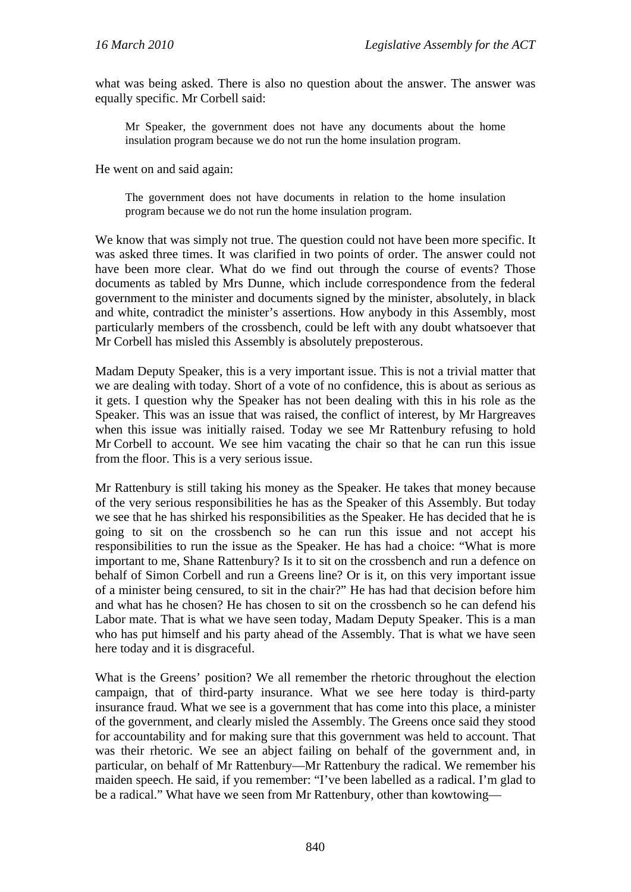what was being asked. There is also no question about the answer. The answer was equally specific. Mr Corbell said:

Mr Speaker, the government does not have any documents about the home insulation program because we do not run the home insulation program.

He went on and said again:

The government does not have documents in relation to the home insulation program because we do not run the home insulation program.

We know that was simply not true. The question could not have been more specific. It was asked three times. It was clarified in two points of order. The answer could not have been more clear. What do we find out through the course of events? Those documents as tabled by Mrs Dunne, which include correspondence from the federal government to the minister and documents signed by the minister, absolutely, in black and white, contradict the minister's assertions. How anybody in this Assembly, most particularly members of the crossbench, could be left with any doubt whatsoever that Mr Corbell has misled this Assembly is absolutely preposterous.

Madam Deputy Speaker, this is a very important issue. This is not a trivial matter that we are dealing with today. Short of a vote of no confidence, this is about as serious as it gets. I question why the Speaker has not been dealing with this in his role as the Speaker. This was an issue that was raised, the conflict of interest, by Mr Hargreaves when this issue was initially raised. Today we see Mr Rattenbury refusing to hold Mr Corbell to account. We see him vacating the chair so that he can run this issue from the floor. This is a very serious issue.

Mr Rattenbury is still taking his money as the Speaker. He takes that money because of the very serious responsibilities he has as the Speaker of this Assembly. But today we see that he has shirked his responsibilities as the Speaker. He has decided that he is going to sit on the crossbench so he can run this issue and not accept his responsibilities to run the issue as the Speaker. He has had a choice: "What is more important to me, Shane Rattenbury? Is it to sit on the crossbench and run a defence on behalf of Simon Corbell and run a Greens line? Or is it, on this very important issue of a minister being censured, to sit in the chair?" He has had that decision before him and what has he chosen? He has chosen to sit on the crossbench so he can defend his Labor mate. That is what we have seen today, Madam Deputy Speaker. This is a man who has put himself and his party ahead of the Assembly. That is what we have seen here today and it is disgraceful.

What is the Greens' position? We all remember the rhetoric throughout the election campaign, that of third-party insurance. What we see here today is third-party insurance fraud. What we see is a government that has come into this place, a minister of the government, and clearly misled the Assembly. The Greens once said they stood for accountability and for making sure that this government was held to account. That was their rhetoric. We see an abject failing on behalf of the government and, in particular, on behalf of Mr Rattenbury—Mr Rattenbury the radical. We remember his maiden speech. He said, if you remember: "I've been labelled as a radical. I'm glad to be a radical." What have we seen from Mr Rattenbury, other than kowtowing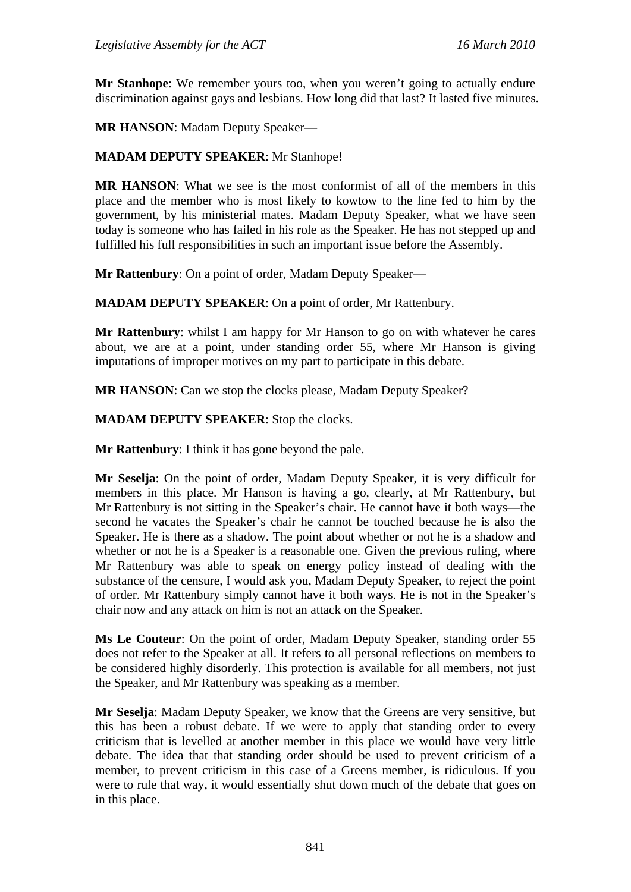**Mr Stanhope:** We remember yours too, when you weren't going to actually endure discrimination against gays and lesbians. How long did that last? It lasted five minutes.

**MR HANSON**: Madam Deputy Speaker—

#### **MADAM DEPUTY SPEAKER**: Mr Stanhope!

**MR HANSON**: What we see is the most conformist of all of the members in this place and the member who is most likely to kowtow to the line fed to him by the government, by his ministerial mates. Madam Deputy Speaker, what we have seen today is someone who has failed in his role as the Speaker. He has not stepped up and fulfilled his full responsibilities in such an important issue before the Assembly.

**Mr Rattenbury**: On a point of order, Madam Deputy Speaker—

**MADAM DEPUTY SPEAKER**: On a point of order, Mr Rattenbury.

**Mr Rattenbury**: whilst I am happy for Mr Hanson to go on with whatever he cares about, we are at a point, under standing order 55, where Mr Hanson is giving imputations of improper motives on my part to participate in this debate.

**MR HANSON**: Can we stop the clocks please, Madam Deputy Speaker?

**MADAM DEPUTY SPEAKER**: Stop the clocks.

**Mr Rattenbury**: I think it has gone beyond the pale.

**Mr Seselja**: On the point of order, Madam Deputy Speaker, it is very difficult for members in this place. Mr Hanson is having a go, clearly, at Mr Rattenbury, but Mr Rattenbury is not sitting in the Speaker's chair. He cannot have it both ways—the second he vacates the Speaker's chair he cannot be touched because he is also the Speaker. He is there as a shadow. The point about whether or not he is a shadow and whether or not he is a Speaker is a reasonable one. Given the previous ruling, where Mr Rattenbury was able to speak on energy policy instead of dealing with the substance of the censure, I would ask you, Madam Deputy Speaker, to reject the point of order. Mr Rattenbury simply cannot have it both ways. He is not in the Speaker's chair now and any attack on him is not an attack on the Speaker.

**Ms Le Couteur**: On the point of order, Madam Deputy Speaker, standing order 55 does not refer to the Speaker at all. It refers to all personal reflections on members to be considered highly disorderly. This protection is available for all members, not just the Speaker, and Mr Rattenbury was speaking as a member.

**Mr Seselja**: Madam Deputy Speaker, we know that the Greens are very sensitive, but this has been a robust debate. If we were to apply that standing order to every criticism that is levelled at another member in this place we would have very little debate. The idea that that standing order should be used to prevent criticism of a member, to prevent criticism in this case of a Greens member, is ridiculous. If you were to rule that way, it would essentially shut down much of the debate that goes on in this place.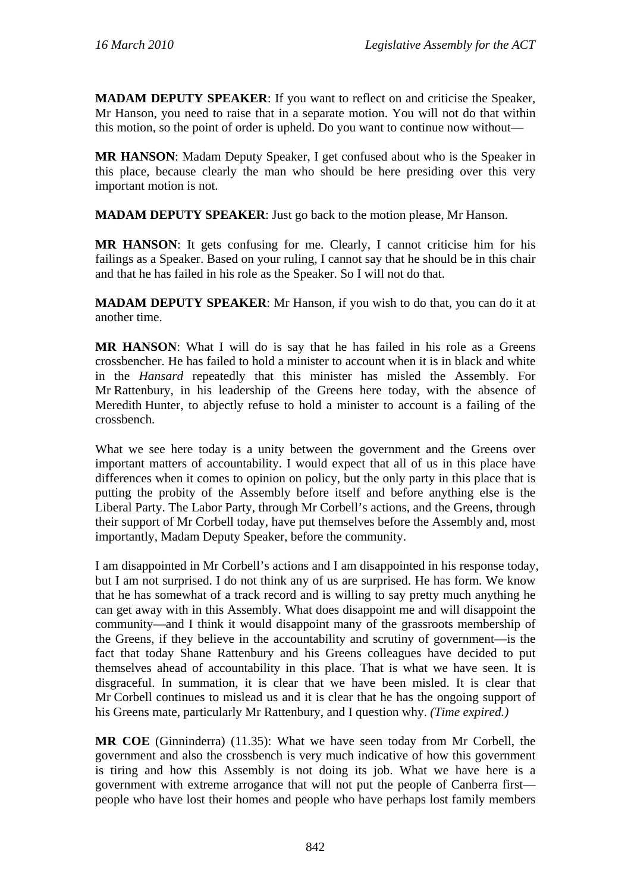**MADAM DEPUTY SPEAKER**: If you want to reflect on and criticise the Speaker, Mr Hanson, you need to raise that in a separate motion. You will not do that within this motion, so the point of order is upheld. Do you want to continue now without—

**MR HANSON**: Madam Deputy Speaker, I get confused about who is the Speaker in this place, because clearly the man who should be here presiding over this very important motion is not.

**MADAM DEPUTY SPEAKER**: Just go back to the motion please, Mr Hanson.

**MR HANSON**: It gets confusing for me. Clearly, I cannot criticise him for his failings as a Speaker. Based on your ruling, I cannot say that he should be in this chair and that he has failed in his role as the Speaker. So I will not do that.

**MADAM DEPUTY SPEAKER**: Mr Hanson, if you wish to do that, you can do it at another time.

**MR HANSON**: What I will do is say that he has failed in his role as a Greens crossbencher. He has failed to hold a minister to account when it is in black and white in the *Hansard* repeatedly that this minister has misled the Assembly. For Mr Rattenbury, in his leadership of the Greens here today, with the absence of Meredith Hunter, to abjectly refuse to hold a minister to account is a failing of the crossbench.

What we see here today is a unity between the government and the Greens over important matters of accountability. I would expect that all of us in this place have differences when it comes to opinion on policy, but the only party in this place that is putting the probity of the Assembly before itself and before anything else is the Liberal Party. The Labor Party, through Mr Corbell's actions, and the Greens, through their support of Mr Corbell today, have put themselves before the Assembly and, most importantly, Madam Deputy Speaker, before the community.

I am disappointed in Mr Corbell's actions and I am disappointed in his response today, but I am not surprised. I do not think any of us are surprised. He has form. We know that he has somewhat of a track record and is willing to say pretty much anything he can get away with in this Assembly. What does disappoint me and will disappoint the community—and I think it would disappoint many of the grassroots membership of the Greens, if they believe in the accountability and scrutiny of government—is the fact that today Shane Rattenbury and his Greens colleagues have decided to put themselves ahead of accountability in this place. That is what we have seen. It is disgraceful. In summation, it is clear that we have been misled. It is clear that Mr Corbell continues to mislead us and it is clear that he has the ongoing support of his Greens mate, particularly Mr Rattenbury, and I question why. *(Time expired.)*

**MR COE** (Ginninderra) (11.35): What we have seen today from Mr Corbell, the government and also the crossbench is very much indicative of how this government is tiring and how this Assembly is not doing its job. What we have here is a government with extreme arrogance that will not put the people of Canberra first people who have lost their homes and people who have perhaps lost family members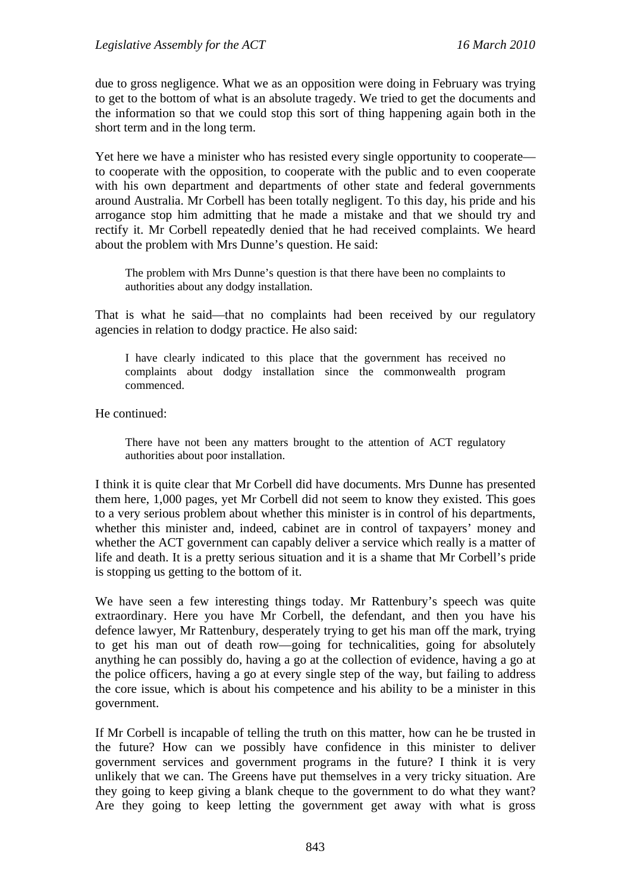due to gross negligence. What we as an opposition were doing in February was trying to get to the bottom of what is an absolute tragedy. We tried to get the documents and the information so that we could stop this sort of thing happening again both in the short term and in the long term.

Yet here we have a minister who has resisted every single opportunity to cooperate to cooperate with the opposition, to cooperate with the public and to even cooperate with his own department and departments of other state and federal governments around Australia. Mr Corbell has been totally negligent. To this day, his pride and his arrogance stop him admitting that he made a mistake and that we should try and rectify it. Mr Corbell repeatedly denied that he had received complaints. We heard about the problem with Mrs Dunne's question. He said:

The problem with Mrs Dunne's question is that there have been no complaints to authorities about any dodgy installation.

That is what he said—that no complaints had been received by our regulatory agencies in relation to dodgy practice. He also said:

I have clearly indicated to this place that the government has received no complaints about dodgy installation since the commonwealth program commenced.

He continued:

There have not been any matters brought to the attention of ACT regulatory authorities about poor installation.

I think it is quite clear that Mr Corbell did have documents. Mrs Dunne has presented them here, 1,000 pages, yet Mr Corbell did not seem to know they existed. This goes to a very serious problem about whether this minister is in control of his departments, whether this minister and, indeed, cabinet are in control of taxpayers' money and whether the ACT government can capably deliver a service which really is a matter of life and death. It is a pretty serious situation and it is a shame that Mr Corbell's pride is stopping us getting to the bottom of it.

We have seen a few interesting things today. Mr Rattenbury's speech was quite extraordinary. Here you have Mr Corbell, the defendant, and then you have his defence lawyer, Mr Rattenbury, desperately trying to get his man off the mark, trying to get his man out of death row—going for technicalities, going for absolutely anything he can possibly do, having a go at the collection of evidence, having a go at the police officers, having a go at every single step of the way, but failing to address the core issue, which is about his competence and his ability to be a minister in this government.

If Mr Corbell is incapable of telling the truth on this matter, how can he be trusted in the future? How can we possibly have confidence in this minister to deliver government services and government programs in the future? I think it is very unlikely that we can. The Greens have put themselves in a very tricky situation. Are they going to keep giving a blank cheque to the government to do what they want? Are they going to keep letting the government get away with what is gross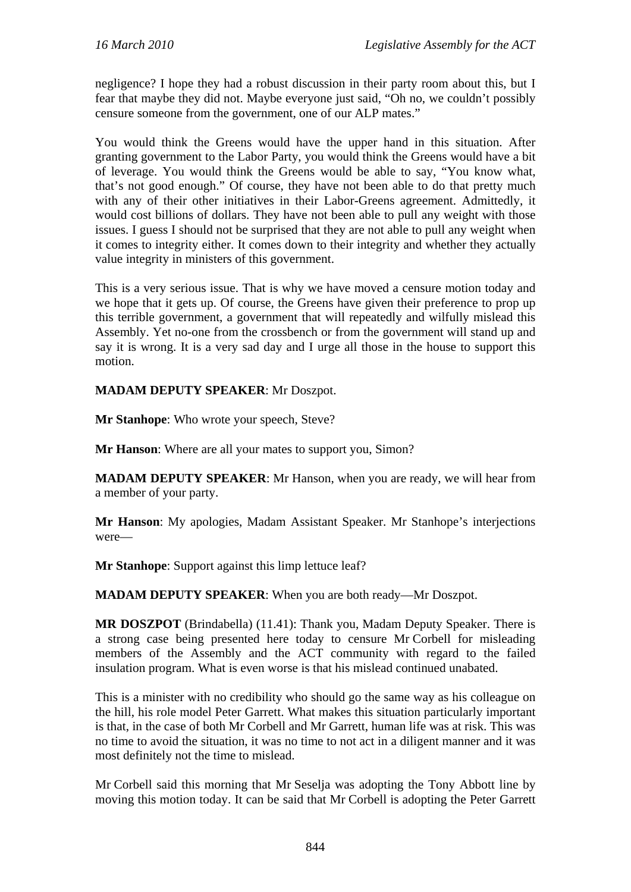negligence? I hope they had a robust discussion in their party room about this, but I fear that maybe they did not. Maybe everyone just said, "Oh no, we couldn't possibly censure someone from the government, one of our ALP mates."

You would think the Greens would have the upper hand in this situation. After granting government to the Labor Party, you would think the Greens would have a bit of leverage. You would think the Greens would be able to say, "You know what, that's not good enough." Of course, they have not been able to do that pretty much with any of their other initiatives in their Labor-Greens agreement. Admittedly, it would cost billions of dollars. They have not been able to pull any weight with those issues. I guess I should not be surprised that they are not able to pull any weight when it comes to integrity either. It comes down to their integrity and whether they actually value integrity in ministers of this government.

This is a very serious issue. That is why we have moved a censure motion today and we hope that it gets up. Of course, the Greens have given their preference to prop up this terrible government, a government that will repeatedly and wilfully mislead this Assembly. Yet no-one from the crossbench or from the government will stand up and say it is wrong. It is a very sad day and I urge all those in the house to support this motion.

**MADAM DEPUTY SPEAKER**: Mr Doszpot.

**Mr Stanhope**: Who wrote your speech, Steve?

**Mr Hanson:** Where are all your mates to support you, Simon?

**MADAM DEPUTY SPEAKER**: Mr Hanson, when you are ready, we will hear from a member of your party.

**Mr Hanson**: My apologies, Madam Assistant Speaker. Mr Stanhope's interjections were—

**Mr Stanhope**: Support against this limp lettuce leaf?

**MADAM DEPUTY SPEAKER**: When you are both ready—Mr Doszpot.

**MR DOSZPOT** (Brindabella) (11.41): Thank you, Madam Deputy Speaker. There is a strong case being presented here today to censure Mr Corbell for misleading members of the Assembly and the ACT community with regard to the failed insulation program. What is even worse is that his mislead continued unabated.

This is a minister with no credibility who should go the same way as his colleague on the hill, his role model Peter Garrett. What makes this situation particularly important is that, in the case of both Mr Corbell and Mr Garrett, human life was at risk. This was no time to avoid the situation, it was no time to not act in a diligent manner and it was most definitely not the time to mislead.

Mr Corbell said this morning that Mr Seselja was adopting the Tony Abbott line by moving this motion today. It can be said that Mr Corbell is adopting the Peter Garrett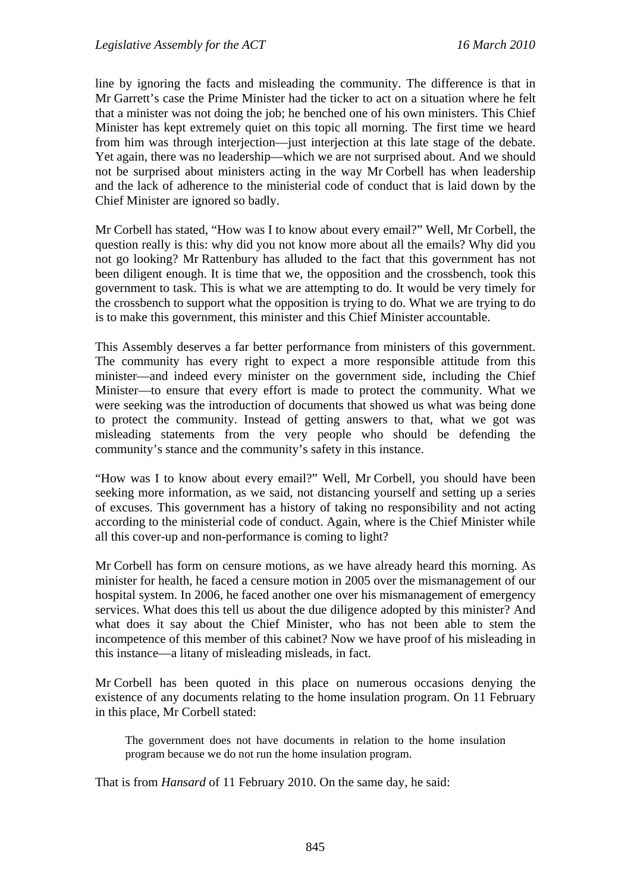line by ignoring the facts and misleading the community. The difference is that in Mr Garrett's case the Prime Minister had the ticker to act on a situation where he felt that a minister was not doing the job; he benched one of his own ministers. This Chief Minister has kept extremely quiet on this topic all morning. The first time we heard from him was through interjection—just interjection at this late stage of the debate. Yet again, there was no leadership—which we are not surprised about. And we should not be surprised about ministers acting in the way Mr Corbell has when leadership and the lack of adherence to the ministerial code of conduct that is laid down by the Chief Minister are ignored so badly.

Mr Corbell has stated, "How was I to know about every email?" Well, Mr Corbell, the question really is this: why did you not know more about all the emails? Why did you not go looking? Mr Rattenbury has alluded to the fact that this government has not been diligent enough. It is time that we, the opposition and the crossbench, took this government to task. This is what we are attempting to do. It would be very timely for the crossbench to support what the opposition is trying to do. What we are trying to do is to make this government, this minister and this Chief Minister accountable.

This Assembly deserves a far better performance from ministers of this government. The community has every right to expect a more responsible attitude from this minister—and indeed every minister on the government side, including the Chief Minister—to ensure that every effort is made to protect the community. What we were seeking was the introduction of documents that showed us what was being done to protect the community. Instead of getting answers to that, what we got was misleading statements from the very people who should be defending the community's stance and the community's safety in this instance.

"How was I to know about every email?" Well, Mr Corbell, you should have been seeking more information, as we said, not distancing yourself and setting up a series of excuses. This government has a history of taking no responsibility and not acting according to the ministerial code of conduct. Again, where is the Chief Minister while all this cover-up and non-performance is coming to light?

Mr Corbell has form on censure motions, as we have already heard this morning. As minister for health, he faced a censure motion in 2005 over the mismanagement of our hospital system. In 2006, he faced another one over his mismanagement of emergency services. What does this tell us about the due diligence adopted by this minister? And what does it say about the Chief Minister, who has not been able to stem the incompetence of this member of this cabinet? Now we have proof of his misleading in this instance—a litany of misleading misleads, in fact.

Mr Corbell has been quoted in this place on numerous occasions denying the existence of any documents relating to the home insulation program. On 11 February in this place, Mr Corbell stated:

The government does not have documents in relation to the home insulation program because we do not run the home insulation program.

That is from *Hansard* of 11 February 2010. On the same day, he said: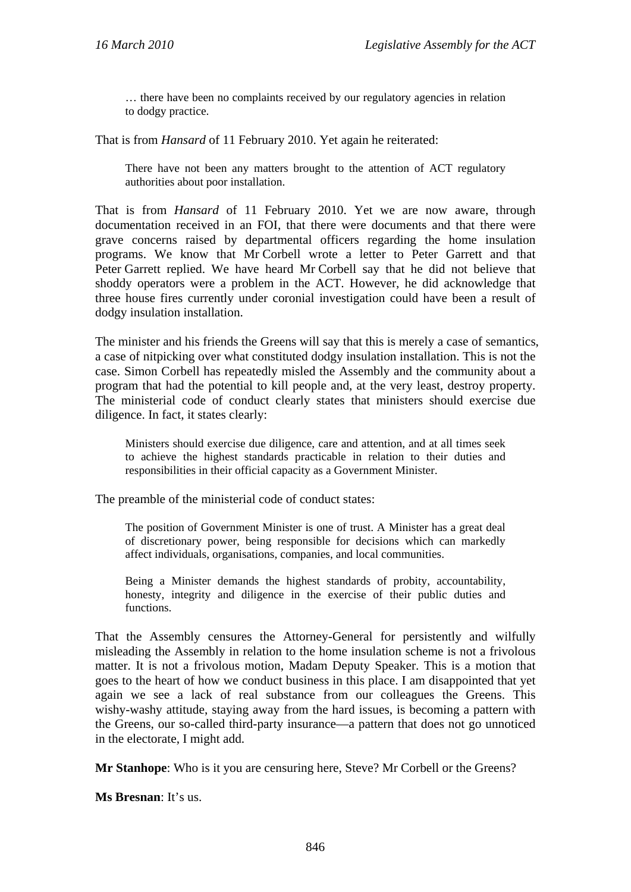… there have been no complaints received by our regulatory agencies in relation to dodgy practice.

That is from *Hansard* of 11 February 2010. Yet again he reiterated:

There have not been any matters brought to the attention of ACT regulatory authorities about poor installation.

That is from *Hansard* of 11 February 2010. Yet we are now aware, through documentation received in an FOI, that there were documents and that there were grave concerns raised by departmental officers regarding the home insulation programs. We know that Mr Corbell wrote a letter to Peter Garrett and that Peter Garrett replied. We have heard Mr Corbell say that he did not believe that shoddy operators were a problem in the ACT. However, he did acknowledge that three house fires currently under coronial investigation could have been a result of dodgy insulation installation.

The minister and his friends the Greens will say that this is merely a case of semantics, a case of nitpicking over what constituted dodgy insulation installation. This is not the case. Simon Corbell has repeatedly misled the Assembly and the community about a program that had the potential to kill people and, at the very least, destroy property. The ministerial code of conduct clearly states that ministers should exercise due diligence. In fact, it states clearly:

Ministers should exercise due diligence, care and attention, and at all times seek to achieve the highest standards practicable in relation to their duties and responsibilities in their official capacity as a Government Minister.

The preamble of the ministerial code of conduct states:

The position of Government Minister is one of trust. A Minister has a great deal of discretionary power, being responsible for decisions which can markedly affect individuals, organisations, companies, and local communities.

Being a Minister demands the highest standards of probity, accountability, honesty, integrity and diligence in the exercise of their public duties and functions.

That the Assembly censures the Attorney-General for persistently and wilfully misleading the Assembly in relation to the home insulation scheme is not a frivolous matter. It is not a frivolous motion, Madam Deputy Speaker. This is a motion that goes to the heart of how we conduct business in this place. I am disappointed that yet again we see a lack of real substance from our colleagues the Greens. This wishy-washy attitude, staying away from the hard issues, is becoming a pattern with the Greens, our so-called third-party insurance—a pattern that does not go unnoticed in the electorate, I might add.

**Mr Stanhope**: Who is it you are censuring here, Steve? Mr Corbell or the Greens?

**Ms Bresnan**: It's us.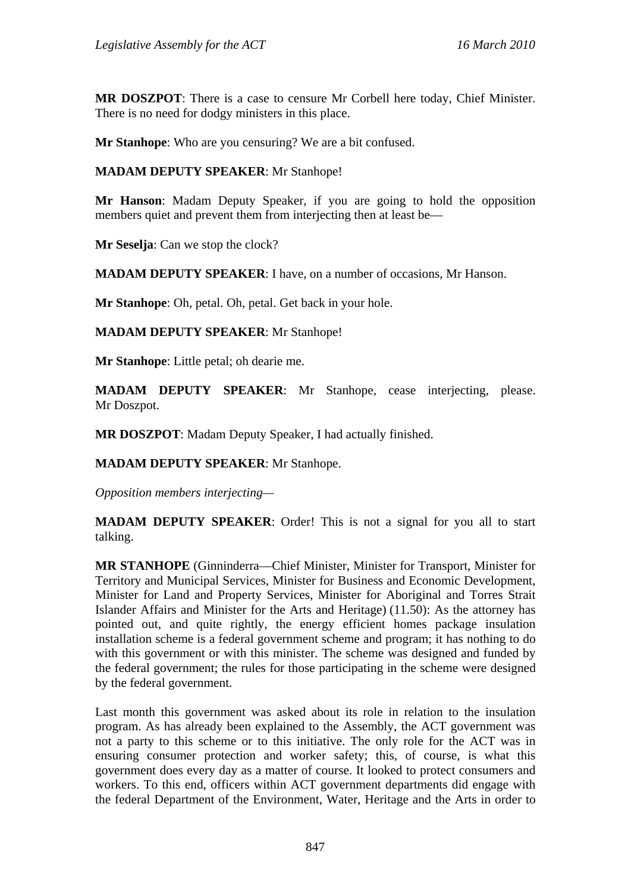**MR DOSZPOT**: There is a case to censure Mr Corbell here today, Chief Minister. There is no need for dodgy ministers in this place.

**Mr Stanhope**: Who are you censuring? We are a bit confused.

**MADAM DEPUTY SPEAKER**: Mr Stanhope!

**Mr Hanson**: Madam Deputy Speaker, if you are going to hold the opposition members quiet and prevent them from interjecting then at least be—

**Mr Seselja**: Can we stop the clock?

**MADAM DEPUTY SPEAKER**: I have, on a number of occasions, Mr Hanson.

**Mr Stanhope**: Oh, petal. Oh, petal. Get back in your hole.

**MADAM DEPUTY SPEAKER**: Mr Stanhope!

**Mr Stanhope**: Little petal; oh dearie me.

**MADAM DEPUTY SPEAKER**: Mr Stanhope, cease interjecting, please. Mr Doszpot.

**MR DOSZPOT**: Madam Deputy Speaker, I had actually finished.

**MADAM DEPUTY SPEAKER**: Mr Stanhope.

*Opposition members interjecting—* 

**MADAM DEPUTY SPEAKER**: Order! This is not a signal for you all to start talking.

**MR STANHOPE** (Ginninderra—Chief Minister, Minister for Transport, Minister for Territory and Municipal Services, Minister for Business and Economic Development, Minister for Land and Property Services, Minister for Aboriginal and Torres Strait Islander Affairs and Minister for the Arts and Heritage) (11.50): As the attorney has pointed out, and quite rightly, the energy efficient homes package insulation installation scheme is a federal government scheme and program; it has nothing to do with this government or with this minister. The scheme was designed and funded by the federal government; the rules for those participating in the scheme were designed by the federal government.

Last month this government was asked about its role in relation to the insulation program. As has already been explained to the Assembly, the ACT government was not a party to this scheme or to this initiative. The only role for the ACT was in ensuring consumer protection and worker safety; this, of course, is what this government does every day as a matter of course. It looked to protect consumers and workers. To this end, officers within ACT government departments did engage with the federal Department of the Environment, Water, Heritage and the Arts in order to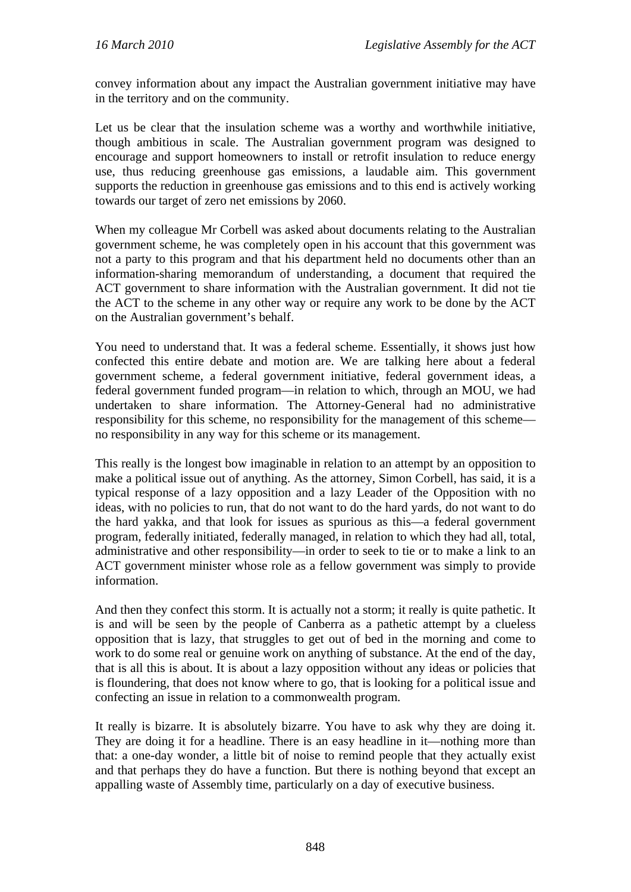convey information about any impact the Australian government initiative may have in the territory and on the community.

Let us be clear that the insulation scheme was a worthy and worthwhile initiative, though ambitious in scale. The Australian government program was designed to encourage and support homeowners to install or retrofit insulation to reduce energy use, thus reducing greenhouse gas emissions, a laudable aim. This government supports the reduction in greenhouse gas emissions and to this end is actively working towards our target of zero net emissions by 2060.

When my colleague Mr Corbell was asked about documents relating to the Australian government scheme, he was completely open in his account that this government was not a party to this program and that his department held no documents other than an information-sharing memorandum of understanding, a document that required the ACT government to share information with the Australian government. It did not tie the ACT to the scheme in any other way or require any work to be done by the ACT on the Australian government's behalf.

You need to understand that. It was a federal scheme. Essentially, it shows just how confected this entire debate and motion are. We are talking here about a federal government scheme, a federal government initiative, federal government ideas, a federal government funded program—in relation to which, through an MOU, we had undertaken to share information. The Attorney-General had no administrative responsibility for this scheme, no responsibility for the management of this scheme no responsibility in any way for this scheme or its management.

This really is the longest bow imaginable in relation to an attempt by an opposition to make a political issue out of anything. As the attorney, Simon Corbell, has said, it is a typical response of a lazy opposition and a lazy Leader of the Opposition with no ideas, with no policies to run, that do not want to do the hard yards, do not want to do the hard yakka, and that look for issues as spurious as this—a federal government program, federally initiated, federally managed, in relation to which they had all, total, administrative and other responsibility—in order to seek to tie or to make a link to an ACT government minister whose role as a fellow government was simply to provide information.

And then they confect this storm. It is actually not a storm; it really is quite pathetic. It is and will be seen by the people of Canberra as a pathetic attempt by a clueless opposition that is lazy, that struggles to get out of bed in the morning and come to work to do some real or genuine work on anything of substance. At the end of the day, that is all this is about. It is about a lazy opposition without any ideas or policies that is floundering, that does not know where to go, that is looking for a political issue and confecting an issue in relation to a commonwealth program.

It really is bizarre. It is absolutely bizarre. You have to ask why they are doing it. They are doing it for a headline. There is an easy headline in it—nothing more than that: a one-day wonder, a little bit of noise to remind people that they actually exist and that perhaps they do have a function. But there is nothing beyond that except an appalling waste of Assembly time, particularly on a day of executive business.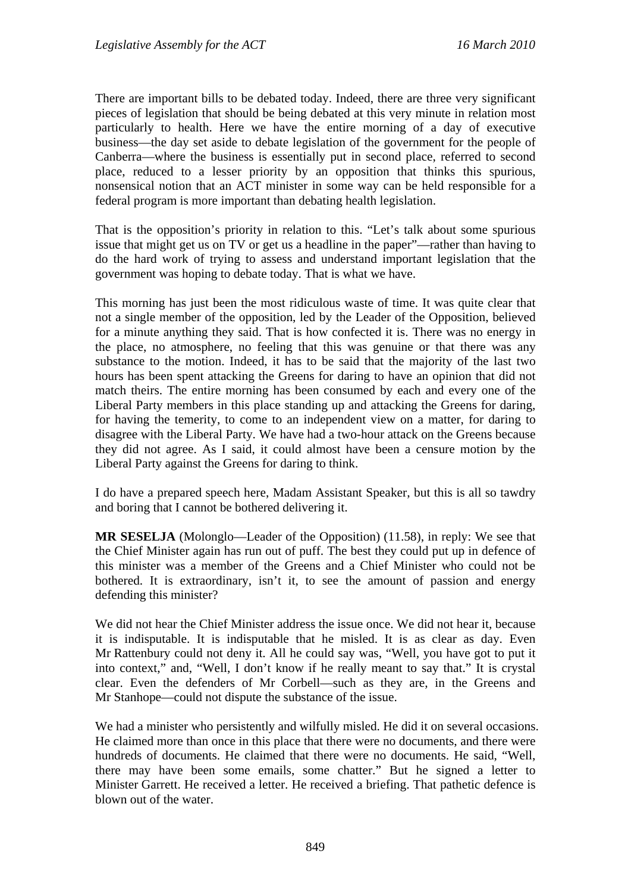There are important bills to be debated today. Indeed, there are three very significant pieces of legislation that should be being debated at this very minute in relation most particularly to health. Here we have the entire morning of a day of executive business—the day set aside to debate legislation of the government for the people of Canberra—where the business is essentially put in second place, referred to second place, reduced to a lesser priority by an opposition that thinks this spurious, nonsensical notion that an ACT minister in some way can be held responsible for a federal program is more important than debating health legislation.

That is the opposition's priority in relation to this. "Let's talk about some spurious issue that might get us on TV or get us a headline in the paper"—rather than having to do the hard work of trying to assess and understand important legislation that the government was hoping to debate today. That is what we have.

This morning has just been the most ridiculous waste of time. It was quite clear that not a single member of the opposition, led by the Leader of the Opposition, believed for a minute anything they said. That is how confected it is. There was no energy in the place, no atmosphere, no feeling that this was genuine or that there was any substance to the motion. Indeed, it has to be said that the majority of the last two hours has been spent attacking the Greens for daring to have an opinion that did not match theirs. The entire morning has been consumed by each and every one of the Liberal Party members in this place standing up and attacking the Greens for daring, for having the temerity, to come to an independent view on a matter, for daring to disagree with the Liberal Party. We have had a two-hour attack on the Greens because they did not agree. As I said, it could almost have been a censure motion by the Liberal Party against the Greens for daring to think.

I do have a prepared speech here, Madam Assistant Speaker, but this is all so tawdry and boring that I cannot be bothered delivering it.

**MR SESELJA** (Molonglo—Leader of the Opposition) (11.58), in reply: We see that the Chief Minister again has run out of puff. The best they could put up in defence of this minister was a member of the Greens and a Chief Minister who could not be bothered. It is extraordinary, isn't it, to see the amount of passion and energy defending this minister?

We did not hear the Chief Minister address the issue once. We did not hear it, because it is indisputable. It is indisputable that he misled. It is as clear as day. Even Mr Rattenbury could not deny it. All he could say was, "Well, you have got to put it into context," and, "Well, I don't know if he really meant to say that." It is crystal clear. Even the defenders of Mr Corbell—such as they are, in the Greens and Mr Stanhope—could not dispute the substance of the issue.

We had a minister who persistently and wilfully misled. He did it on several occasions. He claimed more than once in this place that there were no documents, and there were hundreds of documents. He claimed that there were no documents. He said, "Well, there may have been some emails, some chatter." But he signed a letter to Minister Garrett. He received a letter. He received a briefing. That pathetic defence is blown out of the water.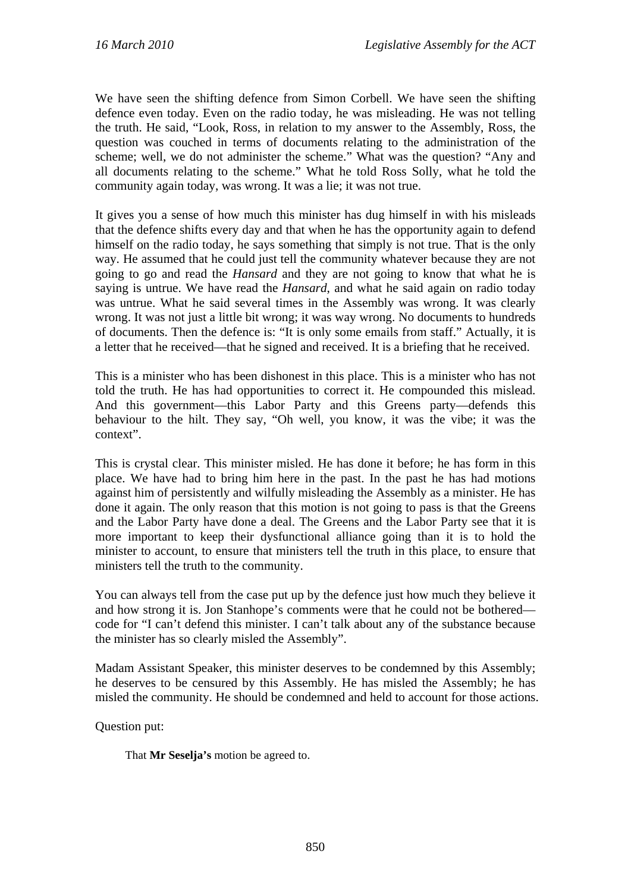We have seen the shifting defence from Simon Corbell. We have seen the shifting defence even today. Even on the radio today, he was misleading. He was not telling the truth. He said, "Look, Ross, in relation to my answer to the Assembly, Ross, the question was couched in terms of documents relating to the administration of the scheme; well, we do not administer the scheme." What was the question? "Any and all documents relating to the scheme." What he told Ross Solly, what he told the community again today, was wrong. It was a lie; it was not true.

It gives you a sense of how much this minister has dug himself in with his misleads that the defence shifts every day and that when he has the opportunity again to defend himself on the radio today, he says something that simply is not true. That is the only way. He assumed that he could just tell the community whatever because they are not going to go and read the *Hansard* and they are not going to know that what he is saying is untrue. We have read the *Hansard*, and what he said again on radio today was untrue. What he said several times in the Assembly was wrong. It was clearly wrong. It was not just a little bit wrong; it was way wrong. No documents to hundreds of documents. Then the defence is: "It is only some emails from staff." Actually, it is a letter that he received—that he signed and received. It is a briefing that he received.

This is a minister who has been dishonest in this place. This is a minister who has not told the truth. He has had opportunities to correct it. He compounded this mislead. And this government—this Labor Party and this Greens party—defends this behaviour to the hilt. They say, "Oh well, you know, it was the vibe; it was the context".

This is crystal clear. This minister misled. He has done it before; he has form in this place. We have had to bring him here in the past. In the past he has had motions against him of persistently and wilfully misleading the Assembly as a minister. He has done it again. The only reason that this motion is not going to pass is that the Greens and the Labor Party have done a deal. The Greens and the Labor Party see that it is more important to keep their dysfunctional alliance going than it is to hold the minister to account, to ensure that ministers tell the truth in this place, to ensure that ministers tell the truth to the community.

You can always tell from the case put up by the defence just how much they believe it and how strong it is. Jon Stanhope's comments were that he could not be bothered code for "I can't defend this minister. I can't talk about any of the substance because the minister has so clearly misled the Assembly".

Madam Assistant Speaker, this minister deserves to be condemned by this Assembly; he deserves to be censured by this Assembly. He has misled the Assembly; he has misled the community. He should be condemned and held to account for those actions.

Question put:

That **Mr Seselja's** motion be agreed to.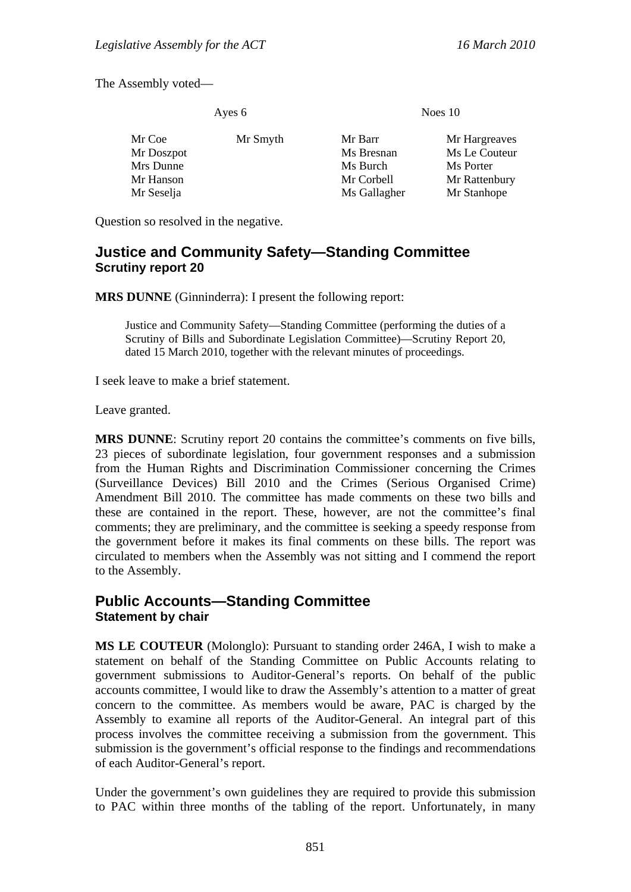The Assembly voted—

Ayes 6 Noes 10

Question so resolved in the negative.

# **Justice and Community Safety—Standing Committee Scrutiny report 20**

**MRS DUNNE** (Ginninderra): I present the following report:

Justice and Community Safety—Standing Committee (performing the duties of a Scrutiny of Bills and Subordinate Legislation Committee)—Scrutiny Report 20*,* dated 15 March 2010, together with the relevant minutes of proceedings.

I seek leave to make a brief statement.

Leave granted.

**MRS DUNNE:** Scrutiny report 20 contains the committee's comments on five bills, 23 pieces of subordinate legislation, four government responses and a submission from the Human Rights and Discrimination Commissioner concerning the Crimes (Surveillance Devices) Bill 2010 and the Crimes (Serious Organised Crime) Amendment Bill 2010. The committee has made comments on these two bills and these are contained in the report. These, however, are not the committee's final comments; they are preliminary, and the committee is seeking a speedy response from the government before it makes its final comments on these bills. The report was circulated to members when the Assembly was not sitting and I commend the report to the Assembly.

# **Public Accounts—Standing Committee Statement by chair**

**MS LE COUTEUR** (Molonglo): Pursuant to standing order 246A, I wish to make a statement on behalf of the Standing Committee on Public Accounts relating to government submissions to Auditor-General's reports. On behalf of the public accounts committee, I would like to draw the Assembly's attention to a matter of great concern to the committee. As members would be aware, PAC is charged by the Assembly to examine all reports of the Auditor-General. An integral part of this process involves the committee receiving a submission from the government. This submission is the government's official response to the findings and recommendations of each Auditor-General's report.

Under the government's own guidelines they are required to provide this submission to PAC within three months of the tabling of the report. Unfortunately, in many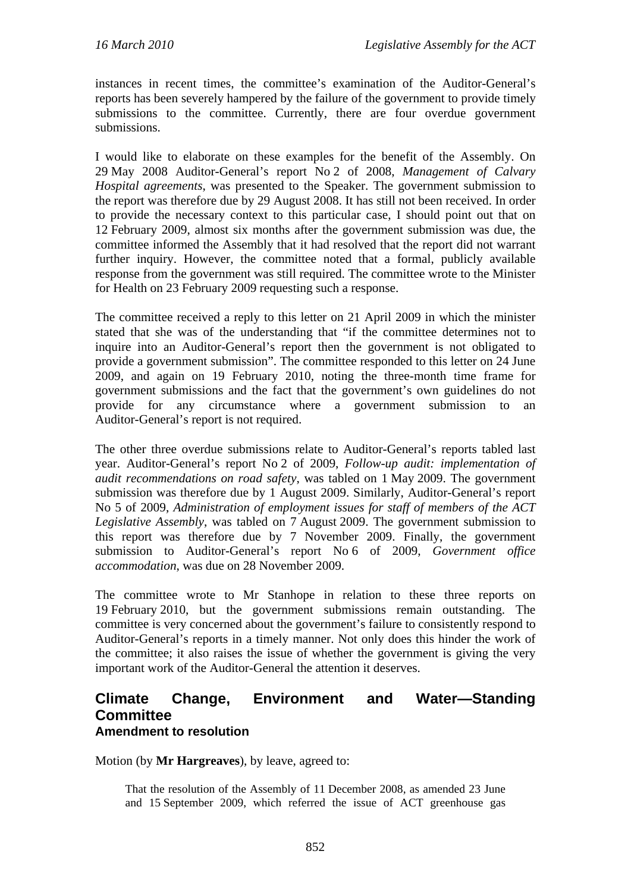instances in recent times, the committee's examination of the Auditor-General's reports has been severely hampered by the failure of the government to provide timely submissions to the committee. Currently, there are four overdue government submissions.

I would like to elaborate on these examples for the benefit of the Assembly. On 29 May 2008 Auditor-General's report No 2 of 2008, *Management of Calvary Hospital agreements*, was presented to the Speaker. The government submission to the report was therefore due by 29 August 2008. It has still not been received. In order to provide the necessary context to this particular case, I should point out that on 12 February 2009, almost six months after the government submission was due, the committee informed the Assembly that it had resolved that the report did not warrant further inquiry. However, the committee noted that a formal, publicly available response from the government was still required. The committee wrote to the Minister for Health on 23 February 2009 requesting such a response.

The committee received a reply to this letter on 21 April 2009 in which the minister stated that she was of the understanding that "if the committee determines not to inquire into an Auditor-General's report then the government is not obligated to provide a government submission". The committee responded to this letter on 24 June 2009, and again on 19 February 2010, noting the three-month time frame for government submissions and the fact that the government's own guidelines do not provide for any circumstance where a government submission to an Auditor-General's report is not required.

The other three overdue submissions relate to Auditor-General's reports tabled last year. Auditor-General's report No 2 of 2009, *Follow-up audit: implementation of audit recommendations on road safety*, was tabled on 1 May 2009. The government submission was therefore due by 1 August 2009. Similarly, Auditor-General's report No 5 of 2009, *Administration of employment issues for staff of members of the ACT Legislative Assembly*, was tabled on 7 August 2009. The government submission to this report was therefore due by 7 November 2009. Finally, the government submission to Auditor-General's report No 6 of 2009, *Government office accommodation*, was due on 28 November 2009.

The committee wrote to Mr Stanhope in relation to these three reports on 19 February 2010, but the government submissions remain outstanding. The committee is very concerned about the government's failure to consistently respond to Auditor-General's reports in a timely manner. Not only does this hinder the work of the committee; it also raises the issue of whether the government is giving the very important work of the Auditor-General the attention it deserves.

### **Climate Change, Environment and Water—Standing Committee Amendment to resolution**

Motion (by **Mr Hargreaves**), by leave, agreed to:

That the resolution of the Assembly of 11 December 2008, as amended 23 June and 15 September 2009, which referred the issue of ACT greenhouse gas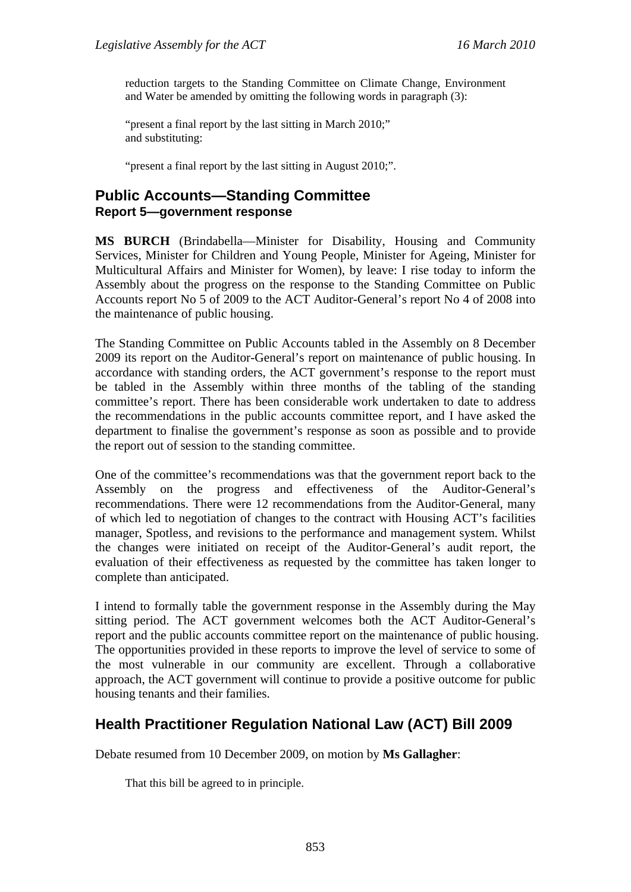reduction targets to the Standing Committee on Climate Change, Environment and Water be amended by omitting the following words in paragraph (3):

"present a final report by the last sitting in March 2010;" and substituting:

"present a final report by the last sitting in August 2010;".

# **Public Accounts—Standing Committee Report 5—government response**

**MS BURCH** (Brindabella—Minister for Disability, Housing and Community Services, Minister for Children and Young People, Minister for Ageing, Minister for Multicultural Affairs and Minister for Women), by leave: I rise today to inform the Assembly about the progress on the response to the Standing Committee on Public Accounts report No 5 of 2009 to the ACT Auditor-General's report No 4 of 2008 into the maintenance of public housing.

The Standing Committee on Public Accounts tabled in the Assembly on 8 December 2009 its report on the Auditor-General's report on maintenance of public housing. In accordance with standing orders, the ACT government's response to the report must be tabled in the Assembly within three months of the tabling of the standing committee's report. There has been considerable work undertaken to date to address the recommendations in the public accounts committee report, and I have asked the department to finalise the government's response as soon as possible and to provide the report out of session to the standing committee.

One of the committee's recommendations was that the government report back to the Assembly on the progress and effectiveness of the Auditor-General's recommendations. There were 12 recommendations from the Auditor-General, many of which led to negotiation of changes to the contract with Housing ACT's facilities manager, Spotless, and revisions to the performance and management system. Whilst the changes were initiated on receipt of the Auditor-General's audit report, the evaluation of their effectiveness as requested by the committee has taken longer to complete than anticipated.

I intend to formally table the government response in the Assembly during the May sitting period. The ACT government welcomes both the ACT Auditor-General's report and the public accounts committee report on the maintenance of public housing. The opportunities provided in these reports to improve the level of service to some of the most vulnerable in our community are excellent. Through a collaborative approach, the ACT government will continue to provide a positive outcome for public housing tenants and their families.

# **Health Practitioner Regulation National Law (ACT) Bill 2009**

Debate resumed from 10 December 2009, on motion by **Ms Gallagher**:

That this bill be agreed to in principle.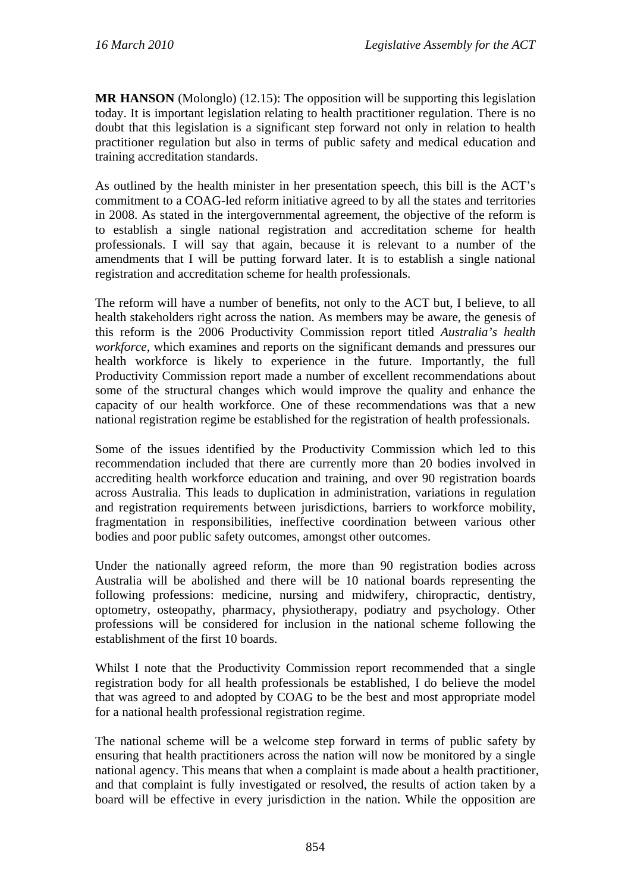**MR HANSON** (Molonglo) (12.15): The opposition will be supporting this legislation today. It is important legislation relating to health practitioner regulation. There is no doubt that this legislation is a significant step forward not only in relation to health practitioner regulation but also in terms of public safety and medical education and training accreditation standards.

As outlined by the health minister in her presentation speech, this bill is the ACT's commitment to a COAG-led reform initiative agreed to by all the states and territories in 2008. As stated in the intergovernmental agreement, the objective of the reform is to establish a single national registration and accreditation scheme for health professionals. I will say that again, because it is relevant to a number of the amendments that I will be putting forward later. It is to establish a single national registration and accreditation scheme for health professionals.

The reform will have a number of benefits, not only to the ACT but, I believe, to all health stakeholders right across the nation. As members may be aware, the genesis of this reform is the 2006 Productivity Commission report titled *Australia's health workforce*, which examines and reports on the significant demands and pressures our health workforce is likely to experience in the future. Importantly, the full Productivity Commission report made a number of excellent recommendations about some of the structural changes which would improve the quality and enhance the capacity of our health workforce. One of these recommendations was that a new national registration regime be established for the registration of health professionals.

Some of the issues identified by the Productivity Commission which led to this recommendation included that there are currently more than 20 bodies involved in accrediting health workforce education and training, and over 90 registration boards across Australia. This leads to duplication in administration, variations in regulation and registration requirements between jurisdictions, barriers to workforce mobility, fragmentation in responsibilities, ineffective coordination between various other bodies and poor public safety outcomes, amongst other outcomes.

Under the nationally agreed reform, the more than 90 registration bodies across Australia will be abolished and there will be 10 national boards representing the following professions: medicine, nursing and midwifery, chiropractic, dentistry, optometry, osteopathy, pharmacy, physiotherapy, podiatry and psychology. Other professions will be considered for inclusion in the national scheme following the establishment of the first 10 boards.

Whilst I note that the Productivity Commission report recommended that a single registration body for all health professionals be established, I do believe the model that was agreed to and adopted by COAG to be the best and most appropriate model for a national health professional registration regime.

The national scheme will be a welcome step forward in terms of public safety by ensuring that health practitioners across the nation will now be monitored by a single national agency. This means that when a complaint is made about a health practitioner, and that complaint is fully investigated or resolved, the results of action taken by a board will be effective in every jurisdiction in the nation. While the opposition are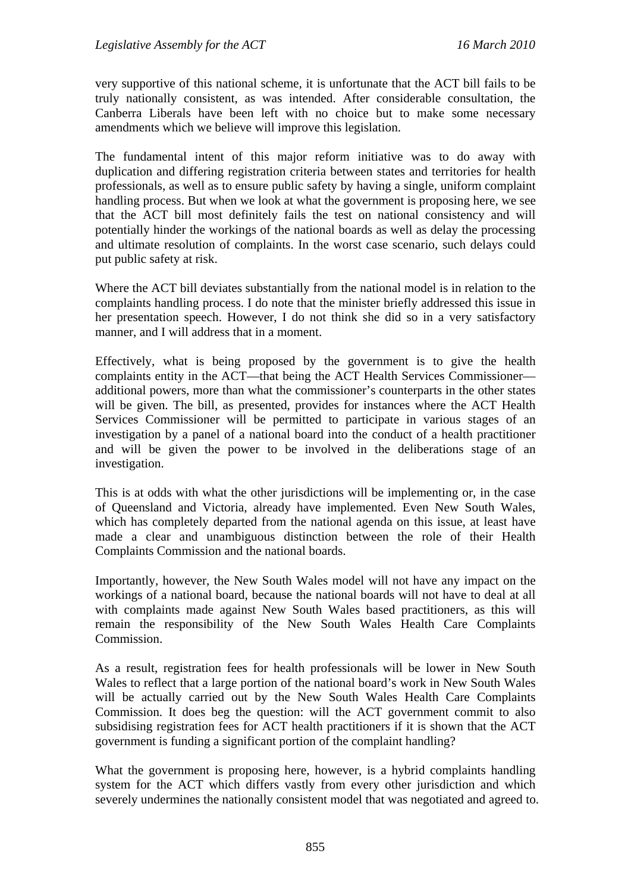very supportive of this national scheme, it is unfortunate that the ACT bill fails to be truly nationally consistent, as was intended. After considerable consultation, the Canberra Liberals have been left with no choice but to make some necessary amendments which we believe will improve this legislation.

The fundamental intent of this major reform initiative was to do away with duplication and differing registration criteria between states and territories for health professionals, as well as to ensure public safety by having a single, uniform complaint handling process. But when we look at what the government is proposing here, we see that the ACT bill most definitely fails the test on national consistency and will potentially hinder the workings of the national boards as well as delay the processing and ultimate resolution of complaints. In the worst case scenario, such delays could put public safety at risk.

Where the ACT bill deviates substantially from the national model is in relation to the complaints handling process. I do note that the minister briefly addressed this issue in her presentation speech. However, I do not think she did so in a very satisfactory manner, and I will address that in a moment.

Effectively, what is being proposed by the government is to give the health complaints entity in the ACT—that being the ACT Health Services Commissioner additional powers, more than what the commissioner's counterparts in the other states will be given. The bill, as presented, provides for instances where the ACT Health Services Commissioner will be permitted to participate in various stages of an investigation by a panel of a national board into the conduct of a health practitioner and will be given the power to be involved in the deliberations stage of an investigation.

This is at odds with what the other jurisdictions will be implementing or, in the case of Queensland and Victoria, already have implemented. Even New South Wales, which has completely departed from the national agenda on this issue, at least have made a clear and unambiguous distinction between the role of their Health Complaints Commission and the national boards.

Importantly, however, the New South Wales model will not have any impact on the workings of a national board, because the national boards will not have to deal at all with complaints made against New South Wales based practitioners, as this will remain the responsibility of the New South Wales Health Care Complaints Commission.

As a result, registration fees for health professionals will be lower in New South Wales to reflect that a large portion of the national board's work in New South Wales will be actually carried out by the New South Wales Health Care Complaints Commission. It does beg the question: will the ACT government commit to also subsidising registration fees for ACT health practitioners if it is shown that the ACT government is funding a significant portion of the complaint handling?

What the government is proposing here, however, is a hybrid complaints handling system for the ACT which differs vastly from every other jurisdiction and which severely undermines the nationally consistent model that was negotiated and agreed to.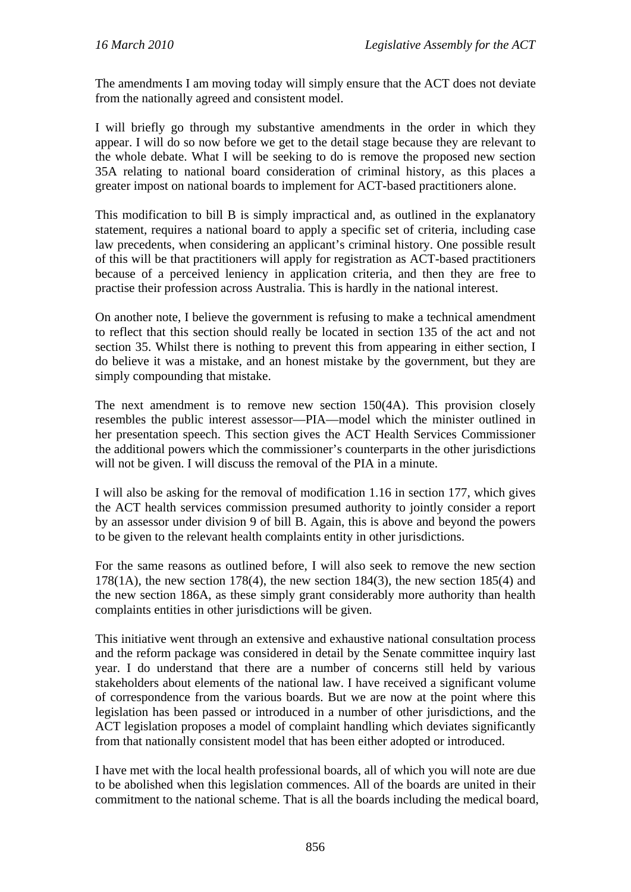The amendments I am moving today will simply ensure that the ACT does not deviate from the nationally agreed and consistent model.

I will briefly go through my substantive amendments in the order in which they appear. I will do so now before we get to the detail stage because they are relevant to the whole debate. What I will be seeking to do is remove the proposed new section 35A relating to national board consideration of criminal history, as this places a greater impost on national boards to implement for ACT-based practitioners alone.

This modification to bill B is simply impractical and, as outlined in the explanatory statement, requires a national board to apply a specific set of criteria, including case law precedents, when considering an applicant's criminal history. One possible result of this will be that practitioners will apply for registration as ACT-based practitioners because of a perceived leniency in application criteria, and then they are free to practise their profession across Australia. This is hardly in the national interest.

On another note, I believe the government is refusing to make a technical amendment to reflect that this section should really be located in section 135 of the act and not section 35. Whilst there is nothing to prevent this from appearing in either section, I do believe it was a mistake, and an honest mistake by the government, but they are simply compounding that mistake.

The next amendment is to remove new section 150(4A). This provision closely resembles the public interest assessor—PIA—model which the minister outlined in her presentation speech. This section gives the ACT Health Services Commissioner the additional powers which the commissioner's counterparts in the other jurisdictions will not be given. I will discuss the removal of the PIA in a minute.

I will also be asking for the removal of modification 1.16 in section 177, which gives the ACT health services commission presumed authority to jointly consider a report by an assessor under division 9 of bill B. Again, this is above and beyond the powers to be given to the relevant health complaints entity in other jurisdictions.

For the same reasons as outlined before, I will also seek to remove the new section  $178(1)$ , the new section  $178(4)$ , the new section  $184(3)$ , the new section  $185(4)$  and the new section 186A, as these simply grant considerably more authority than health complaints entities in other jurisdictions will be given.

This initiative went through an extensive and exhaustive national consultation process and the reform package was considered in detail by the Senate committee inquiry last year. I do understand that there are a number of concerns still held by various stakeholders about elements of the national law. I have received a significant volume of correspondence from the various boards. But we are now at the point where this legislation has been passed or introduced in a number of other jurisdictions, and the ACT legislation proposes a model of complaint handling which deviates significantly from that nationally consistent model that has been either adopted or introduced.

I have met with the local health professional boards, all of which you will note are due to be abolished when this legislation commences. All of the boards are united in their commitment to the national scheme. That is all the boards including the medical board,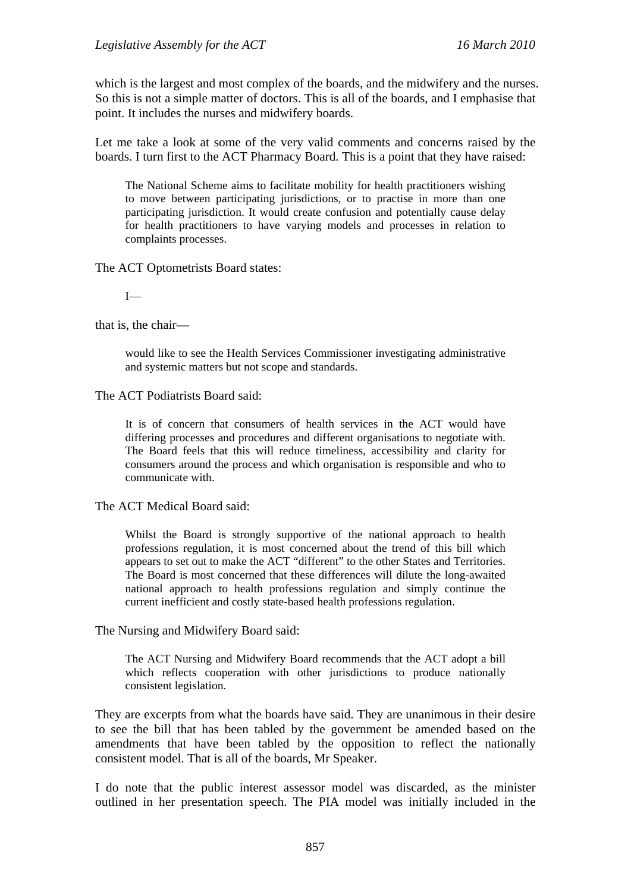which is the largest and most complex of the boards, and the midwifery and the nurses. So this is not a simple matter of doctors. This is all of the boards, and I emphasise that point. It includes the nurses and midwifery boards.

Let me take a look at some of the very valid comments and concerns raised by the boards. I turn first to the ACT Pharmacy Board. This is a point that they have raised:

The National Scheme aims to facilitate mobility for health practitioners wishing to move between participating jurisdictions, or to practise in more than one participating jurisdiction. It would create confusion and potentially cause delay for health practitioners to have varying models and processes in relation to complaints processes.

The ACT Optometrists Board states:

I—

that is, the chair—

would like to see the Health Services Commissioner investigating administrative and systemic matters but not scope and standards.

The ACT Podiatrists Board said:

It is of concern that consumers of health services in the ACT would have differing processes and procedures and different organisations to negotiate with. The Board feels that this will reduce timeliness, accessibility and clarity for consumers around the process and which organisation is responsible and who to communicate with.

The ACT Medical Board said:

Whilst the Board is strongly supportive of the national approach to health professions regulation, it is most concerned about the trend of this bill which appears to set out to make the ACT "different" to the other States and Territories. The Board is most concerned that these differences will dilute the long-awaited national approach to health professions regulation and simply continue the current inefficient and costly state-based health professions regulation.

The Nursing and Midwifery Board said:

The ACT Nursing and Midwifery Board recommends that the ACT adopt a bill which reflects cooperation with other jurisdictions to produce nationally consistent legislation.

They are excerpts from what the boards have said. They are unanimous in their desire to see the bill that has been tabled by the government be amended based on the amendments that have been tabled by the opposition to reflect the nationally consistent model. That is all of the boards, Mr Speaker.

I do note that the public interest assessor model was discarded, as the minister outlined in her presentation speech. The PIA model was initially included in the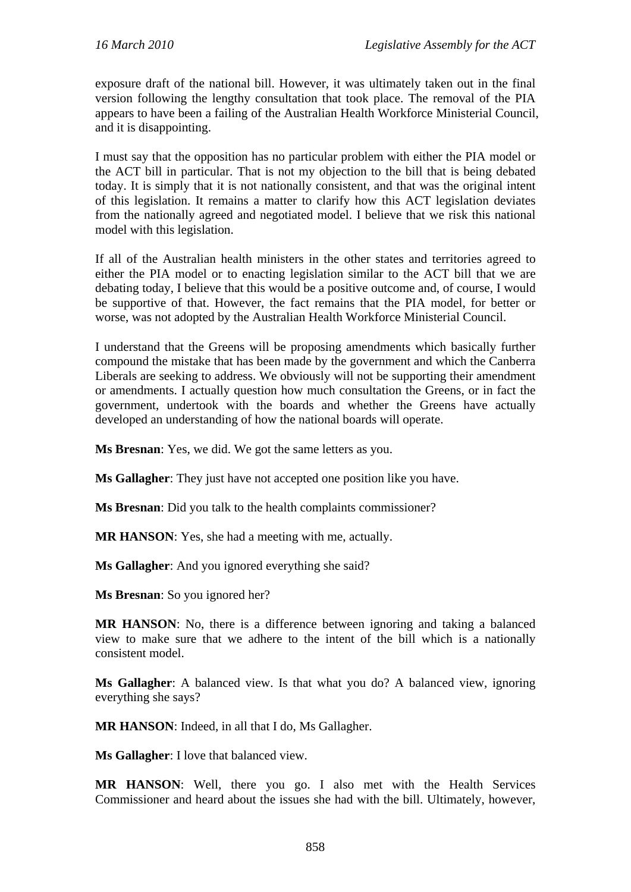exposure draft of the national bill. However, it was ultimately taken out in the final version following the lengthy consultation that took place. The removal of the PIA appears to have been a failing of the Australian Health Workforce Ministerial Council, and it is disappointing.

I must say that the opposition has no particular problem with either the PIA model or the ACT bill in particular. That is not my objection to the bill that is being debated today. It is simply that it is not nationally consistent, and that was the original intent of this legislation. It remains a matter to clarify how this ACT legislation deviates from the nationally agreed and negotiated model. I believe that we risk this national model with this legislation.

If all of the Australian health ministers in the other states and territories agreed to either the PIA model or to enacting legislation similar to the ACT bill that we are debating today, I believe that this would be a positive outcome and, of course, I would be supportive of that. However, the fact remains that the PIA model, for better or worse, was not adopted by the Australian Health Workforce Ministerial Council.

I understand that the Greens will be proposing amendments which basically further compound the mistake that has been made by the government and which the Canberra Liberals are seeking to address. We obviously will not be supporting their amendment or amendments. I actually question how much consultation the Greens, or in fact the government, undertook with the boards and whether the Greens have actually developed an understanding of how the national boards will operate.

**Ms Bresnan**: Yes, we did. We got the same letters as you.

**Ms Gallagher**: They just have not accepted one position like you have.

**Ms Bresnan**: Did you talk to the health complaints commissioner?

**MR HANSON**: Yes, she had a meeting with me, actually.

**Ms Gallagher**: And you ignored everything she said?

**Ms Bresnan**: So you ignored her?

**MR HANSON**: No, there is a difference between ignoring and taking a balanced view to make sure that we adhere to the intent of the bill which is a nationally consistent model.

**Ms Gallagher**: A balanced view. Is that what you do? A balanced view, ignoring everything she says?

**MR HANSON**: Indeed, in all that I do, Ms Gallagher.

**Ms Gallagher**: I love that balanced view.

**MR HANSON**: Well, there you go. I also met with the Health Services Commissioner and heard about the issues she had with the bill. Ultimately, however,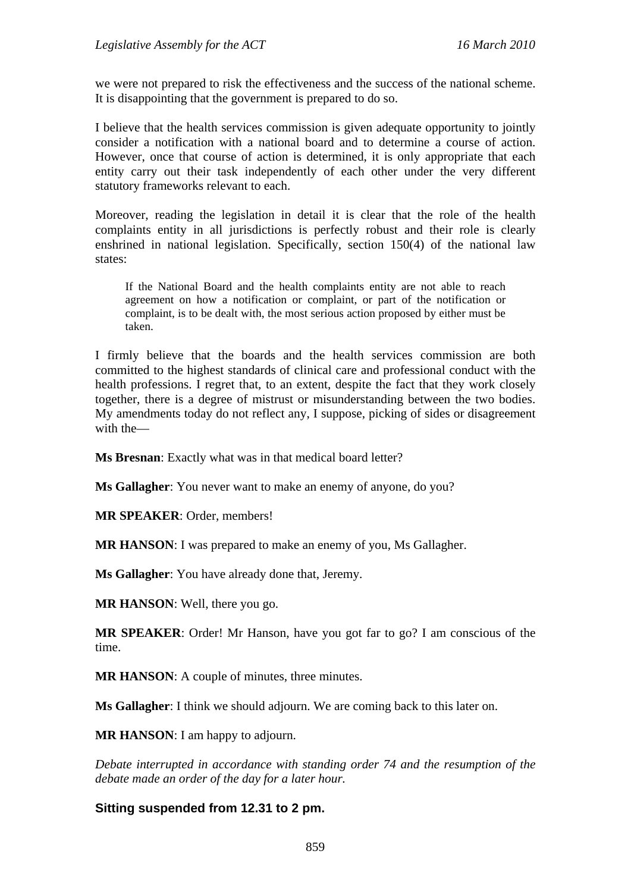we were not prepared to risk the effectiveness and the success of the national scheme. It is disappointing that the government is prepared to do so.

I believe that the health services commission is given adequate opportunity to jointly consider a notification with a national board and to determine a course of action. However, once that course of action is determined, it is only appropriate that each entity carry out their task independently of each other under the very different statutory frameworks relevant to each.

Moreover, reading the legislation in detail it is clear that the role of the health complaints entity in all jurisdictions is perfectly robust and their role is clearly enshrined in national legislation. Specifically, section 150(4) of the national law states:

If the National Board and the health complaints entity are not able to reach agreement on how a notification or complaint, or part of the notification or complaint, is to be dealt with, the most serious action proposed by either must be taken.

I firmly believe that the boards and the health services commission are both committed to the highest standards of clinical care and professional conduct with the health professions. I regret that, to an extent, despite the fact that they work closely together, there is a degree of mistrust or misunderstanding between the two bodies. My amendments today do not reflect any, I suppose, picking of sides or disagreement with the—

**Ms Bresnan**: Exactly what was in that medical board letter?

**Ms Gallagher**: You never want to make an enemy of anyone, do you?

**MR SPEAKER**: Order, members!

**MR HANSON**: I was prepared to make an enemy of you, Ms Gallagher.

**Ms Gallagher**: You have already done that, Jeremy.

**MR HANSON**: Well, there you go.

**MR SPEAKER**: Order! Mr Hanson, have you got far to go? I am conscious of the time.

**MR HANSON**: A couple of minutes, three minutes.

**Ms Gallagher**: I think we should adjourn. We are coming back to this later on.

**MR HANSON**: I am happy to adjourn.

*Debate interrupted in accordance with standing order 74 and the resumption of the debate made an order of the day for a later hour.* 

### **Sitting suspended from 12.31 to 2 pm.**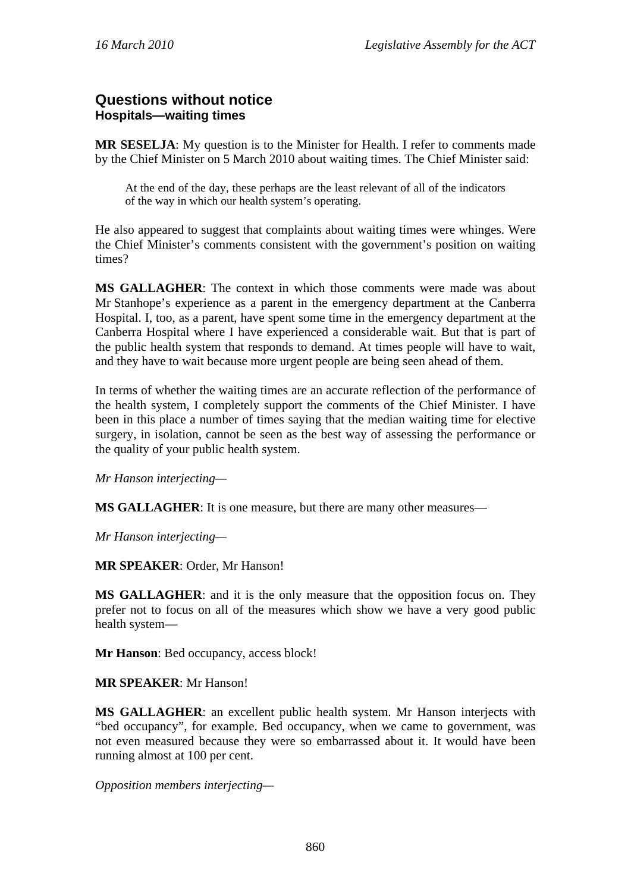## **Questions without notice Hospitals—waiting times**

**MR SESELJA**: My question is to the Minister for Health. I refer to comments made by the Chief Minister on 5 March 2010 about waiting times. The Chief Minister said:

At the end of the day, these perhaps are the least relevant of all of the indicators of the way in which our health system's operating.

He also appeared to suggest that complaints about waiting times were whinges. Were the Chief Minister's comments consistent with the government's position on waiting times?

**MS GALLAGHER**: The context in which those comments were made was about Mr Stanhope's experience as a parent in the emergency department at the Canberra Hospital. I, too, as a parent, have spent some time in the emergency department at the Canberra Hospital where I have experienced a considerable wait. But that is part of the public health system that responds to demand. At times people will have to wait, and they have to wait because more urgent people are being seen ahead of them.

In terms of whether the waiting times are an accurate reflection of the performance of the health system, I completely support the comments of the Chief Minister. I have been in this place a number of times saying that the median waiting time for elective surgery, in isolation, cannot be seen as the best way of assessing the performance or the quality of your public health system.

*Mr Hanson interjecting—* 

**MS GALLAGHER**: It is one measure, but there are many other measures—

*Mr Hanson interjecting—* 

**MR SPEAKER**: Order, Mr Hanson!

**MS GALLAGHER**: and it is the only measure that the opposition focus on. They prefer not to focus on all of the measures which show we have a very good public health system—

**Mr Hanson**: Bed occupancy, access block!

### **MR SPEAKER**: Mr Hanson!

**MS GALLAGHER**: an excellent public health system. Mr Hanson interjects with "bed occupancy", for example. Bed occupancy, when we came to government, was not even measured because they were so embarrassed about it. It would have been running almost at 100 per cent.

*Opposition members interjecting—*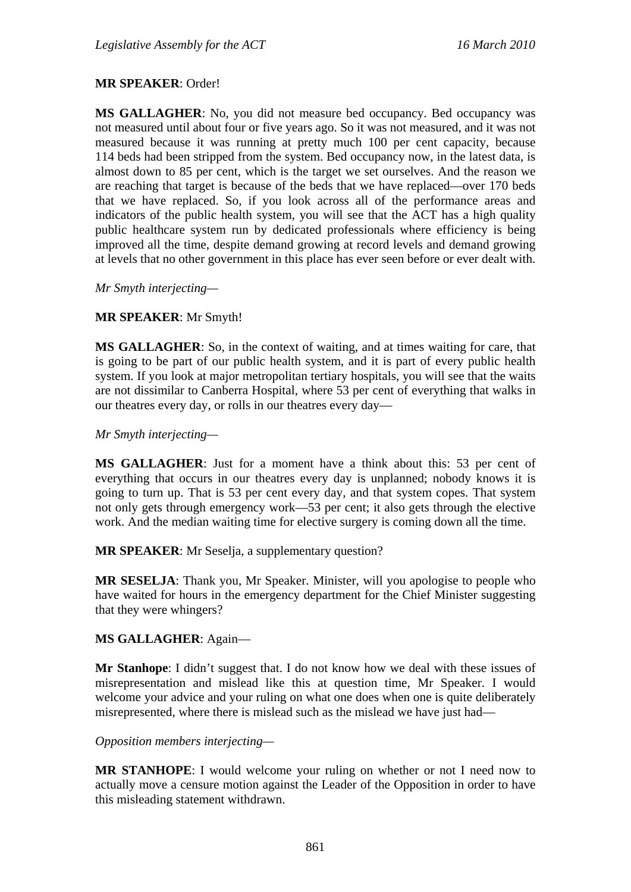### **MR SPEAKER**: Order!

**MS GALLAGHER**: No, you did not measure bed occupancy. Bed occupancy was not measured until about four or five years ago. So it was not measured, and it was not measured because it was running at pretty much 100 per cent capacity, because 114 beds had been stripped from the system. Bed occupancy now, in the latest data, is almost down to 85 per cent, which is the target we set ourselves. And the reason we are reaching that target is because of the beds that we have replaced—over 170 beds that we have replaced. So, if you look across all of the performance areas and indicators of the public health system, you will see that the ACT has a high quality public healthcare system run by dedicated professionals where efficiency is being improved all the time, despite demand growing at record levels and demand growing at levels that no other government in this place has ever seen before or ever dealt with.

*Mr Smyth interjecting—* 

### **MR SPEAKER**: Mr Smyth!

**MS GALLAGHER**: So, in the context of waiting, and at times waiting for care, that is going to be part of our public health system, and it is part of every public health system. If you look at major metropolitan tertiary hospitals, you will see that the waits are not dissimilar to Canberra Hospital, where 53 per cent of everything that walks in our theatres every day, or rolls in our theatres every day—

#### *Mr Smyth interjecting—*

**MS GALLAGHER**: Just for a moment have a think about this: 53 per cent of everything that occurs in our theatres every day is unplanned; nobody knows it is going to turn up. That is 53 per cent every day, and that system copes. That system not only gets through emergency work—53 per cent; it also gets through the elective work. And the median waiting time for elective surgery is coming down all the time.

**MR SPEAKER**: Mr Seselja, a supplementary question?

**MR SESELJA**: Thank you, Mr Speaker. Minister, will you apologise to people who have waited for hours in the emergency department for the Chief Minister suggesting that they were whingers?

#### **MS GALLAGHER**: Again—

**Mr Stanhope**: I didn't suggest that. I do not know how we deal with these issues of misrepresentation and mislead like this at question time, Mr Speaker. I would welcome your advice and your ruling on what one does when one is quite deliberately misrepresented, where there is mislead such as the mislead we have just had—

#### *Opposition members interjecting—*

**MR STANHOPE**: I would welcome your ruling on whether or not I need now to actually move a censure motion against the Leader of the Opposition in order to have this misleading statement withdrawn.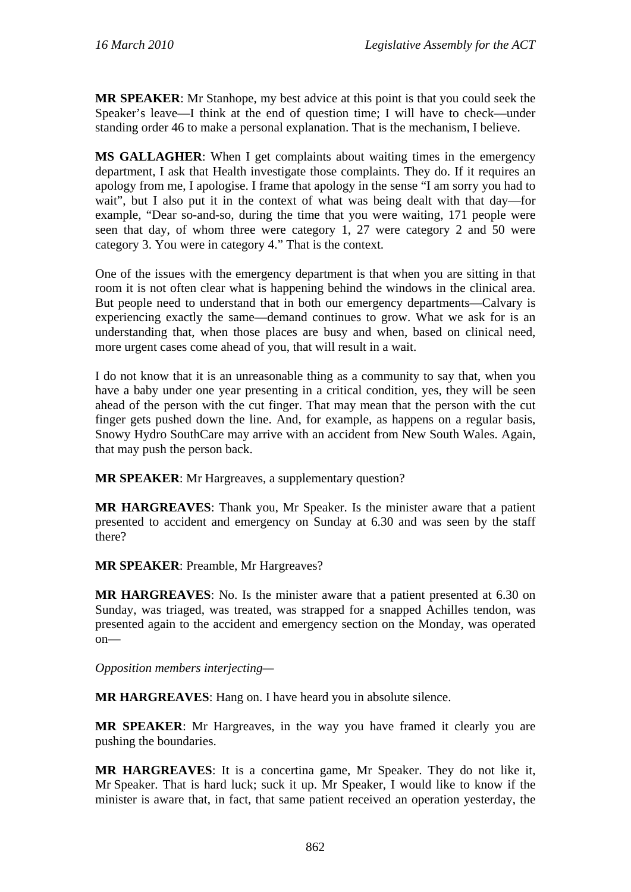**MR SPEAKER**: Mr Stanhope, my best advice at this point is that you could seek the Speaker's leave—I think at the end of question time; I will have to check—under standing order 46 to make a personal explanation. That is the mechanism, I believe.

**MS GALLAGHER**: When I get complaints about waiting times in the emergency department, I ask that Health investigate those complaints. They do. If it requires an apology from me, I apologise. I frame that apology in the sense "I am sorry you had to wait", but I also put it in the context of what was being dealt with that day—for example, "Dear so-and-so, during the time that you were waiting, 171 people were seen that day, of whom three were category 1, 27 were category 2 and 50 were category 3. You were in category 4." That is the context.

One of the issues with the emergency department is that when you are sitting in that room it is not often clear what is happening behind the windows in the clinical area. But people need to understand that in both our emergency departments—Calvary is experiencing exactly the same—demand continues to grow. What we ask for is an understanding that, when those places are busy and when, based on clinical need, more urgent cases come ahead of you, that will result in a wait.

I do not know that it is an unreasonable thing as a community to say that, when you have a baby under one year presenting in a critical condition, yes, they will be seen ahead of the person with the cut finger. That may mean that the person with the cut finger gets pushed down the line. And, for example, as happens on a regular basis, Snowy Hydro SouthCare may arrive with an accident from New South Wales. Again, that may push the person back.

**MR SPEAKER**: Mr Hargreaves, a supplementary question?

**MR HARGREAVES**: Thank you, Mr Speaker. Is the minister aware that a patient presented to accident and emergency on Sunday at 6.30 and was seen by the staff there?

**MR SPEAKER**: Preamble, Mr Hargreaves?

**MR HARGREAVES**: No. Is the minister aware that a patient presented at 6.30 on Sunday, was triaged, was treated, was strapped for a snapped Achilles tendon, was presented again to the accident and emergency section on the Monday, was operated on—

*Opposition members interjecting—* 

**MR HARGREAVES**: Hang on. I have heard you in absolute silence.

**MR SPEAKER**: Mr Hargreaves, in the way you have framed it clearly you are pushing the boundaries.

**MR HARGREAVES**: It is a concertina game, Mr Speaker. They do not like it, Mr Speaker. That is hard luck; suck it up. Mr Speaker, I would like to know if the minister is aware that, in fact, that same patient received an operation yesterday, the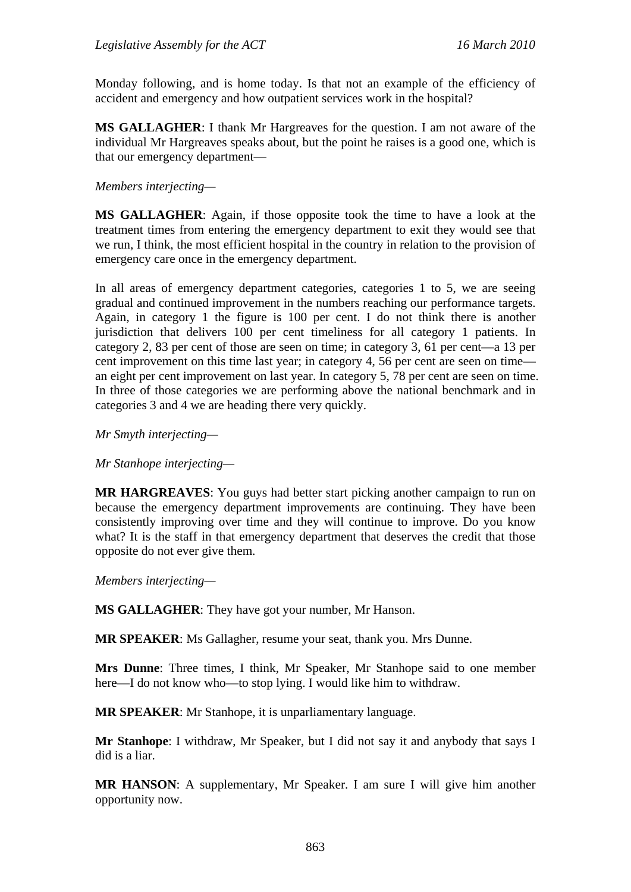Monday following, and is home today. Is that not an example of the efficiency of accident and emergency and how outpatient services work in the hospital?

**MS GALLAGHER**: I thank Mr Hargreaves for the question. I am not aware of the individual Mr Hargreaves speaks about, but the point he raises is a good one, which is that our emergency department—

### *Members interjecting—*

**MS GALLAGHER**: Again, if those opposite took the time to have a look at the treatment times from entering the emergency department to exit they would see that we run, I think, the most efficient hospital in the country in relation to the provision of emergency care once in the emergency department.

In all areas of emergency department categories, categories 1 to 5, we are seeing gradual and continued improvement in the numbers reaching our performance targets. Again, in category 1 the figure is 100 per cent. I do not think there is another jurisdiction that delivers 100 per cent timeliness for all category 1 patients. In category 2, 83 per cent of those are seen on time; in category 3, 61 per cent—a 13 per cent improvement on this time last year; in category 4, 56 per cent are seen on time an eight per cent improvement on last year. In category 5, 78 per cent are seen on time. In three of those categories we are performing above the national benchmark and in categories 3 and 4 we are heading there very quickly.

*Mr Smyth interjecting—* 

*Mr Stanhope interjecting—* 

**MR HARGREAVES**: You guys had better start picking another campaign to run on because the emergency department improvements are continuing. They have been consistently improving over time and they will continue to improve. Do you know what? It is the staff in that emergency department that deserves the credit that those opposite do not ever give them.

*Members interjecting—* 

**MS GALLAGHER**: They have got your number, Mr Hanson.

**MR SPEAKER**: Ms Gallagher, resume your seat, thank you. Mrs Dunne.

**Mrs Dunne**: Three times, I think, Mr Speaker, Mr Stanhope said to one member here—I do not know who—to stop lying. I would like him to withdraw.

**MR SPEAKER**: Mr Stanhope, it is unparliamentary language.

**Mr Stanhope**: I withdraw, Mr Speaker, but I did not say it and anybody that says I did is a liar.

**MR HANSON:** A supplementary, Mr Speaker. I am sure I will give him another opportunity now.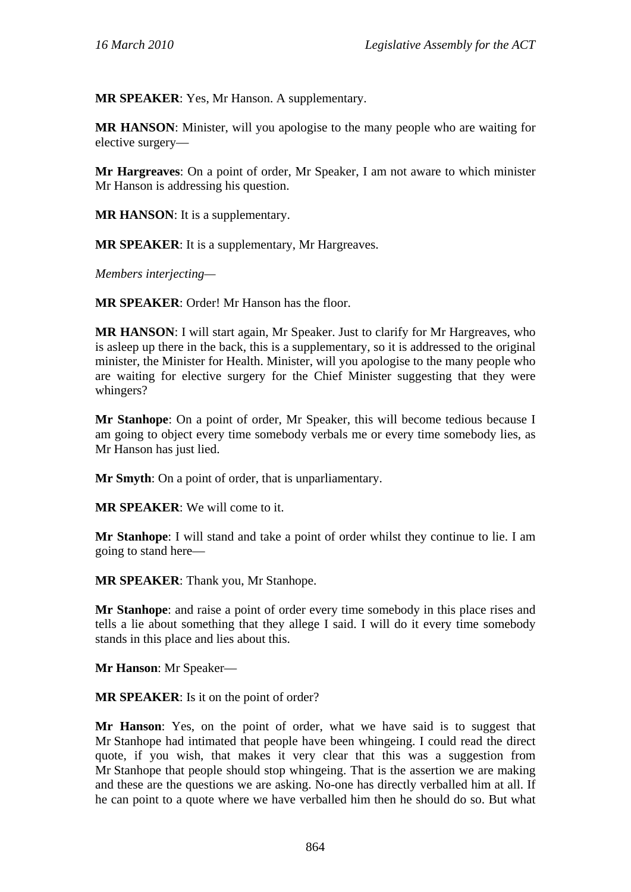**MR SPEAKER**: Yes, Mr Hanson. A supplementary.

**MR HANSON**: Minister, will you apologise to the many people who are waiting for elective surgery—

**Mr Hargreaves**: On a point of order, Mr Speaker, I am not aware to which minister Mr Hanson is addressing his question.

**MR HANSON**: It is a supplementary.

**MR SPEAKER**: It is a supplementary, Mr Hargreaves.

*Members interjecting—* 

**MR SPEAKER**: Order! Mr Hanson has the floor.

**MR HANSON**: I will start again, Mr Speaker. Just to clarify for Mr Hargreaves, who is asleep up there in the back, this is a supplementary, so it is addressed to the original minister, the Minister for Health. Minister, will you apologise to the many people who are waiting for elective surgery for the Chief Minister suggesting that they were whingers?

**Mr Stanhope**: On a point of order, Mr Speaker, this will become tedious because I am going to object every time somebody verbals me or every time somebody lies, as Mr Hanson has just lied.

**Mr Smyth**: On a point of order, that is unparliamentary.

**MR SPEAKER**: We will come to it.

**Mr Stanhope**: I will stand and take a point of order whilst they continue to lie. I am going to stand here—

**MR SPEAKER**: Thank you, Mr Stanhope.

**Mr Stanhope**: and raise a point of order every time somebody in this place rises and tells a lie about something that they allege I said. I will do it every time somebody stands in this place and lies about this.

**Mr Hanson**: Mr Speaker—

**MR SPEAKER**: Is it on the point of order?

**Mr Hanson**: Yes, on the point of order, what we have said is to suggest that Mr Stanhope had intimated that people have been whingeing. I could read the direct quote, if you wish, that makes it very clear that this was a suggestion from Mr Stanhope that people should stop whingeing. That is the assertion we are making and these are the questions we are asking. No-one has directly verballed him at all. If he can point to a quote where we have verballed him then he should do so. But what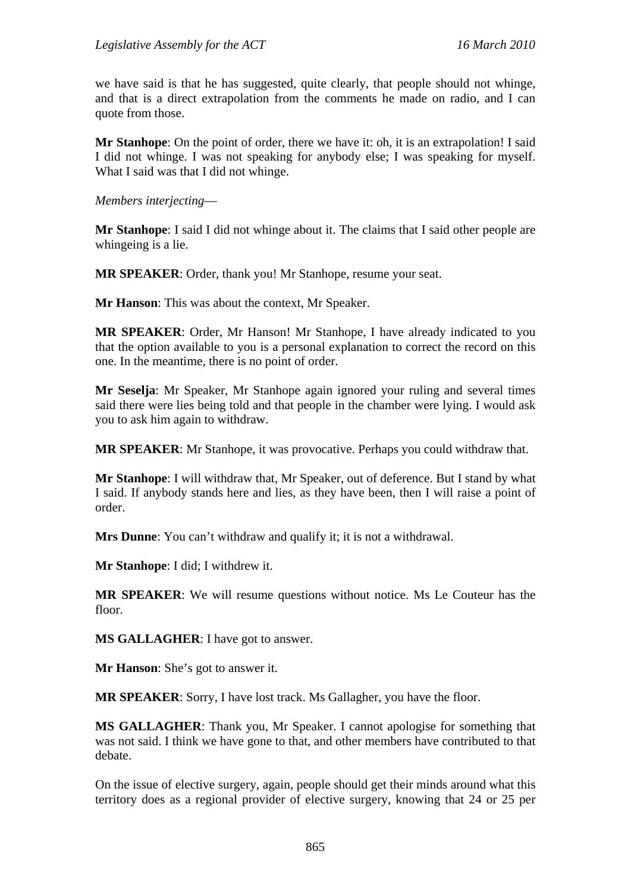we have said is that he has suggested, quite clearly, that people should not whinge, and that is a direct extrapolation from the comments he made on radio, and I can quote from those.

**Mr Stanhope**: On the point of order, there we have it: oh, it is an extrapolation! I said I did not whinge. I was not speaking for anybody else; I was speaking for myself. What I said was that I did not whinge.

*Members interjecting*—

**Mr Stanhope**: I said I did not whinge about it. The claims that I said other people are whingeing is a lie.

**MR SPEAKER**: Order, thank you! Mr Stanhope, resume your seat.

**Mr Hanson**: This was about the context, Mr Speaker.

**MR SPEAKER**: Order, Mr Hanson! Mr Stanhope, I have already indicated to you that the option available to you is a personal explanation to correct the record on this one. In the meantime, there is no point of order.

**Mr Seselja**: Mr Speaker, Mr Stanhope again ignored your ruling and several times said there were lies being told and that people in the chamber were lying. I would ask you to ask him again to withdraw.

**MR SPEAKER**: Mr Stanhope, it was provocative. Perhaps you could withdraw that.

**Mr Stanhope**: I will withdraw that, Mr Speaker, out of deference. But I stand by what I said. If anybody stands here and lies, as they have been, then I will raise a point of order.

**Mrs Dunne**: You can't withdraw and qualify it; it is not a withdrawal.

**Mr Stanhope**: I did; I withdrew it.

**MR SPEAKER**: We will resume questions without notice. Ms Le Couteur has the floor.

**MS GALLAGHER**: I have got to answer.

**Mr Hanson**: She's got to answer it.

**MR SPEAKER**: Sorry, I have lost track. Ms Gallagher, you have the floor.

**MS GALLAGHER**: Thank you, Mr Speaker. I cannot apologise for something that was not said. I think we have gone to that, and other members have contributed to that debate.

On the issue of elective surgery, again, people should get their minds around what this territory does as a regional provider of elective surgery, knowing that 24 or 25 per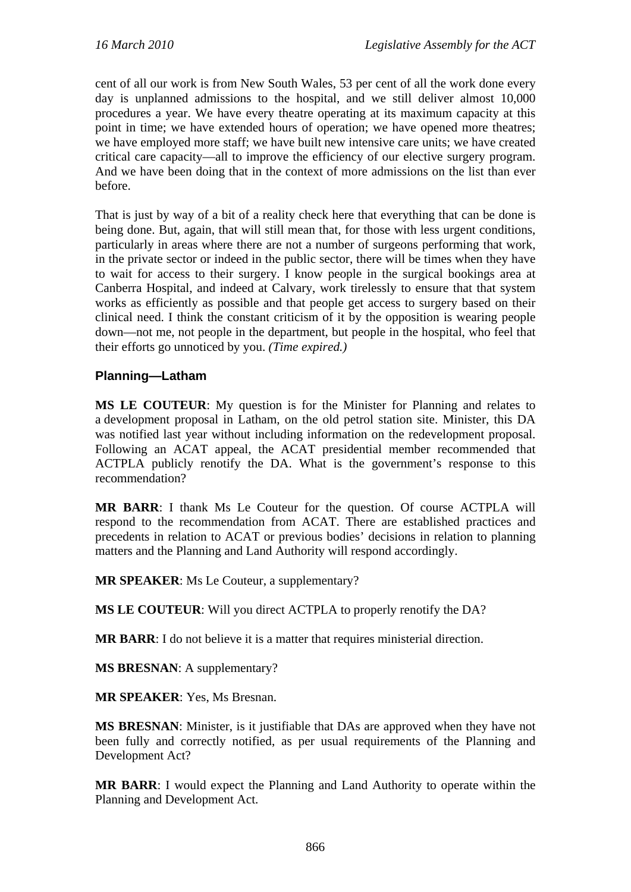cent of all our work is from New South Wales, 53 per cent of all the work done every day is unplanned admissions to the hospital, and we still deliver almost 10,000 procedures a year. We have every theatre operating at its maximum capacity at this point in time; we have extended hours of operation; we have opened more theatres; we have employed more staff; we have built new intensive care units; we have created critical care capacity—all to improve the efficiency of our elective surgery program. And we have been doing that in the context of more admissions on the list than ever before.

That is just by way of a bit of a reality check here that everything that can be done is being done. But, again, that will still mean that, for those with less urgent conditions, particularly in areas where there are not a number of surgeons performing that work, in the private sector or indeed in the public sector, there will be times when they have to wait for access to their surgery. I know people in the surgical bookings area at Canberra Hospital, and indeed at Calvary, work tirelessly to ensure that that system works as efficiently as possible and that people get access to surgery based on their clinical need. I think the constant criticism of it by the opposition is wearing people down—not me, not people in the department, but people in the hospital, who feel that their efforts go unnoticed by you. *(Time expired.)*

# **Planning—Latham**

**MS LE COUTEUR**: My question is for the Minister for Planning and relates to a development proposal in Latham, on the old petrol station site. Minister, this DA was notified last year without including information on the redevelopment proposal. Following an ACAT appeal, the ACAT presidential member recommended that ACTPLA publicly renotify the DA. What is the government's response to this recommendation?

**MR BARR**: I thank Ms Le Couteur for the question. Of course ACTPLA will respond to the recommendation from ACAT. There are established practices and precedents in relation to ACAT or previous bodies' decisions in relation to planning matters and the Planning and Land Authority will respond accordingly.

**MR SPEAKER**: Ms Le Couteur, a supplementary?

**MS LE COUTEUR**: Will you direct ACTPLA to properly renotify the DA?

**MR BARR**: I do not believe it is a matter that requires ministerial direction.

**MS BRESNAN**: A supplementary?

**MR SPEAKER**: Yes, Ms Bresnan.

**MS BRESNAN**: Minister, is it justifiable that DAs are approved when they have not been fully and correctly notified, as per usual requirements of the Planning and Development Act?

**MR BARR**: I would expect the Planning and Land Authority to operate within the Planning and Development Act.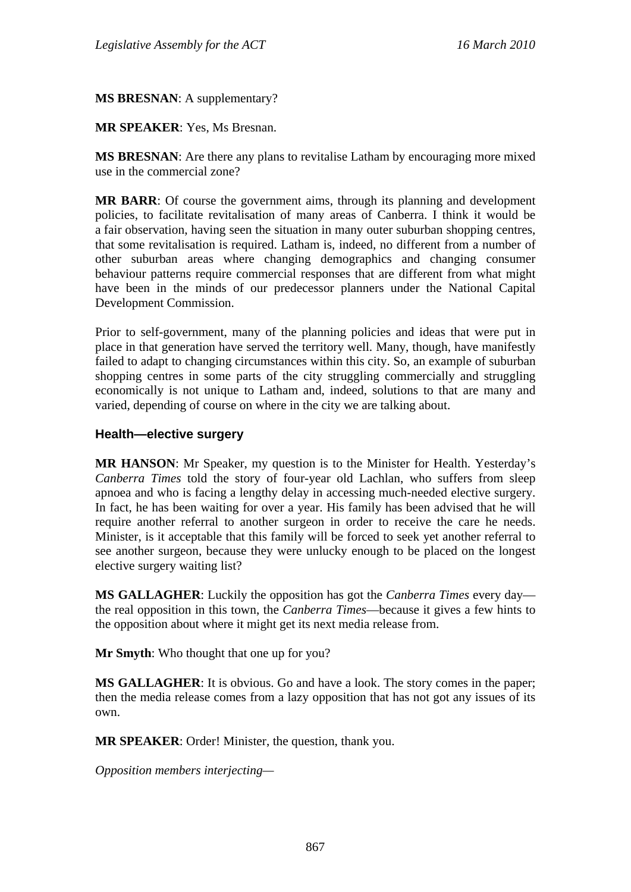**MS BRESNAN**: A supplementary?

### **MR SPEAKER**: Yes, Ms Bresnan.

**MS BRESNAN**: Are there any plans to revitalise Latham by encouraging more mixed use in the commercial zone?

**MR BARR**: Of course the government aims, through its planning and development policies, to facilitate revitalisation of many areas of Canberra. I think it would be a fair observation, having seen the situation in many outer suburban shopping centres, that some revitalisation is required. Latham is, indeed, no different from a number of other suburban areas where changing demographics and changing consumer behaviour patterns require commercial responses that are different from what might have been in the minds of our predecessor planners under the National Capital Development Commission.

Prior to self-government, many of the planning policies and ideas that were put in place in that generation have served the territory well. Many, though, have manifestly failed to adapt to changing circumstances within this city. So, an example of suburban shopping centres in some parts of the city struggling commercially and struggling economically is not unique to Latham and, indeed, solutions to that are many and varied, depending of course on where in the city we are talking about.

### **Health—elective surgery**

**MR HANSON**: Mr Speaker, my question is to the Minister for Health. Yesterday's *Canberra Times* told the story of four-year old Lachlan, who suffers from sleep apnoea and who is facing a lengthy delay in accessing much-needed elective surgery. In fact, he has been waiting for over a year. His family has been advised that he will require another referral to another surgeon in order to receive the care he needs. Minister, is it acceptable that this family will be forced to seek yet another referral to see another surgeon, because they were unlucky enough to be placed on the longest elective surgery waiting list?

**MS GALLAGHER**: Luckily the opposition has got the *Canberra Times* every day the real opposition in this town, the *Canberra Times*—because it gives a few hints to the opposition about where it might get its next media release from.

**Mr Smyth**: Who thought that one up for you?

**MS GALLAGHER**: It is obvious. Go and have a look. The story comes in the paper; then the media release comes from a lazy opposition that has not got any issues of its own.

**MR SPEAKER**: Order! Minister, the question, thank you.

*Opposition members interjecting—*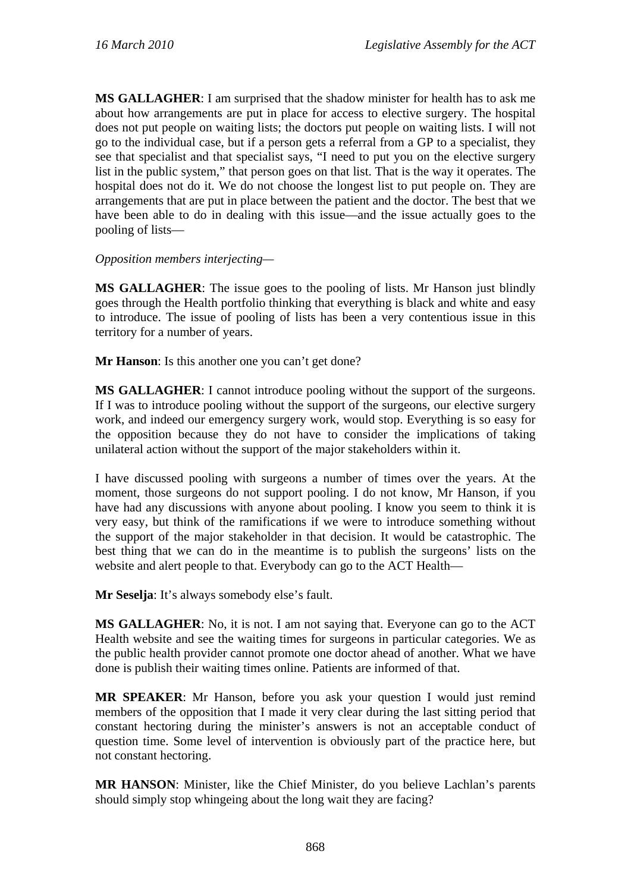**MS GALLAGHER**: I am surprised that the shadow minister for health has to ask me about how arrangements are put in place for access to elective surgery. The hospital does not put people on waiting lists; the doctors put people on waiting lists. I will not go to the individual case, but if a person gets a referral from a GP to a specialist, they see that specialist and that specialist says, "I need to put you on the elective surgery list in the public system," that person goes on that list. That is the way it operates. The hospital does not do it. We do not choose the longest list to put people on. They are arrangements that are put in place between the patient and the doctor. The best that we have been able to do in dealing with this issue—and the issue actually goes to the pooling of lists—

### *Opposition members interjecting—*

**MS GALLAGHER**: The issue goes to the pooling of lists. Mr Hanson just blindly goes through the Health portfolio thinking that everything is black and white and easy to introduce. The issue of pooling of lists has been a very contentious issue in this territory for a number of years.

**Mr Hanson**: Is this another one you can't get done?

**MS GALLAGHER**: I cannot introduce pooling without the support of the surgeons. If I was to introduce pooling without the support of the surgeons, our elective surgery work, and indeed our emergency surgery work, would stop. Everything is so easy for the opposition because they do not have to consider the implications of taking unilateral action without the support of the major stakeholders within it.

I have discussed pooling with surgeons a number of times over the years. At the moment, those surgeons do not support pooling. I do not know, Mr Hanson, if you have had any discussions with anyone about pooling. I know you seem to think it is very easy, but think of the ramifications if we were to introduce something without the support of the major stakeholder in that decision. It would be catastrophic. The best thing that we can do in the meantime is to publish the surgeons' lists on the website and alert people to that. Everybody can go to the ACT Health—

**Mr Seselja**: It's always somebody else's fault.

**MS GALLAGHER**: No, it is not. I am not saying that. Everyone can go to the ACT Health website and see the waiting times for surgeons in particular categories. We as the public health provider cannot promote one doctor ahead of another. What we have done is publish their waiting times online. Patients are informed of that.

**MR SPEAKER**: Mr Hanson, before you ask your question I would just remind members of the opposition that I made it very clear during the last sitting period that constant hectoring during the minister's answers is not an acceptable conduct of question time. Some level of intervention is obviously part of the practice here, but not constant hectoring.

**MR HANSON**: Minister, like the Chief Minister, do you believe Lachlan's parents should simply stop whingeing about the long wait they are facing?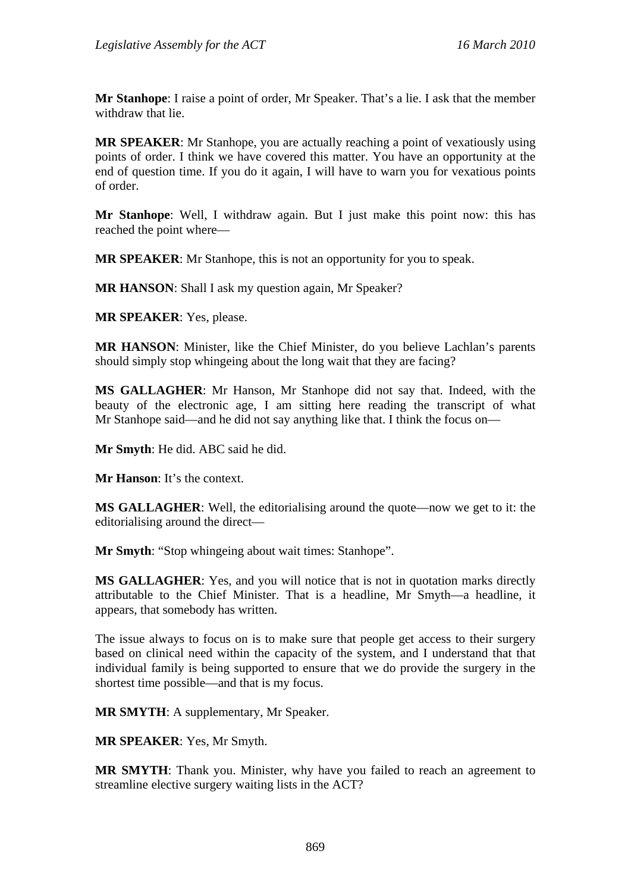**Mr Stanhope**: I raise a point of order, Mr Speaker. That's a lie. I ask that the member withdraw that lie.

**MR SPEAKER**: Mr Stanhope, you are actually reaching a point of vexatiously using points of order. I think we have covered this matter. You have an opportunity at the end of question time. If you do it again, I will have to warn you for vexatious points of order.

**Mr Stanhope**: Well, I withdraw again. But I just make this point now: this has reached the point where—

**MR SPEAKER**: Mr Stanhope, this is not an opportunity for you to speak.

**MR HANSON:** Shall I ask my question again, Mr Speaker?

**MR SPEAKER**: Yes, please.

**MR HANSON**: Minister, like the Chief Minister, do you believe Lachlan's parents should simply stop whingeing about the long wait that they are facing?

**MS GALLAGHER**: Mr Hanson, Mr Stanhope did not say that. Indeed, with the beauty of the electronic age, I am sitting here reading the transcript of what Mr Stanhope said—and he did not say anything like that. I think the focus on—

**Mr Smyth**: He did. ABC said he did.

**Mr Hanson**: It's the context.

**MS GALLAGHER**: Well, the editorialising around the quote—now we get to it: the editorialising around the direct—

**Mr Smyth**: "Stop whingeing about wait times: Stanhope".

**MS GALLAGHER**: Yes, and you will notice that is not in quotation marks directly attributable to the Chief Minister. That is a headline, Mr Smyth—a headline, it appears, that somebody has written.

The issue always to focus on is to make sure that people get access to their surgery based on clinical need within the capacity of the system, and I understand that that individual family is being supported to ensure that we do provide the surgery in the shortest time possible—and that is my focus.

**MR SMYTH**: A supplementary, Mr Speaker.

**MR SPEAKER**: Yes, Mr Smyth.

**MR SMYTH**: Thank you. Minister, why have you failed to reach an agreement to streamline elective surgery waiting lists in the ACT?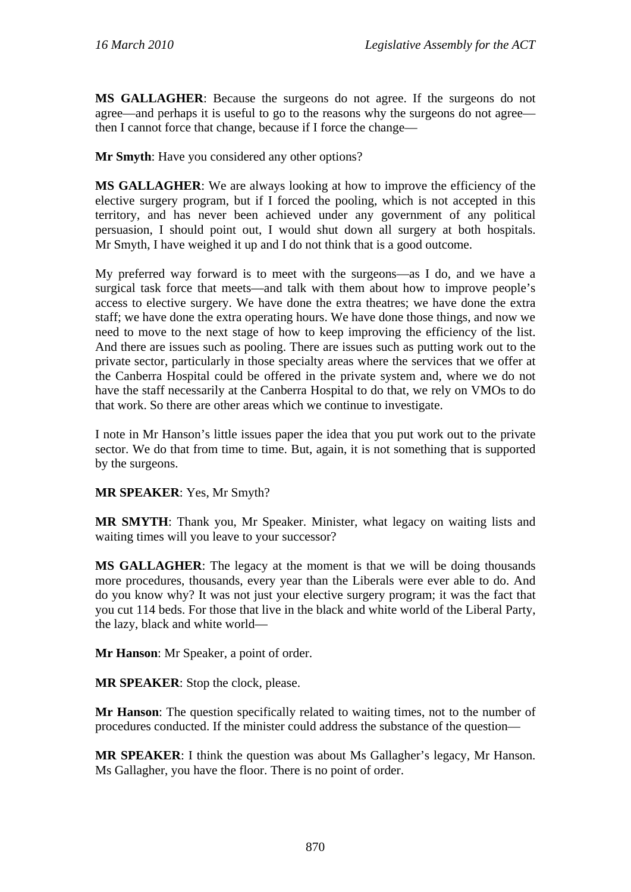**MS GALLAGHER**: Because the surgeons do not agree. If the surgeons do not agree—and perhaps it is useful to go to the reasons why the surgeons do not agree then I cannot force that change, because if I force the change—

**Mr Smyth**: Have you considered any other options?

**MS GALLAGHER**: We are always looking at how to improve the efficiency of the elective surgery program, but if I forced the pooling, which is not accepted in this territory, and has never been achieved under any government of any political persuasion, I should point out, I would shut down all surgery at both hospitals. Mr Smyth, I have weighed it up and I do not think that is a good outcome.

My preferred way forward is to meet with the surgeons—as I do, and we have a surgical task force that meets—and talk with them about how to improve people's access to elective surgery. We have done the extra theatres; we have done the extra staff; we have done the extra operating hours. We have done those things, and now we need to move to the next stage of how to keep improving the efficiency of the list. And there are issues such as pooling. There are issues such as putting work out to the private sector, particularly in those specialty areas where the services that we offer at the Canberra Hospital could be offered in the private system and, where we do not have the staff necessarily at the Canberra Hospital to do that, we rely on VMOs to do that work. So there are other areas which we continue to investigate.

I note in Mr Hanson's little issues paper the idea that you put work out to the private sector. We do that from time to time. But, again, it is not something that is supported by the surgeons.

### **MR SPEAKER**: Yes, Mr Smyth?

**MR SMYTH**: Thank you, Mr Speaker. Minister, what legacy on waiting lists and waiting times will you leave to your successor?

**MS GALLAGHER**: The legacy at the moment is that we will be doing thousands more procedures, thousands, every year than the Liberals were ever able to do. And do you know why? It was not just your elective surgery program; it was the fact that you cut 114 beds. For those that live in the black and white world of the Liberal Party, the lazy, black and white world—

**Mr Hanson**: Mr Speaker, a point of order.

**MR SPEAKER**: Stop the clock, please.

**Mr Hanson**: The question specifically related to waiting times, not to the number of procedures conducted. If the minister could address the substance of the question—

**MR SPEAKER**: I think the question was about Ms Gallagher's legacy, Mr Hanson. Ms Gallagher, you have the floor. There is no point of order.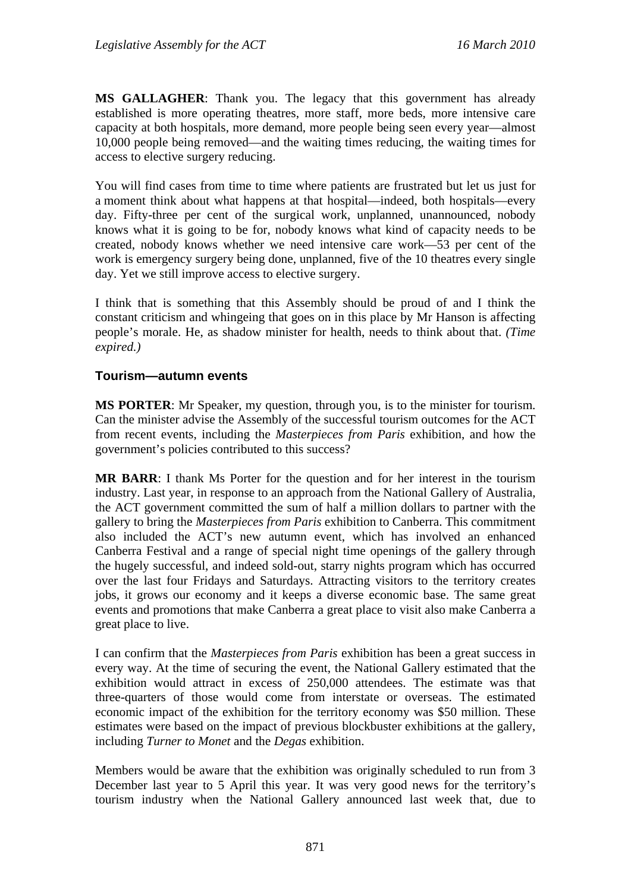**MS GALLAGHER**: Thank you. The legacy that this government has already established is more operating theatres, more staff, more beds, more intensive care capacity at both hospitals, more demand, more people being seen every year—almost 10,000 people being removed—and the waiting times reducing, the waiting times for access to elective surgery reducing.

You will find cases from time to time where patients are frustrated but let us just for a moment think about what happens at that hospital—indeed, both hospitals—every day. Fifty-three per cent of the surgical work, unplanned, unannounced, nobody knows what it is going to be for, nobody knows what kind of capacity needs to be created, nobody knows whether we need intensive care work—53 per cent of the work is emergency surgery being done, unplanned, five of the 10 theatres every single day. Yet we still improve access to elective surgery.

I think that is something that this Assembly should be proud of and I think the constant criticism and whingeing that goes on in this place by Mr Hanson is affecting people's morale. He, as shadow minister for health, needs to think about that. *(Time expired.)* 

### **Tourism—autumn events**

**MS PORTER**: Mr Speaker, my question, through you, is to the minister for tourism. Can the minister advise the Assembly of the successful tourism outcomes for the ACT from recent events, including the *Masterpieces from Paris* exhibition, and how the government's policies contributed to this success?

**MR BARR**: I thank Ms Porter for the question and for her interest in the tourism industry. Last year, in response to an approach from the National Gallery of Australia, the ACT government committed the sum of half a million dollars to partner with the gallery to bring the *Masterpieces from Paris* exhibition to Canberra. This commitment also included the ACT's new autumn event, which has involved an enhanced Canberra Festival and a range of special night time openings of the gallery through the hugely successful, and indeed sold-out, starry nights program which has occurred over the last four Fridays and Saturdays. Attracting visitors to the territory creates jobs, it grows our economy and it keeps a diverse economic base. The same great events and promotions that make Canberra a great place to visit also make Canberra a great place to live.

I can confirm that the *Masterpieces from Paris* exhibition has been a great success in every way. At the time of securing the event, the National Gallery estimated that the exhibition would attract in excess of 250,000 attendees. The estimate was that three-quarters of those would come from interstate or overseas. The estimated economic impact of the exhibition for the territory economy was \$50 million. These estimates were based on the impact of previous blockbuster exhibitions at the gallery, including *Turner to Monet* and the *Degas* exhibition.

Members would be aware that the exhibition was originally scheduled to run from 3 December last year to 5 April this year. It was very good news for the territory's tourism industry when the National Gallery announced last week that, due to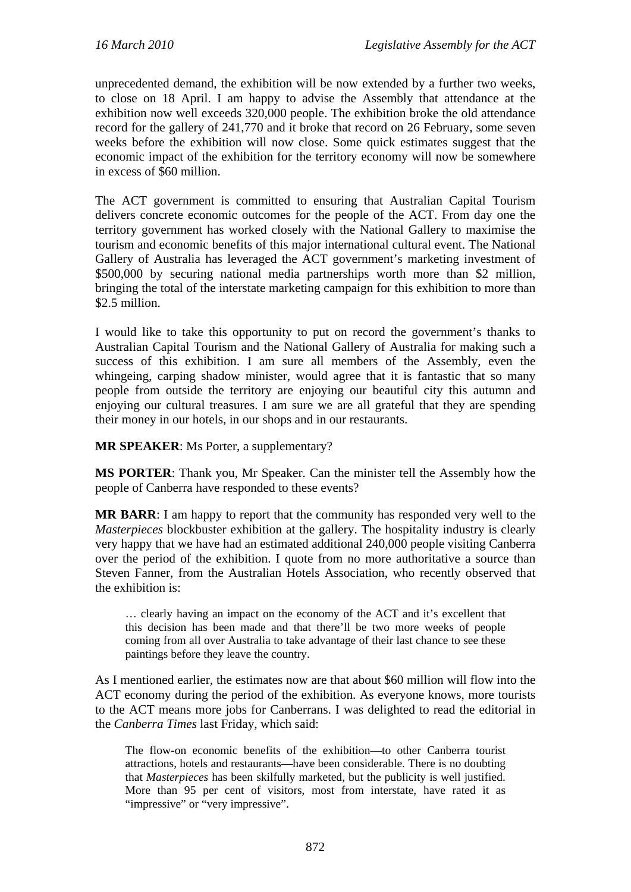unprecedented demand, the exhibition will be now extended by a further two weeks, to close on 18 April. I am happy to advise the Assembly that attendance at the exhibition now well exceeds 320,000 people. The exhibition broke the old attendance record for the gallery of 241,770 and it broke that record on 26 February, some seven weeks before the exhibition will now close. Some quick estimates suggest that the economic impact of the exhibition for the territory economy will now be somewhere in excess of \$60 million.

The ACT government is committed to ensuring that Australian Capital Tourism delivers concrete economic outcomes for the people of the ACT. From day one the territory government has worked closely with the National Gallery to maximise the tourism and economic benefits of this major international cultural event. The National Gallery of Australia has leveraged the ACT government's marketing investment of \$500,000 by securing national media partnerships worth more than \$2 million, bringing the total of the interstate marketing campaign for this exhibition to more than \$2.5 million.

I would like to take this opportunity to put on record the government's thanks to Australian Capital Tourism and the National Gallery of Australia for making such a success of this exhibition. I am sure all members of the Assembly, even the whingeing, carping shadow minister, would agree that it is fantastic that so many people from outside the territory are enjoying our beautiful city this autumn and enjoying our cultural treasures. I am sure we are all grateful that they are spending their money in our hotels, in our shops and in our restaurants.

**MR SPEAKER**: Ms Porter, a supplementary?

**MS PORTER**: Thank you, Mr Speaker. Can the minister tell the Assembly how the people of Canberra have responded to these events?

**MR BARR**: I am happy to report that the community has responded very well to the *Masterpieces* blockbuster exhibition at the gallery. The hospitality industry is clearly very happy that we have had an estimated additional 240,000 people visiting Canberra over the period of the exhibition. I quote from no more authoritative a source than Steven Fanner, from the Australian Hotels Association, who recently observed that the exhibition is:

… clearly having an impact on the economy of the ACT and it's excellent that this decision has been made and that there'll be two more weeks of people coming from all over Australia to take advantage of their last chance to see these paintings before they leave the country.

As I mentioned earlier, the estimates now are that about \$60 million will flow into the ACT economy during the period of the exhibition. As everyone knows, more tourists to the ACT means more jobs for Canberrans. I was delighted to read the editorial in the *Canberra Times* last Friday, which said:

The flow-on economic benefits of the exhibition—to other Canberra tourist attractions, hotels and restaurants—have been considerable. There is no doubting that *Masterpieces* has been skilfully marketed, but the publicity is well justified. More than 95 per cent of visitors, most from interstate, have rated it as "impressive" or "very impressive".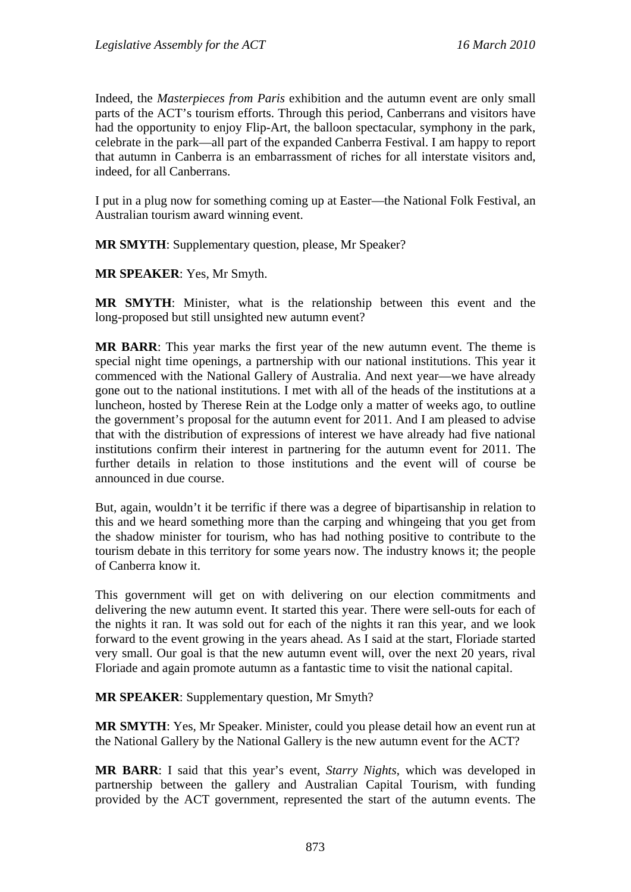Indeed, the *Masterpieces from Paris* exhibition and the autumn event are only small parts of the ACT's tourism efforts. Through this period, Canberrans and visitors have had the opportunity to enjoy Flip-Art, the balloon spectacular, symphony in the park, celebrate in the park—all part of the expanded Canberra Festival. I am happy to report that autumn in Canberra is an embarrassment of riches for all interstate visitors and, indeed, for all Canberrans.

I put in a plug now for something coming up at Easter—the National Folk Festival, an Australian tourism award winning event.

**MR SMYTH**: Supplementary question, please, Mr Speaker?

**MR SPEAKER**: Yes, Mr Smyth.

**MR SMYTH**: Minister, what is the relationship between this event and the long-proposed but still unsighted new autumn event?

**MR BARR**: This year marks the first year of the new autumn event. The theme is special night time openings, a partnership with our national institutions. This year it commenced with the National Gallery of Australia. And next year—we have already gone out to the national institutions. I met with all of the heads of the institutions at a luncheon, hosted by Therese Rein at the Lodge only a matter of weeks ago, to outline the government's proposal for the autumn event for 2011. And I am pleased to advise that with the distribution of expressions of interest we have already had five national institutions confirm their interest in partnering for the autumn event for 2011. The further details in relation to those institutions and the event will of course be announced in due course.

But, again, wouldn't it be terrific if there was a degree of bipartisanship in relation to this and we heard something more than the carping and whingeing that you get from the shadow minister for tourism, who has had nothing positive to contribute to the tourism debate in this territory for some years now. The industry knows it; the people of Canberra know it.

This government will get on with delivering on our election commitments and delivering the new autumn event. It started this year. There were sell-outs for each of the nights it ran. It was sold out for each of the nights it ran this year, and we look forward to the event growing in the years ahead. As I said at the start, Floriade started very small. Our goal is that the new autumn event will, over the next 20 years, rival Floriade and again promote autumn as a fantastic time to visit the national capital.

**MR SPEAKER**: Supplementary question, Mr Smyth?

**MR SMYTH**: Yes, Mr Speaker. Minister, could you please detail how an event run at the National Gallery by the National Gallery is the new autumn event for the ACT?

**MR BARR**: I said that this year's event, *Starry Nights*, which was developed in partnership between the gallery and Australian Capital Tourism, with funding provided by the ACT government, represented the start of the autumn events. The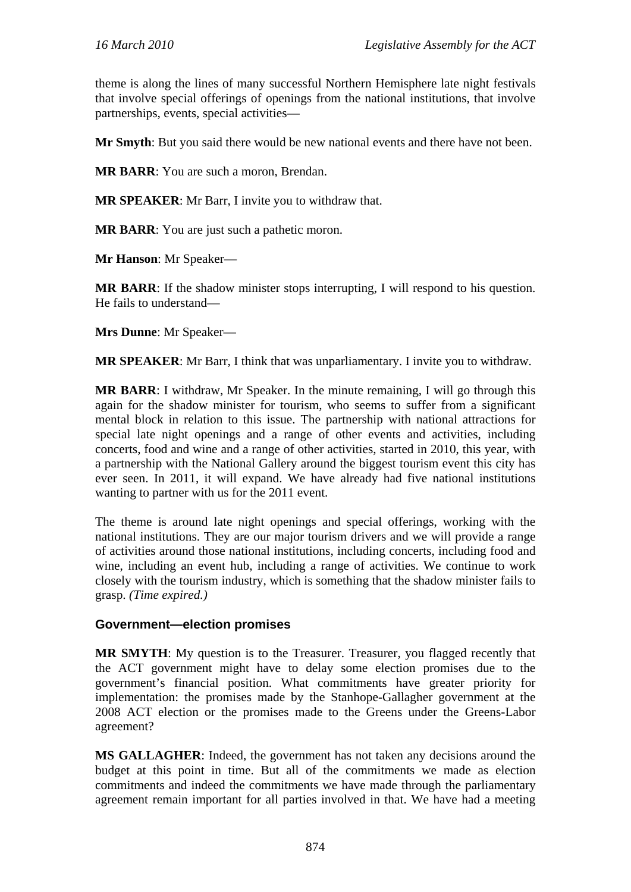theme is along the lines of many successful Northern Hemisphere late night festivals that involve special offerings of openings from the national institutions, that involve partnerships, events, special activities—

**Mr Smyth**: But you said there would be new national events and there have not been.

**MR BARR**: You are such a moron, Brendan.

**MR SPEAKER**: Mr Barr, I invite you to withdraw that.

**MR BARR**: You are just such a pathetic moron.

**Mr Hanson**: Mr Speaker—

**MR BARR**: If the shadow minister stops interrupting, I will respond to his question. He fails to understand—

**Mrs Dunne**: Mr Speaker—

**MR SPEAKER**: Mr Barr, I think that was unparliamentary. I invite you to withdraw.

**MR BARR**: I withdraw, Mr Speaker. In the minute remaining, I will go through this again for the shadow minister for tourism, who seems to suffer from a significant mental block in relation to this issue. The partnership with national attractions for special late night openings and a range of other events and activities, including concerts, food and wine and a range of other activities, started in 2010, this year, with a partnership with the National Gallery around the biggest tourism event this city has ever seen. In 2011, it will expand. We have already had five national institutions wanting to partner with us for the 2011 event.

The theme is around late night openings and special offerings, working with the national institutions. They are our major tourism drivers and we will provide a range of activities around those national institutions, including concerts, including food and wine, including an event hub, including a range of activities. We continue to work closely with the tourism industry, which is something that the shadow minister fails to grasp. *(Time expired.)*

### **Government—election promises**

**MR SMYTH**: My question is to the Treasurer. Treasurer, you flagged recently that the ACT government might have to delay some election promises due to the government's financial position. What commitments have greater priority for implementation: the promises made by the Stanhope-Gallagher government at the 2008 ACT election or the promises made to the Greens under the Greens-Labor agreement?

**MS GALLAGHER**: Indeed, the government has not taken any decisions around the budget at this point in time. But all of the commitments we made as election commitments and indeed the commitments we have made through the parliamentary agreement remain important for all parties involved in that. We have had a meeting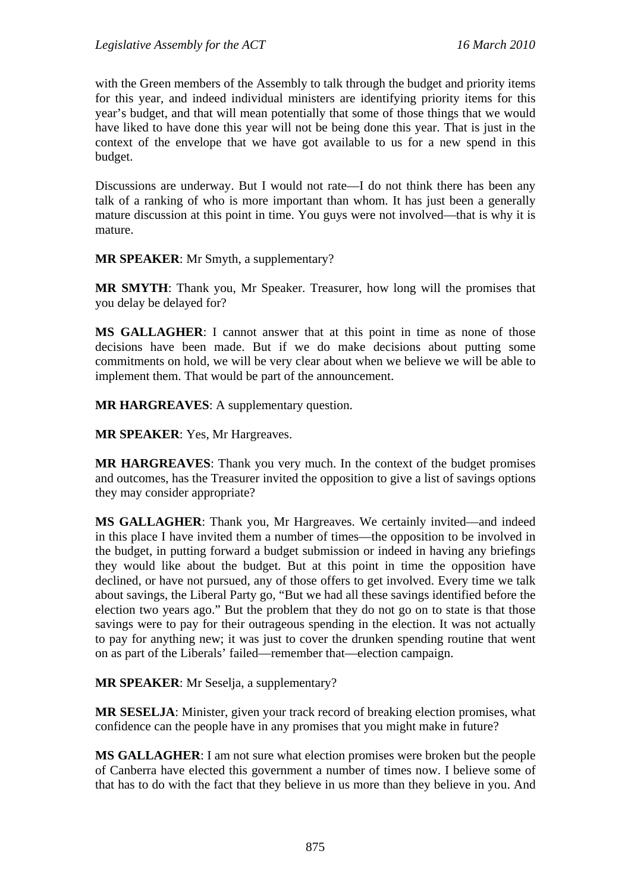with the Green members of the Assembly to talk through the budget and priority items for this year, and indeed individual ministers are identifying priority items for this year's budget, and that will mean potentially that some of those things that we would have liked to have done this year will not be being done this year. That is just in the context of the envelope that we have got available to us for a new spend in this budget.

Discussions are underway. But I would not rate—I do not think there has been any talk of a ranking of who is more important than whom. It has just been a generally mature discussion at this point in time. You guys were not involved—that is why it is mature.

**MR SPEAKER**: Mr Smyth, a supplementary?

**MR SMYTH**: Thank you, Mr Speaker. Treasurer, how long will the promises that you delay be delayed for?

**MS GALLAGHER**: I cannot answer that at this point in time as none of those decisions have been made. But if we do make decisions about putting some commitments on hold, we will be very clear about when we believe we will be able to implement them. That would be part of the announcement.

**MR HARGREAVES**: A supplementary question.

**MR SPEAKER**: Yes, Mr Hargreaves.

**MR HARGREAVES**: Thank you very much. In the context of the budget promises and outcomes, has the Treasurer invited the opposition to give a list of savings options they may consider appropriate?

**MS GALLAGHER**: Thank you, Mr Hargreaves. We certainly invited—and indeed in this place I have invited them a number of times—the opposition to be involved in the budget, in putting forward a budget submission or indeed in having any briefings they would like about the budget. But at this point in time the opposition have declined, or have not pursued, any of those offers to get involved. Every time we talk about savings, the Liberal Party go, "But we had all these savings identified before the election two years ago." But the problem that they do not go on to state is that those savings were to pay for their outrageous spending in the election. It was not actually to pay for anything new; it was just to cover the drunken spending routine that went on as part of the Liberals' failed—remember that—election campaign.

**MR SPEAKER**: Mr Seselja, a supplementary?

**MR SESELJA**: Minister, given your track record of breaking election promises, what confidence can the people have in any promises that you might make in future?

**MS GALLAGHER**: I am not sure what election promises were broken but the people of Canberra have elected this government a number of times now. I believe some of that has to do with the fact that they believe in us more than they believe in you. And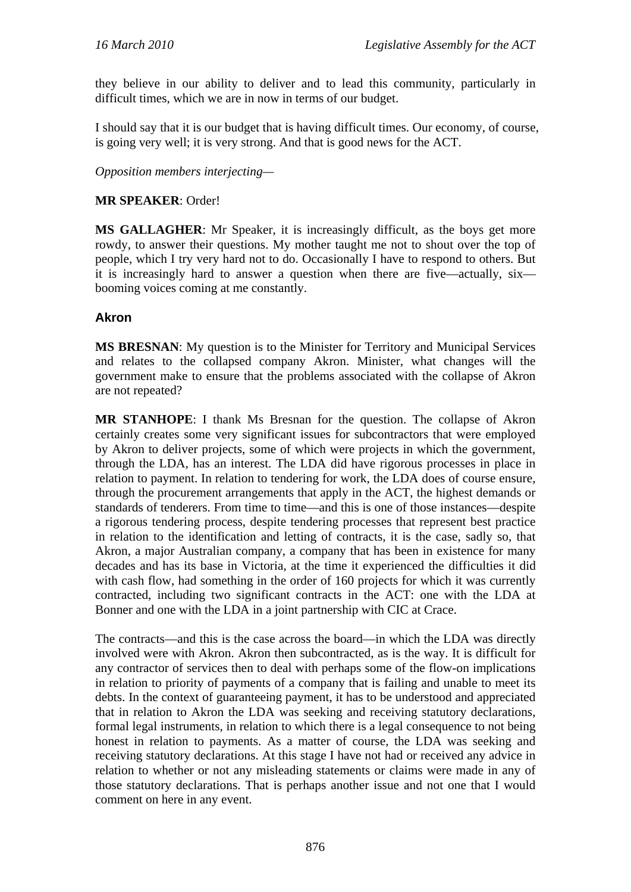they believe in our ability to deliver and to lead this community, particularly in difficult times, which we are in now in terms of our budget.

I should say that it is our budget that is having difficult times. Our economy, of course, is going very well; it is very strong. And that is good news for the ACT.

*Opposition members interjecting—* 

### **MR SPEAKER**: Order!

**MS GALLAGHER**: Mr Speaker, it is increasingly difficult, as the boys get more rowdy, to answer their questions. My mother taught me not to shout over the top of people, which I try very hard not to do. Occasionally I have to respond to others. But it is increasingly hard to answer a question when there are five—actually, six booming voices coming at me constantly.

### **Akron**

**MS BRESNAN**: My question is to the Minister for Territory and Municipal Services and relates to the collapsed company Akron. Minister, what changes will the government make to ensure that the problems associated with the collapse of Akron are not repeated?

**MR STANHOPE**: I thank Ms Bresnan for the question. The collapse of Akron certainly creates some very significant issues for subcontractors that were employed by Akron to deliver projects, some of which were projects in which the government, through the LDA, has an interest. The LDA did have rigorous processes in place in relation to payment. In relation to tendering for work, the LDA does of course ensure, through the procurement arrangements that apply in the ACT, the highest demands or standards of tenderers. From time to time—and this is one of those instances—despite a rigorous tendering process, despite tendering processes that represent best practice in relation to the identification and letting of contracts, it is the case, sadly so, that Akron, a major Australian company, a company that has been in existence for many decades and has its base in Victoria, at the time it experienced the difficulties it did with cash flow, had something in the order of 160 projects for which it was currently contracted, including two significant contracts in the ACT: one with the LDA at Bonner and one with the LDA in a joint partnership with CIC at Crace.

The contracts—and this is the case across the board—in which the LDA was directly involved were with Akron. Akron then subcontracted, as is the way. It is difficult for any contractor of services then to deal with perhaps some of the flow-on implications in relation to priority of payments of a company that is failing and unable to meet its debts. In the context of guaranteeing payment, it has to be understood and appreciated that in relation to Akron the LDA was seeking and receiving statutory declarations, formal legal instruments, in relation to which there is a legal consequence to not being honest in relation to payments. As a matter of course, the LDA was seeking and receiving statutory declarations. At this stage I have not had or received any advice in relation to whether or not any misleading statements or claims were made in any of those statutory declarations. That is perhaps another issue and not one that I would comment on here in any event.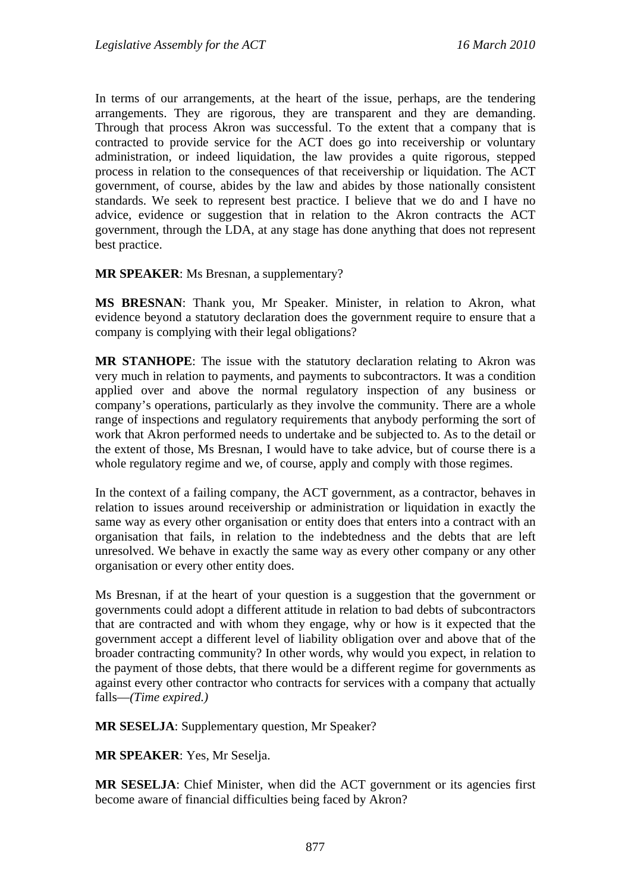In terms of our arrangements, at the heart of the issue, perhaps, are the tendering arrangements. They are rigorous, they are transparent and they are demanding. Through that process Akron was successful. To the extent that a company that is contracted to provide service for the ACT does go into receivership or voluntary administration, or indeed liquidation, the law provides a quite rigorous, stepped process in relation to the consequences of that receivership or liquidation. The ACT government, of course, abides by the law and abides by those nationally consistent standards. We seek to represent best practice. I believe that we do and I have no advice, evidence or suggestion that in relation to the Akron contracts the ACT government, through the LDA, at any stage has done anything that does not represent best practice.

#### **MR SPEAKER**: Ms Bresnan, a supplementary?

**MS BRESNAN**: Thank you, Mr Speaker. Minister, in relation to Akron, what evidence beyond a statutory declaration does the government require to ensure that a company is complying with their legal obligations?

**MR STANHOPE**: The issue with the statutory declaration relating to Akron was very much in relation to payments, and payments to subcontractors. It was a condition applied over and above the normal regulatory inspection of any business or company's operations, particularly as they involve the community. There are a whole range of inspections and regulatory requirements that anybody performing the sort of work that Akron performed needs to undertake and be subjected to. As to the detail or the extent of those, Ms Bresnan, I would have to take advice, but of course there is a whole regulatory regime and we, of course, apply and comply with those regimes.

In the context of a failing company, the ACT government, as a contractor, behaves in relation to issues around receivership or administration or liquidation in exactly the same way as every other organisation or entity does that enters into a contract with an organisation that fails, in relation to the indebtedness and the debts that are left unresolved. We behave in exactly the same way as every other company or any other organisation or every other entity does.

Ms Bresnan, if at the heart of your question is a suggestion that the government or governments could adopt a different attitude in relation to bad debts of subcontractors that are contracted and with whom they engage, why or how is it expected that the government accept a different level of liability obligation over and above that of the broader contracting community? In other words, why would you expect, in relation to the payment of those debts, that there would be a different regime for governments as against every other contractor who contracts for services with a company that actually falls—*(Time expired.)*

**MR SESELJA**: Supplementary question, Mr Speaker?

**MR SPEAKER**: Yes, Mr Seselja.

**MR SESELJA**: Chief Minister, when did the ACT government or its agencies first become aware of financial difficulties being faced by Akron?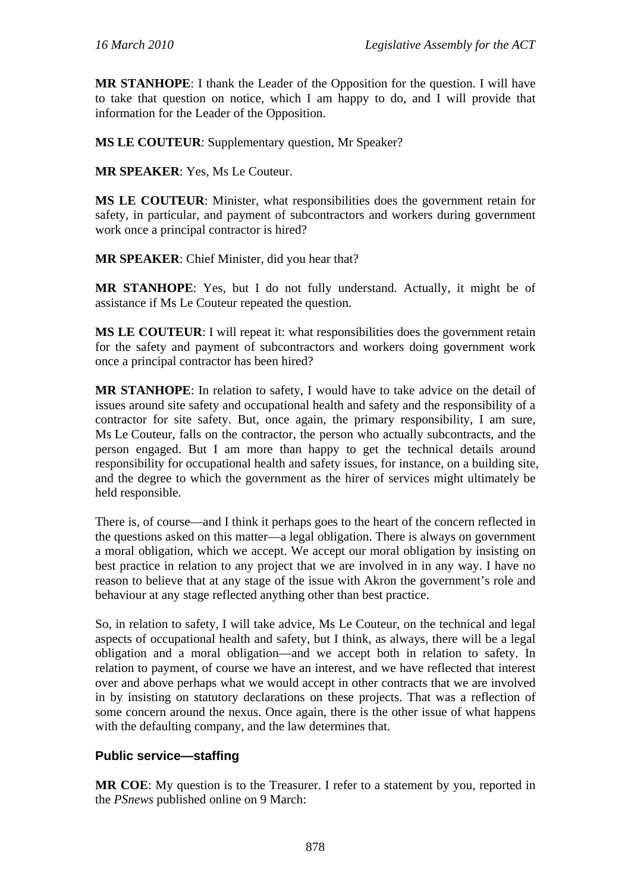**MR STANHOPE**: I thank the Leader of the Opposition for the question. I will have to take that question on notice, which I am happy to do, and I will provide that information for the Leader of the Opposition.

**MS LE COUTEUR**: Supplementary question, Mr Speaker?

**MR SPEAKER**: Yes, Ms Le Couteur.

**MS LE COUTEUR**: Minister, what responsibilities does the government retain for safety, in particular, and payment of subcontractors and workers during government work once a principal contractor is hired?

**MR SPEAKER**: Chief Minister, did you hear that?

**MR STANHOPE**: Yes, but I do not fully understand. Actually, it might be of assistance if Ms Le Couteur repeated the question.

**MS LE COUTEUR**: I will repeat it: what responsibilities does the government retain for the safety and payment of subcontractors and workers doing government work once a principal contractor has been hired?

**MR STANHOPE**: In relation to safety, I would have to take advice on the detail of issues around site safety and occupational health and safety and the responsibility of a contractor for site safety. But, once again, the primary responsibility, I am sure, Ms Le Couteur, falls on the contractor, the person who actually subcontracts, and the person engaged. But I am more than happy to get the technical details around responsibility for occupational health and safety issues, for instance, on a building site, and the degree to which the government as the hirer of services might ultimately be held responsible.

There is, of course—and I think it perhaps goes to the heart of the concern reflected in the questions asked on this matter—a legal obligation. There is always on government a moral obligation, which we accept. We accept our moral obligation by insisting on best practice in relation to any project that we are involved in in any way. I have no reason to believe that at any stage of the issue with Akron the government's role and behaviour at any stage reflected anything other than best practice.

So, in relation to safety, I will take advice, Ms Le Couteur, on the technical and legal aspects of occupational health and safety, but I think, as always, there will be a legal obligation and a moral obligation—and we accept both in relation to safety. In relation to payment, of course we have an interest, and we have reflected that interest over and above perhaps what we would accept in other contracts that we are involved in by insisting on statutory declarations on these projects. That was a reflection of some concern around the nexus. Once again, there is the other issue of what happens with the defaulting company, and the law determines that.

### **Public service—staffing**

**MR COE**: My question is to the Treasurer. I refer to a statement by you, reported in the *PSnews* published online on 9 March: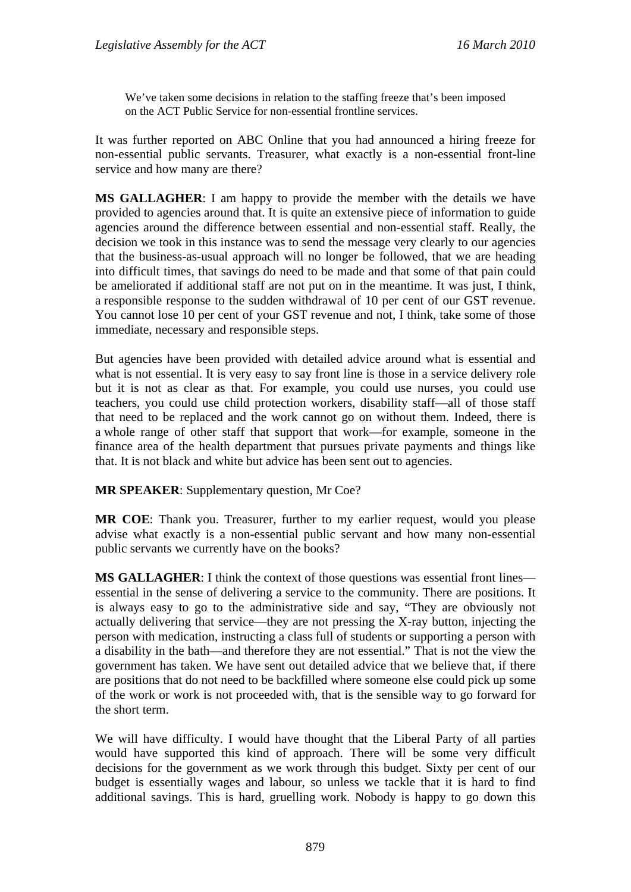We've taken some decisions in relation to the staffing freeze that's been imposed on the ACT Public Service for non-essential frontline services.

It was further reported on ABC Online that you had announced a hiring freeze for non-essential public servants. Treasurer, what exactly is a non-essential front-line service and how many are there?

**MS GALLAGHER**: I am happy to provide the member with the details we have provided to agencies around that. It is quite an extensive piece of information to guide agencies around the difference between essential and non-essential staff. Really, the decision we took in this instance was to send the message very clearly to our agencies that the business-as-usual approach will no longer be followed, that we are heading into difficult times, that savings do need to be made and that some of that pain could be ameliorated if additional staff are not put on in the meantime. It was just, I think, a responsible response to the sudden withdrawal of 10 per cent of our GST revenue. You cannot lose 10 per cent of your GST revenue and not, I think, take some of those immediate, necessary and responsible steps.

But agencies have been provided with detailed advice around what is essential and what is not essential. It is very easy to say front line is those in a service delivery role but it is not as clear as that. For example, you could use nurses, you could use teachers, you could use child protection workers, disability staff—all of those staff that need to be replaced and the work cannot go on without them. Indeed, there is a whole range of other staff that support that work—for example, someone in the finance area of the health department that pursues private payments and things like that. It is not black and white but advice has been sent out to agencies.

**MR SPEAKER**: Supplementary question, Mr Coe?

**MR COE**: Thank you. Treasurer, further to my earlier request, would you please advise what exactly is a non-essential public servant and how many non-essential public servants we currently have on the books?

**MS GALLAGHER**: I think the context of those questions was essential front lines essential in the sense of delivering a service to the community. There are positions. It is always easy to go to the administrative side and say, "They are obviously not actually delivering that service—they are not pressing the X-ray button, injecting the person with medication, instructing a class full of students or supporting a person with a disability in the bath—and therefore they are not essential." That is not the view the government has taken. We have sent out detailed advice that we believe that, if there are positions that do not need to be backfilled where someone else could pick up some of the work or work is not proceeded with, that is the sensible way to go forward for the short term.

We will have difficulty. I would have thought that the Liberal Party of all parties would have supported this kind of approach. There will be some very difficult decisions for the government as we work through this budget. Sixty per cent of our budget is essentially wages and labour, so unless we tackle that it is hard to find additional savings. This is hard, gruelling work. Nobody is happy to go down this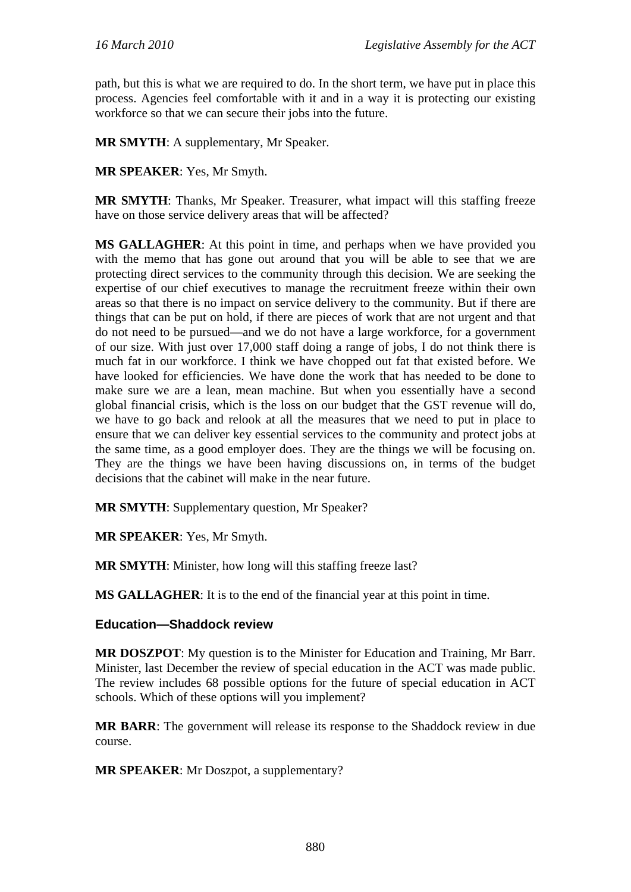path, but this is what we are required to do. In the short term, we have put in place this process. Agencies feel comfortable with it and in a way it is protecting our existing workforce so that we can secure their jobs into the future.

**MR SMYTH**: A supplementary, Mr Speaker.

**MR SPEAKER**: Yes, Mr Smyth.

**MR SMYTH**: Thanks, Mr Speaker. Treasurer, what impact will this staffing freeze have on those service delivery areas that will be affected?

**MS GALLAGHER**: At this point in time, and perhaps when we have provided you with the memo that has gone out around that you will be able to see that we are protecting direct services to the community through this decision. We are seeking the expertise of our chief executives to manage the recruitment freeze within their own areas so that there is no impact on service delivery to the community. But if there are things that can be put on hold, if there are pieces of work that are not urgent and that do not need to be pursued—and we do not have a large workforce, for a government of our size. With just over 17,000 staff doing a range of jobs, I do not think there is much fat in our workforce. I think we have chopped out fat that existed before. We have looked for efficiencies. We have done the work that has needed to be done to make sure we are a lean, mean machine. But when you essentially have a second global financial crisis, which is the loss on our budget that the GST revenue will do, we have to go back and relook at all the measures that we need to put in place to ensure that we can deliver key essential services to the community and protect jobs at the same time, as a good employer does. They are the things we will be focusing on. They are the things we have been having discussions on, in terms of the budget decisions that the cabinet will make in the near future.

**MR SMYTH**: Supplementary question, Mr Speaker?

**MR SPEAKER**: Yes, Mr Smyth.

**MR SMYTH**: Minister, how long will this staffing freeze last?

**MS GALLAGHER**: It is to the end of the financial year at this point in time.

### **Education—Shaddock review**

**MR DOSZPOT**: My question is to the Minister for Education and Training, Mr Barr. Minister, last December the review of special education in the ACT was made public. The review includes 68 possible options for the future of special education in ACT schools. Which of these options will you implement?

**MR BARR**: The government will release its response to the Shaddock review in due course.

**MR SPEAKER**: Mr Doszpot, a supplementary?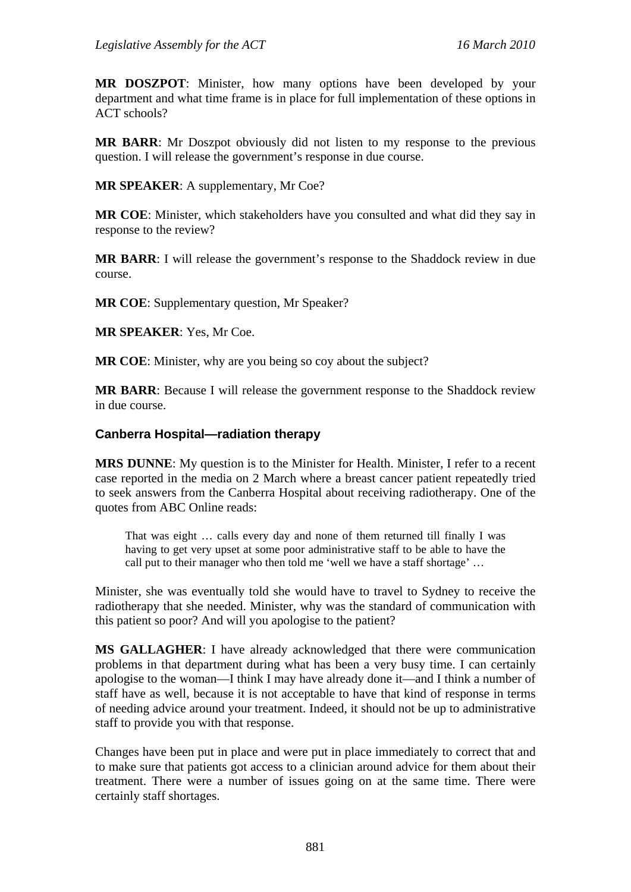**MR DOSZPOT**: Minister, how many options have been developed by your department and what time frame is in place for full implementation of these options in ACT schools?

**MR BARR**: Mr Doszpot obviously did not listen to my response to the previous question. I will release the government's response in due course.

**MR SPEAKER**: A supplementary, Mr Coe?

**MR COE**: Minister, which stakeholders have you consulted and what did they say in response to the review?

**MR BARR**: I will release the government's response to the Shaddock review in due course.

**MR COE**: Supplementary question, Mr Speaker?

**MR SPEAKER**: Yes, Mr Coe.

**MR COE**: Minister, why are you being so coy about the subject?

**MR BARR**: Because I will release the government response to the Shaddock review in due course.

### **Canberra Hospital—radiation therapy**

**MRS DUNNE**: My question is to the Minister for Health. Minister, I refer to a recent case reported in the media on 2 March where a breast cancer patient repeatedly tried to seek answers from the Canberra Hospital about receiving radiotherapy. One of the quotes from ABC Online reads:

That was eight … calls every day and none of them returned till finally I was having to get very upset at some poor administrative staff to be able to have the call put to their manager who then told me 'well we have a staff shortage' …

Minister, she was eventually told she would have to travel to Sydney to receive the radiotherapy that she needed. Minister, why was the standard of communication with this patient so poor? And will you apologise to the patient?

**MS GALLAGHER**: I have already acknowledged that there were communication problems in that department during what has been a very busy time. I can certainly apologise to the woman—I think I may have already done it—and I think a number of staff have as well, because it is not acceptable to have that kind of response in terms of needing advice around your treatment. Indeed, it should not be up to administrative staff to provide you with that response.

Changes have been put in place and were put in place immediately to correct that and to make sure that patients got access to a clinician around advice for them about their treatment. There were a number of issues going on at the same time. There were certainly staff shortages.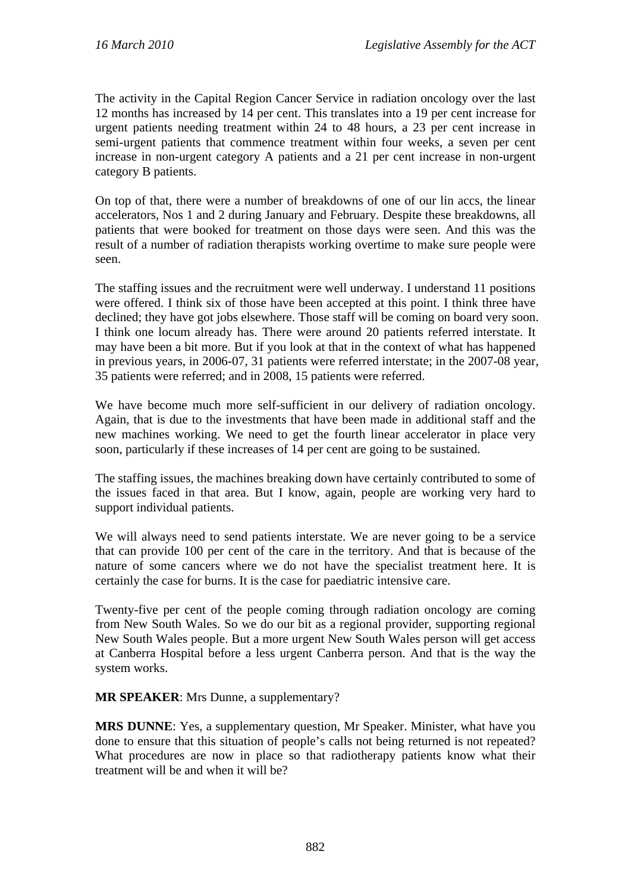The activity in the Capital Region Cancer Service in radiation oncology over the last 12 months has increased by 14 per cent. This translates into a 19 per cent increase for urgent patients needing treatment within 24 to 48 hours, a 23 per cent increase in semi-urgent patients that commence treatment within four weeks, a seven per cent increase in non-urgent category A patients and a 21 per cent increase in non-urgent category B patients.

On top of that, there were a number of breakdowns of one of our lin accs, the linear accelerators, Nos 1 and 2 during January and February. Despite these breakdowns, all patients that were booked for treatment on those days were seen. And this was the result of a number of radiation therapists working overtime to make sure people were seen.

The staffing issues and the recruitment were well underway. I understand 11 positions were offered. I think six of those have been accepted at this point. I think three have declined; they have got jobs elsewhere. Those staff will be coming on board very soon. I think one locum already has. There were around 20 patients referred interstate. It may have been a bit more. But if you look at that in the context of what has happened in previous years, in 2006-07, 31 patients were referred interstate; in the 2007-08 year, 35 patients were referred; and in 2008, 15 patients were referred.

We have become much more self-sufficient in our delivery of radiation oncology. Again, that is due to the investments that have been made in additional staff and the new machines working. We need to get the fourth linear accelerator in place very soon, particularly if these increases of 14 per cent are going to be sustained.

The staffing issues, the machines breaking down have certainly contributed to some of the issues faced in that area. But I know, again, people are working very hard to support individual patients.

We will always need to send patients interstate. We are never going to be a service that can provide 100 per cent of the care in the territory. And that is because of the nature of some cancers where we do not have the specialist treatment here. It is certainly the case for burns. It is the case for paediatric intensive care.

Twenty-five per cent of the people coming through radiation oncology are coming from New South Wales. So we do our bit as a regional provider, supporting regional New South Wales people. But a more urgent New South Wales person will get access at Canberra Hospital before a less urgent Canberra person. And that is the way the system works.

**MR SPEAKER**: Mrs Dunne, a supplementary?

**MRS DUNNE**: Yes, a supplementary question, Mr Speaker. Minister, what have you done to ensure that this situation of people's calls not being returned is not repeated? What procedures are now in place so that radiotherapy patients know what their treatment will be and when it will be?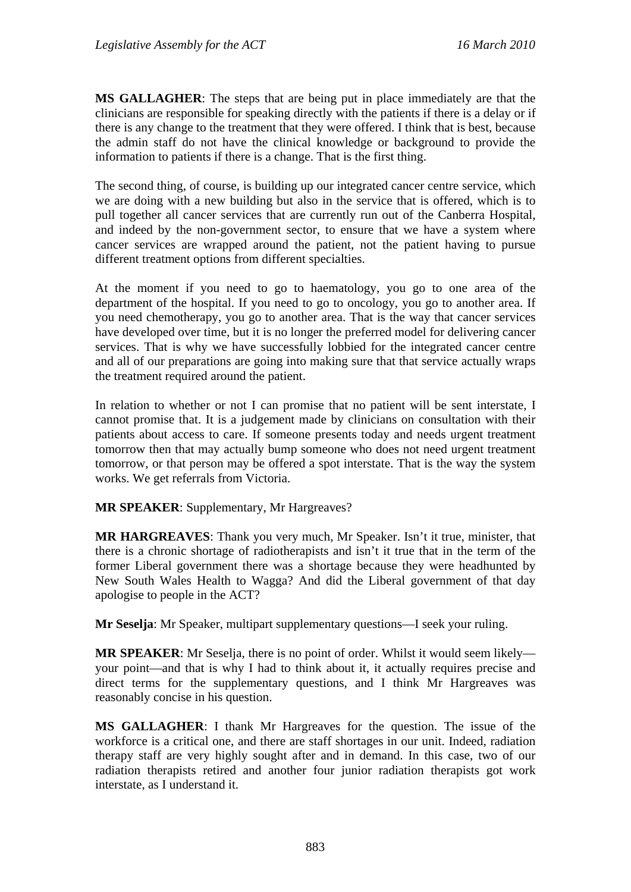**MS GALLAGHER**: The steps that are being put in place immediately are that the clinicians are responsible for speaking directly with the patients if there is a delay or if there is any change to the treatment that they were offered. I think that is best, because the admin staff do not have the clinical knowledge or background to provide the information to patients if there is a change. That is the first thing.

The second thing, of course, is building up our integrated cancer centre service, which we are doing with a new building but also in the service that is offered, which is to pull together all cancer services that are currently run out of the Canberra Hospital, and indeed by the non-government sector, to ensure that we have a system where cancer services are wrapped around the patient, not the patient having to pursue different treatment options from different specialties.

At the moment if you need to go to haematology, you go to one area of the department of the hospital. If you need to go to oncology, you go to another area. If you need chemotherapy, you go to another area. That is the way that cancer services have developed over time, but it is no longer the preferred model for delivering cancer services. That is why we have successfully lobbied for the integrated cancer centre and all of our preparations are going into making sure that that service actually wraps the treatment required around the patient.

In relation to whether or not I can promise that no patient will be sent interstate, I cannot promise that. It is a judgement made by clinicians on consultation with their patients about access to care. If someone presents today and needs urgent treatment tomorrow then that may actually bump someone who does not need urgent treatment tomorrow, or that person may be offered a spot interstate. That is the way the system works. We get referrals from Victoria.

**MR SPEAKER**: Supplementary, Mr Hargreaves?

**MR HARGREAVES**: Thank you very much, Mr Speaker. Isn't it true, minister, that there is a chronic shortage of radiotherapists and isn't it true that in the term of the former Liberal government there was a shortage because they were headhunted by New South Wales Health to Wagga? And did the Liberal government of that day apologise to people in the ACT?

**Mr Seselja**: Mr Speaker, multipart supplementary questions—I seek your ruling.

**MR SPEAKER**: Mr Seselja, there is no point of order. Whilst it would seem likely your point—and that is why I had to think about it, it actually requires precise and direct terms for the supplementary questions, and I think Mr Hargreaves was reasonably concise in his question.

**MS GALLAGHER**: I thank Mr Hargreaves for the question. The issue of the workforce is a critical one, and there are staff shortages in our unit. Indeed, radiation therapy staff are very highly sought after and in demand. In this case, two of our radiation therapists retired and another four junior radiation therapists got work interstate, as I understand it.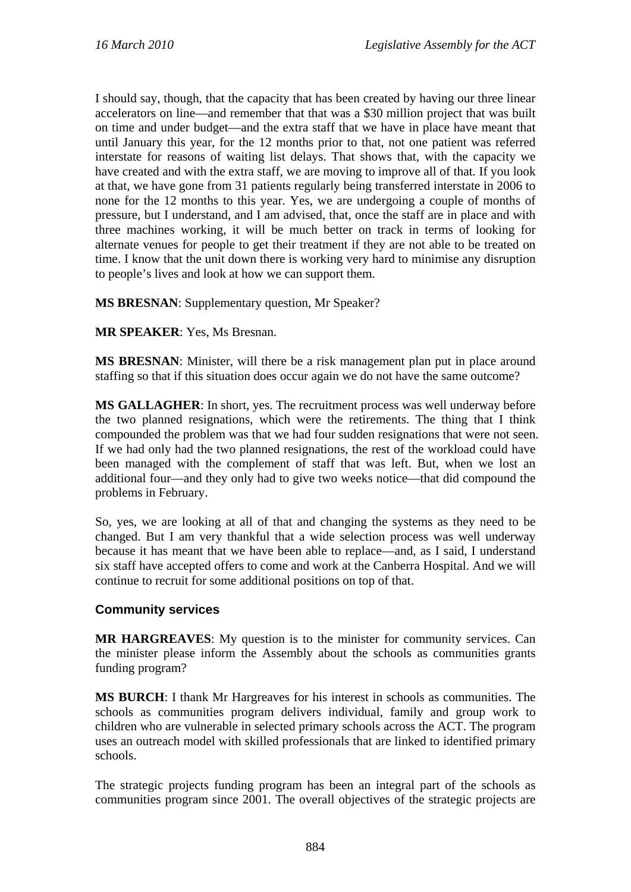I should say, though, that the capacity that has been created by having our three linear accelerators on line—and remember that that was a \$30 million project that was built on time and under budget—and the extra staff that we have in place have meant that until January this year, for the 12 months prior to that, not one patient was referred interstate for reasons of waiting list delays. That shows that, with the capacity we have created and with the extra staff, we are moving to improve all of that. If you look at that, we have gone from 31 patients regularly being transferred interstate in 2006 to none for the 12 months to this year. Yes, we are undergoing a couple of months of pressure, but I understand, and I am advised, that, once the staff are in place and with three machines working, it will be much better on track in terms of looking for alternate venues for people to get their treatment if they are not able to be treated on time. I know that the unit down there is working very hard to minimise any disruption to people's lives and look at how we can support them.

**MS BRESNAN**: Supplementary question, Mr Speaker?

**MR SPEAKER**: Yes, Ms Bresnan.

**MS BRESNAN**: Minister, will there be a risk management plan put in place around staffing so that if this situation does occur again we do not have the same outcome?

**MS GALLAGHER**: In short, yes. The recruitment process was well underway before the two planned resignations, which were the retirements. The thing that I think compounded the problem was that we had four sudden resignations that were not seen. If we had only had the two planned resignations, the rest of the workload could have been managed with the complement of staff that was left. But, when we lost an additional four—and they only had to give two weeks notice—that did compound the problems in February.

So, yes, we are looking at all of that and changing the systems as they need to be changed. But I am very thankful that a wide selection process was well underway because it has meant that we have been able to replace—and, as I said, I understand six staff have accepted offers to come and work at the Canberra Hospital. And we will continue to recruit for some additional positions on top of that.

### **Community services**

**MR HARGREAVES**: My question is to the minister for community services. Can the minister please inform the Assembly about the schools as communities grants funding program?

**MS BURCH**: I thank Mr Hargreaves for his interest in schools as communities. The schools as communities program delivers individual, family and group work to children who are vulnerable in selected primary schools across the ACT. The program uses an outreach model with skilled professionals that are linked to identified primary schools.

The strategic projects funding program has been an integral part of the schools as communities program since 2001. The overall objectives of the strategic projects are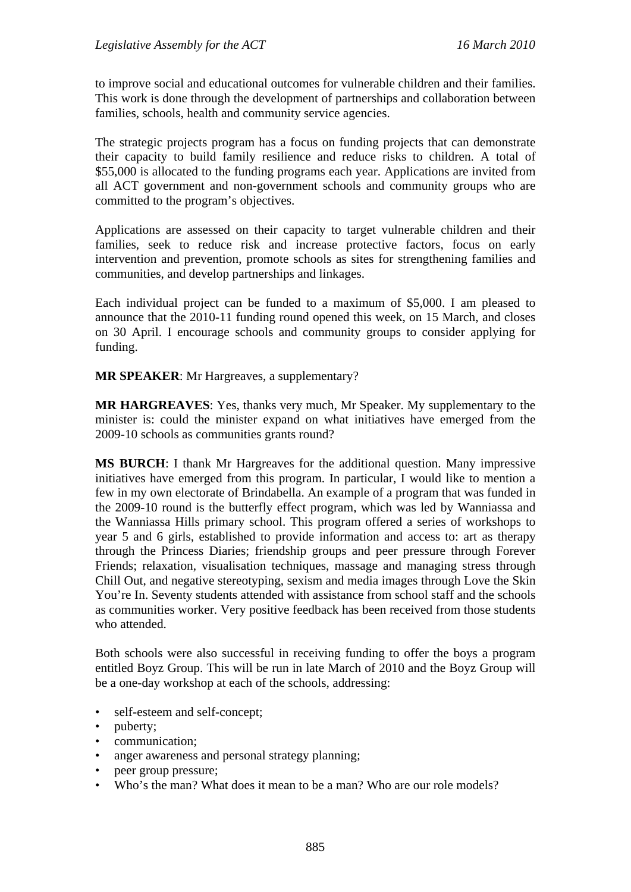to improve social and educational outcomes for vulnerable children and their families. This work is done through the development of partnerships and collaboration between families, schools, health and community service agencies.

The strategic projects program has a focus on funding projects that can demonstrate their capacity to build family resilience and reduce risks to children. A total of \$55,000 is allocated to the funding programs each year. Applications are invited from all ACT government and non-government schools and community groups who are committed to the program's objectives.

Applications are assessed on their capacity to target vulnerable children and their families, seek to reduce risk and increase protective factors, focus on early intervention and prevention, promote schools as sites for strengthening families and communities, and develop partnerships and linkages.

Each individual project can be funded to a maximum of \$5,000. I am pleased to announce that the 2010-11 funding round opened this week, on 15 March, and closes on 30 April. I encourage schools and community groups to consider applying for funding.

**MR SPEAKER**: Mr Hargreaves, a supplementary?

**MR HARGREAVES**: Yes, thanks very much, Mr Speaker. My supplementary to the minister is: could the minister expand on what initiatives have emerged from the 2009-10 schools as communities grants round?

**MS BURCH**: I thank Mr Hargreaves for the additional question. Many impressive initiatives have emerged from this program. In particular, I would like to mention a few in my own electorate of Brindabella. An example of a program that was funded in the 2009-10 round is the butterfly effect program, which was led by Wanniassa and the Wanniassa Hills primary school. This program offered a series of workshops to year 5 and 6 girls, established to provide information and access to: art as therapy through the Princess Diaries; friendship groups and peer pressure through Forever Friends; relaxation, visualisation techniques, massage and managing stress through Chill Out, and negative stereotyping, sexism and media images through Love the Skin You're In. Seventy students attended with assistance from school staff and the schools as communities worker. Very positive feedback has been received from those students who attended.

Both schools were also successful in receiving funding to offer the boys a program entitled Boyz Group. This will be run in late March of 2010 and the Boyz Group will be a one-day workshop at each of the schools, addressing:

- self-esteem and self-concept;
- puberty;
- communication;
- anger awareness and personal strategy planning;
- peer group pressure;
- Who's the man? What does it mean to be a man? Who are our role models?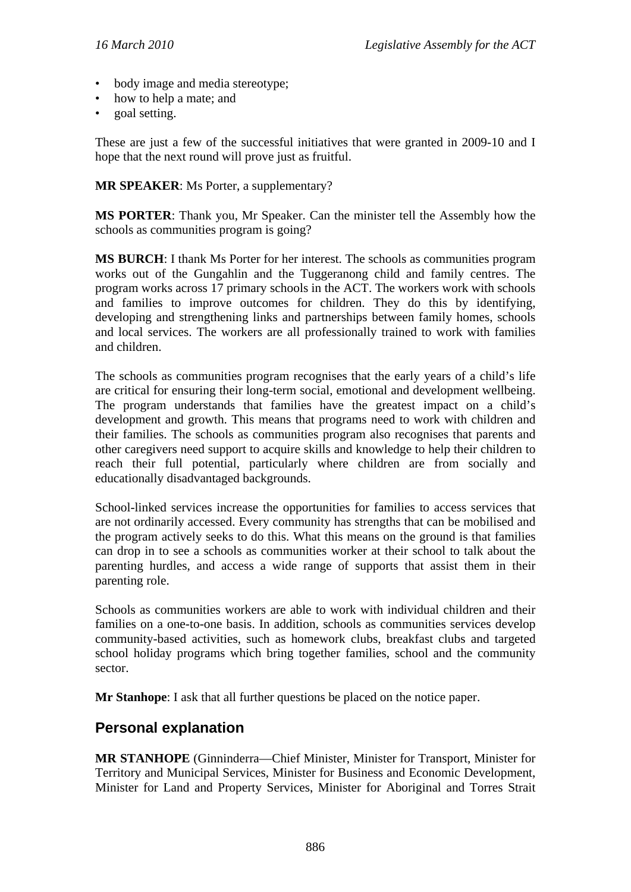- body image and media stereotype;
- how to help a mate; and
- goal setting.

These are just a few of the successful initiatives that were granted in 2009-10 and I hope that the next round will prove just as fruitful.

**MR SPEAKER**: Ms Porter, a supplementary?

**MS PORTER**: Thank you, Mr Speaker. Can the minister tell the Assembly how the schools as communities program is going?

**MS BURCH**: I thank Ms Porter for her interest. The schools as communities program works out of the Gungahlin and the Tuggeranong child and family centres. The program works across 17 primary schools in the ACT. The workers work with schools and families to improve outcomes for children. They do this by identifying, developing and strengthening links and partnerships between family homes, schools and local services. The workers are all professionally trained to work with families and children.

The schools as communities program recognises that the early years of a child's life are critical for ensuring their long-term social, emotional and development wellbeing. The program understands that families have the greatest impact on a child's development and growth. This means that programs need to work with children and their families. The schools as communities program also recognises that parents and other caregivers need support to acquire skills and knowledge to help their children to reach their full potential, particularly where children are from socially and educationally disadvantaged backgrounds.

School-linked services increase the opportunities for families to access services that are not ordinarily accessed. Every community has strengths that can be mobilised and the program actively seeks to do this. What this means on the ground is that families can drop in to see a schools as communities worker at their school to talk about the parenting hurdles, and access a wide range of supports that assist them in their parenting role.

Schools as communities workers are able to work with individual children and their families on a one-to-one basis. In addition, schools as communities services develop community-based activities, such as homework clubs, breakfast clubs and targeted school holiday programs which bring together families, school and the community sector.

**Mr Stanhope**: I ask that all further questions be placed on the notice paper.

# **Personal explanation**

**MR STANHOPE** (Ginninderra—Chief Minister, Minister for Transport, Minister for Territory and Municipal Services, Minister for Business and Economic Development, Minister for Land and Property Services, Minister for Aboriginal and Torres Strait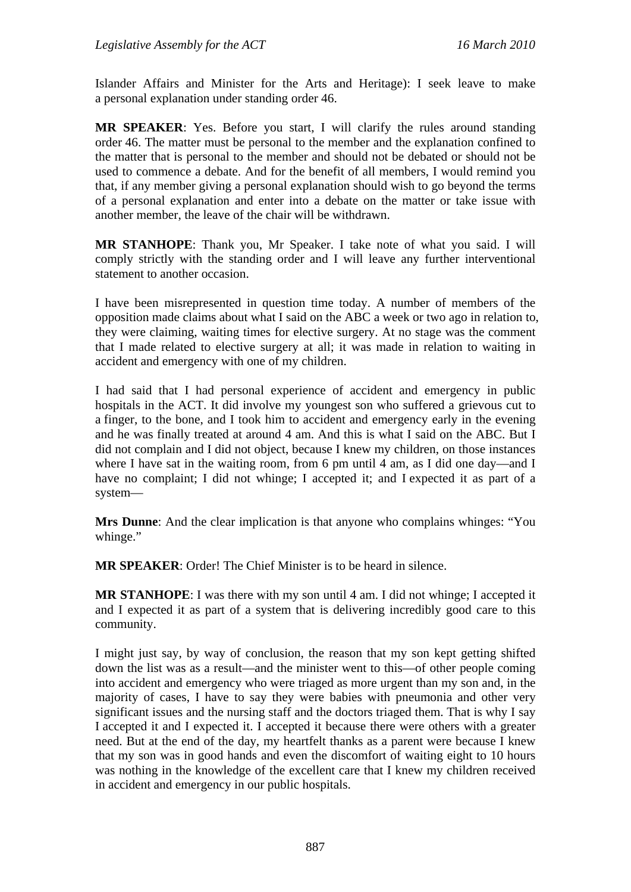Islander Affairs and Minister for the Arts and Heritage): I seek leave to make a personal explanation under standing order 46.

**MR SPEAKER**: Yes. Before you start, I will clarify the rules around standing order 46. The matter must be personal to the member and the explanation confined to the matter that is personal to the member and should not be debated or should not be used to commence a debate. And for the benefit of all members, I would remind you that, if any member giving a personal explanation should wish to go beyond the terms of a personal explanation and enter into a debate on the matter or take issue with another member, the leave of the chair will be withdrawn.

**MR STANHOPE**: Thank you, Mr Speaker. I take note of what you said. I will comply strictly with the standing order and I will leave any further interventional statement to another occasion.

I have been misrepresented in question time today. A number of members of the opposition made claims about what I said on the ABC a week or two ago in relation to, they were claiming, waiting times for elective surgery. At no stage was the comment that I made related to elective surgery at all; it was made in relation to waiting in accident and emergency with one of my children.

I had said that I had personal experience of accident and emergency in public hospitals in the ACT. It did involve my youngest son who suffered a grievous cut to a finger, to the bone, and I took him to accident and emergency early in the evening and he was finally treated at around 4 am. And this is what I said on the ABC. But I did not complain and I did not object, because I knew my children, on those instances where I have sat in the waiting room, from 6 pm until 4 am, as I did one day—and I have no complaint; I did not whinge; I accepted it; and I expected it as part of a system—

**Mrs Dunne**: And the clear implication is that anyone who complains whinges: "You whinge."

**MR SPEAKER**: Order! The Chief Minister is to be heard in silence.

**MR STANHOPE**: I was there with my son until 4 am. I did not whinge; I accepted it and I expected it as part of a system that is delivering incredibly good care to this community.

I might just say, by way of conclusion, the reason that my son kept getting shifted down the list was as a result—and the minister went to this—of other people coming into accident and emergency who were triaged as more urgent than my son and, in the majority of cases, I have to say they were babies with pneumonia and other very significant issues and the nursing staff and the doctors triaged them. That is why I say I accepted it and I expected it. I accepted it because there were others with a greater need. But at the end of the day, my heartfelt thanks as a parent were because I knew that my son was in good hands and even the discomfort of waiting eight to 10 hours was nothing in the knowledge of the excellent care that I knew my children received in accident and emergency in our public hospitals.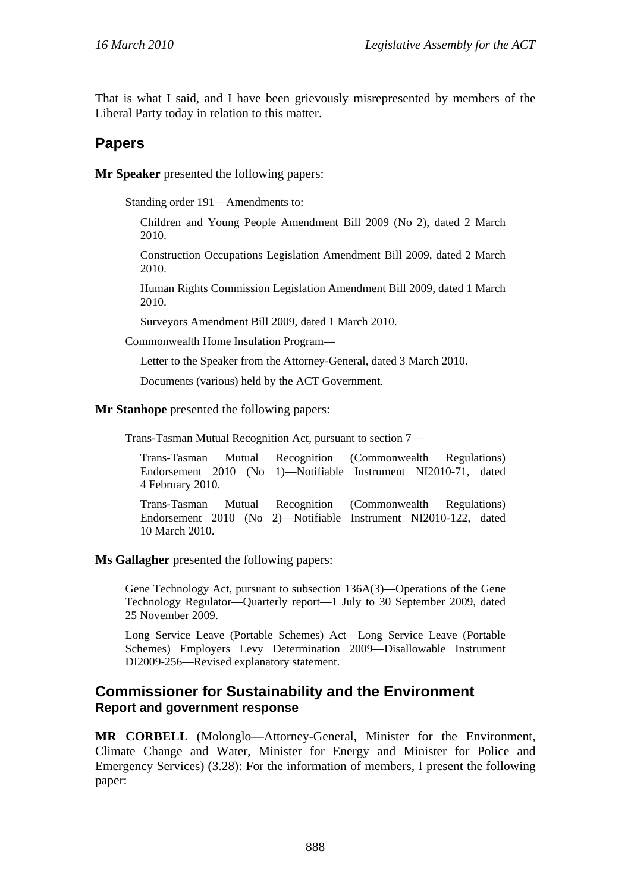That is what I said, and I have been grievously misrepresented by members of the Liberal Party today in relation to this matter.

## **Papers**

**Mr Speaker** presented the following papers:

Standing order 191—Amendments to:

Children and Young People Amendment Bill 2009 (No 2), dated 2 March 2010.

Construction Occupations Legislation Amendment Bill 2009, dated 2 March 2010.

Human Rights Commission Legislation Amendment Bill 2009, dated 1 March 2010.

Surveyors Amendment Bill 2009, dated 1 March 2010.

Commonwealth Home Insulation Program—

Letter to the Speaker from the Attorney-General, dated 3 March 2010.

Documents (various) held by the ACT Government.

**Mr Stanhope** presented the following papers:

Trans-Tasman Mutual Recognition Act, pursuant to section 7—

Trans-Tasman Mutual Recognition (Commonwealth Regulations) Endorsement 2010 (No 1)—Notifiable Instrument NI2010-71, dated 4 February 2010.

Trans-Tasman Mutual Recognition (Commonwealth Regulations) Endorsement 2010 (No 2)—Notifiable Instrument NI2010-122, dated 10 March 2010.

**Ms Gallagher** presented the following papers:

Gene Technology Act, pursuant to subsection 136A(3)—Operations of the Gene Technology Regulator—Quarterly report—1 July to 30 September 2009, dated 25 November 2009.

Long Service Leave (Portable Schemes) Act—Long Service Leave (Portable Schemes) Employers Levy Determination 2009—Disallowable Instrument DI2009-256—Revised explanatory statement.

### **Commissioner for Sustainability and the Environment Report and government response**

**MR CORBELL** (Molonglo—Attorney-General, Minister for the Environment, Climate Change and Water, Minister for Energy and Minister for Police and Emergency Services) (3.28): For the information of members, I present the following paper: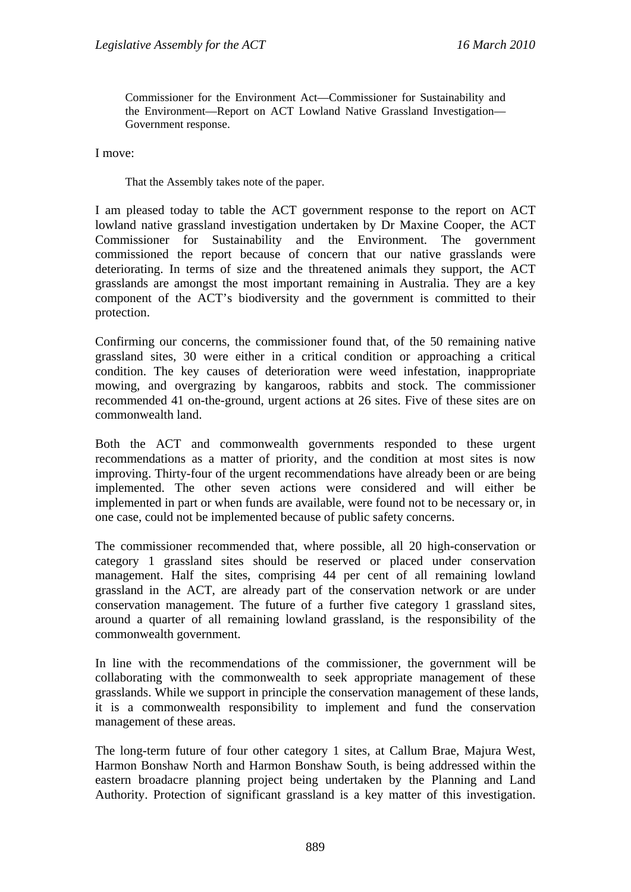Commissioner for the Environment Act—Commissioner for Sustainability and the Environment—Report on ACT Lowland Native Grassland Investigation— Government response.

I move:

That the Assembly takes note of the paper.

I am pleased today to table the ACT government response to the report on ACT lowland native grassland investigation undertaken by Dr Maxine Cooper, the ACT Commissioner for Sustainability and the Environment. The government commissioned the report because of concern that our native grasslands were deteriorating. In terms of size and the threatened animals they support, the ACT grasslands are amongst the most important remaining in Australia. They are a key component of the ACT's biodiversity and the government is committed to their protection.

Confirming our concerns, the commissioner found that, of the 50 remaining native grassland sites, 30 were either in a critical condition or approaching a critical condition. The key causes of deterioration were weed infestation, inappropriate mowing, and overgrazing by kangaroos, rabbits and stock. The commissioner recommended 41 on-the-ground, urgent actions at 26 sites. Five of these sites are on commonwealth land.

Both the ACT and commonwealth governments responded to these urgent recommendations as a matter of priority, and the condition at most sites is now improving. Thirty-four of the urgent recommendations have already been or are being implemented. The other seven actions were considered and will either be implemented in part or when funds are available, were found not to be necessary or, in one case, could not be implemented because of public safety concerns.

The commissioner recommended that, where possible, all 20 high-conservation or category 1 grassland sites should be reserved or placed under conservation management. Half the sites, comprising 44 per cent of all remaining lowland grassland in the ACT, are already part of the conservation network or are under conservation management. The future of a further five category 1 grassland sites, around a quarter of all remaining lowland grassland, is the responsibility of the commonwealth government.

In line with the recommendations of the commissioner, the government will be collaborating with the commonwealth to seek appropriate management of these grasslands. While we support in principle the conservation management of these lands, it is a commonwealth responsibility to implement and fund the conservation management of these areas.

The long-term future of four other category 1 sites, at Callum Brae, Majura West, Harmon Bonshaw North and Harmon Bonshaw South, is being addressed within the eastern broadacre planning project being undertaken by the Planning and Land Authority. Protection of significant grassland is a key matter of this investigation.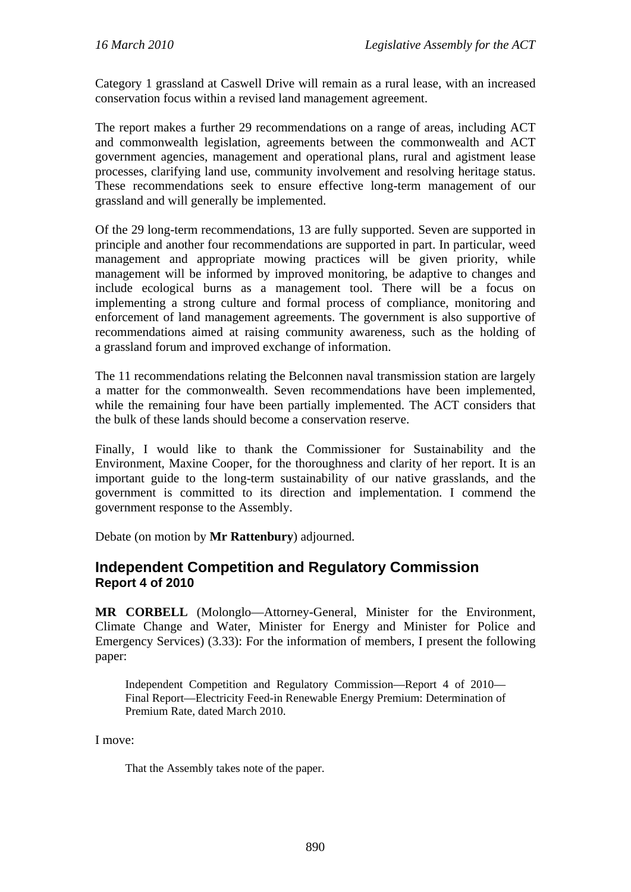Category 1 grassland at Caswell Drive will remain as a rural lease, with an increased conservation focus within a revised land management agreement.

The report makes a further 29 recommendations on a range of areas, including ACT and commonwealth legislation, agreements between the commonwealth and ACT government agencies, management and operational plans, rural and agistment lease processes, clarifying land use, community involvement and resolving heritage status. These recommendations seek to ensure effective long-term management of our grassland and will generally be implemented.

Of the 29 long-term recommendations, 13 are fully supported. Seven are supported in principle and another four recommendations are supported in part. In particular, weed management and appropriate mowing practices will be given priority, while management will be informed by improved monitoring, be adaptive to changes and include ecological burns as a management tool. There will be a focus on implementing a strong culture and formal process of compliance, monitoring and enforcement of land management agreements. The government is also supportive of recommendations aimed at raising community awareness, such as the holding of a grassland forum and improved exchange of information.

The 11 recommendations relating the Belconnen naval transmission station are largely a matter for the commonwealth. Seven recommendations have been implemented, while the remaining four have been partially implemented. The ACT considers that the bulk of these lands should become a conservation reserve.

Finally, I would like to thank the Commissioner for Sustainability and the Environment, Maxine Cooper, for the thoroughness and clarity of her report. It is an important guide to the long-term sustainability of our native grasslands, and the government is committed to its direction and implementation. I commend the government response to the Assembly.

Debate (on motion by **Mr Rattenbury**) adjourned.

### **Independent Competition and Regulatory Commission Report 4 of 2010**

**MR CORBELL** (Molonglo—Attorney-General, Minister for the Environment, Climate Change and Water, Minister for Energy and Minister for Police and Emergency Services) (3.33): For the information of members, I present the following paper:

Independent Competition and Regulatory Commission—Report 4 of 2010— Final Report—Electricity Feed-in Renewable Energy Premium: Determination of Premium Rate, dated March 2010.

I move:

That the Assembly takes note of the paper.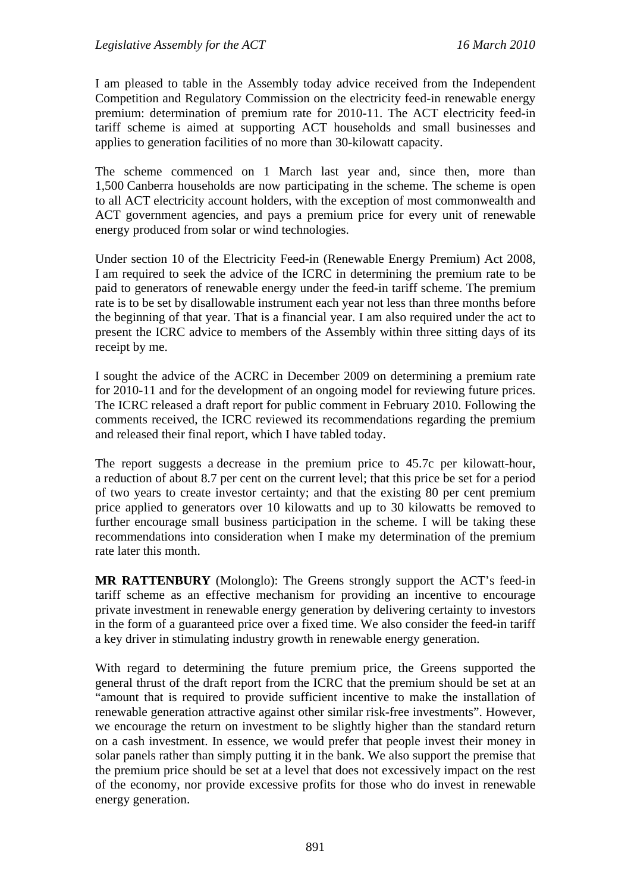I am pleased to table in the Assembly today advice received from the Independent Competition and Regulatory Commission on the electricity feed-in renewable energy premium: determination of premium rate for 2010-11. The ACT electricity feed-in tariff scheme is aimed at supporting ACT households and small businesses and applies to generation facilities of no more than 30-kilowatt capacity.

The scheme commenced on 1 March last year and, since then, more than 1,500 Canberra households are now participating in the scheme. The scheme is open to all ACT electricity account holders, with the exception of most commonwealth and ACT government agencies, and pays a premium price for every unit of renewable energy produced from solar or wind technologies.

Under section 10 of the Electricity Feed-in (Renewable Energy Premium) Act 2008, I am required to seek the advice of the ICRC in determining the premium rate to be paid to generators of renewable energy under the feed-in tariff scheme. The premium rate is to be set by disallowable instrument each year not less than three months before the beginning of that year. That is a financial year. I am also required under the act to present the ICRC advice to members of the Assembly within three sitting days of its receipt by me.

I sought the advice of the ACRC in December 2009 on determining a premium rate for 2010-11 and for the development of an ongoing model for reviewing future prices. The ICRC released a draft report for public comment in February 2010. Following the comments received, the ICRC reviewed its recommendations regarding the premium and released their final report, which I have tabled today.

The report suggests a decrease in the premium price to 45.7c per kilowatt-hour, a reduction of about 8.7 per cent on the current level; that this price be set for a period of two years to create investor certainty; and that the existing 80 per cent premium price applied to generators over 10 kilowatts and up to 30 kilowatts be removed to further encourage small business participation in the scheme. I will be taking these recommendations into consideration when I make my determination of the premium rate later this month.

**MR RATTENBURY** (Molonglo): The Greens strongly support the ACT's feed-in tariff scheme as an effective mechanism for providing an incentive to encourage private investment in renewable energy generation by delivering certainty to investors in the form of a guaranteed price over a fixed time. We also consider the feed-in tariff a key driver in stimulating industry growth in renewable energy generation.

With regard to determining the future premium price, the Greens supported the general thrust of the draft report from the ICRC that the premium should be set at an "amount that is required to provide sufficient incentive to make the installation of renewable generation attractive against other similar risk-free investments". However, we encourage the return on investment to be slightly higher than the standard return on a cash investment. In essence, we would prefer that people invest their money in solar panels rather than simply putting it in the bank. We also support the premise that the premium price should be set at a level that does not excessively impact on the rest of the economy, nor provide excessive profits for those who do invest in renewable energy generation.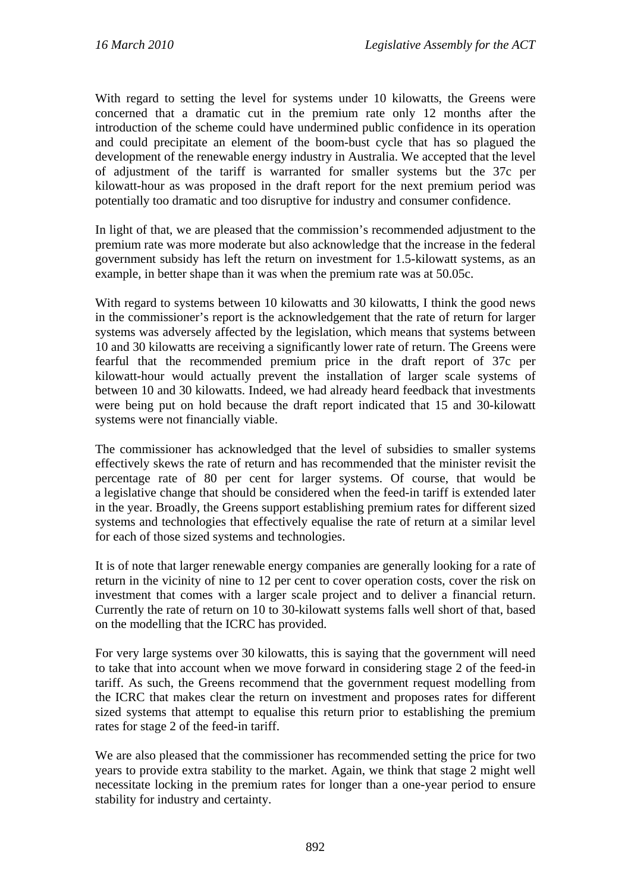With regard to setting the level for systems under 10 kilowatts, the Greens were concerned that a dramatic cut in the premium rate only 12 months after the introduction of the scheme could have undermined public confidence in its operation and could precipitate an element of the boom-bust cycle that has so plagued the development of the renewable energy industry in Australia. We accepted that the level of adjustment of the tariff is warranted for smaller systems but the 37c per kilowatt-hour as was proposed in the draft report for the next premium period was potentially too dramatic and too disruptive for industry and consumer confidence.

In light of that, we are pleased that the commission's recommended adjustment to the premium rate was more moderate but also acknowledge that the increase in the federal government subsidy has left the return on investment for 1.5-kilowatt systems, as an example, in better shape than it was when the premium rate was at 50.05c.

With regard to systems between 10 kilowatts and 30 kilowatts, I think the good news in the commissioner's report is the acknowledgement that the rate of return for larger systems was adversely affected by the legislation, which means that systems between 10 and 30 kilowatts are receiving a significantly lower rate of return. The Greens were fearful that the recommended premium price in the draft report of 37c per kilowatt-hour would actually prevent the installation of larger scale systems of between 10 and 30 kilowatts. Indeed, we had already heard feedback that investments were being put on hold because the draft report indicated that 15 and 30-kilowatt systems were not financially viable.

The commissioner has acknowledged that the level of subsidies to smaller systems effectively skews the rate of return and has recommended that the minister revisit the percentage rate of 80 per cent for larger systems. Of course, that would be a legislative change that should be considered when the feed-in tariff is extended later in the year. Broadly, the Greens support establishing premium rates for different sized systems and technologies that effectively equalise the rate of return at a similar level for each of those sized systems and technologies.

It is of note that larger renewable energy companies are generally looking for a rate of return in the vicinity of nine to 12 per cent to cover operation costs, cover the risk on investment that comes with a larger scale project and to deliver a financial return. Currently the rate of return on 10 to 30-kilowatt systems falls well short of that, based on the modelling that the ICRC has provided.

For very large systems over 30 kilowatts, this is saying that the government will need to take that into account when we move forward in considering stage 2 of the feed-in tariff. As such, the Greens recommend that the government request modelling from the ICRC that makes clear the return on investment and proposes rates for different sized systems that attempt to equalise this return prior to establishing the premium rates for stage 2 of the feed-in tariff.

We are also pleased that the commissioner has recommended setting the price for two years to provide extra stability to the market. Again, we think that stage 2 might well necessitate locking in the premium rates for longer than a one-year period to ensure stability for industry and certainty.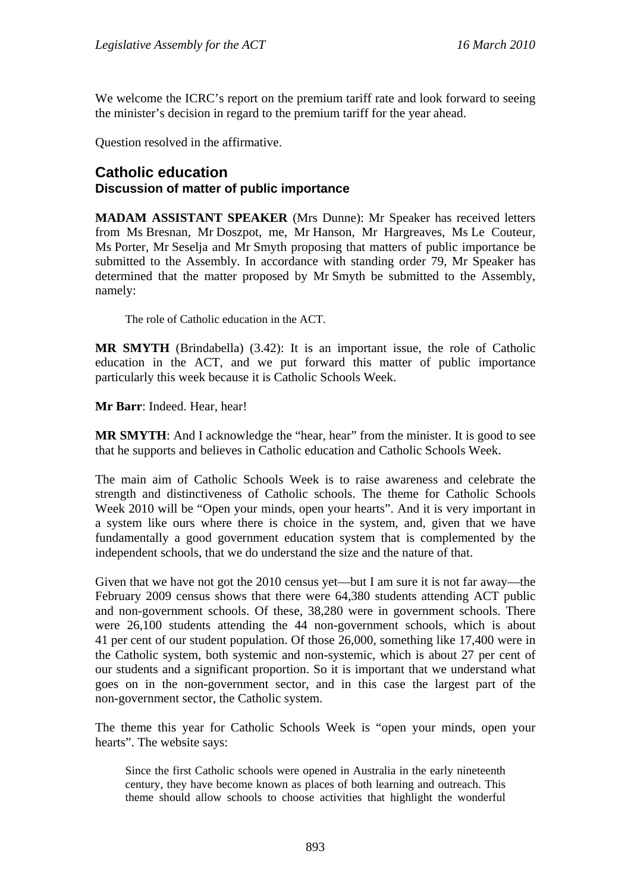We welcome the ICRC's report on the premium tariff rate and look forward to seeing the minister's decision in regard to the premium tariff for the year ahead.

Question resolved in the affirmative.

# **Catholic education**

#### **Discussion of matter of public importance**

**MADAM ASSISTANT SPEAKER** (Mrs Dunne): Mr Speaker has received letters from Ms Bresnan, Mr Doszpot, me, Mr Hanson, Mr Hargreaves, Ms Le Couteur, Ms Porter, Mr Seselja and Mr Smyth proposing that matters of public importance be submitted to the Assembly. In accordance with standing order 79, Mr Speaker has determined that the matter proposed by Mr Smyth be submitted to the Assembly, namely:

The role of Catholic education in the ACT.

**MR SMYTH** (Brindabella) (3.42): It is an important issue, the role of Catholic education in the ACT, and we put forward this matter of public importance particularly this week because it is Catholic Schools Week.

**Mr Barr**: Indeed. Hear, hear!

**MR SMYTH:** And I acknowledge the "hear, hear" from the minister. It is good to see that he supports and believes in Catholic education and Catholic Schools Week.

The main aim of Catholic Schools Week is to raise awareness and celebrate the strength and distinctiveness of Catholic schools. The theme for Catholic Schools Week 2010 will be "Open your minds, open your hearts". And it is very important in a system like ours where there is choice in the system, and, given that we have fundamentally a good government education system that is complemented by the independent schools, that we do understand the size and the nature of that.

Given that we have not got the 2010 census yet—but I am sure it is not far away—the February 2009 census shows that there were 64,380 students attending ACT public and non-government schools. Of these, 38,280 were in government schools. There were 26,100 students attending the 44 non-government schools, which is about 41 per cent of our student population. Of those 26,000, something like 17,400 were in the Catholic system, both systemic and non-systemic, which is about 27 per cent of our students and a significant proportion. So it is important that we understand what goes on in the non-government sector, and in this case the largest part of the non-government sector, the Catholic system.

The theme this year for Catholic Schools Week is "open your minds, open your hearts". The website says:

Since the first Catholic schools were opened in Australia in the early nineteenth century, they have become known as places of both learning and outreach. This theme should allow schools to choose activities that highlight the wonderful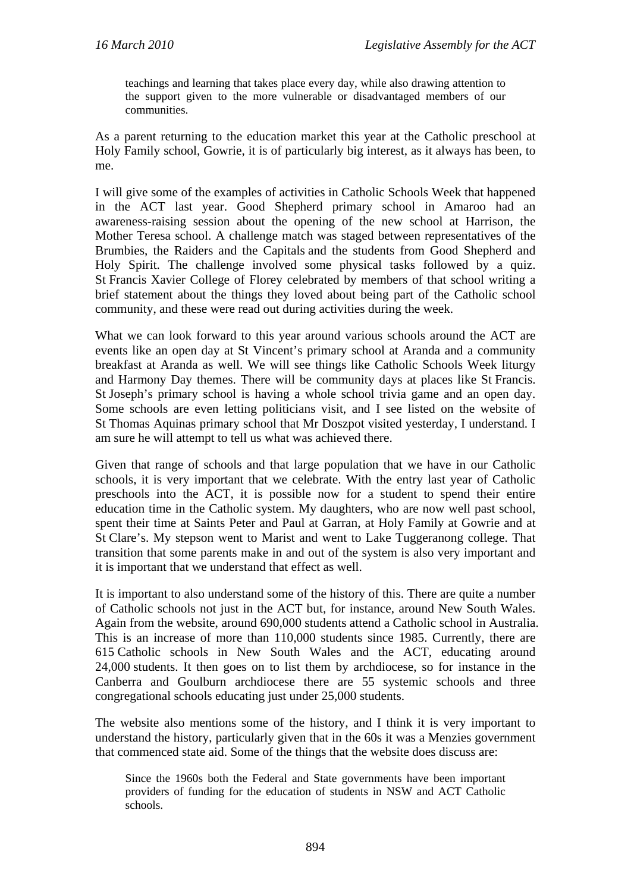teachings and learning that takes place every day, while also drawing attention to the support given to the more vulnerable or disadvantaged members of our communities.

As a parent returning to the education market this year at the Catholic preschool at Holy Family school, Gowrie, it is of particularly big interest, as it always has been, to me.

I will give some of the examples of activities in Catholic Schools Week that happened in the ACT last year. Good Shepherd primary school in Amaroo had an awareness-raising session about the opening of the new school at Harrison, the Mother Teresa school. A challenge match was staged between representatives of the Brumbies, the Raiders and the Capitals and the students from Good Shepherd and Holy Spirit. The challenge involved some physical tasks followed by a quiz. St Francis Xavier College of Florey celebrated by members of that school writing a brief statement about the things they loved about being part of the Catholic school community, and these were read out during activities during the week.

What we can look forward to this year around various schools around the ACT are events like an open day at St Vincent's primary school at Aranda and a community breakfast at Aranda as well. We will see things like Catholic Schools Week liturgy and Harmony Day themes. There will be community days at places like St Francis. St Joseph's primary school is having a whole school trivia game and an open day. Some schools are even letting politicians visit, and I see listed on the website of St Thomas Aquinas primary school that Mr Doszpot visited yesterday, I understand. I am sure he will attempt to tell us what was achieved there.

Given that range of schools and that large population that we have in our Catholic schools, it is very important that we celebrate. With the entry last year of Catholic preschools into the ACT, it is possible now for a student to spend their entire education time in the Catholic system. My daughters, who are now well past school, spent their time at Saints Peter and Paul at Garran, at Holy Family at Gowrie and at St Clare's. My stepson went to Marist and went to Lake Tuggeranong college. That transition that some parents make in and out of the system is also very important and it is important that we understand that effect as well.

It is important to also understand some of the history of this. There are quite a number of Catholic schools not just in the ACT but, for instance, around New South Wales. Again from the website, around 690,000 students attend a Catholic school in Australia. This is an increase of more than 110,000 students since 1985. Currently, there are 615 Catholic schools in New South Wales and the ACT, educating around 24,000 students. It then goes on to list them by archdiocese, so for instance in the Canberra and Goulburn archdiocese there are 55 systemic schools and three congregational schools educating just under 25,000 students.

The website also mentions some of the history, and I think it is very important to understand the history, particularly given that in the 60s it was a Menzies government that commenced state aid. Some of the things that the website does discuss are:

Since the 1960s both the Federal and State governments have been important providers of funding for the education of students in NSW and ACT Catholic schools.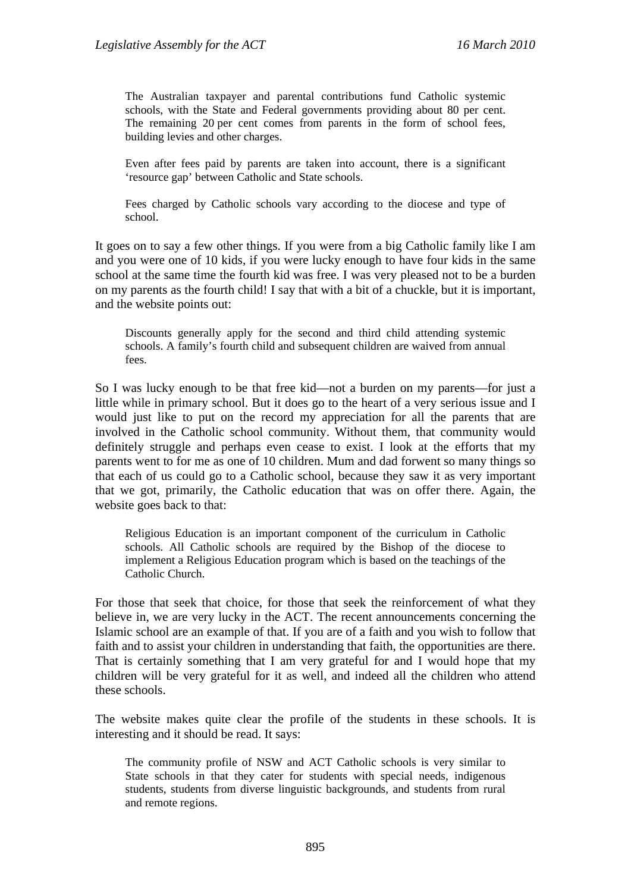The Australian taxpayer and parental contributions fund Catholic systemic schools, with the State and Federal governments providing about 80 per cent. The remaining 20 per cent comes from parents in the form of school fees, building levies and other charges.

Even after fees paid by parents are taken into account, there is a significant 'resource gap' between Catholic and State schools.

Fees charged by Catholic schools vary according to the diocese and type of school.

It goes on to say a few other things. If you were from a big Catholic family like I am and you were one of 10 kids, if you were lucky enough to have four kids in the same school at the same time the fourth kid was free. I was very pleased not to be a burden on my parents as the fourth child! I say that with a bit of a chuckle, but it is important, and the website points out:

Discounts generally apply for the second and third child attending systemic schools. A family's fourth child and subsequent children are waived from annual fees.

So I was lucky enough to be that free kid—not a burden on my parents—for just a little while in primary school. But it does go to the heart of a very serious issue and I would just like to put on the record my appreciation for all the parents that are involved in the Catholic school community. Without them, that community would definitely struggle and perhaps even cease to exist. I look at the efforts that my parents went to for me as one of 10 children. Mum and dad forwent so many things so that each of us could go to a Catholic school, because they saw it as very important that we got, primarily, the Catholic education that was on offer there. Again, the website goes back to that:

Religious Education is an important component of the curriculum in Catholic schools. All Catholic schools are required by the Bishop of the diocese to implement a Religious Education program which is based on the teachings of the Catholic Church.

For those that seek that choice, for those that seek the reinforcement of what they believe in, we are very lucky in the ACT. The recent announcements concerning the Islamic school are an example of that. If you are of a faith and you wish to follow that faith and to assist your children in understanding that faith, the opportunities are there. That is certainly something that I am very grateful for and I would hope that my children will be very grateful for it as well, and indeed all the children who attend these schools.

The website makes quite clear the profile of the students in these schools. It is interesting and it should be read. It says:

The community profile of NSW and ACT Catholic schools is very similar to State schools in that they cater for students with special needs, indigenous students, students from diverse linguistic backgrounds, and students from rural and remote regions.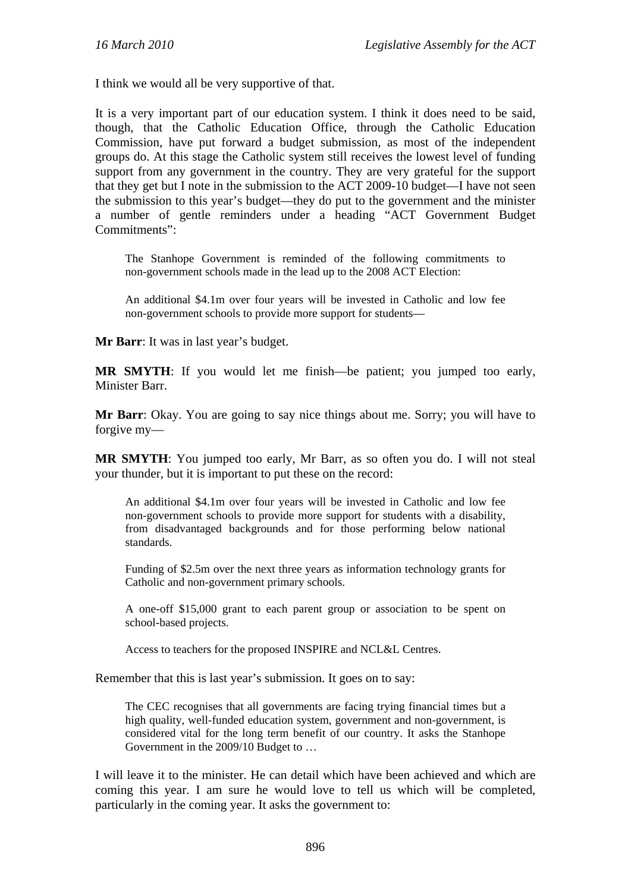I think we would all be very supportive of that.

It is a very important part of our education system. I think it does need to be said, though, that the Catholic Education Office, through the Catholic Education Commission, have put forward a budget submission, as most of the independent groups do. At this stage the Catholic system still receives the lowest level of funding support from any government in the country. They are very grateful for the support that they get but I note in the submission to the ACT 2009-10 budget—I have not seen the submission to this year's budget—they do put to the government and the minister a number of gentle reminders under a heading "ACT Government Budget Commitments":

The Stanhope Government is reminded of the following commitments to non-government schools made in the lead up to the 2008 ACT Election:

An additional \$4.1m over four years will be invested in Catholic and low fee non-government schools to provide more support for students—

**Mr Barr**: It was in last year's budget.

**MR SMYTH**: If you would let me finish—be patient; you jumped too early, Minister Barr.

**Mr Barr**: Okay. You are going to say nice things about me. Sorry; you will have to forgive my—

**MR SMYTH**: You jumped too early, Mr Barr, as so often you do. I will not steal your thunder, but it is important to put these on the record:

An additional \$4.1m over four years will be invested in Catholic and low fee non-government schools to provide more support for students with a disability, from disadvantaged backgrounds and for those performing below national standards.

Funding of \$2.5m over the next three years as information technology grants for Catholic and non-government primary schools.

A one-off \$15,000 grant to each parent group or association to be spent on school-based projects.

Access to teachers for the proposed INSPIRE and NCL&L Centres.

Remember that this is last year's submission. It goes on to say:

The CEC recognises that all governments are facing trying financial times but a high quality, well-funded education system, government and non-government, is considered vital for the long term benefit of our country. It asks the Stanhope Government in the 2009/10 Budget to …

I will leave it to the minister. He can detail which have been achieved and which are coming this year. I am sure he would love to tell us which will be completed, particularly in the coming year. It asks the government to: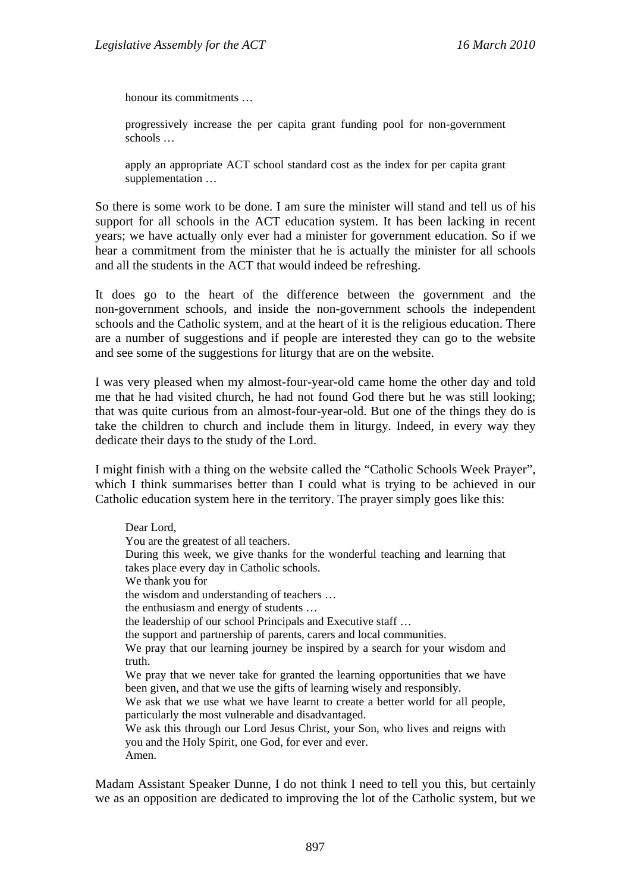honour its commitments …

progressively increase the per capita grant funding pool for non-government schools …

apply an appropriate ACT school standard cost as the index for per capita grant supplementation …

So there is some work to be done. I am sure the minister will stand and tell us of his support for all schools in the ACT education system. It has been lacking in recent years; we have actually only ever had a minister for government education. So if we hear a commitment from the minister that he is actually the minister for all schools and all the students in the ACT that would indeed be refreshing.

It does go to the heart of the difference between the government and the non-government schools, and inside the non-government schools the independent schools and the Catholic system, and at the heart of it is the religious education. There are a number of suggestions and if people are interested they can go to the website and see some of the suggestions for liturgy that are on the website.

I was very pleased when my almost-four-year-old came home the other day and told me that he had visited church, he had not found God there but he was still looking; that was quite curious from an almost-four-year-old. But one of the things they do is take the children to church and include them in liturgy. Indeed, in every way they dedicate their days to the study of the Lord.

I might finish with a thing on the website called the "Catholic Schools Week Prayer", which I think summarises better than I could what is trying to be achieved in our Catholic education system here in the territory. The prayer simply goes like this:

Dear Lord, You are the greatest of all teachers. During this week, we give thanks for the wonderful teaching and learning that takes place every day in Catholic schools. We thank you for the wisdom and understanding of teachers … the enthusiasm and energy of students … the leadership of our school Principals and Executive staff … the support and partnership of parents, carers and local communities. We pray that our learning journey be inspired by a search for your wisdom and truth. We pray that we never take for granted the learning opportunities that we have been given, and that we use the gifts of learning wisely and responsibly. We ask that we use what we have learnt to create a better world for all people. particularly the most vulnerable and disadvantaged. We ask this through our Lord Jesus Christ, your Son, who lives and reigns with you and the Holy Spirit, one God, for ever and ever. Amen.

Madam Assistant Speaker Dunne, I do not think I need to tell you this, but certainly we as an opposition are dedicated to improving the lot of the Catholic system, but we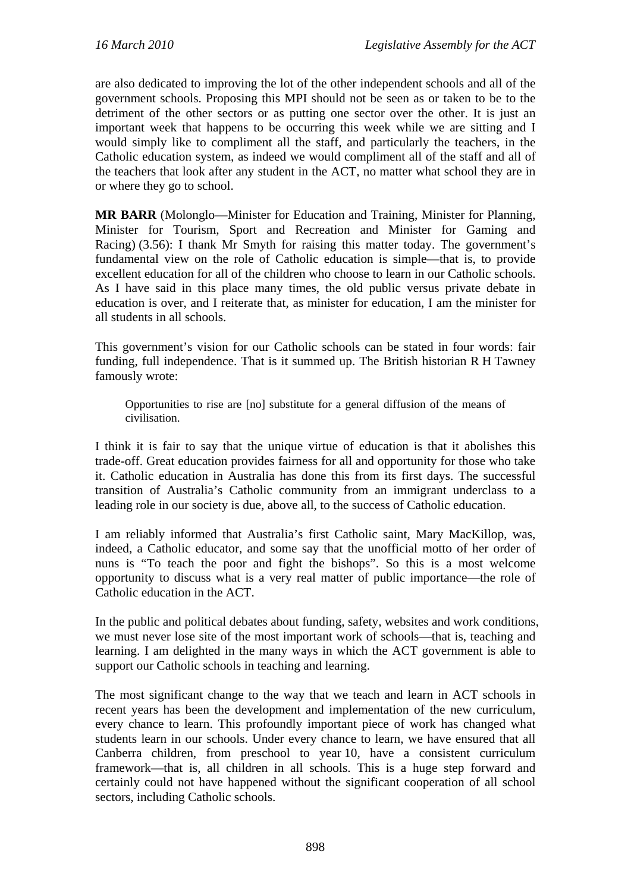are also dedicated to improving the lot of the other independent schools and all of the government schools. Proposing this MPI should not be seen as or taken to be to the detriment of the other sectors or as putting one sector over the other. It is just an important week that happens to be occurring this week while we are sitting and I would simply like to compliment all the staff, and particularly the teachers, in the Catholic education system, as indeed we would compliment all of the staff and all of the teachers that look after any student in the ACT, no matter what school they are in or where they go to school.

**MR BARR** (Molonglo—Minister for Education and Training, Minister for Planning, Minister for Tourism, Sport and Recreation and Minister for Gaming and Racing) (3.56): I thank Mr Smyth for raising this matter today. The government's fundamental view on the role of Catholic education is simple—that is, to provide excellent education for all of the children who choose to learn in our Catholic schools. As I have said in this place many times, the old public versus private debate in education is over, and I reiterate that, as minister for education, I am the minister for all students in all schools.

This government's vision for our Catholic schools can be stated in four words: fair funding, full independence. That is it summed up. The British historian R H Tawney famously wrote:

Opportunities to rise are [no] substitute for a general diffusion of the means of civilisation.

I think it is fair to say that the unique virtue of education is that it abolishes this trade-off. Great education provides fairness for all and opportunity for those who take it. Catholic education in Australia has done this from its first days. The successful transition of Australia's Catholic community from an immigrant underclass to a leading role in our society is due, above all, to the success of Catholic education.

I am reliably informed that Australia's first Catholic saint, Mary MacKillop, was, indeed, a Catholic educator, and some say that the unofficial motto of her order of nuns is "To teach the poor and fight the bishops". So this is a most welcome opportunity to discuss what is a very real matter of public importance—the role of Catholic education in the ACT.

In the public and political debates about funding, safety, websites and work conditions, we must never lose site of the most important work of schools—that is, teaching and learning. I am delighted in the many ways in which the ACT government is able to support our Catholic schools in teaching and learning.

The most significant change to the way that we teach and learn in ACT schools in recent years has been the development and implementation of the new curriculum, every chance to learn. This profoundly important piece of work has changed what students learn in our schools. Under every chance to learn, we have ensured that all Canberra children, from preschool to year 10, have a consistent curriculum framework—that is, all children in all schools. This is a huge step forward and certainly could not have happened without the significant cooperation of all school sectors, including Catholic schools.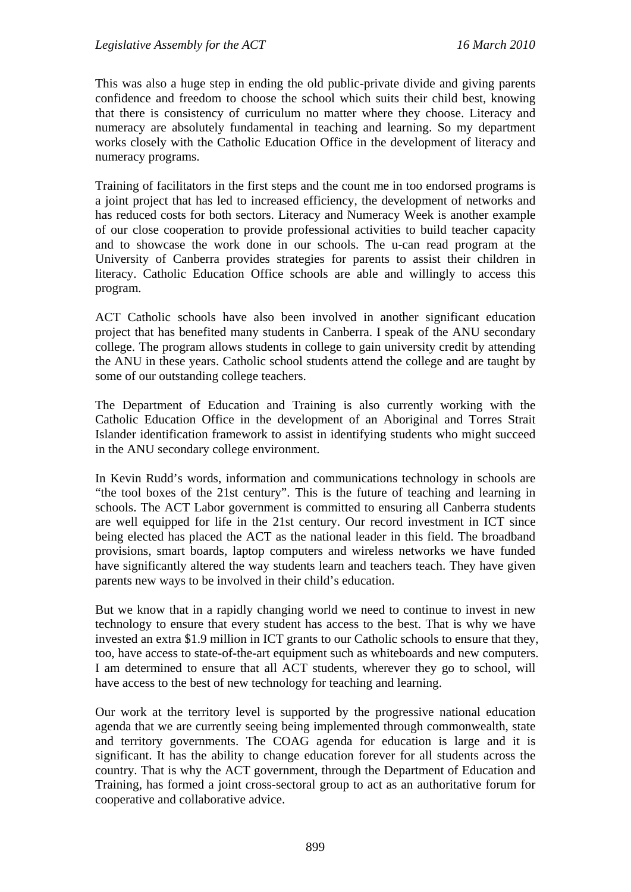This was also a huge step in ending the old public-private divide and giving parents confidence and freedom to choose the school which suits their child best, knowing that there is consistency of curriculum no matter where they choose. Literacy and numeracy are absolutely fundamental in teaching and learning. So my department works closely with the Catholic Education Office in the development of literacy and numeracy programs.

Training of facilitators in the first steps and the count me in too endorsed programs is a joint project that has led to increased efficiency, the development of networks and has reduced costs for both sectors. Literacy and Numeracy Week is another example of our close cooperation to provide professional activities to build teacher capacity and to showcase the work done in our schools. The u-can read program at the University of Canberra provides strategies for parents to assist their children in literacy. Catholic Education Office schools are able and willingly to access this program.

ACT Catholic schools have also been involved in another significant education project that has benefited many students in Canberra. I speak of the ANU secondary college. The program allows students in college to gain university credit by attending the ANU in these years. Catholic school students attend the college and are taught by some of our outstanding college teachers.

The Department of Education and Training is also currently working with the Catholic Education Office in the development of an Aboriginal and Torres Strait Islander identification framework to assist in identifying students who might succeed in the ANU secondary college environment.

In Kevin Rudd's words, information and communications technology in schools are "the tool boxes of the 21st century". This is the future of teaching and learning in schools. The ACT Labor government is committed to ensuring all Canberra students are well equipped for life in the 21st century. Our record investment in ICT since being elected has placed the ACT as the national leader in this field. The broadband provisions, smart boards, laptop computers and wireless networks we have funded have significantly altered the way students learn and teachers teach. They have given parents new ways to be involved in their child's education.

But we know that in a rapidly changing world we need to continue to invest in new technology to ensure that every student has access to the best. That is why we have invested an extra \$1.9 million in ICT grants to our Catholic schools to ensure that they, too, have access to state-of-the-art equipment such as whiteboards and new computers. I am determined to ensure that all ACT students, wherever they go to school, will have access to the best of new technology for teaching and learning.

Our work at the territory level is supported by the progressive national education agenda that we are currently seeing being implemented through commonwealth, state and territory governments. The COAG agenda for education is large and it is significant. It has the ability to change education forever for all students across the country. That is why the ACT government, through the Department of Education and Training, has formed a joint cross-sectoral group to act as an authoritative forum for cooperative and collaborative advice.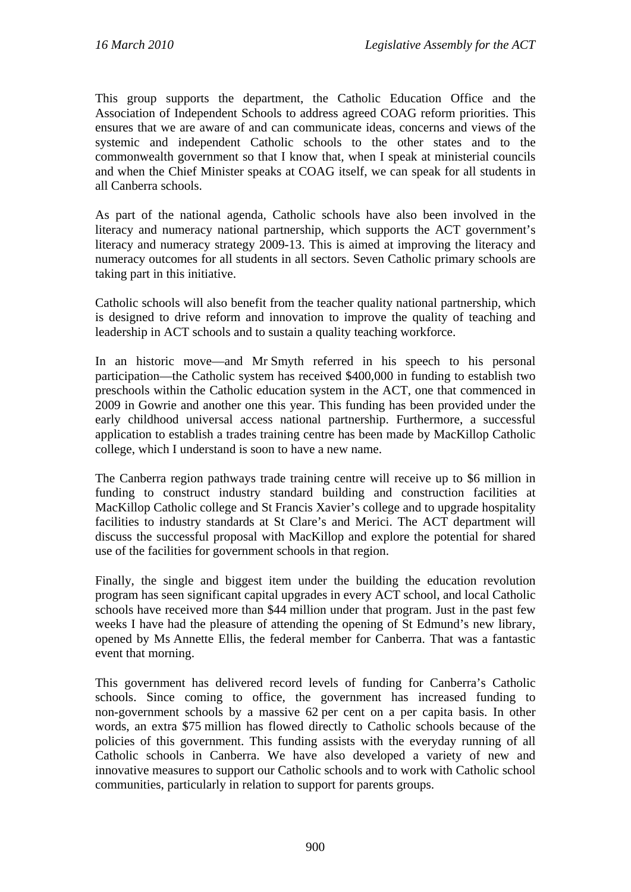This group supports the department, the Catholic Education Office and the Association of Independent Schools to address agreed COAG reform priorities. This ensures that we are aware of and can communicate ideas, concerns and views of the systemic and independent Catholic schools to the other states and to the commonwealth government so that I know that, when I speak at ministerial councils and when the Chief Minister speaks at COAG itself, we can speak for all students in all Canberra schools.

As part of the national agenda, Catholic schools have also been involved in the literacy and numeracy national partnership, which supports the ACT government's literacy and numeracy strategy 2009-13. This is aimed at improving the literacy and numeracy outcomes for all students in all sectors. Seven Catholic primary schools are taking part in this initiative.

Catholic schools will also benefit from the teacher quality national partnership, which is designed to drive reform and innovation to improve the quality of teaching and leadership in ACT schools and to sustain a quality teaching workforce.

In an historic move—and Mr Smyth referred in his speech to his personal participation—the Catholic system has received \$400,000 in funding to establish two preschools within the Catholic education system in the ACT, one that commenced in 2009 in Gowrie and another one this year. This funding has been provided under the early childhood universal access national partnership. Furthermore, a successful application to establish a trades training centre has been made by MacKillop Catholic college, which I understand is soon to have a new name.

The Canberra region pathways trade training centre will receive up to \$6 million in funding to construct industry standard building and construction facilities at MacKillop Catholic college and St Francis Xavier's college and to upgrade hospitality facilities to industry standards at St Clare's and Merici. The ACT department will discuss the successful proposal with MacKillop and explore the potential for shared use of the facilities for government schools in that region.

Finally, the single and biggest item under the building the education revolution program has seen significant capital upgrades in every ACT school, and local Catholic schools have received more than \$44 million under that program. Just in the past few weeks I have had the pleasure of attending the opening of St Edmund's new library, opened by Ms Annette Ellis, the federal member for Canberra. That was a fantastic event that morning.

This government has delivered record levels of funding for Canberra's Catholic schools. Since coming to office, the government has increased funding to non-government schools by a massive 62 per cent on a per capita basis. In other words, an extra \$75 million has flowed directly to Catholic schools because of the policies of this government. This funding assists with the everyday running of all Catholic schools in Canberra. We have also developed a variety of new and innovative measures to support our Catholic schools and to work with Catholic school communities, particularly in relation to support for parents groups.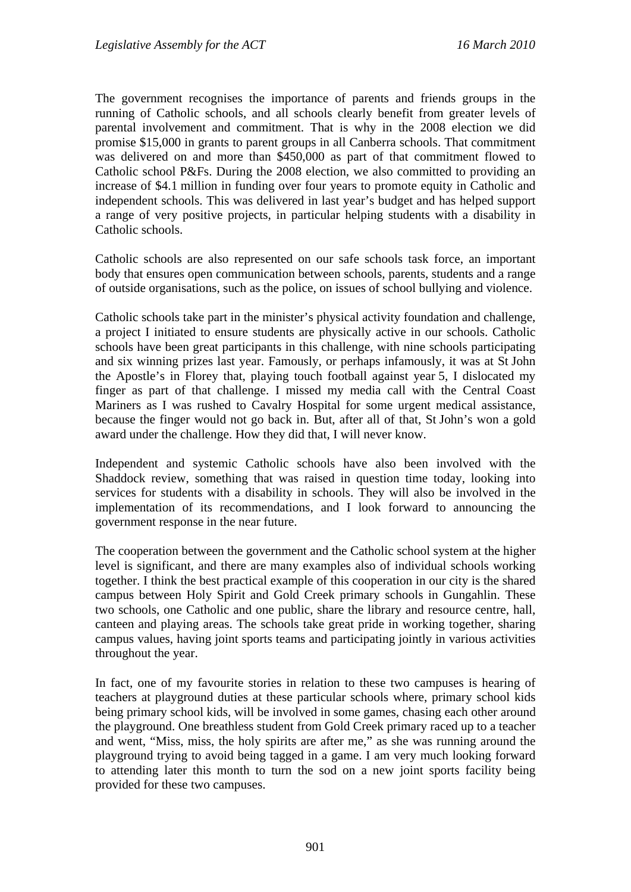The government recognises the importance of parents and friends groups in the running of Catholic schools, and all schools clearly benefit from greater levels of parental involvement and commitment. That is why in the 2008 election we did promise \$15,000 in grants to parent groups in all Canberra schools. That commitment was delivered on and more than \$450,000 as part of that commitment flowed to Catholic school P&Fs. During the 2008 election, we also committed to providing an increase of \$4.1 million in funding over four years to promote equity in Catholic and independent schools. This was delivered in last year's budget and has helped support a range of very positive projects, in particular helping students with a disability in Catholic schools.

Catholic schools are also represented on our safe schools task force, an important body that ensures open communication between schools, parents, students and a range of outside organisations, such as the police, on issues of school bullying and violence.

Catholic schools take part in the minister's physical activity foundation and challenge, a project I initiated to ensure students are physically active in our schools. Catholic schools have been great participants in this challenge, with nine schools participating and six winning prizes last year. Famously, or perhaps infamously, it was at St John the Apostle's in Florey that, playing touch football against year 5, I dislocated my finger as part of that challenge. I missed my media call with the Central Coast Mariners as I was rushed to Cavalry Hospital for some urgent medical assistance, because the finger would not go back in. But, after all of that, St John's won a gold award under the challenge. How they did that, I will never know.

Independent and systemic Catholic schools have also been involved with the Shaddock review, something that was raised in question time today, looking into services for students with a disability in schools. They will also be involved in the implementation of its recommendations, and I look forward to announcing the government response in the near future.

The cooperation between the government and the Catholic school system at the higher level is significant, and there are many examples also of individual schools working together. I think the best practical example of this cooperation in our city is the shared campus between Holy Spirit and Gold Creek primary schools in Gungahlin. These two schools, one Catholic and one public, share the library and resource centre, hall, canteen and playing areas. The schools take great pride in working together, sharing campus values, having joint sports teams and participating jointly in various activities throughout the year.

In fact, one of my favourite stories in relation to these two campuses is hearing of teachers at playground duties at these particular schools where, primary school kids being primary school kids, will be involved in some games, chasing each other around the playground. One breathless student from Gold Creek primary raced up to a teacher and went, "Miss, miss, the holy spirits are after me," as she was running around the playground trying to avoid being tagged in a game. I am very much looking forward to attending later this month to turn the sod on a new joint sports facility being provided for these two campuses.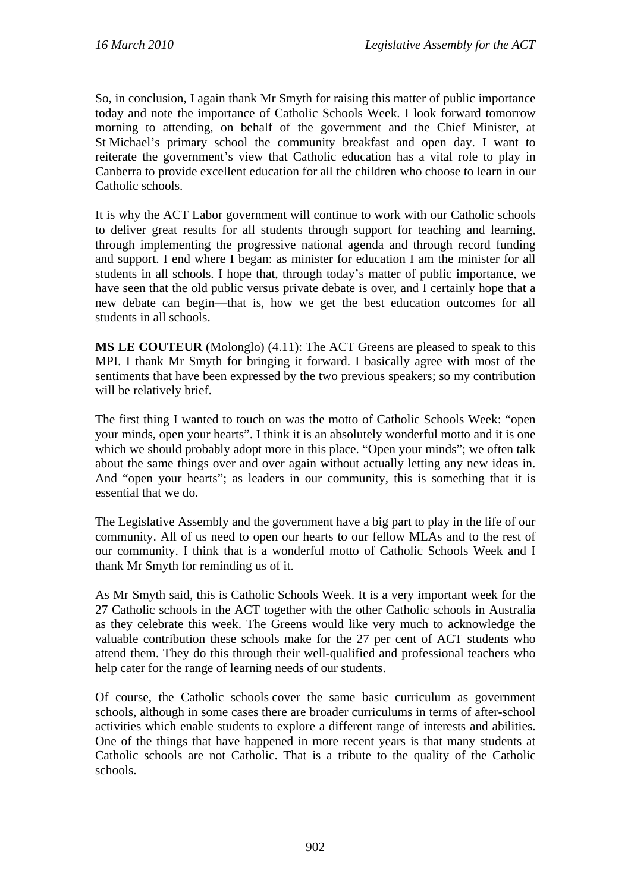So, in conclusion, I again thank Mr Smyth for raising this matter of public importance today and note the importance of Catholic Schools Week. I look forward tomorrow morning to attending, on behalf of the government and the Chief Minister, at St Michael's primary school the community breakfast and open day. I want to reiterate the government's view that Catholic education has a vital role to play in Canberra to provide excellent education for all the children who choose to learn in our Catholic schools.

It is why the ACT Labor government will continue to work with our Catholic schools to deliver great results for all students through support for teaching and learning, through implementing the progressive national agenda and through record funding and support. I end where I began: as minister for education I am the minister for all students in all schools. I hope that, through today's matter of public importance, we have seen that the old public versus private debate is over, and I certainly hope that a new debate can begin—that is, how we get the best education outcomes for all students in all schools.

**MS LE COUTEUR** (Molonglo) (4.11): The ACT Greens are pleased to speak to this MPI. I thank Mr Smyth for bringing it forward. I basically agree with most of the sentiments that have been expressed by the two previous speakers; so my contribution will be relatively brief.

The first thing I wanted to touch on was the motto of Catholic Schools Week: "open your minds, open your hearts". I think it is an absolutely wonderful motto and it is one which we should probably adopt more in this place. "Open your minds"; we often talk about the same things over and over again without actually letting any new ideas in. And "open your hearts"; as leaders in our community, this is something that it is essential that we do.

The Legislative Assembly and the government have a big part to play in the life of our community. All of us need to open our hearts to our fellow MLAs and to the rest of our community. I think that is a wonderful motto of Catholic Schools Week and I thank Mr Smyth for reminding us of it.

As Mr Smyth said, this is Catholic Schools Week. It is a very important week for the 27 Catholic schools in the ACT together with the other Catholic schools in Australia as they celebrate this week. The Greens would like very much to acknowledge the valuable contribution these schools make for the 27 per cent of ACT students who attend them. They do this through their well-qualified and professional teachers who help cater for the range of learning needs of our students.

Of course, the Catholic schools cover the same basic curriculum as government schools, although in some cases there are broader curriculums in terms of after-school activities which enable students to explore a different range of interests and abilities. One of the things that have happened in more recent years is that many students at Catholic schools are not Catholic. That is a tribute to the quality of the Catholic schools.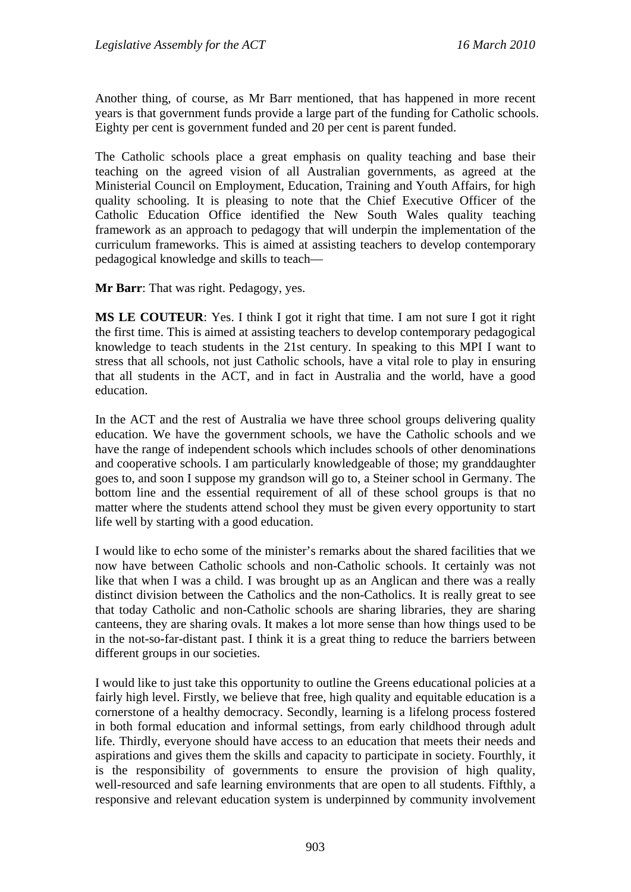Another thing, of course, as Mr Barr mentioned, that has happened in more recent years is that government funds provide a large part of the funding for Catholic schools. Eighty per cent is government funded and 20 per cent is parent funded.

The Catholic schools place a great emphasis on quality teaching and base their teaching on the agreed vision of all Australian governments, as agreed at the Ministerial Council on Employment, Education, Training and Youth Affairs, for high quality schooling. It is pleasing to note that the Chief Executive Officer of the Catholic Education Office identified the New South Wales quality teaching framework as an approach to pedagogy that will underpin the implementation of the curriculum frameworks. This is aimed at assisting teachers to develop contemporary pedagogical knowledge and skills to teach—

**Mr Barr**: That was right. Pedagogy, yes.

**MS LE COUTEUR**: Yes. I think I got it right that time. I am not sure I got it right the first time. This is aimed at assisting teachers to develop contemporary pedagogical knowledge to teach students in the 21st century. In speaking to this MPI I want to stress that all schools, not just Catholic schools, have a vital role to play in ensuring that all students in the ACT, and in fact in Australia and the world, have a good education.

In the ACT and the rest of Australia we have three school groups delivering quality education. We have the government schools, we have the Catholic schools and we have the range of independent schools which includes schools of other denominations and cooperative schools. I am particularly knowledgeable of those; my granddaughter goes to, and soon I suppose my grandson will go to, a Steiner school in Germany. The bottom line and the essential requirement of all of these school groups is that no matter where the students attend school they must be given every opportunity to start life well by starting with a good education.

I would like to echo some of the minister's remarks about the shared facilities that we now have between Catholic schools and non-Catholic schools. It certainly was not like that when I was a child. I was brought up as an Anglican and there was a really distinct division between the Catholics and the non-Catholics. It is really great to see that today Catholic and non-Catholic schools are sharing libraries, they are sharing canteens, they are sharing ovals. It makes a lot more sense than how things used to be in the not-so-far-distant past. I think it is a great thing to reduce the barriers between different groups in our societies.

I would like to just take this opportunity to outline the Greens educational policies at a fairly high level. Firstly, we believe that free, high quality and equitable education is a cornerstone of a healthy democracy. Secondly, learning is a lifelong process fostered in both formal education and informal settings, from early childhood through adult life. Thirdly, everyone should have access to an education that meets their needs and aspirations and gives them the skills and capacity to participate in society. Fourthly, it is the responsibility of governments to ensure the provision of high quality, well-resourced and safe learning environments that are open to all students. Fifthly, a responsive and relevant education system is underpinned by community involvement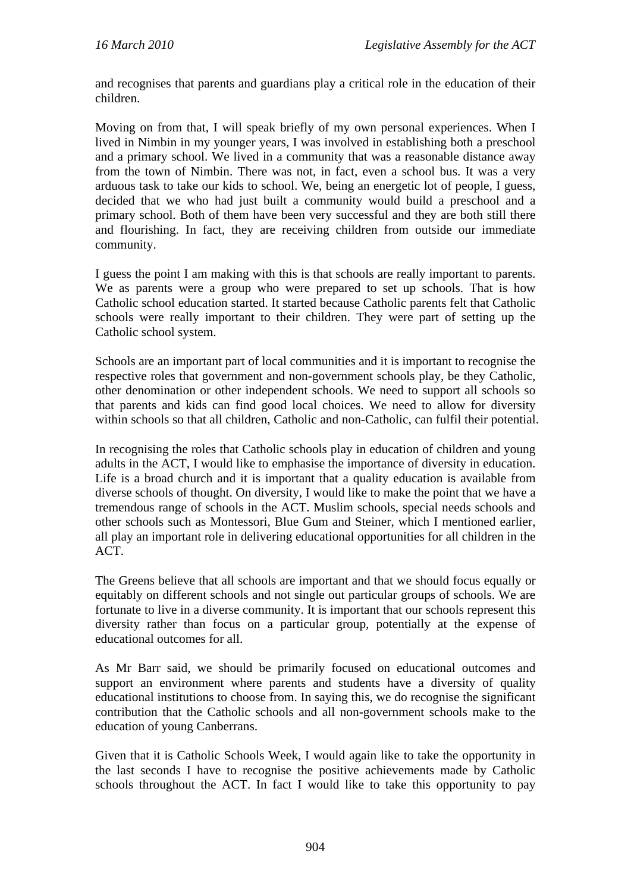and recognises that parents and guardians play a critical role in the education of their children.

Moving on from that, I will speak briefly of my own personal experiences. When I lived in Nimbin in my younger years, I was involved in establishing both a preschool and a primary school. We lived in a community that was a reasonable distance away from the town of Nimbin. There was not, in fact, even a school bus. It was a very arduous task to take our kids to school. We, being an energetic lot of people, I guess, decided that we who had just built a community would build a preschool and a primary school. Both of them have been very successful and they are both still there and flourishing. In fact, they are receiving children from outside our immediate community.

I guess the point I am making with this is that schools are really important to parents. We as parents were a group who were prepared to set up schools. That is how Catholic school education started. It started because Catholic parents felt that Catholic schools were really important to their children. They were part of setting up the Catholic school system.

Schools are an important part of local communities and it is important to recognise the respective roles that government and non-government schools play, be they Catholic, other denomination or other independent schools. We need to support all schools so that parents and kids can find good local choices. We need to allow for diversity within schools so that all children, Catholic and non-Catholic, can fulfil their potential.

In recognising the roles that Catholic schools play in education of children and young adults in the ACT, I would like to emphasise the importance of diversity in education. Life is a broad church and it is important that a quality education is available from diverse schools of thought. On diversity, I would like to make the point that we have a tremendous range of schools in the ACT. Muslim schools, special needs schools and other schools such as Montessori, Blue Gum and Steiner, which I mentioned earlier, all play an important role in delivering educational opportunities for all children in the ACT.

The Greens believe that all schools are important and that we should focus equally or equitably on different schools and not single out particular groups of schools. We are fortunate to live in a diverse community. It is important that our schools represent this diversity rather than focus on a particular group, potentially at the expense of educational outcomes for all.

As Mr Barr said, we should be primarily focused on educational outcomes and support an environment where parents and students have a diversity of quality educational institutions to choose from. In saying this, we do recognise the significant contribution that the Catholic schools and all non-government schools make to the education of young Canberrans.

Given that it is Catholic Schools Week, I would again like to take the opportunity in the last seconds I have to recognise the positive achievements made by Catholic schools throughout the ACT. In fact I would like to take this opportunity to pay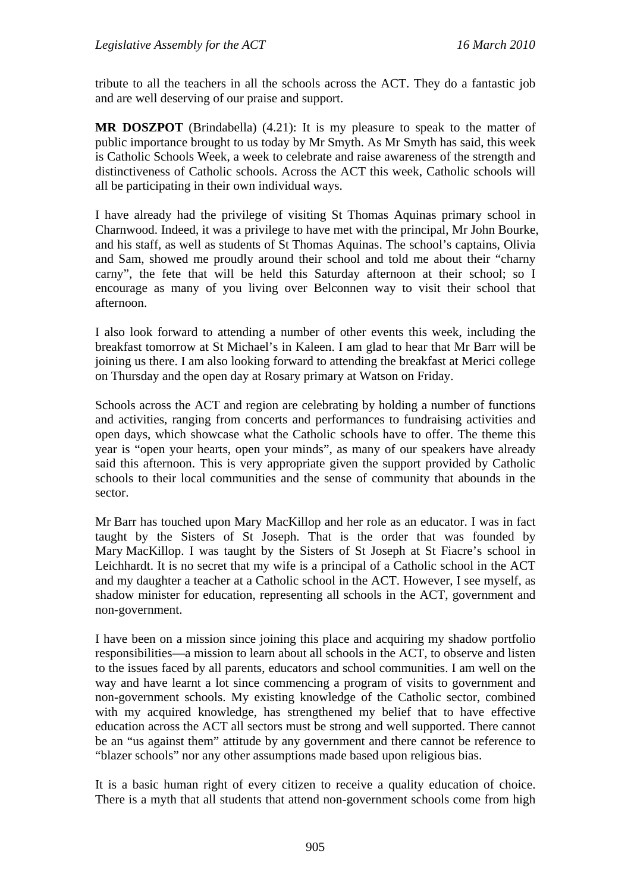tribute to all the teachers in all the schools across the ACT. They do a fantastic job and are well deserving of our praise and support.

**MR DOSZPOT** (Brindabella) (4.21): It is my pleasure to speak to the matter of public importance brought to us today by Mr Smyth. As Mr Smyth has said, this week is Catholic Schools Week, a week to celebrate and raise awareness of the strength and distinctiveness of Catholic schools. Across the ACT this week, Catholic schools will all be participating in their own individual ways.

I have already had the privilege of visiting St Thomas Aquinas primary school in Charnwood. Indeed, it was a privilege to have met with the principal, Mr John Bourke, and his staff, as well as students of St Thomas Aquinas. The school's captains, Olivia and Sam, showed me proudly around their school and told me about their "charny carny", the fete that will be held this Saturday afternoon at their school; so I encourage as many of you living over Belconnen way to visit their school that afternoon.

I also look forward to attending a number of other events this week, including the breakfast tomorrow at St Michael's in Kaleen. I am glad to hear that Mr Barr will be joining us there. I am also looking forward to attending the breakfast at Merici college on Thursday and the open day at Rosary primary at Watson on Friday.

Schools across the ACT and region are celebrating by holding a number of functions and activities, ranging from concerts and performances to fundraising activities and open days, which showcase what the Catholic schools have to offer. The theme this year is "open your hearts, open your minds", as many of our speakers have already said this afternoon. This is very appropriate given the support provided by Catholic schools to their local communities and the sense of community that abounds in the sector.

Mr Barr has touched upon Mary MacKillop and her role as an educator. I was in fact taught by the Sisters of St Joseph. That is the order that was founded by Mary MacKillop. I was taught by the Sisters of St Joseph at St Fiacre's school in Leichhardt. It is no secret that my wife is a principal of a Catholic school in the ACT and my daughter a teacher at a Catholic school in the ACT. However, I see myself, as shadow minister for education, representing all schools in the ACT, government and non-government.

I have been on a mission since joining this place and acquiring my shadow portfolio responsibilities—a mission to learn about all schools in the ACT, to observe and listen to the issues faced by all parents, educators and school communities. I am well on the way and have learnt a lot since commencing a program of visits to government and non-government schools. My existing knowledge of the Catholic sector, combined with my acquired knowledge, has strengthened my belief that to have effective education across the ACT all sectors must be strong and well supported. There cannot be an "us against them" attitude by any government and there cannot be reference to "blazer schools" nor any other assumptions made based upon religious bias.

It is a basic human right of every citizen to receive a quality education of choice. There is a myth that all students that attend non-government schools come from high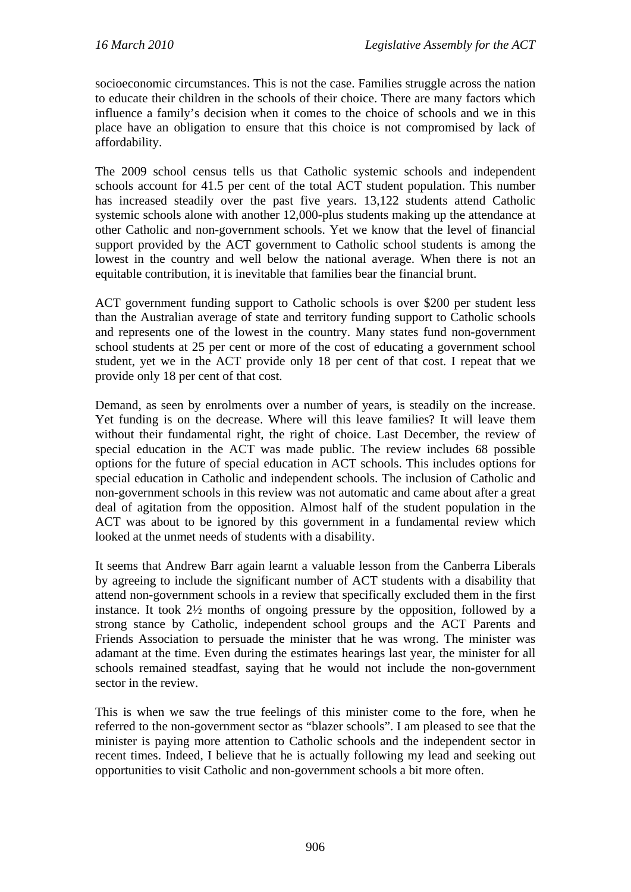socioeconomic circumstances. This is not the case. Families struggle across the nation to educate their children in the schools of their choice. There are many factors which influence a family's decision when it comes to the choice of schools and we in this place have an obligation to ensure that this choice is not compromised by lack of affordability.

The 2009 school census tells us that Catholic systemic schools and independent schools account for 41.5 per cent of the total ACT student population. This number has increased steadily over the past five years. 13,122 students attend Catholic systemic schools alone with another 12,000-plus students making up the attendance at other Catholic and non-government schools. Yet we know that the level of financial support provided by the ACT government to Catholic school students is among the lowest in the country and well below the national average. When there is not an equitable contribution, it is inevitable that families bear the financial brunt.

ACT government funding support to Catholic schools is over \$200 per student less than the Australian average of state and territory funding support to Catholic schools and represents one of the lowest in the country. Many states fund non-government school students at 25 per cent or more of the cost of educating a government school student, yet we in the ACT provide only 18 per cent of that cost. I repeat that we provide only 18 per cent of that cost.

Demand, as seen by enrolments over a number of years, is steadily on the increase. Yet funding is on the decrease. Where will this leave families? It will leave them without their fundamental right, the right of choice. Last December, the review of special education in the ACT was made public. The review includes 68 possible options for the future of special education in ACT schools. This includes options for special education in Catholic and independent schools. The inclusion of Catholic and non-government schools in this review was not automatic and came about after a great deal of agitation from the opposition. Almost half of the student population in the ACT was about to be ignored by this government in a fundamental review which looked at the unmet needs of students with a disability.

It seems that Andrew Barr again learnt a valuable lesson from the Canberra Liberals by agreeing to include the significant number of ACT students with a disability that attend non-government schools in a review that specifically excluded them in the first instance. It took 2½ months of ongoing pressure by the opposition, followed by a strong stance by Catholic, independent school groups and the ACT Parents and Friends Association to persuade the minister that he was wrong. The minister was adamant at the time. Even during the estimates hearings last year, the minister for all schools remained steadfast, saying that he would not include the non-government sector in the review.

This is when we saw the true feelings of this minister come to the fore, when he referred to the non-government sector as "blazer schools". I am pleased to see that the minister is paying more attention to Catholic schools and the independent sector in recent times. Indeed, I believe that he is actually following my lead and seeking out opportunities to visit Catholic and non-government schools a bit more often.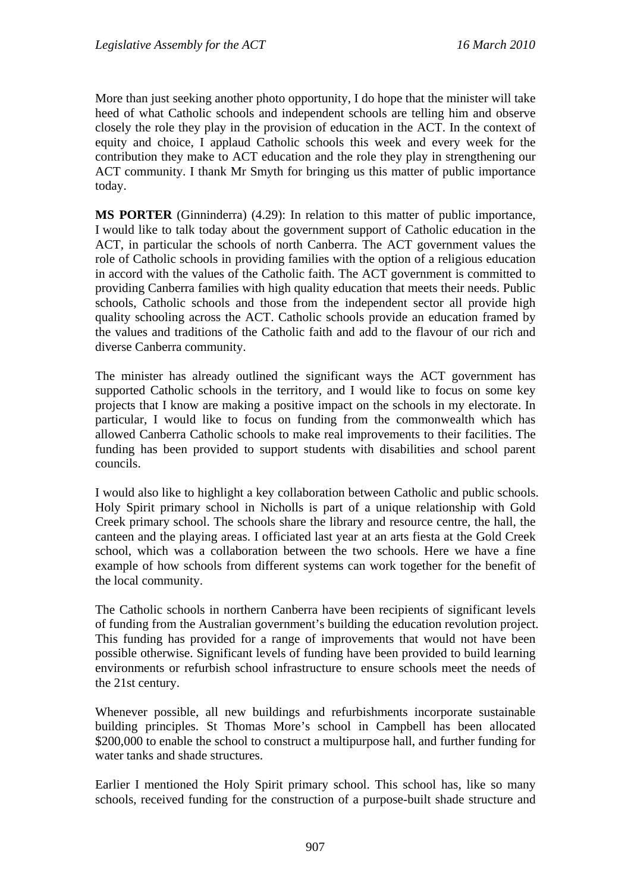More than just seeking another photo opportunity, I do hope that the minister will take heed of what Catholic schools and independent schools are telling him and observe closely the role they play in the provision of education in the ACT. In the context of equity and choice, I applaud Catholic schools this week and every week for the contribution they make to ACT education and the role they play in strengthening our ACT community. I thank Mr Smyth for bringing us this matter of public importance today.

**MS PORTER** (Ginninderra) (4.29): In relation to this matter of public importance, I would like to talk today about the government support of Catholic education in the ACT, in particular the schools of north Canberra. The ACT government values the role of Catholic schools in providing families with the option of a religious education in accord with the values of the Catholic faith. The ACT government is committed to providing Canberra families with high quality education that meets their needs. Public schools, Catholic schools and those from the independent sector all provide high quality schooling across the ACT. Catholic schools provide an education framed by the values and traditions of the Catholic faith and add to the flavour of our rich and diverse Canberra community.

The minister has already outlined the significant ways the ACT government has supported Catholic schools in the territory, and I would like to focus on some key projects that I know are making a positive impact on the schools in my electorate. In particular, I would like to focus on funding from the commonwealth which has allowed Canberra Catholic schools to make real improvements to their facilities. The funding has been provided to support students with disabilities and school parent councils.

I would also like to highlight a key collaboration between Catholic and public schools. Holy Spirit primary school in Nicholls is part of a unique relationship with Gold Creek primary school. The schools share the library and resource centre, the hall, the canteen and the playing areas. I officiated last year at an arts fiesta at the Gold Creek school, which was a collaboration between the two schools. Here we have a fine example of how schools from different systems can work together for the benefit of the local community.

The Catholic schools in northern Canberra have been recipients of significant levels of funding from the Australian government's building the education revolution project. This funding has provided for a range of improvements that would not have been possible otherwise. Significant levels of funding have been provided to build learning environments or refurbish school infrastructure to ensure schools meet the needs of the 21st century.

Whenever possible, all new buildings and refurbishments incorporate sustainable building principles. St Thomas More's school in Campbell has been allocated \$200,000 to enable the school to construct a multipurpose hall, and further funding for water tanks and shade structures.

Earlier I mentioned the Holy Spirit primary school. This school has, like so many schools, received funding for the construction of a purpose-built shade structure and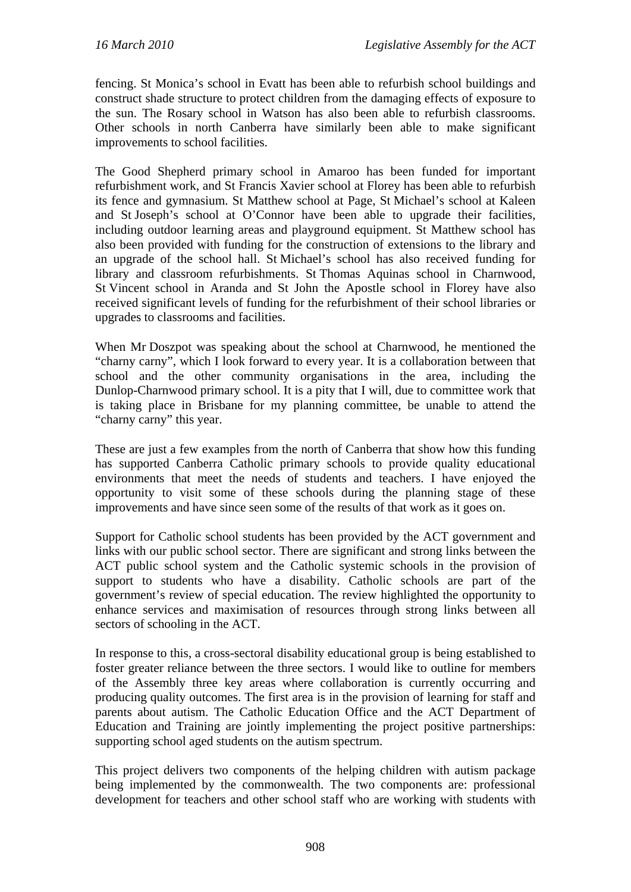fencing. St Monica's school in Evatt has been able to refurbish school buildings and construct shade structure to protect children from the damaging effects of exposure to the sun. The Rosary school in Watson has also been able to refurbish classrooms. Other schools in north Canberra have similarly been able to make significant improvements to school facilities.

The Good Shepherd primary school in Amaroo has been funded for important refurbishment work, and St Francis Xavier school at Florey has been able to refurbish its fence and gymnasium. St Matthew school at Page, St Michael's school at Kaleen and St Joseph's school at O'Connor have been able to upgrade their facilities, including outdoor learning areas and playground equipment. St Matthew school has also been provided with funding for the construction of extensions to the library and an upgrade of the school hall. St Michael's school has also received funding for library and classroom refurbishments. St Thomas Aquinas school in Charnwood, St Vincent school in Aranda and St John the Apostle school in Florey have also received significant levels of funding for the refurbishment of their school libraries or upgrades to classrooms and facilities.

When Mr Doszpot was speaking about the school at Charnwood, he mentioned the "charny carny", which I look forward to every year. It is a collaboration between that school and the other community organisations in the area, including the Dunlop-Charnwood primary school. It is a pity that I will, due to committee work that is taking place in Brisbane for my planning committee, be unable to attend the "charny carny" this year.

These are just a few examples from the north of Canberra that show how this funding has supported Canberra Catholic primary schools to provide quality educational environments that meet the needs of students and teachers. I have enjoyed the opportunity to visit some of these schools during the planning stage of these improvements and have since seen some of the results of that work as it goes on.

Support for Catholic school students has been provided by the ACT government and links with our public school sector. There are significant and strong links between the ACT public school system and the Catholic systemic schools in the provision of support to students who have a disability. Catholic schools are part of the government's review of special education. The review highlighted the opportunity to enhance services and maximisation of resources through strong links between all sectors of schooling in the ACT.

In response to this, a cross-sectoral disability educational group is being established to foster greater reliance between the three sectors. I would like to outline for members of the Assembly three key areas where collaboration is currently occurring and producing quality outcomes. The first area is in the provision of learning for staff and parents about autism. The Catholic Education Office and the ACT Department of Education and Training are jointly implementing the project positive partnerships: supporting school aged students on the autism spectrum.

This project delivers two components of the helping children with autism package being implemented by the commonwealth. The two components are: professional development for teachers and other school staff who are working with students with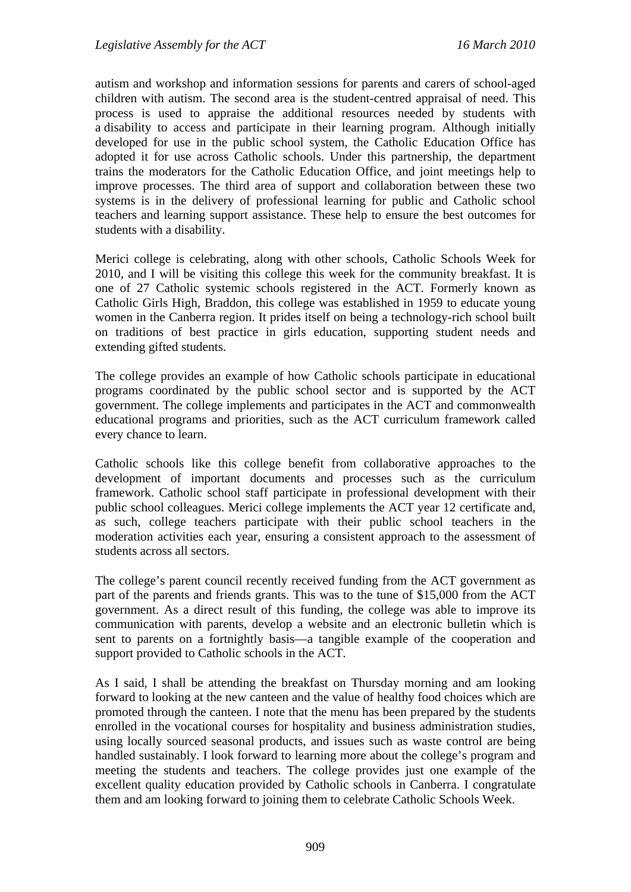autism and workshop and information sessions for parents and carers of school-aged children with autism. The second area is the student-centred appraisal of need. This process is used to appraise the additional resources needed by students with a disability to access and participate in their learning program. Although initially developed for use in the public school system, the Catholic Education Office has adopted it for use across Catholic schools. Under this partnership, the department trains the moderators for the Catholic Education Office, and joint meetings help to improve processes. The third area of support and collaboration between these two systems is in the delivery of professional learning for public and Catholic school teachers and learning support assistance. These help to ensure the best outcomes for students with a disability.

Merici college is celebrating, along with other schools, Catholic Schools Week for 2010, and I will be visiting this college this week for the community breakfast. It is one of 27 Catholic systemic schools registered in the ACT. Formerly known as Catholic Girls High, Braddon, this college was established in 1959 to educate young women in the Canberra region. It prides itself on being a technology-rich school built on traditions of best practice in girls education, supporting student needs and extending gifted students.

The college provides an example of how Catholic schools participate in educational programs coordinated by the public school sector and is supported by the ACT government. The college implements and participates in the ACT and commonwealth educational programs and priorities, such as the ACT curriculum framework called every chance to learn.

Catholic schools like this college benefit from collaborative approaches to the development of important documents and processes such as the curriculum framework. Catholic school staff participate in professional development with their public school colleagues. Merici college implements the ACT year 12 certificate and, as such, college teachers participate with their public school teachers in the moderation activities each year, ensuring a consistent approach to the assessment of students across all sectors.

The college's parent council recently received funding from the ACT government as part of the parents and friends grants. This was to the tune of \$15,000 from the ACT government. As a direct result of this funding, the college was able to improve its communication with parents, develop a website and an electronic bulletin which is sent to parents on a fortnightly basis—a tangible example of the cooperation and support provided to Catholic schools in the ACT.

As I said, I shall be attending the breakfast on Thursday morning and am looking forward to looking at the new canteen and the value of healthy food choices which are promoted through the canteen. I note that the menu has been prepared by the students enrolled in the vocational courses for hospitality and business administration studies, using locally sourced seasonal products, and issues such as waste control are being handled sustainably. I look forward to learning more about the college's program and meeting the students and teachers. The college provides just one example of the excellent quality education provided by Catholic schools in Canberra. I congratulate them and am looking forward to joining them to celebrate Catholic Schools Week.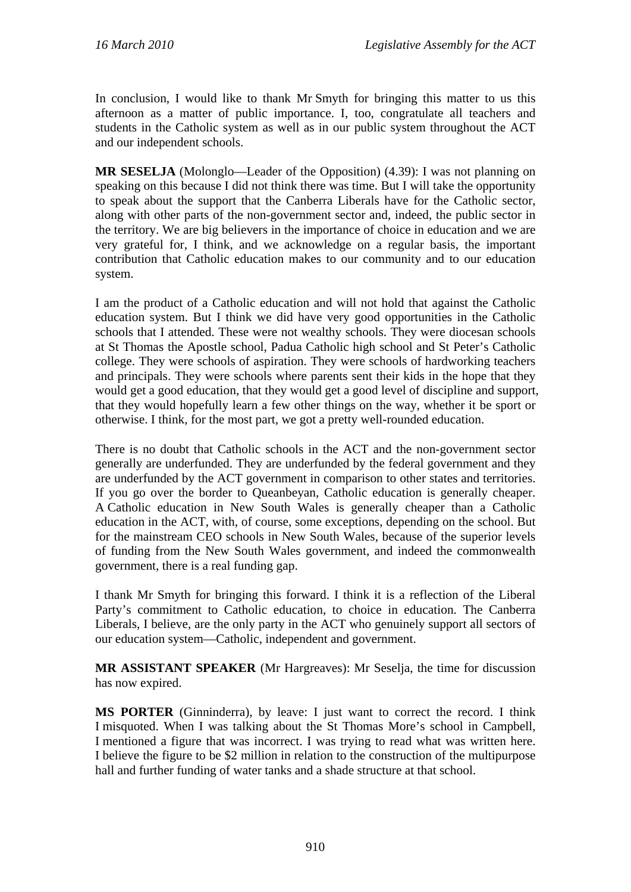In conclusion, I would like to thank Mr Smyth for bringing this matter to us this afternoon as a matter of public importance. I, too, congratulate all teachers and students in the Catholic system as well as in our public system throughout the ACT and our independent schools.

**MR SESELJA** (Molonglo—Leader of the Opposition) (4.39): I was not planning on speaking on this because I did not think there was time. But I will take the opportunity to speak about the support that the Canberra Liberals have for the Catholic sector, along with other parts of the non-government sector and, indeed, the public sector in the territory. We are big believers in the importance of choice in education and we are very grateful for, I think, and we acknowledge on a regular basis, the important contribution that Catholic education makes to our community and to our education system.

I am the product of a Catholic education and will not hold that against the Catholic education system. But I think we did have very good opportunities in the Catholic schools that I attended. These were not wealthy schools. They were diocesan schools at St Thomas the Apostle school, Padua Catholic high school and St Peter's Catholic college. They were schools of aspiration. They were schools of hardworking teachers and principals. They were schools where parents sent their kids in the hope that they would get a good education, that they would get a good level of discipline and support, that they would hopefully learn a few other things on the way, whether it be sport or otherwise. I think, for the most part, we got a pretty well-rounded education.

There is no doubt that Catholic schools in the ACT and the non-government sector generally are underfunded. They are underfunded by the federal government and they are underfunded by the ACT government in comparison to other states and territories. If you go over the border to Queanbeyan, Catholic education is generally cheaper. A Catholic education in New South Wales is generally cheaper than a Catholic education in the ACT, with, of course, some exceptions, depending on the school. But for the mainstream CEO schools in New South Wales, because of the superior levels of funding from the New South Wales government, and indeed the commonwealth government, there is a real funding gap.

I thank Mr Smyth for bringing this forward. I think it is a reflection of the Liberal Party's commitment to Catholic education, to choice in education. The Canberra Liberals, I believe, are the only party in the ACT who genuinely support all sectors of our education system—Catholic, independent and government.

**MR ASSISTANT SPEAKER** (Mr Hargreaves): Mr Seselja, the time for discussion has now expired.

**MS PORTER** (Ginninderra), by leave: I just want to correct the record. I think I misquoted. When I was talking about the St Thomas More's school in Campbell, I mentioned a figure that was incorrect. I was trying to read what was written here. I believe the figure to be \$2 million in relation to the construction of the multipurpose hall and further funding of water tanks and a shade structure at that school.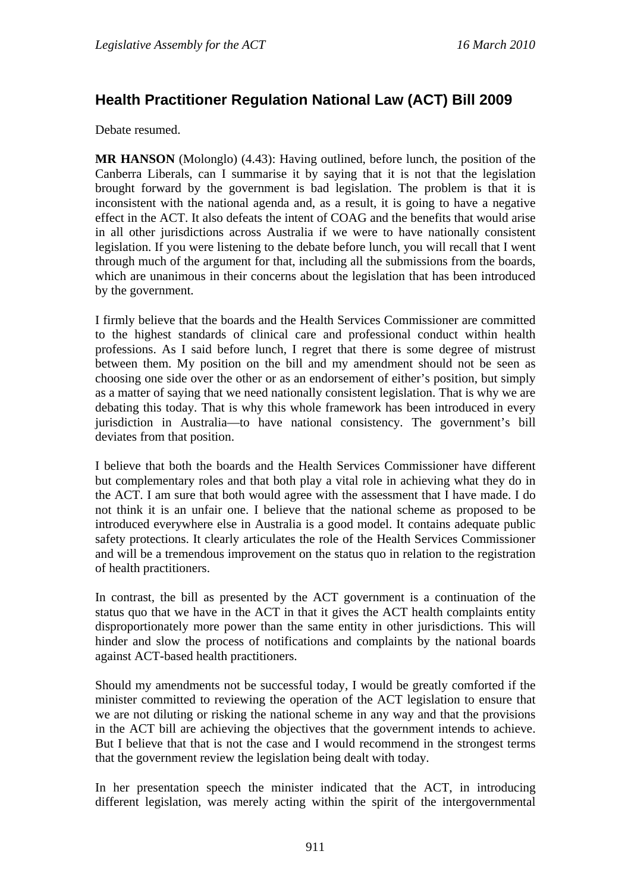# **Health Practitioner Regulation National Law (ACT) Bill 2009**

Debate resumed.

**MR HANSON** (Molonglo) (4.43): Having outlined, before lunch, the position of the Canberra Liberals, can I summarise it by saying that it is not that the legislation brought forward by the government is bad legislation. The problem is that it is inconsistent with the national agenda and, as a result, it is going to have a negative effect in the ACT. It also defeats the intent of COAG and the benefits that would arise in all other jurisdictions across Australia if we were to have nationally consistent legislation. If you were listening to the debate before lunch, you will recall that I went through much of the argument for that, including all the submissions from the boards, which are unanimous in their concerns about the legislation that has been introduced by the government.

I firmly believe that the boards and the Health Services Commissioner are committed to the highest standards of clinical care and professional conduct within health professions. As I said before lunch, I regret that there is some degree of mistrust between them. My position on the bill and my amendment should not be seen as choosing one side over the other or as an endorsement of either's position, but simply as a matter of saying that we need nationally consistent legislation. That is why we are debating this today. That is why this whole framework has been introduced in every jurisdiction in Australia—to have national consistency. The government's bill deviates from that position.

I believe that both the boards and the Health Services Commissioner have different but complementary roles and that both play a vital role in achieving what they do in the ACT. I am sure that both would agree with the assessment that I have made. I do not think it is an unfair one. I believe that the national scheme as proposed to be introduced everywhere else in Australia is a good model. It contains adequate public safety protections. It clearly articulates the role of the Health Services Commissioner and will be a tremendous improvement on the status quo in relation to the registration of health practitioners.

In contrast, the bill as presented by the ACT government is a continuation of the status quo that we have in the ACT in that it gives the ACT health complaints entity disproportionately more power than the same entity in other jurisdictions. This will hinder and slow the process of notifications and complaints by the national boards against ACT-based health practitioners.

Should my amendments not be successful today, I would be greatly comforted if the minister committed to reviewing the operation of the ACT legislation to ensure that we are not diluting or risking the national scheme in any way and that the provisions in the ACT bill are achieving the objectives that the government intends to achieve. But I believe that that is not the case and I would recommend in the strongest terms that the government review the legislation being dealt with today.

In her presentation speech the minister indicated that the ACT, in introducing different legislation, was merely acting within the spirit of the intergovernmental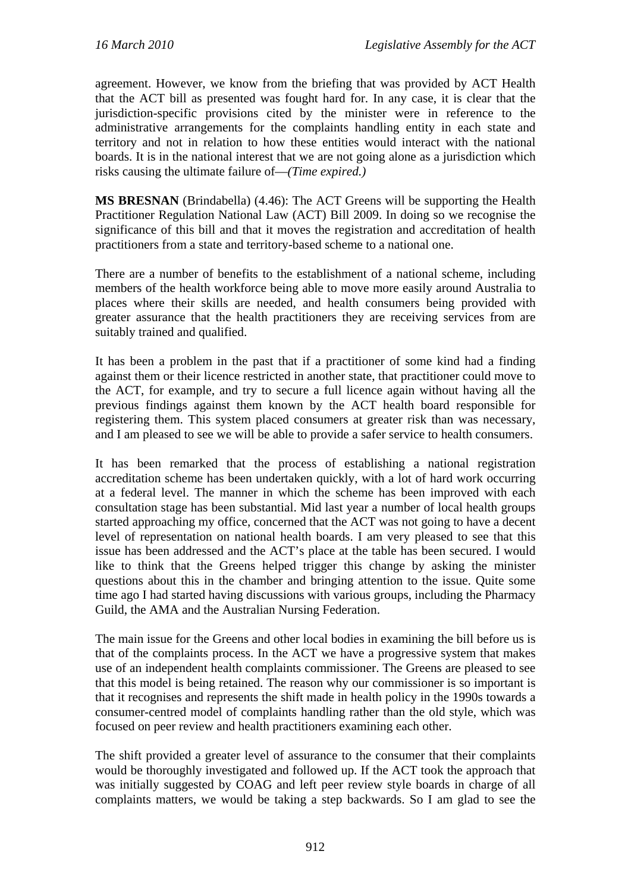agreement. However, we know from the briefing that was provided by ACT Health that the ACT bill as presented was fought hard for. In any case, it is clear that the jurisdiction-specific provisions cited by the minister were in reference to the administrative arrangements for the complaints handling entity in each state and territory and not in relation to how these entities would interact with the national boards. It is in the national interest that we are not going alone as a jurisdiction which risks causing the ultimate failure of—*(Time expired.)*

**MS BRESNAN** (Brindabella) (4.46): The ACT Greens will be supporting the Health Practitioner Regulation National Law (ACT) Bill 2009. In doing so we recognise the significance of this bill and that it moves the registration and accreditation of health practitioners from a state and territory-based scheme to a national one.

There are a number of benefits to the establishment of a national scheme, including members of the health workforce being able to move more easily around Australia to places where their skills are needed, and health consumers being provided with greater assurance that the health practitioners they are receiving services from are suitably trained and qualified.

It has been a problem in the past that if a practitioner of some kind had a finding against them or their licence restricted in another state, that practitioner could move to the ACT, for example, and try to secure a full licence again without having all the previous findings against them known by the ACT health board responsible for registering them. This system placed consumers at greater risk than was necessary, and I am pleased to see we will be able to provide a safer service to health consumers.

It has been remarked that the process of establishing a national registration accreditation scheme has been undertaken quickly, with a lot of hard work occurring at a federal level. The manner in which the scheme has been improved with each consultation stage has been substantial. Mid last year a number of local health groups started approaching my office, concerned that the ACT was not going to have a decent level of representation on national health boards. I am very pleased to see that this issue has been addressed and the ACT's place at the table has been secured. I would like to think that the Greens helped trigger this change by asking the minister questions about this in the chamber and bringing attention to the issue. Quite some time ago I had started having discussions with various groups, including the Pharmacy Guild, the AMA and the Australian Nursing Federation.

The main issue for the Greens and other local bodies in examining the bill before us is that of the complaints process. In the ACT we have a progressive system that makes use of an independent health complaints commissioner. The Greens are pleased to see that this model is being retained. The reason why our commissioner is so important is that it recognises and represents the shift made in health policy in the 1990s towards a consumer-centred model of complaints handling rather than the old style, which was focused on peer review and health practitioners examining each other.

The shift provided a greater level of assurance to the consumer that their complaints would be thoroughly investigated and followed up. If the ACT took the approach that was initially suggested by COAG and left peer review style boards in charge of all complaints matters, we would be taking a step backwards. So I am glad to see the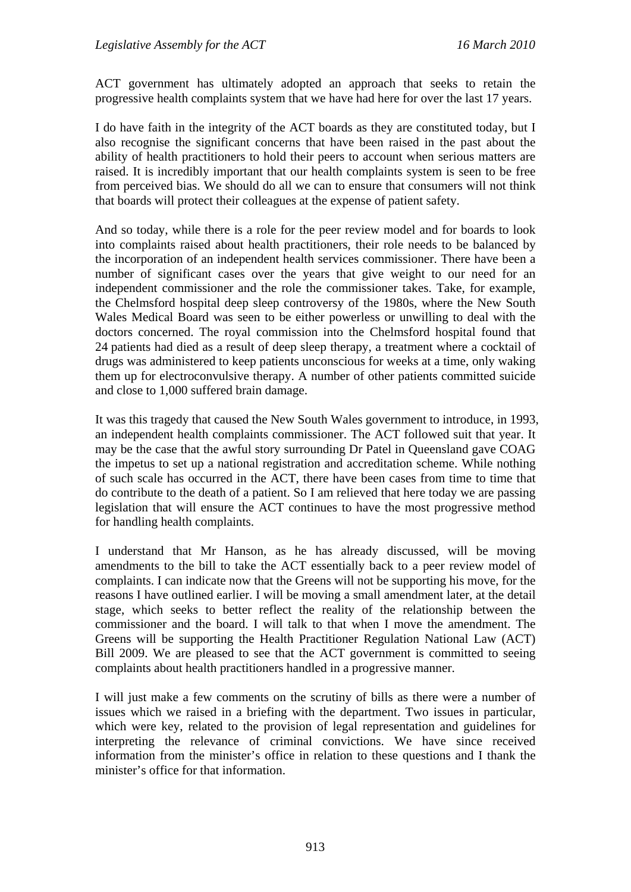ACT government has ultimately adopted an approach that seeks to retain the progressive health complaints system that we have had here for over the last 17 years.

I do have faith in the integrity of the ACT boards as they are constituted today, but I also recognise the significant concerns that have been raised in the past about the ability of health practitioners to hold their peers to account when serious matters are raised. It is incredibly important that our health complaints system is seen to be free from perceived bias. We should do all we can to ensure that consumers will not think that boards will protect their colleagues at the expense of patient safety.

And so today, while there is a role for the peer review model and for boards to look into complaints raised about health practitioners, their role needs to be balanced by the incorporation of an independent health services commissioner. There have been a number of significant cases over the years that give weight to our need for an independent commissioner and the role the commissioner takes. Take, for example, the Chelmsford hospital deep sleep controversy of the 1980s, where the New South Wales Medical Board was seen to be either powerless or unwilling to deal with the doctors concerned. The royal commission into the Chelmsford hospital found that 24 patients had died as a result of deep sleep therapy, a treatment where a cocktail of drugs was administered to keep patients unconscious for weeks at a time, only waking them up for electroconvulsive therapy. A number of other patients committed suicide and close to 1,000 suffered brain damage.

It was this tragedy that caused the New South Wales government to introduce, in 1993, an independent health complaints commissioner. The ACT followed suit that year. It may be the case that the awful story surrounding Dr Patel in Queensland gave COAG the impetus to set up a national registration and accreditation scheme. While nothing of such scale has occurred in the ACT, there have been cases from time to time that do contribute to the death of a patient. So I am relieved that here today we are passing legislation that will ensure the ACT continues to have the most progressive method for handling health complaints.

I understand that Mr Hanson, as he has already discussed, will be moving amendments to the bill to take the ACT essentially back to a peer review model of complaints. I can indicate now that the Greens will not be supporting his move, for the reasons I have outlined earlier. I will be moving a small amendment later, at the detail stage, which seeks to better reflect the reality of the relationship between the commissioner and the board. I will talk to that when I move the amendment. The Greens will be supporting the Health Practitioner Regulation National Law (ACT) Bill 2009. We are pleased to see that the ACT government is committed to seeing complaints about health practitioners handled in a progressive manner.

I will just make a few comments on the scrutiny of bills as there were a number of issues which we raised in a briefing with the department. Two issues in particular, which were key, related to the provision of legal representation and guidelines for interpreting the relevance of criminal convictions. We have since received information from the minister's office in relation to these questions and I thank the minister's office for that information.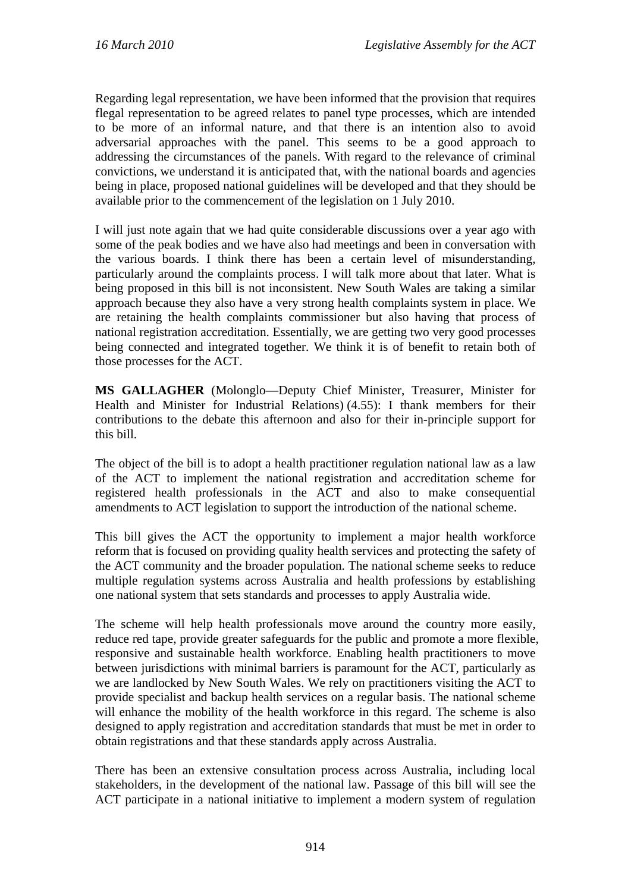Regarding legal representation, we have been informed that the provision that requires flegal representation to be agreed relates to panel type processes, which are intended to be more of an informal nature, and that there is an intention also to avoid adversarial approaches with the panel. This seems to be a good approach to addressing the circumstances of the panels. With regard to the relevance of criminal convictions, we understand it is anticipated that, with the national boards and agencies being in place, proposed national guidelines will be developed and that they should be available prior to the commencement of the legislation on 1 July 2010.

I will just note again that we had quite considerable discussions over a year ago with some of the peak bodies and we have also had meetings and been in conversation with the various boards. I think there has been a certain level of misunderstanding, particularly around the complaints process. I will talk more about that later. What is being proposed in this bill is not inconsistent. New South Wales are taking a similar approach because they also have a very strong health complaints system in place. We are retaining the health complaints commissioner but also having that process of national registration accreditation. Essentially, we are getting two very good processes being connected and integrated together. We think it is of benefit to retain both of those processes for the ACT.

**MS GALLAGHER** (Molonglo—Deputy Chief Minister, Treasurer, Minister for Health and Minister for Industrial Relations) (4.55): I thank members for their contributions to the debate this afternoon and also for their in-principle support for this bill.

The object of the bill is to adopt a health practitioner regulation national law as a law of the ACT to implement the national registration and accreditation scheme for registered health professionals in the ACT and also to make consequential amendments to ACT legislation to support the introduction of the national scheme.

This bill gives the ACT the opportunity to implement a major health workforce reform that is focused on providing quality health services and protecting the safety of the ACT community and the broader population. The national scheme seeks to reduce multiple regulation systems across Australia and health professions by establishing one national system that sets standards and processes to apply Australia wide.

The scheme will help health professionals move around the country more easily, reduce red tape, provide greater safeguards for the public and promote a more flexible, responsive and sustainable health workforce. Enabling health practitioners to move between jurisdictions with minimal barriers is paramount for the ACT, particularly as we are landlocked by New South Wales. We rely on practitioners visiting the ACT to provide specialist and backup health services on a regular basis. The national scheme will enhance the mobility of the health workforce in this regard. The scheme is also designed to apply registration and accreditation standards that must be met in order to obtain registrations and that these standards apply across Australia.

There has been an extensive consultation process across Australia, including local stakeholders, in the development of the national law. Passage of this bill will see the ACT participate in a national initiative to implement a modern system of regulation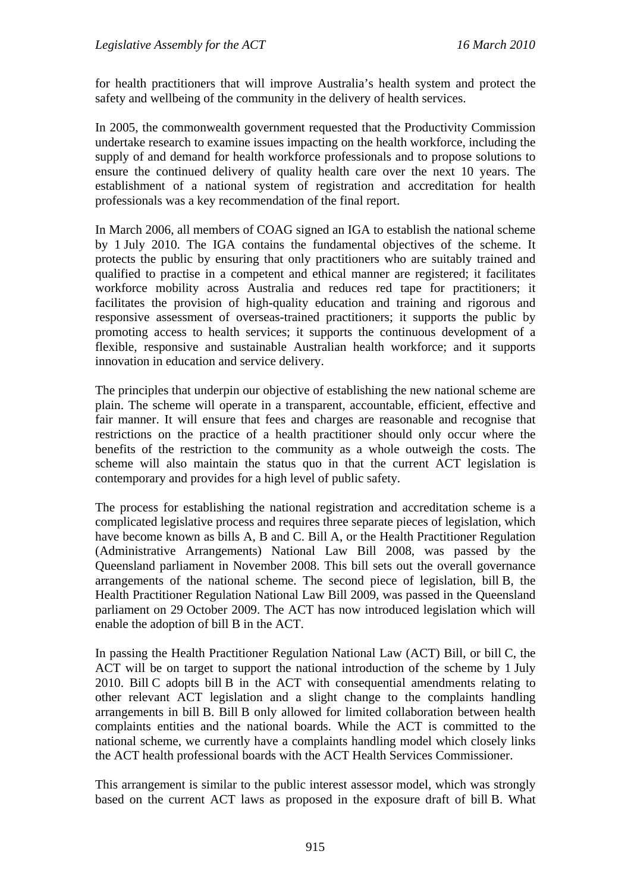for health practitioners that will improve Australia's health system and protect the safety and wellbeing of the community in the delivery of health services.

In 2005, the commonwealth government requested that the Productivity Commission undertake research to examine issues impacting on the health workforce, including the supply of and demand for health workforce professionals and to propose solutions to ensure the continued delivery of quality health care over the next 10 years. The establishment of a national system of registration and accreditation for health professionals was a key recommendation of the final report.

In March 2006, all members of COAG signed an IGA to establish the national scheme by 1 July 2010. The IGA contains the fundamental objectives of the scheme. It protects the public by ensuring that only practitioners who are suitably trained and qualified to practise in a competent and ethical manner are registered; it facilitates workforce mobility across Australia and reduces red tape for practitioners; it facilitates the provision of high-quality education and training and rigorous and responsive assessment of overseas-trained practitioners; it supports the public by promoting access to health services; it supports the continuous development of a flexible, responsive and sustainable Australian health workforce; and it supports innovation in education and service delivery.

The principles that underpin our objective of establishing the new national scheme are plain. The scheme will operate in a transparent, accountable, efficient, effective and fair manner. It will ensure that fees and charges are reasonable and recognise that restrictions on the practice of a health practitioner should only occur where the benefits of the restriction to the community as a whole outweigh the costs. The scheme will also maintain the status quo in that the current ACT legislation is contemporary and provides for a high level of public safety.

The process for establishing the national registration and accreditation scheme is a complicated legislative process and requires three separate pieces of legislation, which have become known as bills A, B and C. Bill A, or the Health Practitioner Regulation (Administrative Arrangements) National Law Bill 2008, was passed by the Queensland parliament in November 2008. This bill sets out the overall governance arrangements of the national scheme. The second piece of legislation, bill B, the Health Practitioner Regulation National Law Bill 2009, was passed in the Queensland parliament on 29 October 2009. The ACT has now introduced legislation which will enable the adoption of bill B in the ACT.

In passing the Health Practitioner Regulation National Law (ACT) Bill, or bill C, the ACT will be on target to support the national introduction of the scheme by 1 July 2010. Bill C adopts bill B in the ACT with consequential amendments relating to other relevant ACT legislation and a slight change to the complaints handling arrangements in bill B. Bill B only allowed for limited collaboration between health complaints entities and the national boards. While the ACT is committed to the national scheme, we currently have a complaints handling model which closely links the ACT health professional boards with the ACT Health Services Commissioner.

This arrangement is similar to the public interest assessor model, which was strongly based on the current ACT laws as proposed in the exposure draft of bill B. What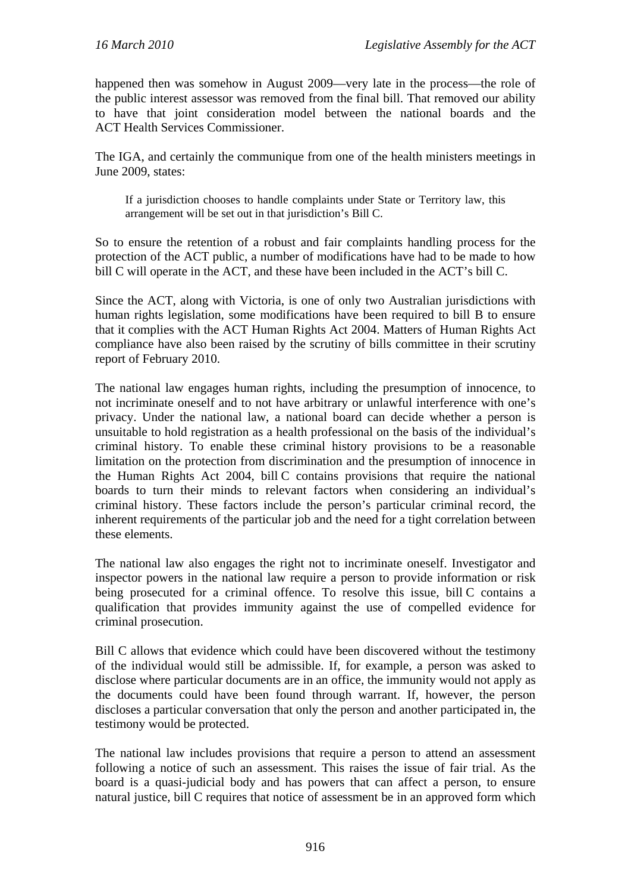happened then was somehow in August 2009—very late in the process—the role of the public interest assessor was removed from the final bill. That removed our ability to have that joint consideration model between the national boards and the ACT Health Services Commissioner.

The IGA, and certainly the communique from one of the health ministers meetings in June 2009, states:

If a jurisdiction chooses to handle complaints under State or Territory law, this arrangement will be set out in that jurisdiction's Bill C.

So to ensure the retention of a robust and fair complaints handling process for the protection of the ACT public, a number of modifications have had to be made to how bill C will operate in the ACT, and these have been included in the ACT's bill C.

Since the ACT, along with Victoria, is one of only two Australian jurisdictions with human rights legislation, some modifications have been required to bill B to ensure that it complies with the ACT Human Rights Act 2004. Matters of Human Rights Act compliance have also been raised by the scrutiny of bills committee in their scrutiny report of February 2010.

The national law engages human rights, including the presumption of innocence, to not incriminate oneself and to not have arbitrary or unlawful interference with one's privacy. Under the national law, a national board can decide whether a person is unsuitable to hold registration as a health professional on the basis of the individual's criminal history. To enable these criminal history provisions to be a reasonable limitation on the protection from discrimination and the presumption of innocence in the Human Rights Act 2004, bill C contains provisions that require the national boards to turn their minds to relevant factors when considering an individual's criminal history. These factors include the person's particular criminal record, the inherent requirements of the particular job and the need for a tight correlation between these elements.

The national law also engages the right not to incriminate oneself. Investigator and inspector powers in the national law require a person to provide information or risk being prosecuted for a criminal offence. To resolve this issue, bill C contains a qualification that provides immunity against the use of compelled evidence for criminal prosecution.

Bill C allows that evidence which could have been discovered without the testimony of the individual would still be admissible. If, for example, a person was asked to disclose where particular documents are in an office, the immunity would not apply as the documents could have been found through warrant. If, however, the person discloses a particular conversation that only the person and another participated in, the testimony would be protected.

The national law includes provisions that require a person to attend an assessment following a notice of such an assessment. This raises the issue of fair trial. As the board is a quasi-judicial body and has powers that can affect a person, to ensure natural justice, bill C requires that notice of assessment be in an approved form which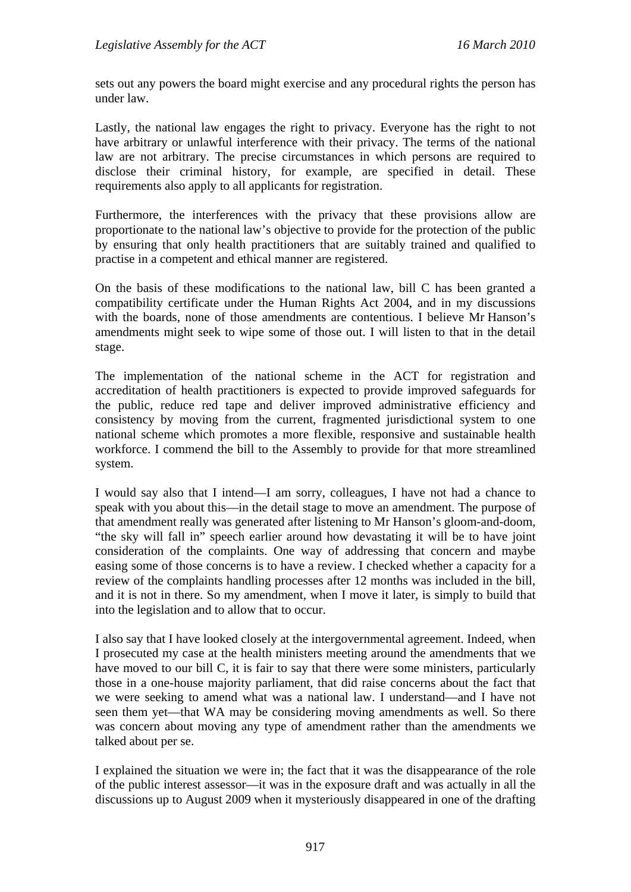sets out any powers the board might exercise and any procedural rights the person has under law.

Lastly, the national law engages the right to privacy. Everyone has the right to not have arbitrary or unlawful interference with their privacy. The terms of the national law are not arbitrary. The precise circumstances in which persons are required to disclose their criminal history, for example, are specified in detail. These requirements also apply to all applicants for registration.

Furthermore, the interferences with the privacy that these provisions allow are proportionate to the national law's objective to provide for the protection of the public by ensuring that only health practitioners that are suitably trained and qualified to practise in a competent and ethical manner are registered.

On the basis of these modifications to the national law, bill C has been granted a compatibility certificate under the Human Rights Act 2004, and in my discussions with the boards, none of those amendments are contentious. I believe Mr Hanson's amendments might seek to wipe some of those out. I will listen to that in the detail stage.

The implementation of the national scheme in the ACT for registration and accreditation of health practitioners is expected to provide improved safeguards for the public, reduce red tape and deliver improved administrative efficiency and consistency by moving from the current, fragmented jurisdictional system to one national scheme which promotes a more flexible, responsive and sustainable health workforce. I commend the bill to the Assembly to provide for that more streamlined system.

I would say also that I intend—I am sorry, colleagues, I have not had a chance to speak with you about this—in the detail stage to move an amendment. The purpose of that amendment really was generated after listening to Mr Hanson's gloom-and-doom, "the sky will fall in" speech earlier around how devastating it will be to have joint consideration of the complaints. One way of addressing that concern and maybe easing some of those concerns is to have a review. I checked whether a capacity for a review of the complaints handling processes after 12 months was included in the bill, and it is not in there. So my amendment, when I move it later, is simply to build that into the legislation and to allow that to occur.

I also say that I have looked closely at the intergovernmental agreement. Indeed, when I prosecuted my case at the health ministers meeting around the amendments that we have moved to our bill C, it is fair to say that there were some ministers, particularly those in a one-house majority parliament, that did raise concerns about the fact that we were seeking to amend what was a national law. I understand—and I have not seen them yet—that WA may be considering moving amendments as well. So there was concern about moving any type of amendment rather than the amendments we talked about per se.

I explained the situation we were in; the fact that it was the disappearance of the role of the public interest assessor—it was in the exposure draft and was actually in all the discussions up to August 2009 when it mysteriously disappeared in one of the drafting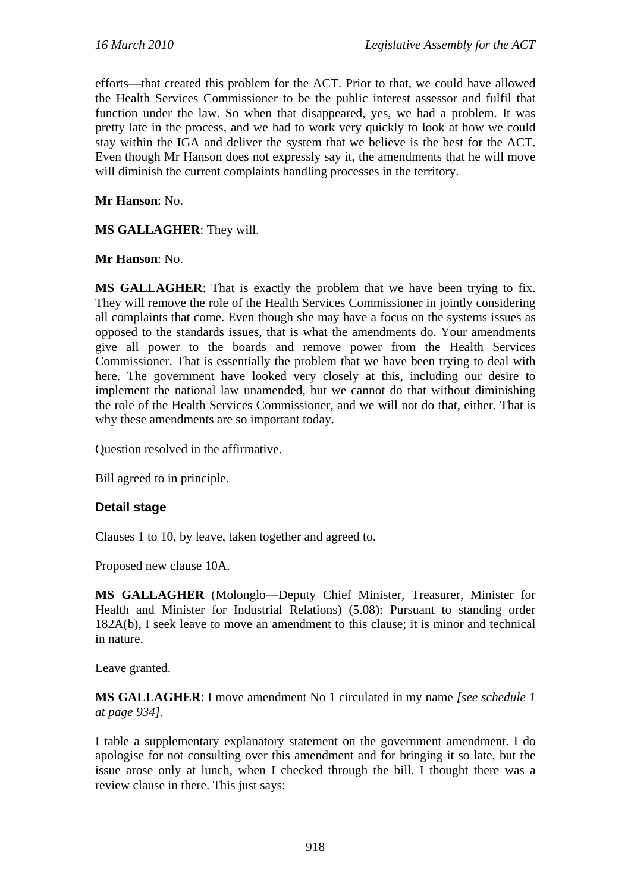efforts—that created this problem for the ACT. Prior to that, we could have allowed the Health Services Commissioner to be the public interest assessor and fulfil that function under the law. So when that disappeared, yes, we had a problem. It was pretty late in the process, and we had to work very quickly to look at how we could stay within the IGA and deliver the system that we believe is the best for the ACT. Even though Mr Hanson does not expressly say it, the amendments that he will move will diminish the current complaints handling processes in the territory.

**Mr Hanson**: No.

**MS GALLAGHER**: They will.

**Mr Hanson**: No.

**MS GALLAGHER**: That is exactly the problem that we have been trying to fix. They will remove the role of the Health Services Commissioner in jointly considering all complaints that come. Even though she may have a focus on the systems issues as opposed to the standards issues, that is what the amendments do. Your amendments give all power to the boards and remove power from the Health Services Commissioner. That is essentially the problem that we have been trying to deal with here. The government have looked very closely at this, including our desire to implement the national law unamended, but we cannot do that without diminishing the role of the Health Services Commissioner, and we will not do that, either. That is why these amendments are so important today.

Question resolved in the affirmative.

Bill agreed to in principle.

#### **Detail stage**

Clauses 1 to 10, by leave, taken together and agreed to.

Proposed new clause 10A.

**MS GALLAGHER** (Molonglo—Deputy Chief Minister, Treasurer, Minister for Health and Minister for Industrial Relations) (5.08): Pursuant to standing order 182A(b), I seek leave to move an amendment to this clause; it is minor and technical in nature.

Leave granted.

**MS GALLAGHER**: I move amendment No 1 circulated in my name *[see schedule 1 at page 934]*.

I table a supplementary explanatory statement on the government amendment. I do apologise for not consulting over this amendment and for bringing it so late, but the issue arose only at lunch, when I checked through the bill. I thought there was a review clause in there. This just says: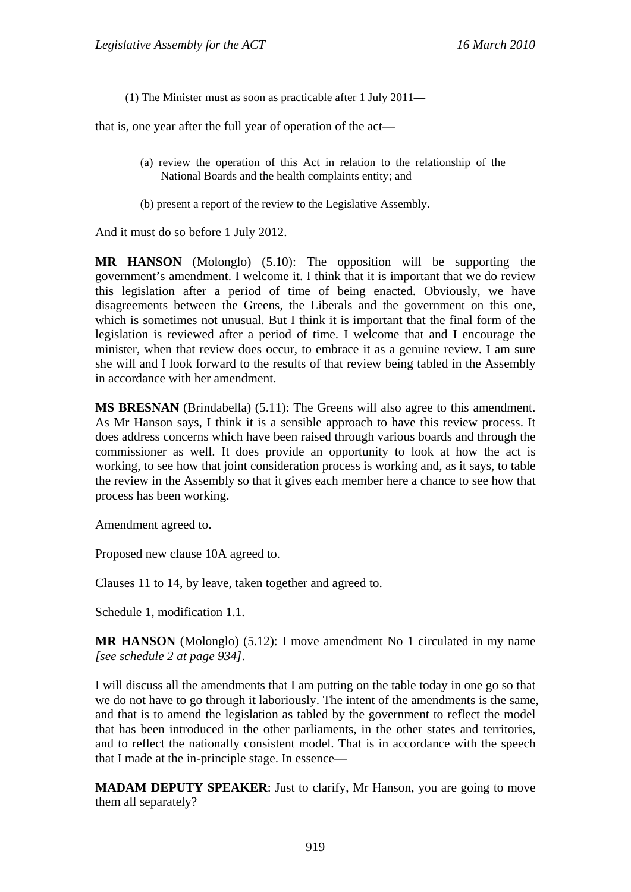(1) The Minister must as soon as practicable after 1 July 2011—

that is, one year after the full year of operation of the act—

- (a) review the operation of this Act in relation to the relationship of the National Boards and the health complaints entity; and
- (b) present a report of the review to the Legislative Assembly.

And it must do so before 1 July 2012.

**MR HANSON** (Molonglo) (5.10): The opposition will be supporting the government's amendment. I welcome it. I think that it is important that we do review this legislation after a period of time of being enacted. Obviously, we have disagreements between the Greens, the Liberals and the government on this one, which is sometimes not unusual. But I think it is important that the final form of the legislation is reviewed after a period of time. I welcome that and I encourage the minister, when that review does occur, to embrace it as a genuine review. I am sure she will and I look forward to the results of that review being tabled in the Assembly in accordance with her amendment.

**MS BRESNAN** (Brindabella) (5.11): The Greens will also agree to this amendment. As Mr Hanson says, I think it is a sensible approach to have this review process. It does address concerns which have been raised through various boards and through the commissioner as well. It does provide an opportunity to look at how the act is working, to see how that joint consideration process is working and, as it says, to table the review in the Assembly so that it gives each member here a chance to see how that process has been working.

Amendment agreed to.

Proposed new clause 10A agreed to.

Clauses 11 to 14, by leave, taken together and agreed to.

Schedule 1, modification 1.1.

**MR HANSON** (Molonglo) (5.12): I move amendment No 1 circulated in my name *[see schedule 2 at page 934]*.

I will discuss all the amendments that I am putting on the table today in one go so that we do not have to go through it laboriously. The intent of the amendments is the same, and that is to amend the legislation as tabled by the government to reflect the model that has been introduced in the other parliaments, in the other states and territories, and to reflect the nationally consistent model. That is in accordance with the speech that I made at the in-principle stage. In essence—

**MADAM DEPUTY SPEAKER:** Just to clarify, Mr Hanson, you are going to move them all separately?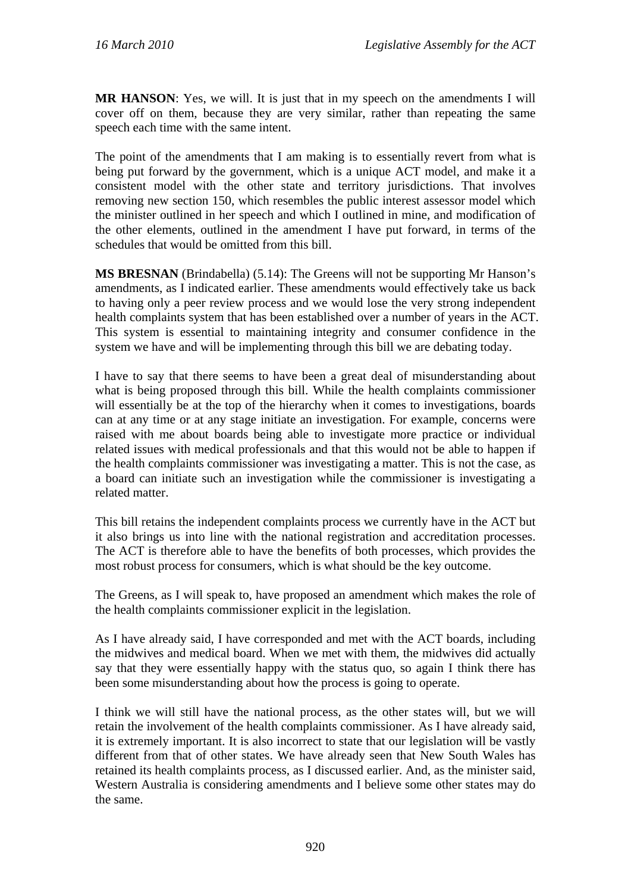**MR HANSON**: Yes, we will. It is just that in my speech on the amendments I will cover off on them, because they are very similar, rather than repeating the same speech each time with the same intent.

The point of the amendments that I am making is to essentially revert from what is being put forward by the government, which is a unique ACT model, and make it a consistent model with the other state and territory jurisdictions. That involves removing new section 150, which resembles the public interest assessor model which the minister outlined in her speech and which I outlined in mine, and modification of the other elements, outlined in the amendment I have put forward, in terms of the schedules that would be omitted from this bill.

**MS BRESNAN** (Brindabella) (5.14): The Greens will not be supporting Mr Hanson's amendments, as I indicated earlier. These amendments would effectively take us back to having only a peer review process and we would lose the very strong independent health complaints system that has been established over a number of years in the ACT. This system is essential to maintaining integrity and consumer confidence in the system we have and will be implementing through this bill we are debating today.

I have to say that there seems to have been a great deal of misunderstanding about what is being proposed through this bill. While the health complaints commissioner will essentially be at the top of the hierarchy when it comes to investigations, boards can at any time or at any stage initiate an investigation. For example, concerns were raised with me about boards being able to investigate more practice or individual related issues with medical professionals and that this would not be able to happen if the health complaints commissioner was investigating a matter. This is not the case, as a board can initiate such an investigation while the commissioner is investigating a related matter.

This bill retains the independent complaints process we currently have in the ACT but it also brings us into line with the national registration and accreditation processes. The ACT is therefore able to have the benefits of both processes, which provides the most robust process for consumers, which is what should be the key outcome.

The Greens, as I will speak to, have proposed an amendment which makes the role of the health complaints commissioner explicit in the legislation.

As I have already said, I have corresponded and met with the ACT boards, including the midwives and medical board. When we met with them, the midwives did actually say that they were essentially happy with the status quo, so again I think there has been some misunderstanding about how the process is going to operate.

I think we will still have the national process, as the other states will, but we will retain the involvement of the health complaints commissioner. As I have already said, it is extremely important. It is also incorrect to state that our legislation will be vastly different from that of other states. We have already seen that New South Wales has retained its health complaints process, as I discussed earlier. And, as the minister said, Western Australia is considering amendments and I believe some other states may do the same.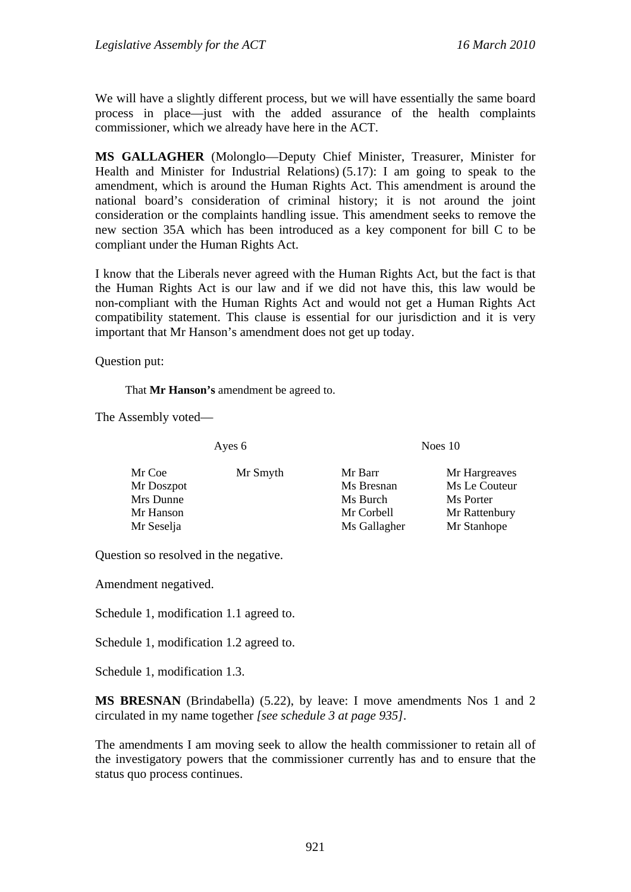We will have a slightly different process, but we will have essentially the same board process in place—just with the added assurance of the health complaints commissioner, which we already have here in the ACT.

**MS GALLAGHER** (Molonglo—Deputy Chief Minister, Treasurer, Minister for Health and Minister for Industrial Relations) (5.17): I am going to speak to the amendment, which is around the Human Rights Act. This amendment is around the national board's consideration of criminal history; it is not around the joint consideration or the complaints handling issue. This amendment seeks to remove the new section 35A which has been introduced as a key component for bill C to be compliant under the Human Rights Act.

I know that the Liberals never agreed with the Human Rights Act, but the fact is that the Human Rights Act is our law and if we did not have this, this law would be non-compliant with the Human Rights Act and would not get a Human Rights Act compatibility statement. This clause is essential for our jurisdiction and it is very important that Mr Hanson's amendment does not get up today.

Question put:

That **Mr Hanson's** amendment be agreed to.

The Assembly voted—

Ayes 6 Noes 10

- Mr Coe Mr Smyth Mr Barr Mr Hargreaves Mr Doszpot Ms Bresnan Ms Le Couteur Mrs Dunne Ms Burch Ms Burch Ms Porter Mr Hanson Mr Corbell Mr Rattenbury Mr Seselja Ms Gallagher Mr Stanhope
- 
- 

Question so resolved in the negative.

Amendment negatived.

Schedule 1, modification 1.1 agreed to.

Schedule 1, modification 1.2 agreed to.

Schedule 1, modification 1.3.

**MS BRESNAN** (Brindabella) (5.22), by leave: I move amendments Nos 1 and 2 circulated in my name together *[see schedule 3 at page 935]*.

The amendments I am moving seek to allow the health commissioner to retain all of the investigatory powers that the commissioner currently has and to ensure that the status quo process continues.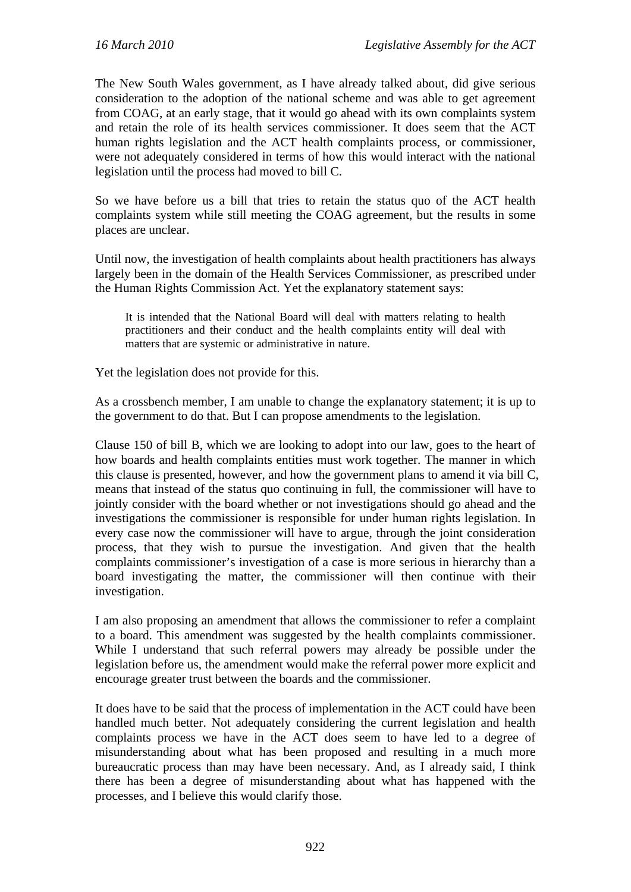The New South Wales government, as I have already talked about, did give serious consideration to the adoption of the national scheme and was able to get agreement from COAG, at an early stage, that it would go ahead with its own complaints system and retain the role of its health services commissioner. It does seem that the ACT human rights legislation and the ACT health complaints process, or commissioner, were not adequately considered in terms of how this would interact with the national legislation until the process had moved to bill C.

So we have before us a bill that tries to retain the status quo of the ACT health complaints system while still meeting the COAG agreement, but the results in some places are unclear.

Until now, the investigation of health complaints about health practitioners has always largely been in the domain of the Health Services Commissioner, as prescribed under the Human Rights Commission Act. Yet the explanatory statement says:

It is intended that the National Board will deal with matters relating to health practitioners and their conduct and the health complaints entity will deal with matters that are systemic or administrative in nature.

Yet the legislation does not provide for this.

As a crossbench member, I am unable to change the explanatory statement; it is up to the government to do that. But I can propose amendments to the legislation.

Clause 150 of bill B, which we are looking to adopt into our law, goes to the heart of how boards and health complaints entities must work together. The manner in which this clause is presented, however, and how the government plans to amend it via bill C, means that instead of the status quo continuing in full, the commissioner will have to jointly consider with the board whether or not investigations should go ahead and the investigations the commissioner is responsible for under human rights legislation. In every case now the commissioner will have to argue, through the joint consideration process, that they wish to pursue the investigation. And given that the health complaints commissioner's investigation of a case is more serious in hierarchy than a board investigating the matter, the commissioner will then continue with their investigation.

I am also proposing an amendment that allows the commissioner to refer a complaint to a board. This amendment was suggested by the health complaints commissioner. While I understand that such referral powers may already be possible under the legislation before us, the amendment would make the referral power more explicit and encourage greater trust between the boards and the commissioner.

It does have to be said that the process of implementation in the ACT could have been handled much better. Not adequately considering the current legislation and health complaints process we have in the ACT does seem to have led to a degree of misunderstanding about what has been proposed and resulting in a much more bureaucratic process than may have been necessary. And, as I already said, I think there has been a degree of misunderstanding about what has happened with the processes, and I believe this would clarify those.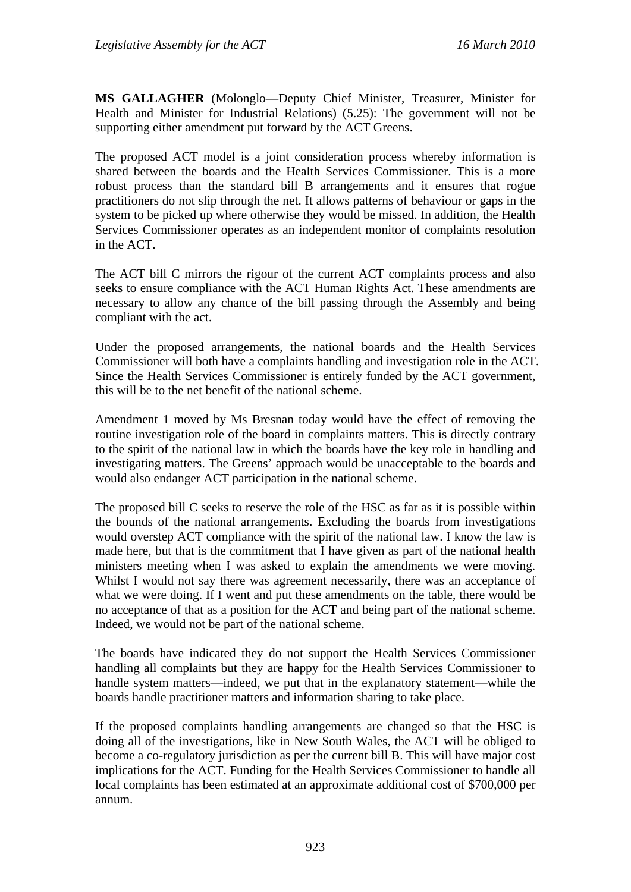**MS GALLAGHER** (Molonglo—Deputy Chief Minister, Treasurer, Minister for Health and Minister for Industrial Relations) (5.25): The government will not be supporting either amendment put forward by the ACT Greens.

The proposed ACT model is a joint consideration process whereby information is shared between the boards and the Health Services Commissioner. This is a more robust process than the standard bill B arrangements and it ensures that rogue practitioners do not slip through the net. It allows patterns of behaviour or gaps in the system to be picked up where otherwise they would be missed. In addition, the Health Services Commissioner operates as an independent monitor of complaints resolution in the ACT.

The ACT bill C mirrors the rigour of the current ACT complaints process and also seeks to ensure compliance with the ACT Human Rights Act. These amendments are necessary to allow any chance of the bill passing through the Assembly and being compliant with the act.

Under the proposed arrangements, the national boards and the Health Services Commissioner will both have a complaints handling and investigation role in the ACT. Since the Health Services Commissioner is entirely funded by the ACT government, this will be to the net benefit of the national scheme.

Amendment 1 moved by Ms Bresnan today would have the effect of removing the routine investigation role of the board in complaints matters. This is directly contrary to the spirit of the national law in which the boards have the key role in handling and investigating matters. The Greens' approach would be unacceptable to the boards and would also endanger ACT participation in the national scheme.

The proposed bill C seeks to reserve the role of the HSC as far as it is possible within the bounds of the national arrangements. Excluding the boards from investigations would overstep ACT compliance with the spirit of the national law. I know the law is made here, but that is the commitment that I have given as part of the national health ministers meeting when I was asked to explain the amendments we were moving. Whilst I would not say there was agreement necessarily, there was an acceptance of what we were doing. If I went and put these amendments on the table, there would be no acceptance of that as a position for the ACT and being part of the national scheme. Indeed, we would not be part of the national scheme.

The boards have indicated they do not support the Health Services Commissioner handling all complaints but they are happy for the Health Services Commissioner to handle system matters—indeed, we put that in the explanatory statement—while the boards handle practitioner matters and information sharing to take place.

If the proposed complaints handling arrangements are changed so that the HSC is doing all of the investigations, like in New South Wales, the ACT will be obliged to become a co-regulatory jurisdiction as per the current bill B. This will have major cost implications for the ACT. Funding for the Health Services Commissioner to handle all local complaints has been estimated at an approximate additional cost of \$700,000 per annum.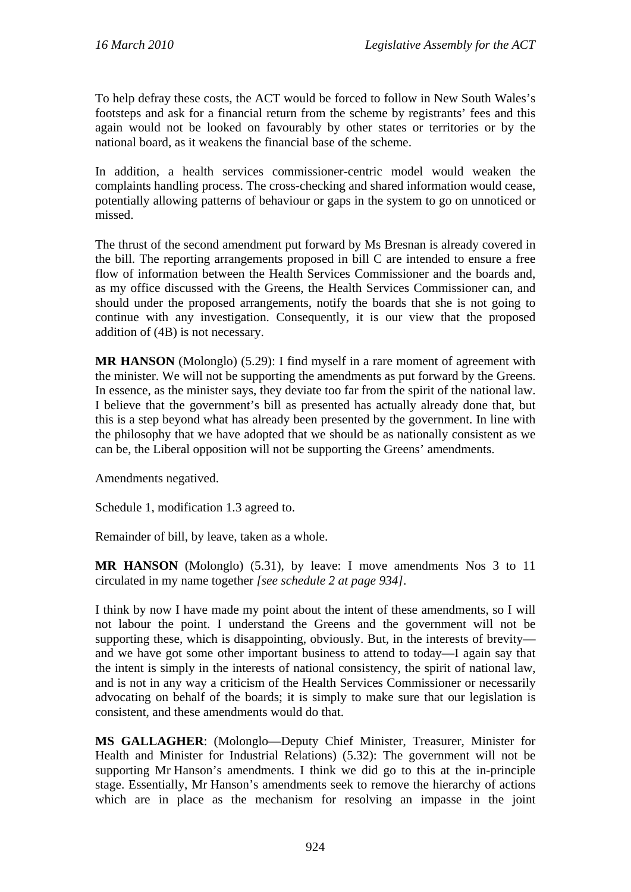To help defray these costs, the ACT would be forced to follow in New South Wales's footsteps and ask for a financial return from the scheme by registrants' fees and this again would not be looked on favourably by other states or territories or by the national board, as it weakens the financial base of the scheme.

In addition, a health services commissioner-centric model would weaken the complaints handling process. The cross-checking and shared information would cease, potentially allowing patterns of behaviour or gaps in the system to go on unnoticed or missed.

The thrust of the second amendment put forward by Ms Bresnan is already covered in the bill. The reporting arrangements proposed in bill C are intended to ensure a free flow of information between the Health Services Commissioner and the boards and, as my office discussed with the Greens, the Health Services Commissioner can, and should under the proposed arrangements, notify the boards that she is not going to continue with any investigation. Consequently, it is our view that the proposed addition of (4B) is not necessary.

**MR HANSON** (Molonglo) (5.29): I find myself in a rare moment of agreement with the minister. We will not be supporting the amendments as put forward by the Greens. In essence, as the minister says, they deviate too far from the spirit of the national law. I believe that the government's bill as presented has actually already done that, but this is a step beyond what has already been presented by the government. In line with the philosophy that we have adopted that we should be as nationally consistent as we can be, the Liberal opposition will not be supporting the Greens' amendments.

Amendments negatived.

Schedule 1, modification 1.3 agreed to.

Remainder of bill, by leave, taken as a whole.

**MR HANSON** (Molonglo) (5.31), by leave: I move amendments Nos 3 to 11 circulated in my name together *[see schedule 2 at page 934]*.

I think by now I have made my point about the intent of these amendments, so I will not labour the point. I understand the Greens and the government will not be supporting these, which is disappointing, obviously. But, in the interests of brevity and we have got some other important business to attend to today—I again say that the intent is simply in the interests of national consistency, the spirit of national law, and is not in any way a criticism of the Health Services Commissioner or necessarily advocating on behalf of the boards; it is simply to make sure that our legislation is consistent, and these amendments would do that.

**MS GALLAGHER**: (Molonglo—Deputy Chief Minister, Treasurer, Minister for Health and Minister for Industrial Relations) (5.32): The government will not be supporting Mr Hanson's amendments. I think we did go to this at the in-principle stage. Essentially, Mr Hanson's amendments seek to remove the hierarchy of actions which are in place as the mechanism for resolving an impasse in the joint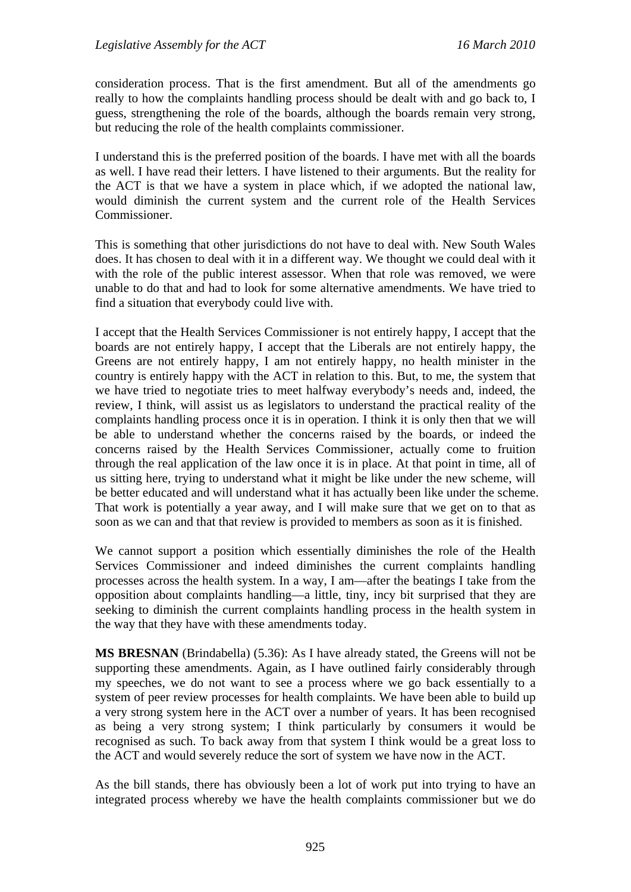consideration process. That is the first amendment. But all of the amendments go really to how the complaints handling process should be dealt with and go back to, I guess, strengthening the role of the boards, although the boards remain very strong, but reducing the role of the health complaints commissioner.

I understand this is the preferred position of the boards. I have met with all the boards as well. I have read their letters. I have listened to their arguments. But the reality for the ACT is that we have a system in place which, if we adopted the national law, would diminish the current system and the current role of the Health Services Commissioner.

This is something that other jurisdictions do not have to deal with. New South Wales does. It has chosen to deal with it in a different way. We thought we could deal with it with the role of the public interest assessor. When that role was removed, we were unable to do that and had to look for some alternative amendments. We have tried to find a situation that everybody could live with.

I accept that the Health Services Commissioner is not entirely happy, I accept that the boards are not entirely happy, I accept that the Liberals are not entirely happy, the Greens are not entirely happy, I am not entirely happy, no health minister in the country is entirely happy with the ACT in relation to this. But, to me, the system that we have tried to negotiate tries to meet halfway everybody's needs and, indeed, the review, I think, will assist us as legislators to understand the practical reality of the complaints handling process once it is in operation. I think it is only then that we will be able to understand whether the concerns raised by the boards, or indeed the concerns raised by the Health Services Commissioner, actually come to fruition through the real application of the law once it is in place. At that point in time, all of us sitting here, trying to understand what it might be like under the new scheme, will be better educated and will understand what it has actually been like under the scheme. That work is potentially a year away, and I will make sure that we get on to that as soon as we can and that that review is provided to members as soon as it is finished.

We cannot support a position which essentially diminishes the role of the Health Services Commissioner and indeed diminishes the current complaints handling processes across the health system. In a way, I am—after the beatings I take from the opposition about complaints handling—a little, tiny, incy bit surprised that they are seeking to diminish the current complaints handling process in the health system in the way that they have with these amendments today.

**MS BRESNAN** (Brindabella) (5.36): As I have already stated, the Greens will not be supporting these amendments. Again, as I have outlined fairly considerably through my speeches, we do not want to see a process where we go back essentially to a system of peer review processes for health complaints. We have been able to build up a very strong system here in the ACT over a number of years. It has been recognised as being a very strong system; I think particularly by consumers it would be recognised as such. To back away from that system I think would be a great loss to the ACT and would severely reduce the sort of system we have now in the ACT.

As the bill stands, there has obviously been a lot of work put into trying to have an integrated process whereby we have the health complaints commissioner but we do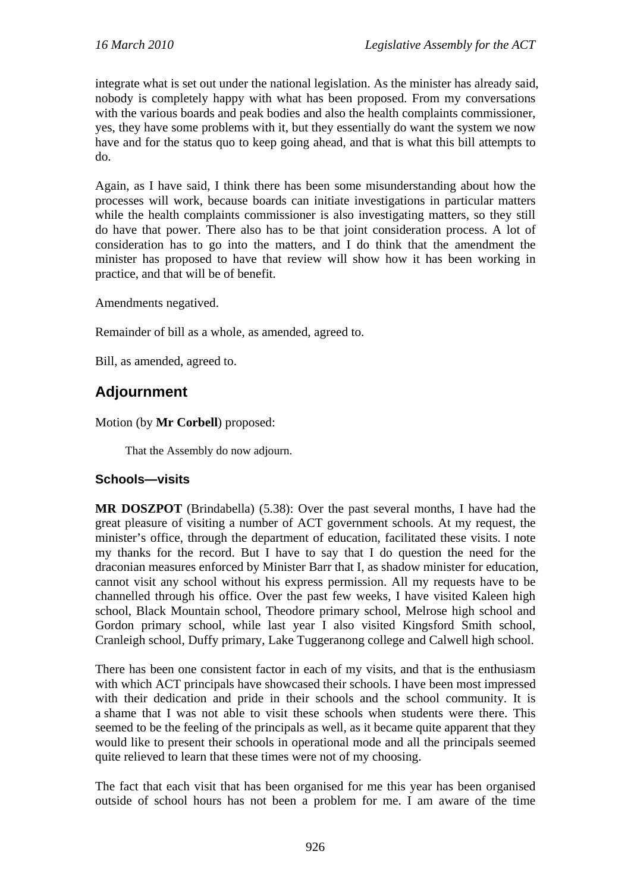integrate what is set out under the national legislation. As the minister has already said, nobody is completely happy with what has been proposed. From my conversations with the various boards and peak bodies and also the health complaints commissioner, yes, they have some problems with it, but they essentially do want the system we now have and for the status quo to keep going ahead, and that is what this bill attempts to do.

Again, as I have said, I think there has been some misunderstanding about how the processes will work, because boards can initiate investigations in particular matters while the health complaints commissioner is also investigating matters, so they still do have that power. There also has to be that joint consideration process. A lot of consideration has to go into the matters, and I do think that the amendment the minister has proposed to have that review will show how it has been working in practice, and that will be of benefit.

Amendments negatived.

Remainder of bill as a whole, as amended, agreed to.

Bill, as amended, agreed to.

# **Adjournment**

Motion (by **Mr Corbell**) proposed:

That the Assembly do now adjourn.

# **Schools—visits**

**MR DOSZPOT** (Brindabella) (5.38): Over the past several months, I have had the great pleasure of visiting a number of ACT government schools. At my request, the minister's office, through the department of education, facilitated these visits. I note my thanks for the record. But I have to say that I do question the need for the draconian measures enforced by Minister Barr that I, as shadow minister for education, cannot visit any school without his express permission. All my requests have to be channelled through his office. Over the past few weeks, I have visited Kaleen high school, Black Mountain school, Theodore primary school, Melrose high school and Gordon primary school, while last year I also visited Kingsford Smith school, Cranleigh school, Duffy primary, Lake Tuggeranong college and Calwell high school.

There has been one consistent factor in each of my visits, and that is the enthusiasm with which ACT principals have showcased their schools. I have been most impressed with their dedication and pride in their schools and the school community. It is a shame that I was not able to visit these schools when students were there. This seemed to be the feeling of the principals as well, as it became quite apparent that they would like to present their schools in operational mode and all the principals seemed quite relieved to learn that these times were not of my choosing.

The fact that each visit that has been organised for me this year has been organised outside of school hours has not been a problem for me. I am aware of the time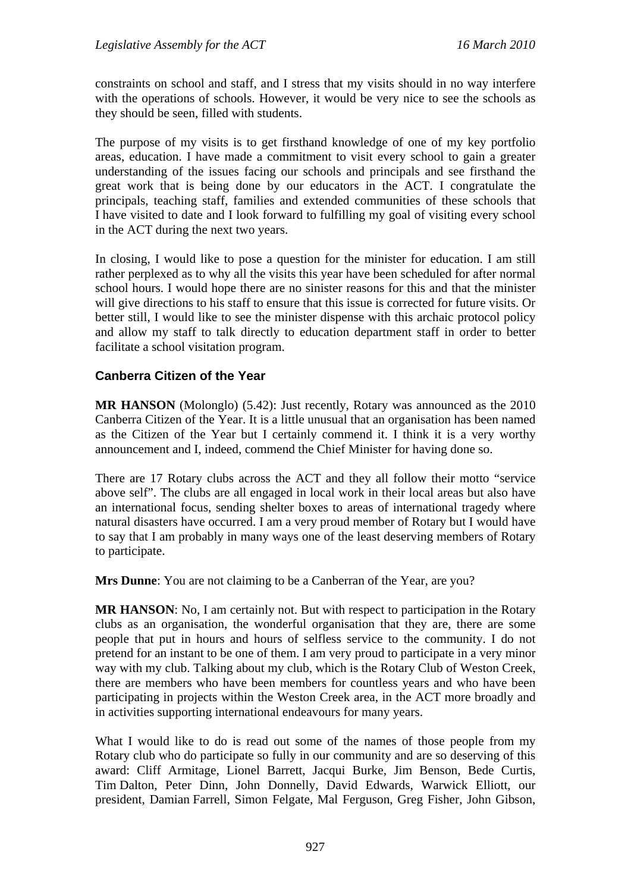constraints on school and staff, and I stress that my visits should in no way interfere with the operations of schools. However, it would be very nice to see the schools as they should be seen, filled with students.

The purpose of my visits is to get firsthand knowledge of one of my key portfolio areas, education. I have made a commitment to visit every school to gain a greater understanding of the issues facing our schools and principals and see firsthand the great work that is being done by our educators in the ACT. I congratulate the principals, teaching staff, families and extended communities of these schools that I have visited to date and I look forward to fulfilling my goal of visiting every school in the ACT during the next two years.

In closing, I would like to pose a question for the minister for education. I am still rather perplexed as to why all the visits this year have been scheduled for after normal school hours. I would hope there are no sinister reasons for this and that the minister will give directions to his staff to ensure that this issue is corrected for future visits. Or better still, I would like to see the minister dispense with this archaic protocol policy and allow my staff to talk directly to education department staff in order to better facilitate a school visitation program.

# **Canberra Citizen of the Year**

**MR HANSON** (Molonglo) (5.42): Just recently, Rotary was announced as the 2010 Canberra Citizen of the Year. It is a little unusual that an organisation has been named as the Citizen of the Year but I certainly commend it. I think it is a very worthy announcement and I, indeed, commend the Chief Minister for having done so.

There are 17 Rotary clubs across the ACT and they all follow their motto "service above self". The clubs are all engaged in local work in their local areas but also have an international focus, sending shelter boxes to areas of international tragedy where natural disasters have occurred. I am a very proud member of Rotary but I would have to say that I am probably in many ways one of the least deserving members of Rotary to participate.

**Mrs Dunne**: You are not claiming to be a Canberran of the Year, are you?

**MR HANSON**: No, I am certainly not. But with respect to participation in the Rotary clubs as an organisation, the wonderful organisation that they are, there are some people that put in hours and hours of selfless service to the community. I do not pretend for an instant to be one of them. I am very proud to participate in a very minor way with my club. Talking about my club, which is the Rotary Club of Weston Creek, there are members who have been members for countless years and who have been participating in projects within the Weston Creek area, in the ACT more broadly and in activities supporting international endeavours for many years.

What I would like to do is read out some of the names of those people from my Rotary club who do participate so fully in our community and are so deserving of this award: Cliff Armitage, Lionel Barrett, Jacqui Burke, Jim Benson, Bede Curtis, Tim Dalton, Peter Dinn, John Donnelly, David Edwards, Warwick Elliott, our president, Damian Farrell, Simon Felgate, Mal Ferguson, Greg Fisher, John Gibson,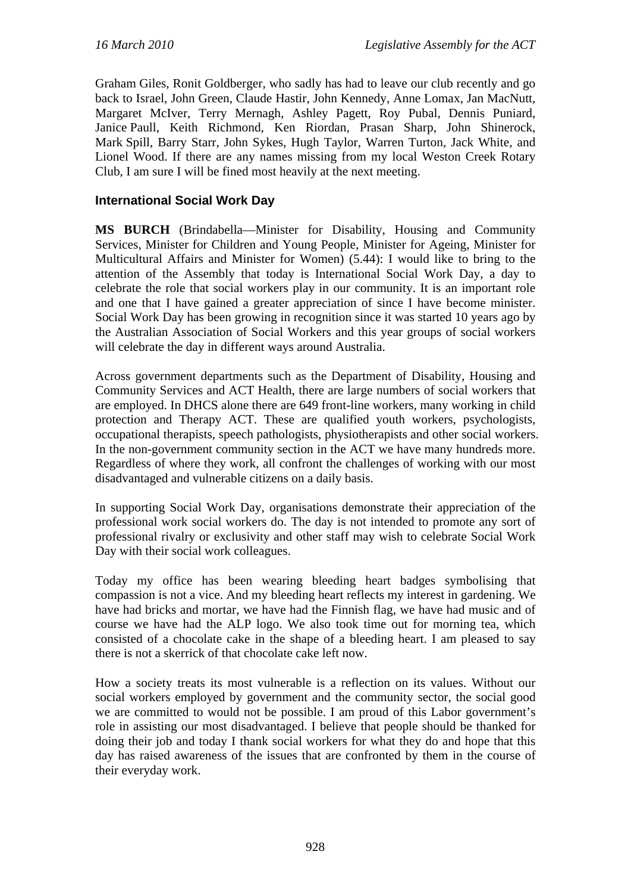Graham Giles, Ronit Goldberger, who sadly has had to leave our club recently and go back to Israel, John Green, Claude Hastir, John Kennedy, Anne Lomax, Jan MacNutt, Margaret McIver, Terry Mernagh, Ashley Pagett, Roy Pubal, Dennis Puniard, Janice Paull, Keith Richmond, Ken Riordan, Prasan Sharp, John Shinerock, Mark Spill, Barry Starr, John Sykes, Hugh Taylor, Warren Turton, Jack White, and Lionel Wood. If there are any names missing from my local Weston Creek Rotary Club, I am sure I will be fined most heavily at the next meeting.

## **International Social Work Day**

**MS BURCH** (Brindabella—Minister for Disability, Housing and Community Services, Minister for Children and Young People, Minister for Ageing, Minister for Multicultural Affairs and Minister for Women) (5.44): I would like to bring to the attention of the Assembly that today is International Social Work Day, a day to celebrate the role that social workers play in our community. It is an important role and one that I have gained a greater appreciation of since I have become minister. Social Work Day has been growing in recognition since it was started 10 years ago by the Australian Association of Social Workers and this year groups of social workers will celebrate the day in different ways around Australia.

Across government departments such as the Department of Disability, Housing and Community Services and ACT Health, there are large numbers of social workers that are employed. In DHCS alone there are 649 front-line workers, many working in child protection and Therapy ACT. These are qualified youth workers, psychologists, occupational therapists, speech pathologists, physiotherapists and other social workers. In the non-government community section in the ACT we have many hundreds more. Regardless of where they work, all confront the challenges of working with our most disadvantaged and vulnerable citizens on a daily basis.

In supporting Social Work Day, organisations demonstrate their appreciation of the professional work social workers do. The day is not intended to promote any sort of professional rivalry or exclusivity and other staff may wish to celebrate Social Work Day with their social work colleagues.

Today my office has been wearing bleeding heart badges symbolising that compassion is not a vice. And my bleeding heart reflects my interest in gardening. We have had bricks and mortar, we have had the Finnish flag, we have had music and of course we have had the ALP logo. We also took time out for morning tea, which consisted of a chocolate cake in the shape of a bleeding heart. I am pleased to say there is not a skerrick of that chocolate cake left now.

How a society treats its most vulnerable is a reflection on its values. Without our social workers employed by government and the community sector, the social good we are committed to would not be possible. I am proud of this Labor government's role in assisting our most disadvantaged. I believe that people should be thanked for doing their job and today I thank social workers for what they do and hope that this day has raised awareness of the issues that are confronted by them in the course of their everyday work.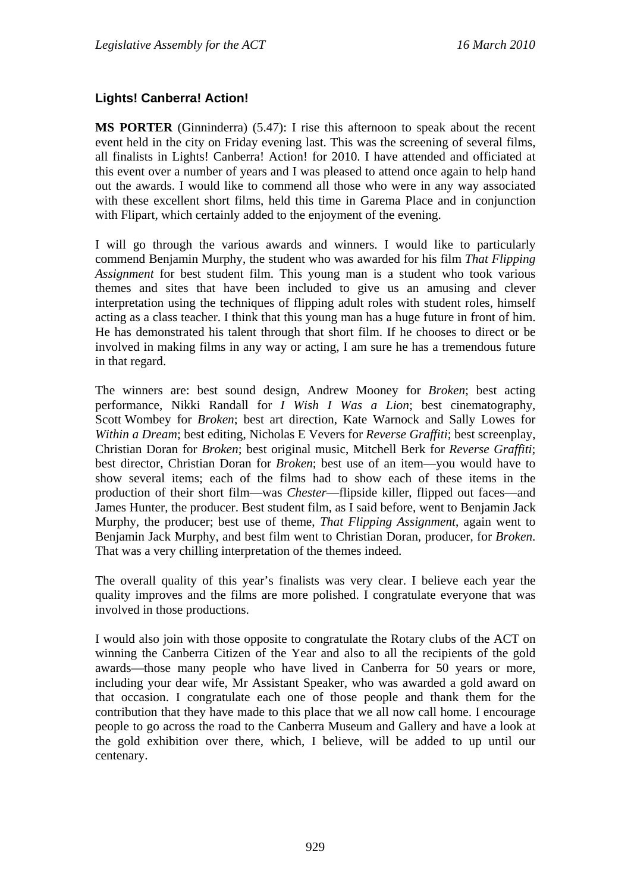# **Lights! Canberra! Action!**

**MS PORTER** (Ginninderra) (5.47): I rise this afternoon to speak about the recent event held in the city on Friday evening last. This was the screening of several films, all finalists in Lights! Canberra! Action! for 2010. I have attended and officiated at this event over a number of years and I was pleased to attend once again to help hand out the awards. I would like to commend all those who were in any way associated with these excellent short films, held this time in Garema Place and in conjunction with Flipart, which certainly added to the enjoyment of the evening.

I will go through the various awards and winners. I would like to particularly commend Benjamin Murphy, the student who was awarded for his film *That Flipping Assignment* for best student film. This young man is a student who took various themes and sites that have been included to give us an amusing and clever interpretation using the techniques of flipping adult roles with student roles, himself acting as a class teacher. I think that this young man has a huge future in front of him. He has demonstrated his talent through that short film. If he chooses to direct or be involved in making films in any way or acting, I am sure he has a tremendous future in that regard.

The winners are: best sound design, Andrew Mooney for *Broken*; best acting performance, Nikki Randall for *I Wish I Was a Lion*; best cinematography, Scott Wombey for *Broken*; best art direction, Kate Warnock and Sally Lowes for *Within a Dream*; best editing, Nicholas E Vevers for *Reverse Graffiti*; best screenplay, Christian Doran for *Broken*; best original music, Mitchell Berk for *Reverse Graffiti*; best director, Christian Doran for *Broken*; best use of an item—you would have to show several items; each of the films had to show each of these items in the production of their short film—was *Chester*—flipside killer, flipped out faces—and James Hunter, the producer. Best student film, as I said before, went to Benjamin Jack Murphy, the producer; best use of theme, *That Flipping Assignment*, again went to Benjamin Jack Murphy, and best film went to Christian Doran, producer, for *Broken*. That was a very chilling interpretation of the themes indeed.

The overall quality of this year's finalists was very clear. I believe each year the quality improves and the films are more polished. I congratulate everyone that was involved in those productions.

I would also join with those opposite to congratulate the Rotary clubs of the ACT on winning the Canberra Citizen of the Year and also to all the recipients of the gold awards—those many people who have lived in Canberra for 50 years or more, including your dear wife, Mr Assistant Speaker, who was awarded a gold award on that occasion. I congratulate each one of those people and thank them for the contribution that they have made to this place that we all now call home. I encourage people to go across the road to the Canberra Museum and Gallery and have a look at the gold exhibition over there, which, I believe, will be added to up until our centenary.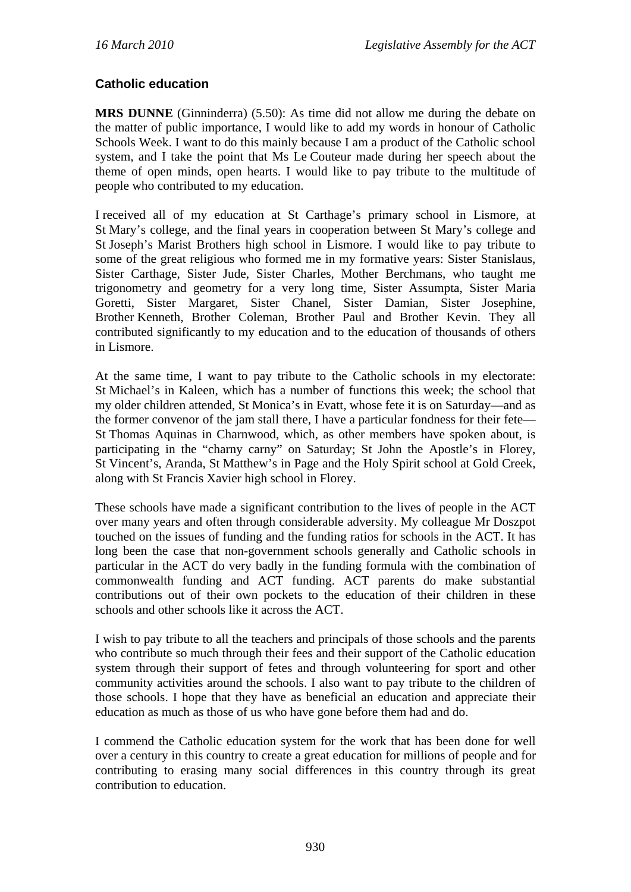## **Catholic education**

**MRS DUNNE** (Ginninderra) (5.50): As time did not allow me during the debate on the matter of public importance, I would like to add my words in honour of Catholic Schools Week. I want to do this mainly because I am a product of the Catholic school system, and I take the point that Ms Le Couteur made during her speech about the theme of open minds, open hearts. I would like to pay tribute to the multitude of people who contributed to my education.

I received all of my education at St Carthage's primary school in Lismore, at St Mary's college, and the final years in cooperation between St Mary's college and St Joseph's Marist Brothers high school in Lismore. I would like to pay tribute to some of the great religious who formed me in my formative years: Sister Stanislaus, Sister Carthage, Sister Jude, Sister Charles, Mother Berchmans, who taught me trigonometry and geometry for a very long time, Sister Assumpta, Sister Maria Goretti, Sister Margaret, Sister Chanel, Sister Damian, Sister Josephine, Brother Kenneth, Brother Coleman, Brother Paul and Brother Kevin. They all contributed significantly to my education and to the education of thousands of others in Lismore.

At the same time, I want to pay tribute to the Catholic schools in my electorate: St Michael's in Kaleen, which has a number of functions this week; the school that my older children attended, St Monica's in Evatt, whose fete it is on Saturday—and as the former convenor of the jam stall there, I have a particular fondness for their fete— St Thomas Aquinas in Charnwood, which, as other members have spoken about, is participating in the "charny carny" on Saturday; St John the Apostle's in Florey, St Vincent's, Aranda, St Matthew's in Page and the Holy Spirit school at Gold Creek, along with St Francis Xavier high school in Florey.

These schools have made a significant contribution to the lives of people in the ACT over many years and often through considerable adversity. My colleague Mr Doszpot touched on the issues of funding and the funding ratios for schools in the ACT. It has long been the case that non-government schools generally and Catholic schools in particular in the ACT do very badly in the funding formula with the combination of commonwealth funding and ACT funding. ACT parents do make substantial contributions out of their own pockets to the education of their children in these schools and other schools like it across the ACT.

I wish to pay tribute to all the teachers and principals of those schools and the parents who contribute so much through their fees and their support of the Catholic education system through their support of fetes and through volunteering for sport and other community activities around the schools. I also want to pay tribute to the children of those schools. I hope that they have as beneficial an education and appreciate their education as much as those of us who have gone before them had and do.

I commend the Catholic education system for the work that has been done for well over a century in this country to create a great education for millions of people and for contributing to erasing many social differences in this country through its great contribution to education.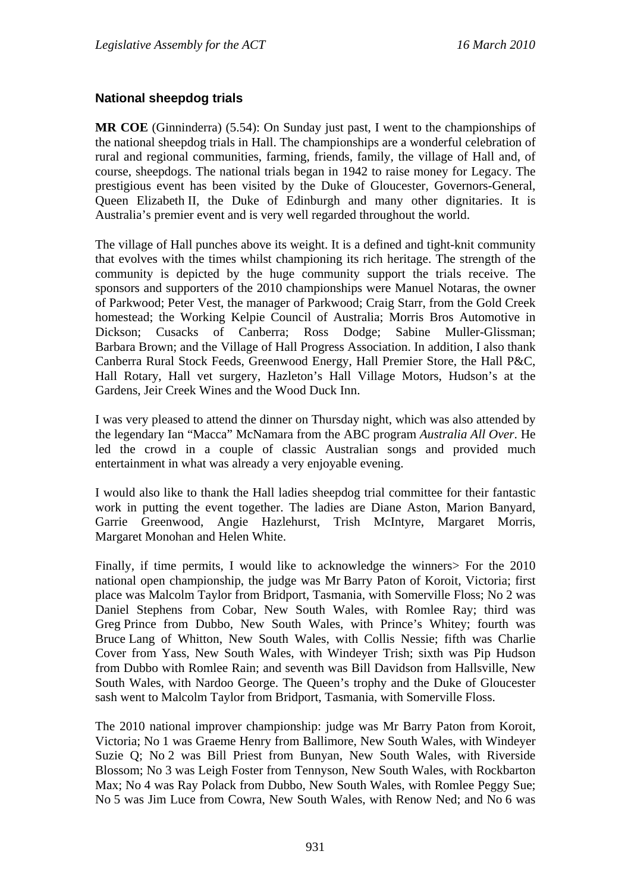## **National sheepdog trials**

**MR COE** (Ginninderra) (5.54): On Sunday just past, I went to the championships of the national sheepdog trials in Hall. The championships are a wonderful celebration of rural and regional communities, farming, friends, family, the village of Hall and, of course, sheepdogs. The national trials began in 1942 to raise money for Legacy. The prestigious event has been visited by the Duke of Gloucester, Governors-General, Queen Elizabeth II, the Duke of Edinburgh and many other dignitaries. It is Australia's premier event and is very well regarded throughout the world.

The village of Hall punches above its weight. It is a defined and tight-knit community that evolves with the times whilst championing its rich heritage. The strength of the community is depicted by the huge community support the trials receive. The sponsors and supporters of the 2010 championships were Manuel Notaras, the owner of Parkwood; Peter Vest, the manager of Parkwood; Craig Starr, from the Gold Creek homestead; the Working Kelpie Council of Australia; Morris Bros Automotive in Dickson; Cusacks of Canberra; Ross Dodge; Sabine Muller-Glissman; Barbara Brown; and the Village of Hall Progress Association. In addition, I also thank Canberra Rural Stock Feeds, Greenwood Energy, Hall Premier Store, the Hall P&C, Hall Rotary, Hall vet surgery, Hazleton's Hall Village Motors, Hudson's at the Gardens, Jeir Creek Wines and the Wood Duck Inn.

I was very pleased to attend the dinner on Thursday night, which was also attended by the legendary Ian "Macca" McNamara from the ABC program *Australia All Over*. He led the crowd in a couple of classic Australian songs and provided much entertainment in what was already a very enjoyable evening.

I would also like to thank the Hall ladies sheepdog trial committee for their fantastic work in putting the event together. The ladies are Diane Aston, Marion Banyard, Garrie Greenwood, Angie Hazlehurst, Trish McIntyre, Margaret Morris, Margaret Monohan and Helen White.

Finally, if time permits, I would like to acknowledge the winners> For the 2010 national open championship, the judge was Mr Barry Paton of Koroit, Victoria; first place was Malcolm Taylor from Bridport, Tasmania, with Somerville Floss; No 2 was Daniel Stephens from Cobar, New South Wales, with Romlee Ray; third was Greg Prince from Dubbo, New South Wales, with Prince's Whitey; fourth was Bruce Lang of Whitton, New South Wales, with Collis Nessie; fifth was Charlie Cover from Yass, New South Wales, with Windeyer Trish; sixth was Pip Hudson from Dubbo with Romlee Rain; and seventh was Bill Davidson from Hallsville, New South Wales, with Nardoo George. The Queen's trophy and the Duke of Gloucester sash went to Malcolm Taylor from Bridport, Tasmania, with Somerville Floss.

The 2010 national improver championship: judge was Mr Barry Paton from Koroit, Victoria; No 1 was Graeme Henry from Ballimore, New South Wales, with Windeyer Suzie Q; No 2 was Bill Priest from Bunyan, New South Wales, with Riverside Blossom; No 3 was Leigh Foster from Tennyson, New South Wales, with Rockbarton Max; No 4 was Ray Polack from Dubbo, New South Wales, with Romlee Peggy Sue; No 5 was Jim Luce from Cowra, New South Wales, with Renow Ned; and No 6 was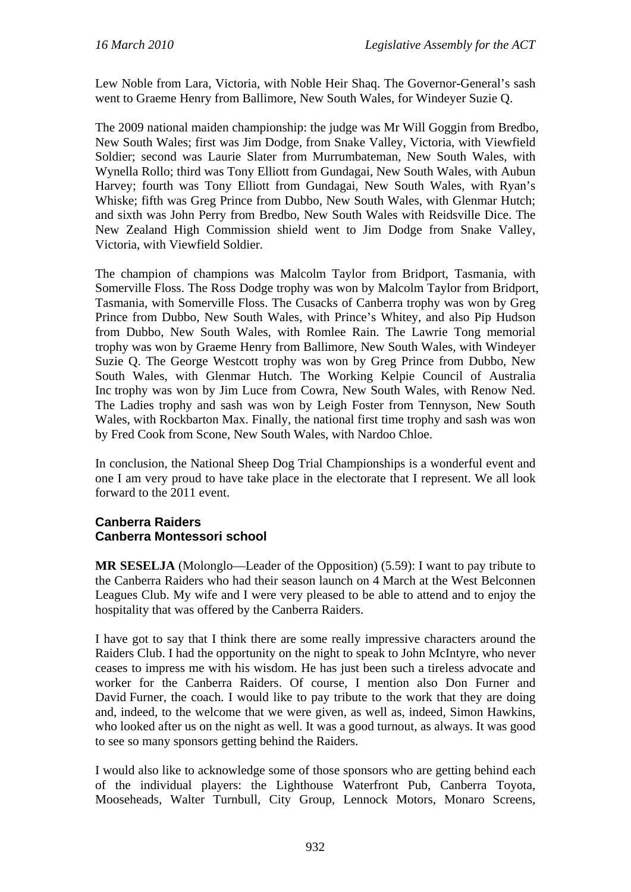Lew Noble from Lara, Victoria, with Noble Heir Shaq. The Governor-General's sash went to Graeme Henry from Ballimore, New South Wales, for Windeyer Suzie Q.

The 2009 national maiden championship: the judge was Mr Will Goggin from Bredbo, New South Wales; first was Jim Dodge, from Snake Valley, Victoria, with Viewfield Soldier; second was Laurie Slater from Murrumbateman, New South Wales, with Wynella Rollo; third was Tony Elliott from Gundagai, New South Wales, with Aubun Harvey; fourth was Tony Elliott from Gundagai, New South Wales, with Ryan's Whiske; fifth was Greg Prince from Dubbo, New South Wales, with Glenmar Hutch; and sixth was John Perry from Bredbo, New South Wales with Reidsville Dice. The New Zealand High Commission shield went to Jim Dodge from Snake Valley, Victoria, with Viewfield Soldier.

The champion of champions was Malcolm Taylor from Bridport, Tasmania, with Somerville Floss. The Ross Dodge trophy was won by Malcolm Taylor from Bridport, Tasmania, with Somerville Floss. The Cusacks of Canberra trophy was won by Greg Prince from Dubbo, New South Wales, with Prince's Whitey, and also Pip Hudson from Dubbo, New South Wales, with Romlee Rain. The Lawrie Tong memorial trophy was won by Graeme Henry from Ballimore, New South Wales, with Windeyer Suzie Q. The George Westcott trophy was won by Greg Prince from Dubbo, New South Wales, with Glenmar Hutch. The Working Kelpie Council of Australia Inc trophy was won by Jim Luce from Cowra, New South Wales, with Renow Ned. The Ladies trophy and sash was won by Leigh Foster from Tennyson, New South Wales, with Rockbarton Max. Finally, the national first time trophy and sash was won by Fred Cook from Scone, New South Wales, with Nardoo Chloe.

In conclusion, the National Sheep Dog Trial Championships is a wonderful event and one I am very proud to have take place in the electorate that I represent. We all look forward to the 2011 event.

## **Canberra Raiders Canberra Montessori school**

**MR SESELJA** (Molonglo—Leader of the Opposition) (5.59): I want to pay tribute to the Canberra Raiders who had their season launch on 4 March at the West Belconnen Leagues Club. My wife and I were very pleased to be able to attend and to enjoy the hospitality that was offered by the Canberra Raiders.

I have got to say that I think there are some really impressive characters around the Raiders Club. I had the opportunity on the night to speak to John McIntyre, who never ceases to impress me with his wisdom. He has just been such a tireless advocate and worker for the Canberra Raiders. Of course, I mention also Don Furner and David Furner, the coach. I would like to pay tribute to the work that they are doing and, indeed, to the welcome that we were given, as well as, indeed, Simon Hawkins, who looked after us on the night as well. It was a good turnout, as always. It was good to see so many sponsors getting behind the Raiders.

I would also like to acknowledge some of those sponsors who are getting behind each of the individual players: the Lighthouse Waterfront Pub, Canberra Toyota, Mooseheads, Walter Turnbull, City Group, Lennock Motors, Monaro Screens,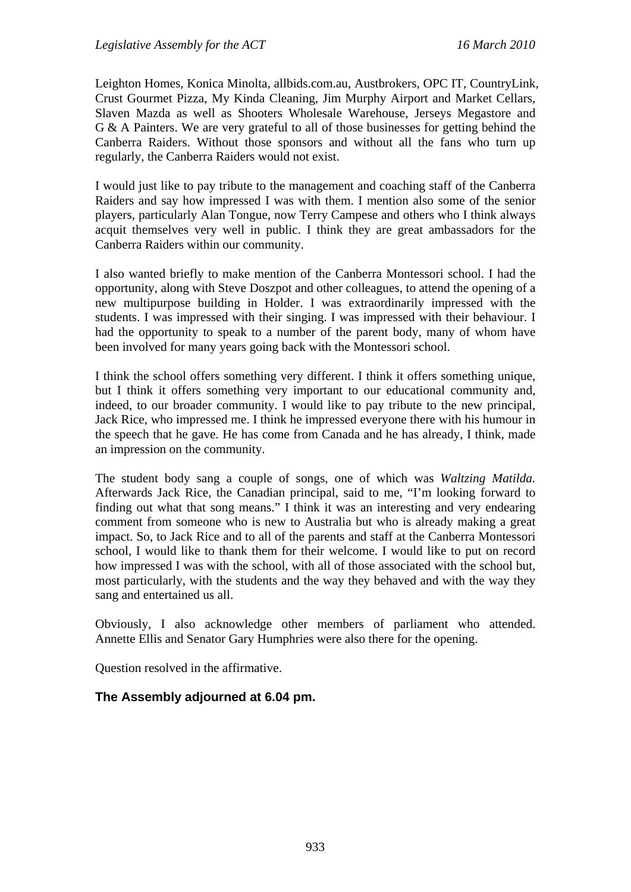Leighton Homes, Konica Minolta, allbids.com.au, Austbrokers, OPC IT, CountryLink, Crust Gourmet Pizza, My Kinda Cleaning, Jim Murphy Airport and Market Cellars, Slaven Mazda as well as Shooters Wholesale Warehouse, Jerseys Megastore and G & A Painters. We are very grateful to all of those businesses for getting behind the Canberra Raiders. Without those sponsors and without all the fans who turn up regularly, the Canberra Raiders would not exist.

I would just like to pay tribute to the management and coaching staff of the Canberra Raiders and say how impressed I was with them. I mention also some of the senior players, particularly Alan Tongue, now Terry Campese and others who I think always acquit themselves very well in public. I think they are great ambassadors for the Canberra Raiders within our community.

I also wanted briefly to make mention of the Canberra Montessori school. I had the opportunity, along with Steve Doszpot and other colleagues, to attend the opening of a new multipurpose building in Holder. I was extraordinarily impressed with the students. I was impressed with their singing. I was impressed with their behaviour. I had the opportunity to speak to a number of the parent body, many of whom have been involved for many years going back with the Montessori school.

I think the school offers something very different. I think it offers something unique, but I think it offers something very important to our educational community and, indeed, to our broader community. I would like to pay tribute to the new principal, Jack Rice, who impressed me. I think he impressed everyone there with his humour in the speech that he gave. He has come from Canada and he has already, I think, made an impression on the community.

The student body sang a couple of songs, one of which was *Waltzing Matilda.* Afterwards Jack Rice, the Canadian principal, said to me, "I'm looking forward to finding out what that song means." I think it was an interesting and very endearing comment from someone who is new to Australia but who is already making a great impact. So, to Jack Rice and to all of the parents and staff at the Canberra Montessori school, I would like to thank them for their welcome. I would like to put on record how impressed I was with the school, with all of those associated with the school but, most particularly, with the students and the way they behaved and with the way they sang and entertained us all.

Obviously, I also acknowledge other members of parliament who attended. Annette Ellis and Senator Gary Humphries were also there for the opening.

Question resolved in the affirmative.

## **The Assembly adjourned at 6.04 pm.**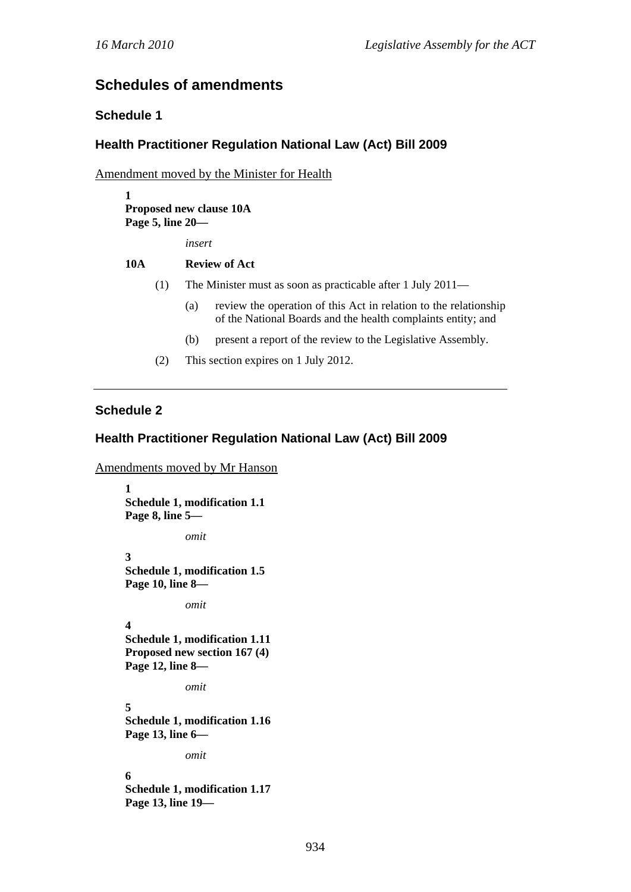# **Schedules of amendments**

## **Schedule 1**

## **Health Practitioner Regulation National Law (Act) Bill 2009**

Amendment moved by the Minister for Health

**1 Proposed new clause 10A Page 5, line 20—** 

*insert* 

#### **10A Review of Act**

- (1) The Minister must as soon as practicable after 1 July 2011—
	- (a) review the operation of this Act in relation to the relationship of the National Boards and the health complaints entity; and
	- (b) present a report of the review to the Legislative Assembly.
- (2) This section expires on 1 July 2012.

## **Schedule 2**

## **Health Practitioner Regulation National Law (Act) Bill 2009**

```
Amendments moved by Mr Hanson
```

```
1 
Schedule 1, modification 1.1 
Page 8, line 5— 
            omit 
3 
Schedule 1, modification 1.5 
Page 10, line 8— 
            omit 
4 
Schedule 1, modification 1.11 
Proposed new section 167 (4) 
Page 12, line 8— 
            omit 
5 
Schedule 1, modification 1.16 
Page 13, line 6— 
            omit 
6 
Schedule 1, modification 1.17 
Page 13, line 19—
```